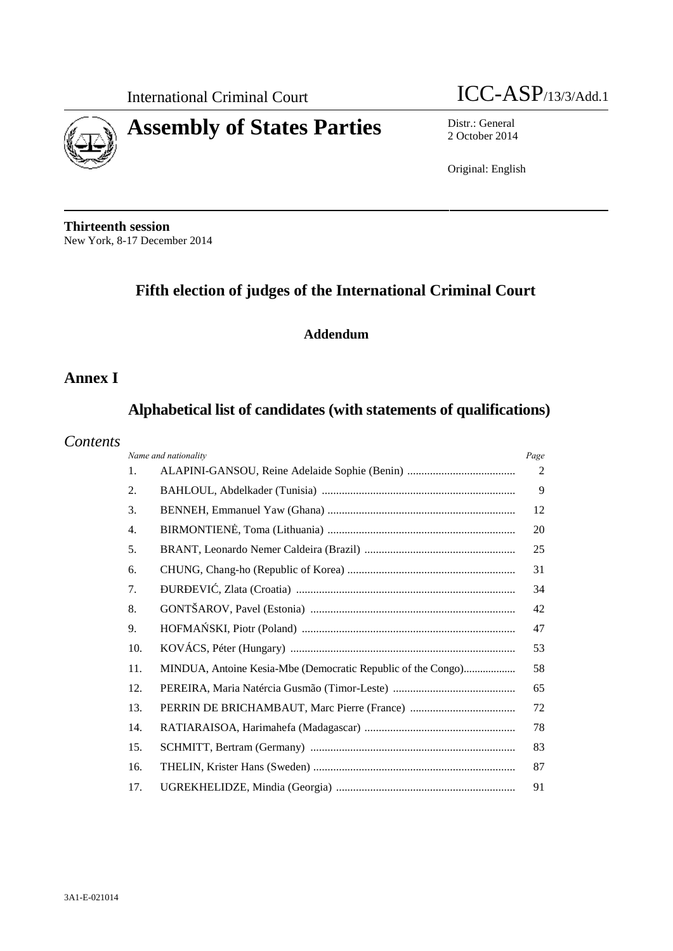

International Criminal Court **ICC-ASP**/13/3/Add.1

2 October 2014

Original: English

**Thirteenth session** New York, 8-17 December 2014

# **Fifth election of judges of the International Criminal Court**

# **Addendum**

# **Annex I**

# **Alphabetical list of candidates (with statements of qualifications)**

# *Contents*

| Name and nationality | Page                                                         |    |
|----------------------|--------------------------------------------------------------|----|
| 1.                   |                                                              | 2  |
| 2.                   |                                                              | 9  |
| 3.                   |                                                              | 12 |
| $\overline{4}$ .     |                                                              | 20 |
| 5.                   |                                                              | 25 |
| 6.                   |                                                              | 31 |
| 7.                   |                                                              | 34 |
| 8.                   |                                                              | 42 |
| 9.                   |                                                              | 47 |
| 10.                  |                                                              | 53 |
| 11.                  | MINDUA, Antoine Kesia-Mbe (Democratic Republic of the Congo) | 58 |
| 12.                  |                                                              | 65 |
| 13.                  |                                                              | 72 |
| 14.                  |                                                              | 78 |
| 15.                  |                                                              | 83 |
| 16.                  |                                                              | 87 |
| 17.                  |                                                              | 91 |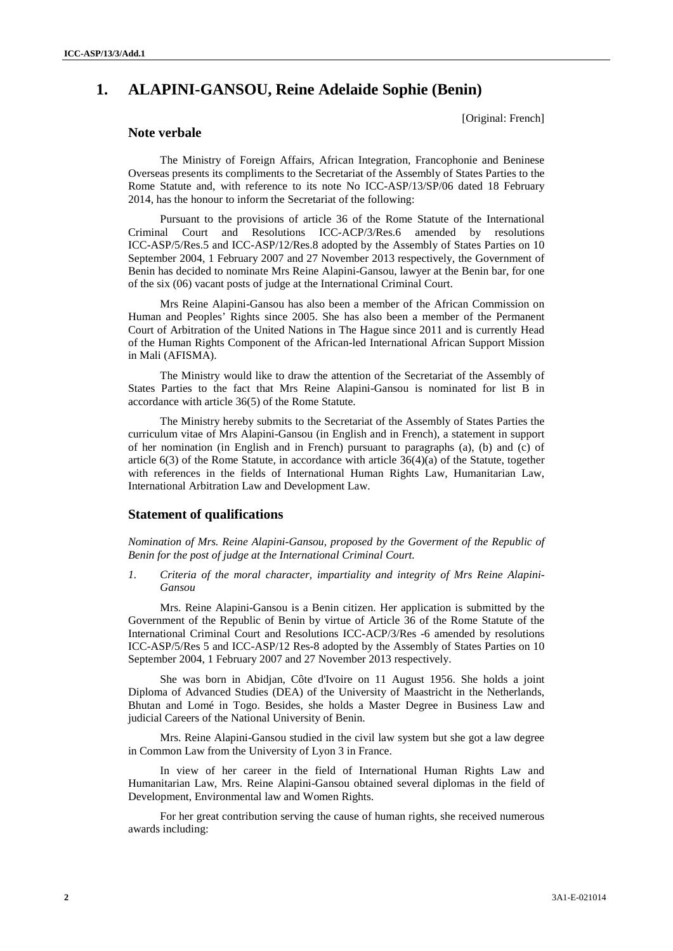# **1. ALAPINI-GANSOU, Reine Adelaide Sophie (Benin)**

[Original: French]

# **Note verbale**

The Ministry of Foreign Affairs, African Integration, Francophonie and Beninese Overseas presents its compliments to the Secretariat of the Assembly of States Parties to the Rome Statute and, with reference to its note No ICC-ASP/13/SP/06 dated 18 February 2014, has the honour to inform the Secretariat of the following:

Pursuant to the provisions of article 36 of the Rome Statute of the International Criminal Court and Resolutions ICC-ACP/3/Res.6 amended by resolutions ICC-ASP/5/Res.5 and ICC-ASP/12/Res.8 adopted by the Assembly of States Parties on 10 September 2004, 1 February 2007 and 27 November 2013 respectively, the Government of Benin has decided to nominate Mrs Reine Alapini-Gansou, lawyer at the Benin bar, for one of the six (06) vacant posts of judge at the International Criminal Court.

Mrs Reine Alapini-Gansou has also been a member of the African Commission on Human and Peoples' Rights since 2005. She has also been a member of the Permanent Court of Arbitration of the United Nations in The Hague since 2011 and is currently Head of the Human Rights Component of the African-led International African Support Mission in Mali (AFISMA).

The Ministry would like to draw the attention of the Secretariat of the Assembly of States Parties to the fact that Mrs Reine Alapini-Gansou is nominated for list B in accordance with article 36(5) of the Rome Statute.

The Ministry hereby submits to the Secretariat of the Assembly of States Parties the curriculum vitae of Mrs Alapini-Gansou (in English and in French), a statement in support of her nomination (in English and in French) pursuant to paragraphs (a), (b) and (c) of article  $6(3)$  of the Rome Statute, in accordance with article  $36(4)(a)$  of the Statute, together with references in the fields of International Human Rights Law, Humanitarian Law, International Arbitration Law and Development Law.

# **Statement of qualifications**

*Nomination of Mrs. Reine Alapini-Gansou, proposed by the Goverment of the Republic of Benin for the post of judge at the International Criminal Court.*

*1. Criteria of the moral character, impartiality and integrity of Mrs Reine Alapini- Gansou*

Mrs. Reine Alapini-Gansou is a Benin citizen. Her application is submitted by the Government of the Republic of Benin by virtue of Article 36 of the Rome Statute of the International Criminal Court and Resolutions ICC-ACP/3/Res -6 amended by resolutions ICC-ASP/5/Res 5 and ICC-ASP/12 Res-8 adopted by the Assembly of States Parties on 10 September 2004, 1 February 2007 and 27 November 2013 respectively.

She was born in Abidjan, Côte d'Ivoire on 11 August 1956. She holds a joint Diploma of Advanced Studies (DEA) of the University of Maastricht in the Netherlands, Bhutan and Lomé in Togo. Besides, she holds a Master Degree in Business Law and judicial Careers of the National University of Benin.

Mrs. Reine Alapini-Gansou studied in the civil law system but she got a law degree in Common Law from the University of Lyon 3 in France.

In view of her career in the field of International Human Rights Law and Humanitarian Law, Mrs. Reine Alapini-Gansou obtained several diplomas in the field of Development, Environmental law and Women Rights.

For her great contribution serving the cause of human rights, she received numerous awards including: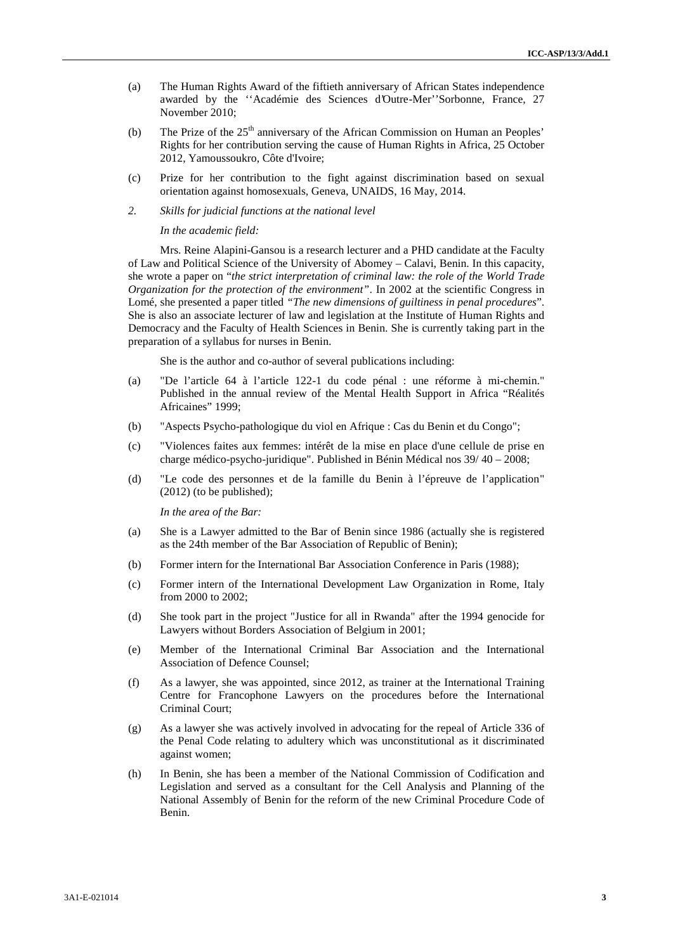- (a) The Human Rights Award of the fiftieth anniversary of African States independence awarded by the ''Académie des Sciences d'Outre-Mer''Sorbonne, France, 27 November 2010;
- (b) The Prize of the  $25<sup>th</sup>$  anniversary of the African Commission on Human an Peoples' Rights for her contribution serving the cause of Human Rights in Africa, 25 October 2012, Yamoussoukro, Côte d'Ivoire;
- (c) Prize for her contribution to the fight against discrimination based on sexual orientation against homosexuals, Geneva, UNAIDS, 16 May, 2014.
- *2. Skills for judicial functions at the national level*

*In the academic field:*

Mrs. Reine Alapini-Gansou is a research lecturer and a PHD candidate at the Faculty of Law and Political Science of the University of Abomey – Calavi, Benin. In this capacity, she wrote a paper on "*the strict interpretation of criminal law: the role of the World Trade Organization for the protection of the environment"*. In 2002 at the scientific Congress in Lomé, she presented a paper titled *"The new dimensions of guiltiness in penal procedures*". She is also an associate lecturer of law and legislation at the Institute of Human Rights and Democracy and the Faculty of Health Sciences in Benin. She is currently taking part in the preparation of a syllabus for nurses in Benin.

She is the author and co-author of several publications including:

- (a) "De l'article 64 à l'article 122-1 du code pénal : une réforme à mi-chemin." Published in the annual review of the Mental Health Support in Africa "Réalités Africaines" 1999;
- (b) "Aspects Psycho-pathologique du viol en Afrique : Cas du Benin et du Congo";
- (c) "Violences faites aux femmes: intérêt de la mise en place d'une cellule de prise en charge médico-psycho-juridique". Published in Bénin Médical nos 39/ 40 – 2008;
- (d) "Le code des personnes et de la famille du Benin à l'épreuve de l'application" (2012) (to be published);

*In the area of the Bar:*

- (a) She is a Lawyer admitted to the Bar of Benin since 1986 (actually she is registered as the 24th member of the Bar Association of Republic of Benin);
- (b) Former intern for the International Bar Association Conference in Paris (1988);
- (c) Former intern of the International Development Law Organization in Rome, Italy from 2000 to 2002;
- (d) She took part in the project "Justice for all in Rwanda" after the 1994 genocide for Lawyers without Borders Association of Belgium in 2001;
- (e) Member of the International Criminal Bar Association and the International Association of Defence Counsel;
- (f) As a lawyer, she was appointed, since 2012, as trainer at the International Training Centre for Francophone Lawyers on the procedures before the International Criminal Court;
- (g) As a lawyer she was actively involved in advocating for the repeal of Article 336 of the Penal Code relating to adultery which was unconstitutional as it discriminated against women;
- (h) In Benin, she has been a member of the National Commission of Codification and Legislation and served as a consultant for the Cell Analysis and Planning of the National Assembly of Benin for the reform of the new Criminal Procedure Code of Benin.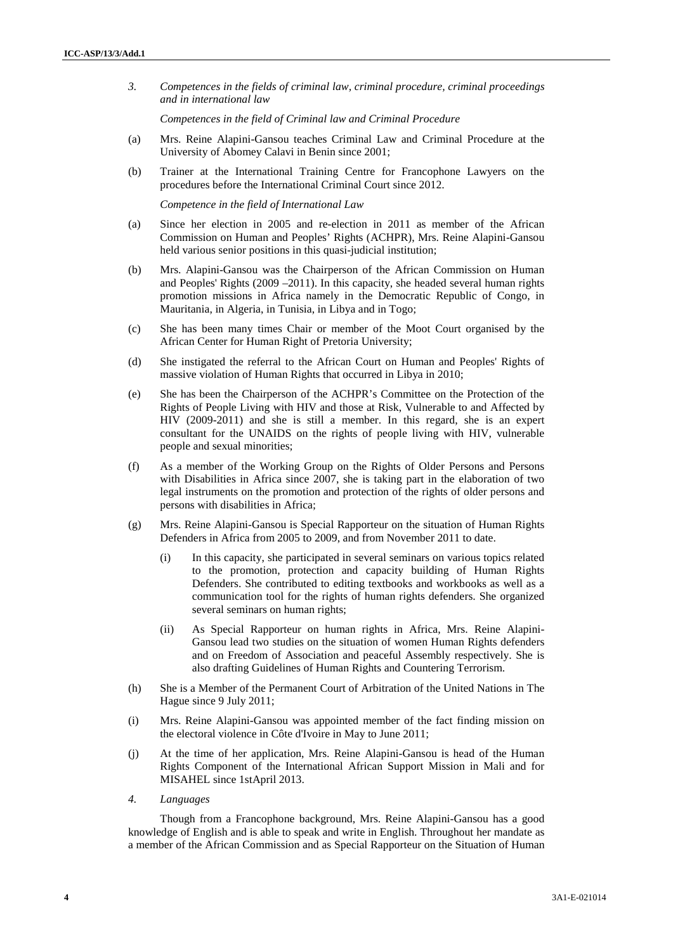*3. Competences in the fields of criminal law, criminal procedure, criminal proceedings and in international law*

*Competences in the field of Criminal law and Criminal Procedure*

- (a) Mrs. Reine Alapini-Gansou teaches Criminal Law and Criminal Procedure at the University of Abomey Calavi in Benin since 2001;
- (b) Trainer at the International Training Centre for Francophone Lawyers on the procedures before the International Criminal Court since 2012.

*Competence in the field of International Law*

- (a) Since her election in 2005 and re-election in 2011 as member of the African Commission on Human and Peoples' Rights (ACHPR), Mrs. Reine Alapini-Gansou held various senior positions in this quasi-judicial institution;
- (b) Mrs. Alapini-Gansou was the Chairperson of the African Commission on Human and Peoples' Rights (2009 –2011). In this capacity, she headed several human rights promotion missions in Africa namely in the Democratic Republic of Congo, in Mauritania, in Algeria, in Tunisia, in Libya and in Togo;
- (c) She has been many times Chair or member of the Moot Court organised by the African Center for Human Right of Pretoria University;
- (d) She instigated the referral to the African Court on Human and Peoples' Rights of massive violation of Human Rights that occurred in Libya in 2010;
- (e) She has been the Chairperson of the ACHPR's Committee on the Protection of the Rights of People Living with HIV and those at Risk, Vulnerable to and Affected by HIV (2009-2011) and she is still a member. In this regard, she is an expert consultant for the UNAIDS on the rights of people living with HIV, vulnerable people and sexual minorities;
- (f) As a member of the Working Group on the Rights of Older Persons and Persons with Disabilities in Africa since 2007, she is taking part in the elaboration of two legal instruments on the promotion and protection of the rights of older persons and persons with disabilities in Africa;
- (g) Mrs. Reine Alapini-Gansou is Special Rapporteur on the situation of Human Rights Defenders in Africa from 2005 to 2009, and from November 2011 to date.
	- (i) In this capacity, she participated in several seminars on various topics related to the promotion, protection and capacity building of Human Rights Defenders. She contributed to editing textbooks and workbooks as well as a communication tool for the rights of human rights defenders. She organized several seminars on human rights;
	- (ii) As Special Rapporteur on human rights in Africa, Mrs. Reine Alapini- Gansou lead two studies on the situation of women Human Rights defenders and on Freedom of Association and peaceful Assembly respectively. She is also drafting Guidelines of Human Rights and Countering Terrorism.
- (h) She is a Member of the Permanent Court of Arbitration of the United Nations in The Hague since 9 July 2011;
- (i) Mrs. Reine Alapini-Gansou was appointed member of the fact finding mission on the electoral violence in Côte d'Ivoire in May to June 2011;
- (j) At the time of her application, Mrs. Reine Alapini-Gansou is head of the Human Rights Component of the International African Support Mission in Mali and for MISAHEL since 1stApril 2013.
- *4. Languages*

Though from a Francophone background, Mrs. Reine Alapini-Gansou has a good knowledge of English and is able to speak and write in English. Throughout her mandate as a member of the African Commission and as Special Rapporteur on the Situation of Human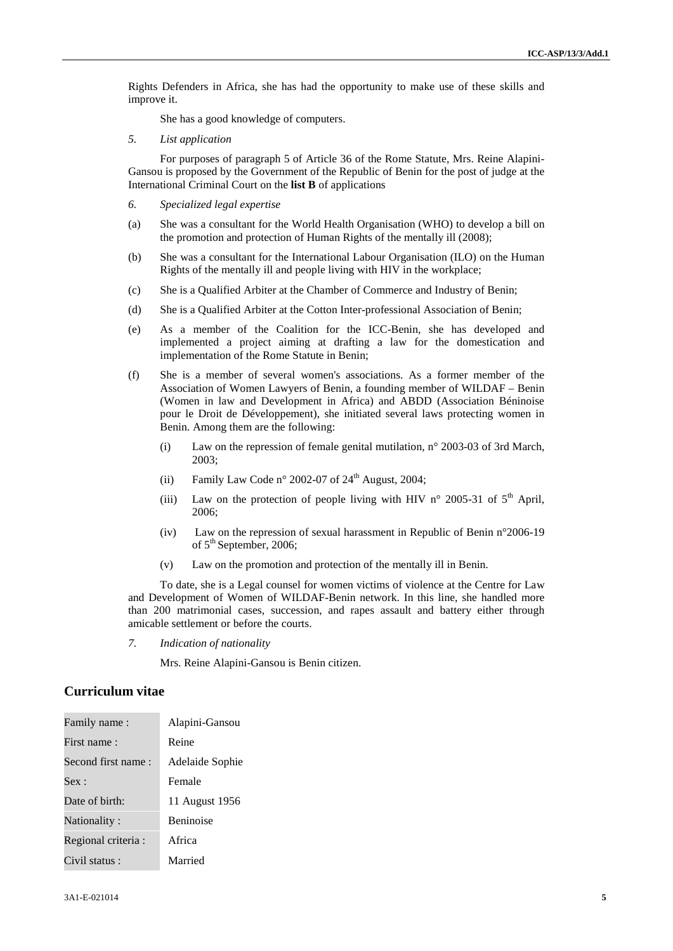Rights Defenders in Africa, she has had the opportunity to make use of these skills and improve it.

She has a good knowledge of computers.

*5. List application*

For purposes of paragraph 5 of Article 36 of the Rome Statute, Mrs. Reine Alapini- Gansou is proposed by the Government of the Republic of Benin for the post of judge at the International Criminal Court on the **list B** of applications

- *6. Specialized legal expertise*
- (a) She was a consultant for the World Health Organisation (WHO) to develop a bill on the promotion and protection of Human Rights of the mentally ill (2008);
- (b) She was a consultant for the International Labour Organisation (ILO) on the Human Rights of the mentally ill and people living with HIV in the workplace;
- (c) She is a Qualified Arbiter at the Chamber of Commerce and Industry of Benin;
- (d) She is a Qualified Arbiter at the Cotton Inter-professional Association of Benin;
- (e) As a member of the Coalition for the ICC-Benin, she has developed and implemented a project aiming at drafting a law for the domestication and implementation of the Rome Statute in Benin;
- (f) She is a member of several women's associations. As a former member of the Association of Women Lawyers of Benin, a founding member of WILDAF – Benin (Women in law and Development in Africa) and ABDD (Association Béninoise pour le Droit de Développement), she initiated several laws protecting women in Benin. Among them are the following:
	- (i) Law on the repression of female genital mutilation,  $n^{\circ}$  2003-03 of 3rd March, 2003;
	- (ii) Family Law Code n° 2002-07 of  $24<sup>th</sup>$  August, 2004;
	- (iii) Law on the protection of people living with HIV n° 2005-31 of  $5<sup>th</sup>$  April, 2006;
	- (iv) Law on the repression of sexual harassment in Republic of Benin n°2006-19 of  $5<sup>th</sup>$  September, 2006;
	- (v) Law on the promotion and protection of the mentally ill in Benin.

To date, she is a Legal counsel for women victims of violence at the Centre for Law and Development of Women of WILDAF-Benin network. In this line, she handled more than 200 matrimonial cases, succession, and rapes assault and battery either through amicable settlement or before the courts.

*7. Indication of nationality*

Mrs. Reine Alapini-Gansou is Benin citizen.

# **Curriculum vitae**

| Family name:        | Alapini-Gansou   |
|---------------------|------------------|
| First name:         | Reine            |
| Second first name:  | Adelaide Sophie  |
| Sex:                | Female           |
| Date of birth:      | 11 August 1956   |
| Nationality:        | <b>Beninoise</b> |
| Regional criteria : | Africa           |
| Civil status:       | Married          |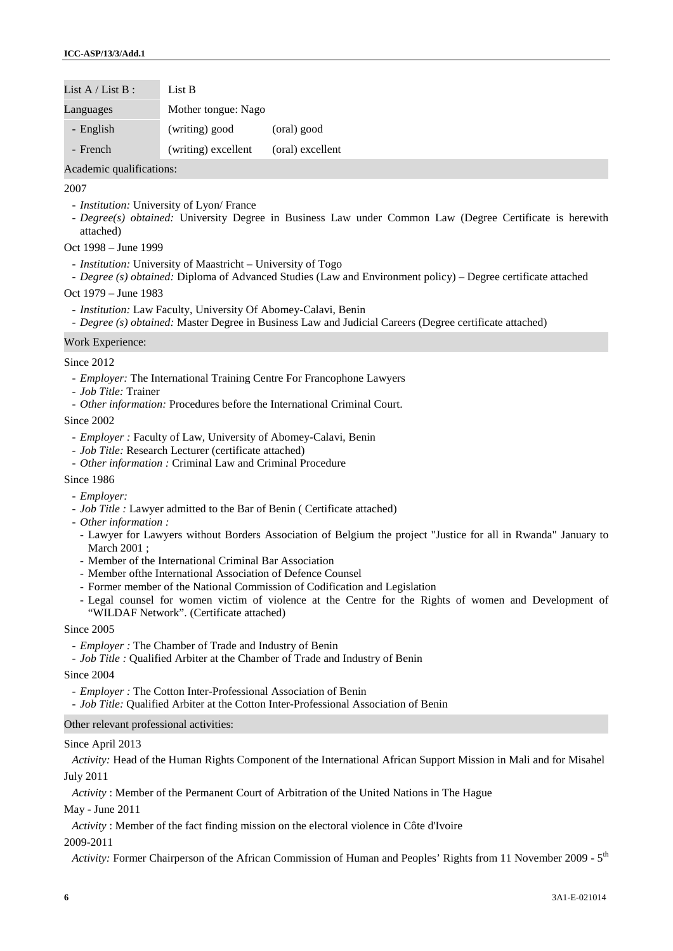| List $A /$ List $B :$ | List B              |                  |
|-----------------------|---------------------|------------------|
| Languages             | Mother tongue: Nago |                  |
| - English             | (writing) good      | (oral) good      |
| - French              | (writing) excellent | (oral) excellent |

Academic qualifications:

## 2007

- *Institution:* University of Lyon/ France
- *Degree(s) obtained:* University Degree in Business Law under Common Law (Degree Certificate is herewith attached)

## Oct 1998 – June 1999

- *Institution:* University of Maastricht University of Togo
- *Degree (s) obtained:* Diploma of Advanced Studies (Law and Environment policy) Degree certificate attached

## Oct 1979 – June 1983

- *Institution:* Law Faculty, University Of Abomey-Calavi, Benin
- *Degree (s) obtained:* Master Degree in Business Law and Judicial Careers (Degree certificate attached)

## Work Experience:

## Since 2012

- *Employer:* The International Training Centre For Francophone Lawyers
- *Job Title:* Trainer
- *Other information:* Procedures before the International Criminal Court.

## Since 2002

- *Employer :* Faculty of Law, University of Abomey-Calavi, Benin
- *Job Title:* Research Lecturer (certificate attached)
- *Other information :* Criminal Law and Criminal Procedure
- Since 1986
	- *Employer:*
	- *Job Title :* Lawyer admitted to the Bar of Benin ( Certificate attached)
	- *Other information :*
	- Lawyer for Lawyers without Borders Association of Belgium the project "Justice for all in Rwanda" January to March 2001 ;
	- Member of the International Criminal Bar Association
	- Member ofthe International Association of Defence Counsel
	- Former member of the National Commission of Codification and Legislation
	- Legal counsel for women victim of violence at the Centre for the Rights of women and Development of "WILDAF Network". (Certificate attached)

### Since 2005

- *Employer :* The Chamber of Trade and Industry of Benin
- *Job Title :* Qualified Arbiter at the Chamber of Trade and Industry of Benin

### Since 2004

- *Employer :* The Cotton Inter-Professional Association of Benin
- *Job Title:* Qualified Arbiter at the Cotton Inter-Professional Association of Benin

# Other relevant professional activities:

### Since April 2013

*Activity:* Head of the Human Rights Component of the International African Support Mission in Mali and for Misahel July 2011

*Activity* : Member of the Permanent Court of Arbitration of the United Nations in The Hague

May - June 2011

*Activity* : Member of the fact finding mission on the electoral violence in Côte d'Ivoire

# 2009-2011

Activity: Former Chairperson of the African Commission of Human and Peoples' Rights from 11 November 2009 - 5<sup>th</sup>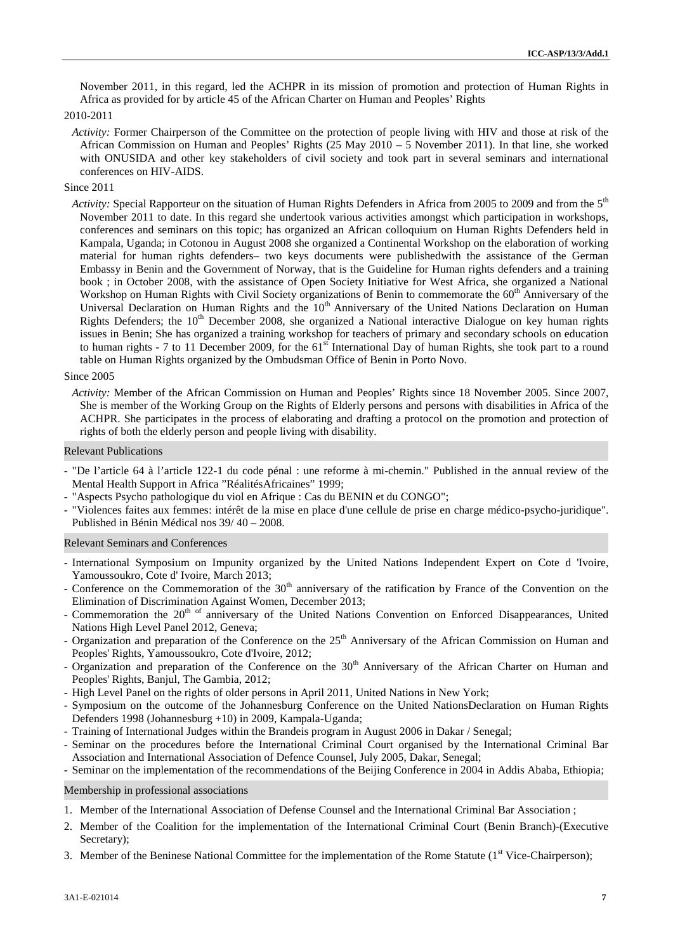November 2011, in this regard, led the ACHPR in its mission of promotion and protection of Human Rights in Africa as provided for by article 45 of the African Charter on Human and Peoples' Rights

# 2010-2011

*Activity:* Former Chairperson of the Committee on the protection of people living with HIV and those at risk of the African Commission on Human and Peoples' Rights (25 May 2010 – 5 November 2011). In that line, she worked with ONUSIDA and other key stakeholders of civil society and took part in several seminars and international conferences on HIV-AIDS.

#### Since 2011

*Activity:* Special Rapporteur on the situation of Human Rights Defenders in Africa from 2005 to 2009 and from the 5<sup>th</sup> November 2011 to date. In this regard she undertook various activities amongst which participation in workshops, conferences and seminars on this topic; has organized an African colloquium on Human Rights Defenders held in Kampala, Uganda; in Cotonou in August 2008 she organized a Continental Workshop on the elaboration of working material for human rights defenders– two keys documents were publishedwith the assistance of the German Embassy in Benin and the Government of Norway, that is the Guideline for Human rights defenders and a training book ; in October 2008, with the assistance of Open Society Initiative for West Africa, she organized a National Workshop on Human Rights with Civil Society organizations of Benin to commemorate the  $60<sup>th</sup>$  Anniversary of the Universal Declaration on Human Rights and the  $10<sup>th</sup>$  Anniversary of the United Nations Declaration on Human Rights Defenders; the 10<sup>th</sup> December 2008, she organized a National interactive Dialogue on key human rights issues in Benin; She has organized a training workshop for teachers of primary and secondary schools on education to human rights - 7 to 11 December 2009, for the 61<sup>st</sup> International Day of human Rights, she took part to a round table on Human Rights organized by the Ombudsman Office of Benin in Porto Novo.

## Since 2005

*Activity:* Member of the African Commission on Human and Peoples' Rights since 18 November 2005. Since 2007, She is member of the Working Group on the Rights of Elderly persons and persons with disabilities in Africa of the ACHPR. She participates in the process of elaborating and drafting a protocol on the promotion and protection of rights of both the elderly person and people living with disability.

#### Relevant Publications

- "De l'article 64 à l'article 122-1 du code pénal : une reforme à mi-chemin." Published in the annual review of the Mental Health Support in Africa "RéalitésAfricaines" 1999;
- "Aspects Psycho pathologique du viol en Afrique : Cas du BENIN et du CONGO";
- "Violences faites aux femmes: intérêt de la mise en place d'une cellule de prise en charge médico-psycho-juridique". Published in Bénin Médical nos 39/ 40 – 2008.

## Relevant Seminars and Conferences

- International Symposium on Impunity organized by the United Nations Independent Expert on Cote d 'Ivoire, Yamoussoukro, Cote d' Ivoire, March 2013;
- Conference on the Commemoration of the  $30<sup>th</sup>$  anniversary of the ratification by France of the Convention on the Elimination of Discrimination Against Women, December 2013;
- Commemoration the 20<sup>th of</sup> anniversary of the United Nations Convention on Enforced Disappearances, United Nations High Level Panel 2012, Geneva;
- Organization and preparation of the Conference on the  $25<sup>th</sup>$  Anniversary of the African Commission on Human and Peoples' Rights, Yamoussoukro, Cote d'Ivoire, 2012;
- Organization and preparation of the Conference on the 30<sup>th</sup> Anniversary of the African Charter on Human and Peoples' Rights, Banjul, The Gambia, 2012;
- High Level Panel on the rights of older persons in April 2011, United Nations in New York;
- Symposium on the outcome of the Johannesburg Conference on the United NationsDeclaration on Human Rights Defenders 1998 (Johannesburg +10) in 2009, Kampala-Uganda;
- Training of International Judges within the Brandeis program in August 2006 in Dakar / Senegal;
- Seminar on the procedures before the International Criminal Court organised by the International Criminal Bar Association and International Association of Defence Counsel, July 2005, Dakar, Senegal;

# - Seminar on the implementation of the recommendations of the Beijing Conference in 2004 in Addis Ababa, Ethiopia;

### Membership in professional associations

- 1. Member of the International Association of Defense Counsel and the International Criminal Bar Association ;
- 2. Member of the Coalition for the implementation of the International Criminal Court (Benin Branch)-(Executive Secretary);
- 3. Member of the Beninese National Committee for the implementation of the Rome Statute ( $1<sup>st</sup> Vice-Chairperson$ );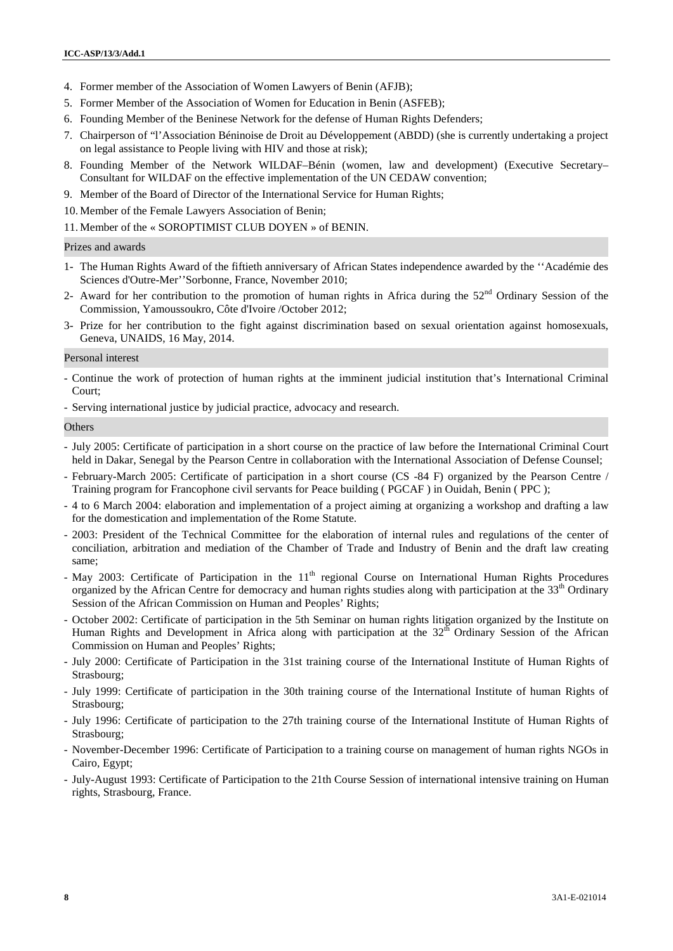- 4. Former member of the Association of Women Lawyers of Benin (AFJB);
- 5. Former Member of the Association of Women for Education in Benin (ASFEB);
- 6. Founding Member of the Beninese Network for the defense of Human Rights Defenders;
- 7. Chairperson of "l'Association Béninoise de Droit au Développement (ABDD) (she is currently undertaking a project on legal assistance to People living with HIV and those at risk);
- 8. Founding Member of the Network WILDAF–Bénin (women, law and development) (Executive Secretary– Consultant for WILDAF on the effective implementation of the UN CEDAW convention;
- 9. Member of the Board of Director of the International Service for Human Rights;
- 10. Member of the Female Lawyers Association of Benin;
- 11. Member of the « SOROPTIMIST CLUB DOYEN » of BENIN.

### Prizes and awards

- 1- The Human Rights Award of the fiftieth anniversary of African States independence awarded by the ''Académie des Sciences d'Outre-Mer''Sorbonne, France, November 2010;
- 2- Award for her contribution to the promotion of human rights in Africa during the 52<sup>nd</sup> Ordinary Session of the Commission, Yamoussoukro, Côte d'Ivoire /October 2012;
- 3- Prize for her contribution to the fight against discrimination based on sexual orientation against homosexuals, Geneva, UNAIDS, 16 May, 2014.

#### Personal interest

- Continue the work of protection of human rights at the imminent judicial institution that's International Criminal Court;
- Serving international justice by judicial practice, advocacy and research.

#### **Others**

- July 2005: Certificate of participation in a short course on the practice of law before the International Criminal Court held in Dakar, Senegal by the Pearson Centre in collaboration with the International Association of Defense Counsel;
- February-March 2005: Certificate of participation in a short course (CS -84 F) organized by the Pearson Centre / Training program for Francophone civil servants for Peace building ( PGCAF ) in Ouidah, Benin ( PPC );
- 4 to 6 March 2004: elaboration and implementation of a project aiming at organizing a workshop and drafting a law for the domestication and implementation of the Rome Statute.
- 2003: President of the Technical Committee for the elaboration of internal rules and regulations of the center of conciliation, arbitration and mediation of the Chamber of Trade and Industry of Benin and the draft law creating same;
- $-$  May 2003: Certificate of Participation in the  $11<sup>th</sup>$  regional Course on International Human Rights Procedures organized by the African Centre for democracy and human rights studies along with participation at the  $33<sup>th</sup>$  Ordinary Session of the African Commission on Human and Peoples' Rights;
- October 2002: Certificate of participation in the 5th Seminar on human rights litigation organized by the Institute on Human Rights and Development in Africa along with participation at the  $32<sup>th</sup>$  Ordinary Session of the African Commission on Human and Peoples' Rights;
- July 2000: Certificate of Participation in the 31st training course of the International Institute of Human Rights of Strasbourg;
- July 1999: Certificate of participation in the 30th training course of the International Institute of human Rights of Strasbourg;
- July 1996: Certificate of participation to the 27th training course of the International Institute of Human Rights of Strasbourg;
- November-December 1996: Certificate of Participation to a training course on management of human rights NGOs in Cairo, Egypt;
- July-August 1993: Certificate of Participation to the 21th Course Session of international intensive training on Human rights, Strasbourg, France.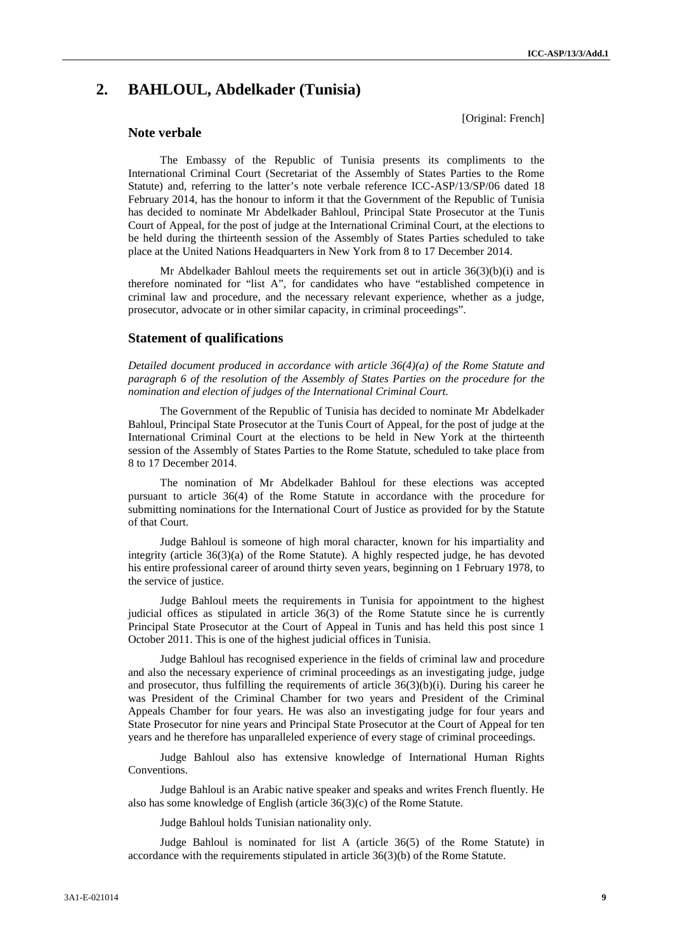[Original: French]

# **2. BAHLOUL, Abdelkader (Tunisia)**

# **Note verbale**

The Embassy of the Republic of Tunisia presents its compliments to the International Criminal Court (Secretariat of the Assembly of States Parties to the Rome Statute) and, referring to the latter's note verbale reference ICC-ASP/13/SP/06 dated 18 February 2014, has the honour to inform it that the Government of the Republic of Tunisia has decided to nominate Mr Abdelkader Bahloul, Principal State Prosecutor at the Tunis Court of Appeal, for the post of judge at the International Criminal Court, at the elections to be held during the thirteenth session of the Assembly of States Parties scheduled to take place at the United Nations Headquarters in New York from 8 to 17 December 2014.

Mr Abdelkader Bahloul meets the requirements set out in article  $36(3)(b)(i)$  and is therefore nominated for "list A", for candidates who have "established competence in criminal law and procedure, and the necessary relevant experience, whether as a judge, prosecutor, advocate or in other similar capacity, in criminal proceedings".

# **Statement of qualifications**

*Detailed document produced in accordance with article 36(4)(a) of the Rome Statute and paragraph 6 of the resolution of the Assembly of States Parties on the procedure for the nomination and election of judges of the International Criminal Court.*

The Government of the Republic of Tunisia has decided to nominate Mr Abdelkader Bahloul, Principal State Prosecutor at the Tunis Court of Appeal, for the post of judge at the International Criminal Court at the elections to be held in New York at the thirteenth session of the Assembly of States Parties to the Rome Statute, scheduled to take place from 8 to 17 December 2014.

The nomination of Mr Abdelkader Bahloul for these elections was accepted pursuant to article 36(4) of the Rome Statute in accordance with the procedure for submitting nominations for the International Court of Justice as provided for by the Statute of that Court.

Judge Bahloul is someone of high moral character, known for his impartiality and integrity (article 36(3)(a) of the Rome Statute). A highly respected judge, he has devoted his entire professional career of around thirty seven years, beginning on 1 February 1978, to the service of justice.

Judge Bahloul meets the requirements in Tunisia for appointment to the highest judicial offices as stipulated in article 36(3) of the Rome Statute since he is currently Principal State Prosecutor at the Court of Appeal in Tunis and has held this post since 1 October 2011. This is one of the highest judicial offices in Tunisia.

Judge Bahloul has recognised experience in the fields of criminal law and procedure and also the necessary experience of criminal proceedings as an investigating judge, judge and prosecutor, thus fulfilling the requirements of article 36(3)(b)(i). During his career he was President of the Criminal Chamber for two years and President of the Criminal Appeals Chamber for four years. He was also an investigating judge for four years and State Prosecutor for nine years and Principal State Prosecutor at the Court of Appeal for ten years and he therefore has unparalleled experience of every stage of criminal proceedings.

Judge Bahloul also has extensive knowledge of International Human Rights Conventions.

Judge Bahloul is an Arabic native speaker and speaks and writes French fluently. He also has some knowledge of English (article 36(3)(c) of the Rome Statute.

Judge Bahloul holds Tunisian nationality only.

Judge Bahloul is nominated for list A (article 36(5) of the Rome Statute) in accordance with the requirements stipulated in article 36(3)(b) of the Rome Statute.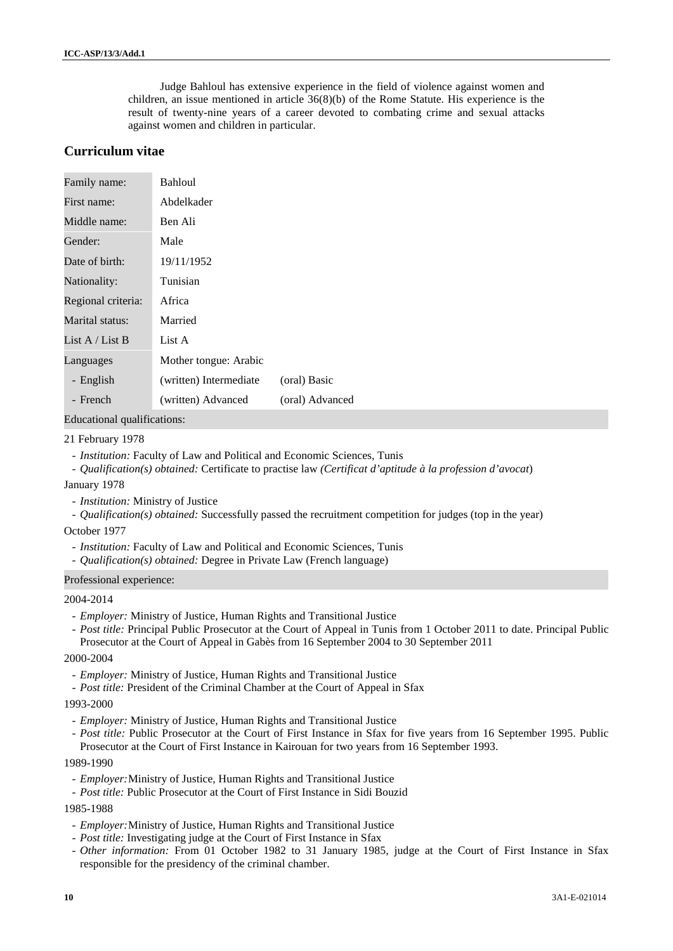Judge Bahloul has extensive experience in the field of violence against women and children, an issue mentioned in article 36(8)(b) of the Rome Statute. His experience is the result of twenty-nine years of a career devoted to combating crime and sexual attacks against women and children in particular.

# **Curriculum vitae**

| Family name:            | Bahloul                |                 |
|-------------------------|------------------------|-----------------|
| First name:             | Abdelkader             |                 |
| Ben Ali<br>Middle name: |                        |                 |
| Gender:                 | Male                   |                 |
| Date of birth:          | 19/11/1952             |                 |
| Nationality:            | Tunisian               |                 |
| Regional criteria:      | Africa                 |                 |
| Marital status:         | Married                |                 |
| List A / List B         | List A                 |                 |
| Languages               | Mother tongue: Arabic  |                 |
| - English               | (written) Intermediate | (oral) Basic    |
| - French                | (written) Advanced     | (oral) Advanced |

Educational qualifications:

### 21 February 1978

- *Institution:* Faculty of Law and Political and Economic Sciences, Tunis
- *Qualification(s) obtained:* Certificate to practise law *(Certificat d'aptitude à la profession d'avocat*)

### January 1978

- *Institution:* Ministry of Justice
- *Qualification(s) obtained:* Successfully passed the recruitment competition for judges (top in the year)

### October 1977

- *Institution:* Faculty of Law and Political and Economic Sciences, Tunis
- *Qualification(s) obtained:* Degree in Private Law (French language)

#### Professional experience:

#### 2004-2014

- *Employer:* Ministry of Justice, Human Rights and Transitional Justice
- *Post title:* Principal Public Prosecutor at the Court of Appeal in Tunis from 1 October 2011 to date. Principal Public Prosecutor at the Court of Appeal in Gabès from 16 September 2004 to 30 September 2011

#### 2000-2004

- *Employer:* Ministry of Justice, Human Rights and Transitional Justice
- *Post title:* President of the Criminal Chamber at the Court of Appeal in Sfax

#### 1993-2000

- *Employer:* Ministry of Justice, Human Rights and Transitional Justice
- *Post title:* Public Prosecutor at the Court of First Instance in Sfax for five years from 16 September 1995. Public Prosecutor at the Court of First Instance in Kairouan for two years from 16 September 1993.

#### 1989-1990

- *Employer:*Ministry of Justice, Human Rights and Transitional Justice
- *Post title:* Public Prosecutor at the Court of First Instance in Sidi Bouzid

# 1985-1988

- *Employer:*Ministry of Justice, Human Rights and Transitional Justice
- *Post title:* Investigating judge at the Court of First Instance in Sfax
- *Other information:* From 01 October 1982 to 31 January 1985, judge at the Court of First Instance in Sfax responsible for the presidency of the criminal chamber.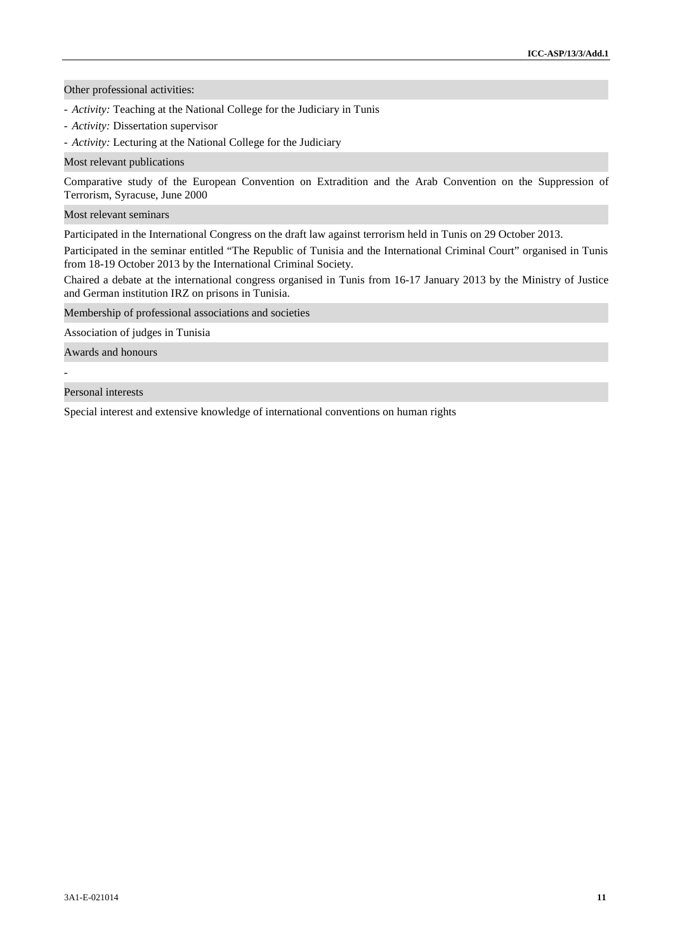Other professional activities:

- *Activity:* Teaching at the National College for the Judiciary in Tunis
- *Activity:* Dissertation supervisor
- *Activity:* Lecturing at the National College for the Judiciary

#### Most relevant publications

Comparative study of the European Convention on Extradition and the Arab Convention on the Suppression of Terrorism, Syracuse, June 2000

Most relevant seminars

Participated in the International Congress on the draft law against terrorism held in Tunis on 29 October 2013.

Participated in the seminar entitled "The Republic of Tunisia and the International Criminal Court" organised in Tunis from 18-19 October 2013 by the International Criminal Society.

Chaired a debate at the international congress organised in Tunis from 16-17 January 2013 by the Ministry of Justice and German institution IRZ on prisons in Tunisia.

Membership of professional associations and societies

Association of judges in Tunisia

Awards and honours

#### Personal interests

Special interest and extensive knowledge of international conventions on human rights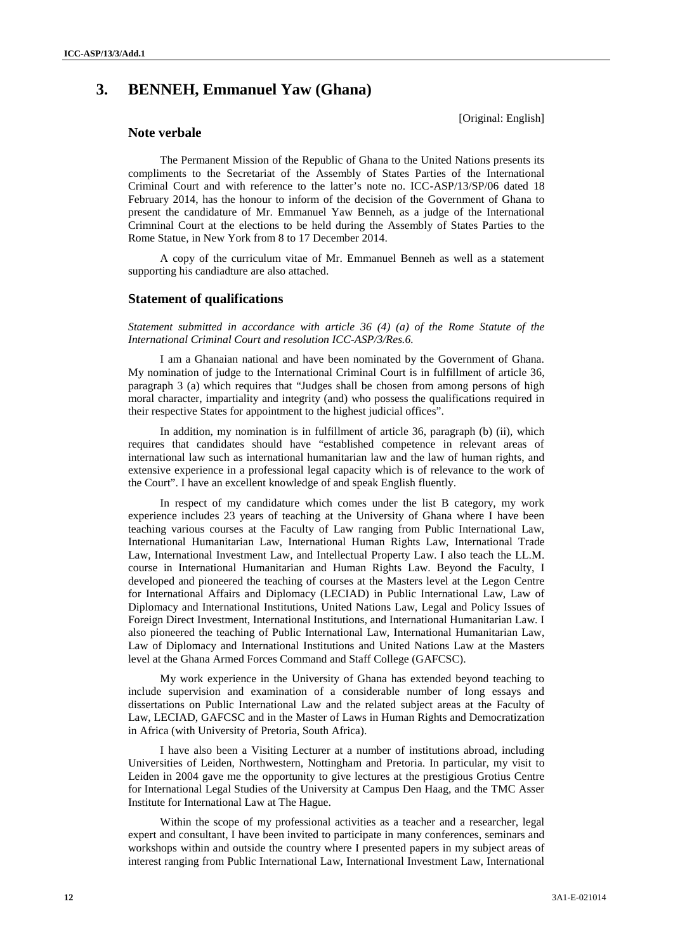# **3. BENNEH, Emmanuel Yaw (Ghana)**

[Original: English]

# **Note verbale**

The Permanent Mission of the Republic of Ghana to the United Nations presents its compliments to the Secretariat of the Assembly of States Parties of the International Criminal Court and with reference to the latter's note no. ICC-ASP/13/SP/06 dated 18 February 2014, has the honour to inform of the decision of the Government of Ghana to present the candidature of Mr. Emmanuel Yaw Benneh, as a judge of the International Crimninal Court at the elections to be held during the Assembly of States Parties to the Rome Statue, in New York from 8 to 17 December 2014.

A copy of the curriculum vitae of Mr. Emmanuel Benneh as well as a statement supporting his candiadture are also attached.

# **Statement of qualifications**

*Statement submitted in accordance with article 36 (4) (a) of the Rome Statute of the International Criminal Court and resolution ICC-ASP/3/Res.6.*

I am a Ghanaian national and have been nominated by the Government of Ghana. My nomination of judge to the International Criminal Court is in fulfillment of article 36, paragraph 3 (a) which requires that "Judges shall be chosen from among persons of high moral character, impartiality and integrity (and) who possess the qualifications required in their respective States for appointment to the highest judicial offices".

In addition, my nomination is in fulfillment of article 36, paragraph (b) (ii), which requires that candidates should have "established competence in relevant areas of international law such as international humanitarian law and the law of human rights, and extensive experience in a professional legal capacity which is of relevance to the work of the Court". I have an excellent knowledge of and speak English fluently.

In respect of my candidature which comes under the list B category, my work experience includes 23 years of teaching at the University of Ghana where I have been teaching various courses at the Faculty of Law ranging from Public International Law, International Humanitarian Law, International Human Rights Law, International Trade Law, International Investment Law, and Intellectual Property Law. I also teach the LL.M. course in International Humanitarian and Human Rights Law. Beyond the Faculty, I developed and pioneered the teaching of courses at the Masters level at the Legon Centre for International Affairs and Diplomacy (LECIAD) in Public International Law, Law of Diplomacy and International Institutions, United Nations Law, Legal and Policy Issues of Foreign Direct Investment, International Institutions, and International Humanitarian Law. I also pioneered the teaching of Public International Law, International Humanitarian Law, Law of Diplomacy and International Institutions and United Nations Law at the Masters level at the Ghana Armed Forces Command and Staff College (GAFCSC).

My work experience in the University of Ghana has extended beyond teaching to include supervision and examination of a considerable number of long essays and dissertations on Public International Law and the related subject areas at the Faculty of Law, LECIAD, GAFCSC and in the Master of Laws in Human Rights and Democratization in Africa (with University of Pretoria, South Africa).

I have also been a Visiting Lecturer at a number of institutions abroad, including Universities of Leiden, Northwestern, Nottingham and Pretoria. In particular, my visit to Leiden in 2004 gave me the opportunity to give lectures at the prestigious Grotius Centre for International Legal Studies of the University at Campus Den Haag, and the TMC Asser Institute for International Law at The Hague.

Within the scope of my professional activities as a teacher and a researcher, legal expert and consultant, I have been invited to participate in many conferences, seminars and workshops within and outside the country where I presented papers in my subject areas of interest ranging from Public International Law, International Investment Law, International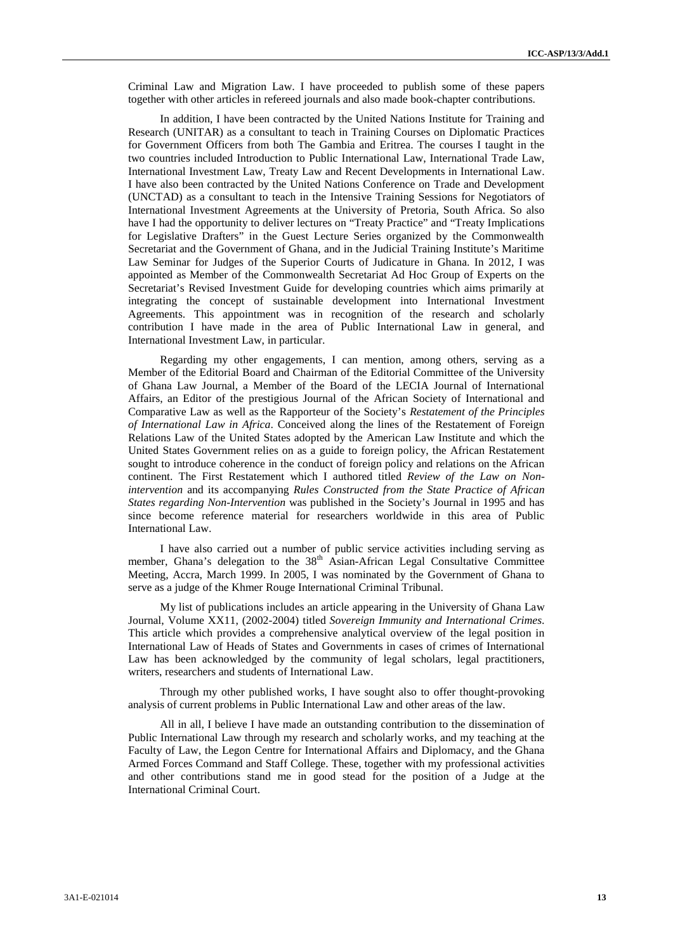Criminal Law and Migration Law. I have proceeded to publish some of these papers together with other articles in refereed journals and also made book-chapter contributions.

In addition, I have been contracted by the United Nations Institute for Training and Research (UNITAR) as a consultant to teach in Training Courses on Diplomatic Practices for Government Officers from both The Gambia and Eritrea. The courses I taught in the two countries included Introduction to Public International Law, International Trade Law, International Investment Law, Treaty Law and Recent Developments in International Law. I have also been contracted by the United Nations Conference on Trade and Development (UNCTAD) as a consultant to teach in the Intensive Training Sessions for Negotiators of International Investment Agreements at the University of Pretoria, South Africa. So also have I had the opportunity to deliver lectures on "Treaty Practice" and "Treaty Implications for Legislative Drafters" in the Guest Lecture Series organized by the Commonwealth Secretariat and the Government of Ghana, and in the Judicial Training Institute's Maritime Law Seminar for Judges of the Superior Courts of Judicature in Ghana. In 2012, I was appointed as Member of the Commonwealth Secretariat Ad Hoc Group of Experts on the Secretariat's Revised Investment Guide for developing countries which aims primarily at integrating the concept of sustainable development into International Investment Agreements. This appointment was in recognition of the research and scholarly contribution I have made in the area of Public International Law in general, and International Investment Law, in particular.

Regarding my other engagements, I can mention, among others, serving as a Member of the Editorial Board and Chairman of the Editorial Committee of the University of Ghana Law Journal, a Member of the Board of the LECIA Journal of International Affairs, an Editor of the prestigious Journal of the African Society of International and Comparative Law as well as the Rapporteur of the Society's *Restatement of the Principles of International Law in Africa*. Conceived along the lines of the Restatement of Foreign Relations Law of the United States adopted by the American Law Institute and which the United States Government relies on as a guide to foreign policy, the African Restatement sought to introduce coherence in the conduct of foreign policy and relations on the African continent. The First Restatement which I authored titled *Review of the Law on Nonintervention* and its accompanying *Rules Constructed from the State Practice of African States regarding Non-Intervention* was published in the Society's Journal in 1995 and has since become reference material for researchers worldwide in this area of Public International Law.

I have also carried out a number of public service activities including serving as member, Ghana's delegation to the  $38<sup>th</sup>$  Asian-African Legal Consultative Committee Meeting, Accra, March 1999. In 2005, I was nominated by the Government of Ghana to serve as a judge of the Khmer Rouge International Criminal Tribunal.

My list of publications includes an article appearing in the University of Ghana Law Journal, Volume XX11, (2002-2004) titled *Sovereign Immunity and International Crimes*. This article which provides a comprehensive analytical overview of the legal position in International Law of Heads of States and Governments in cases of crimes of International Law has been acknowledged by the community of legal scholars, legal practitioners, writers, researchers and students of International Law.

Through my other published works, I have sought also to offer thought-provoking analysis of current problems in Public International Law and other areas of the law.

All in all, I believe I have made an outstanding contribution to the dissemination of Public International Law through my research and scholarly works, and my teaching at the Faculty of Law, the Legon Centre for International Affairs and Diplomacy, and the Ghana Armed Forces Command and Staff College. These, together with my professional activities and other contributions stand me in good stead for the position of a Judge at the International Criminal Court.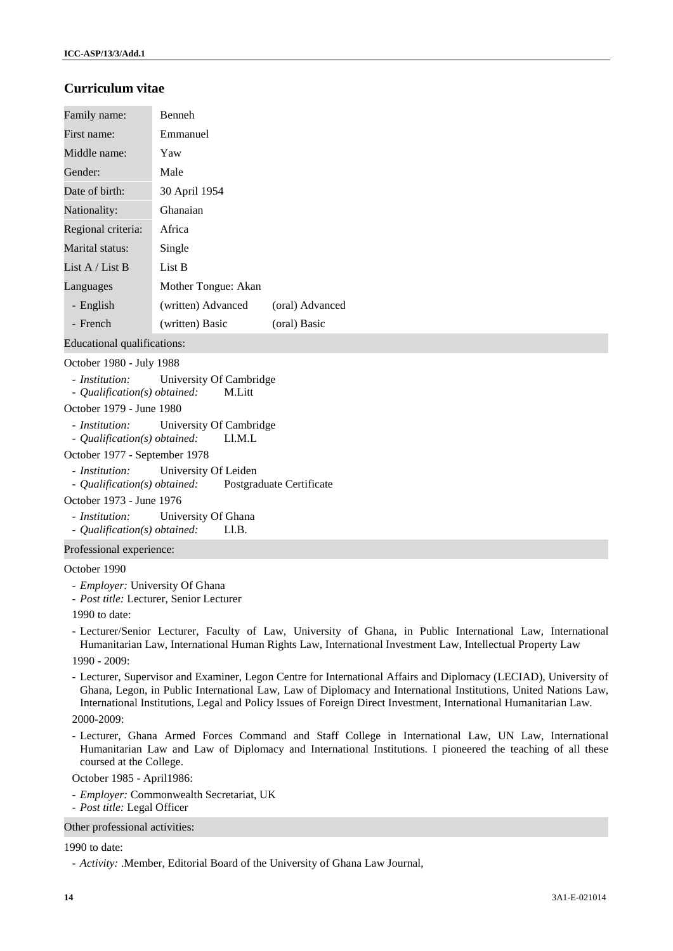# **Curriculum vitae**

| Family name:       | <b>Benneh</b>       |                 |
|--------------------|---------------------|-----------------|
| First name:        | Emmanuel            |                 |
| Middle name:       | Yaw                 |                 |
| Gender:            | Male                |                 |
| Date of birth:     | 30 April 1954       |                 |
| Nationality:       | Ghanaian            |                 |
| Regional criteria: | Africa              |                 |
| Marital status:    | Single              |                 |
| List A / List B    | List B              |                 |
| Languages          | Mother Tongue: Akan |                 |
| - English          | (written) Advanced  | (oral) Advanced |
| - French           | (written) Basic     | (oral) Basic    |

Educational qualifications:

## October 1980 - July 1988

- *Institution:* University Of Cambridge
- *Qualification(s) obtained:* M.Litt

## October 1979 - June 1980

- *Institution:* University Of Cambridge
- *Qualification(s) obtained:* Ll.M.L
- October 1977 September 1978
- *Institution:* University Of Leiden
- *Qualification(s) obtained:* Postgraduate Certificate

## October 1973 - June 1976

- *Institution:* University Of Ghana

- *Qualification(s) obtained:* Ll.B.

# Professional experience:

#### October 1990

- *Employer:* University Of Ghana
- *Post title:* Lecturer, Senior Lecturer
- 1990 to date:
- Lecturer/Senior Lecturer, Faculty of Law, University of Ghana, in Public International Law, International Humanitarian Law, International Human Rights Law, International Investment Law, Intellectual Property Law

1990 - 2009:

- Lecturer, Supervisor and Examiner, Legon Centre for International Affairs and Diplomacy (LECIAD), University of Ghana, Legon, in Public International Law, Law of Diplomacy and International Institutions, United Nations Law, International Institutions, Legal and Policy Issues of Foreign Direct Investment, International Humanitarian Law. 2000-2009:
- Lecturer, Ghana Armed Forces Command and Staff College in International Law, UN Law, International Humanitarian Law and Law of Diplomacy and International Institutions. I pioneered the teaching of all these coursed at the College.

October 1985 - April1986:

- *Employer:* Commonwealth Secretariat, UK
- *Post title:* Legal Officer

Other professional activities:

### 1990 to date:

<sup>-</sup> *Activity:* .Member, Editorial Board of the University of Ghana Law Journal,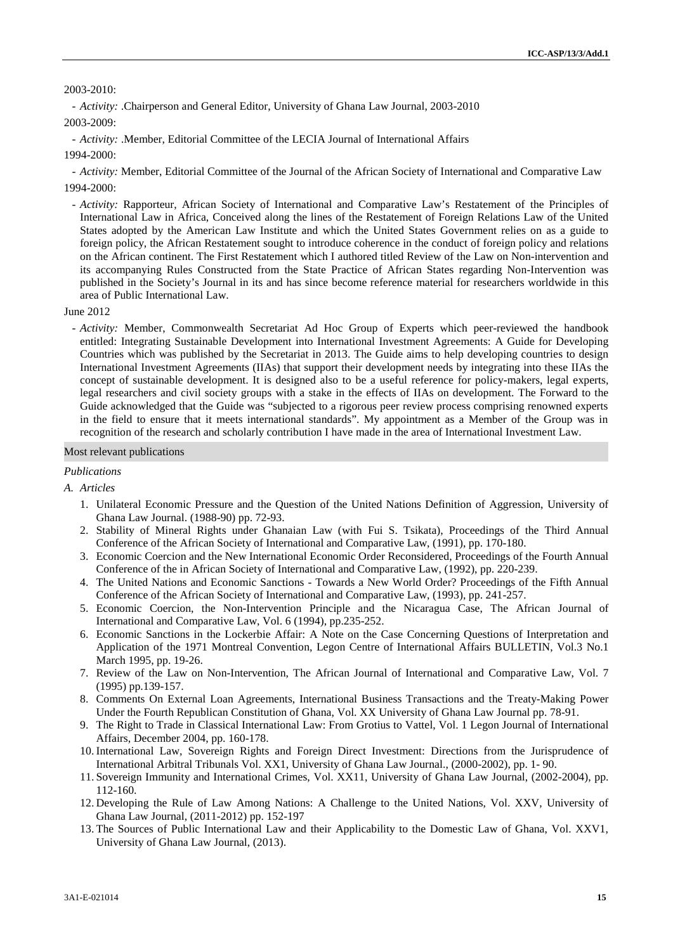## 2003-2010:

- *Activity:* .Chairperson and General Editor, University of Ghana Law Journal, 2003-2010 2003-2009:

- *Activity:* .Member, Editorial Committee of the LECIA Journal of International Affairs

1994-2000:

- *Activity:* Member, Editorial Committee of the Journal of the African Society of International and Comparative Law 1994-2000:

- *Activity:* Rapporteur, African Society of International and Comparative Law's Restatement of the Principles of International Law in Africa, Conceived along the lines of the Restatement of Foreign Relations Law of the United States adopted by the American Law Institute and which the United States Government relies on as a guide to foreign policy, the African Restatement sought to introduce coherence in the conduct of foreign policy and relations on the African continent. The First Restatement which I authored titled Review of the Law on Non-intervention and its accompanying Rules Constructed from the State Practice of African States regarding Non-Intervention was published in the Society's Journal in its and has since become reference material for researchers worldwide in this area of Public International Law.

#### June 2012

- *Activity:* Member, Commonwealth Secretariat Ad Hoc Group of Experts which peer-reviewed the handbook entitled: Integrating Sustainable Development into International Investment Agreements: A Guide for Developing Countries which was published by the Secretariat in 2013. The Guide aims to help developing countries to design International Investment Agreements (IIAs) that support their development needs by integrating into these IIAs the concept of sustainable development. It is designed also to be a useful reference for policy-makers, legal experts, legal researchers and civil society groups with a stake in the effects of IIAs on development. The Forward to the Guide acknowledged that the Guide was "subjected to a rigorous peer review process comprising renowned experts in the field to ensure that it meets international standards". My appointment as a Member of the Group was in recognition of the research and scholarly contribution I have made in the area of International Investment Law.

#### Most relevant publications

#### *Publications*

### *A. Articles*

- 1. Unilateral Economic Pressure and the Question of the United Nations Definition of Aggression, University of Ghana Law Journal. (1988-90) pp. 72-93.
- 2. Stability of Mineral Rights under Ghanaian Law (with Fui S. Tsikata), Proceedings of the Third Annual Conference of the African Society of International and Comparative Law, (1991), pp. 170-180.
- 3. Economic Coercion and the New International Economic Order Reconsidered, Proceedings of the Fourth Annual Conference of the in African Society of International and Comparative Law, (1992), pp. 220-239.
- 4. The United Nations and Economic Sanctions Towards a New World Order? Proceedings of the Fifth Annual Conference of the African Society of International and Comparative Law, (1993), pp. 241-257.
- 5. Economic Coercion, the Non-Intervention Principle and the Nicaragua Case, The African Journal of International and Comparative Law, Vol. 6 (1994), pp.235-252.
- 6. Economic Sanctions in the Lockerbie Affair: A Note on the Case Concerning Questions of Interpretation and Application of the 1971 Montreal Convention, Legon Centre of International Affairs BULLETIN, Vol.3 No.1 March 1995, pp. 19-26.
- 7. Review of the Law on Non-Intervention, The African Journal of International and Comparative Law, Vol. 7 (1995) pp.139-157.
- 8. Comments On External Loan Agreements, International Business Transactions and the Treaty-Making Power Under the Fourth Republican Constitution of Ghana, Vol. XX University of Ghana Law Journal pp. 78-91.
- 9. The Right to Trade in Classical International Law: From Grotius to Vattel, Vol. 1 Legon Journal of International Affairs, December 2004, pp. 160-178.
- 10. International Law, Sovereign Rights and Foreign Direct Investment: Directions from the Jurisprudence of International Arbitral Tribunals Vol. XX1, University of Ghana Law Journal., (2000-2002), pp. 1- 90.
- 11. Sovereign Immunity and International Crimes, Vol. XX11, University of Ghana Law Journal, (2002-2004), pp. 112-160.
- 12. Developing the Rule of Law Among Nations: A Challenge to the United Nations, Vol. XXV, University of Ghana Law Journal, (2011-2012) pp. 152-197
- 13. The Sources of Public International Law and their Applicability to the Domestic Law of Ghana, Vol. XXV1, University of Ghana Law Journal, (2013).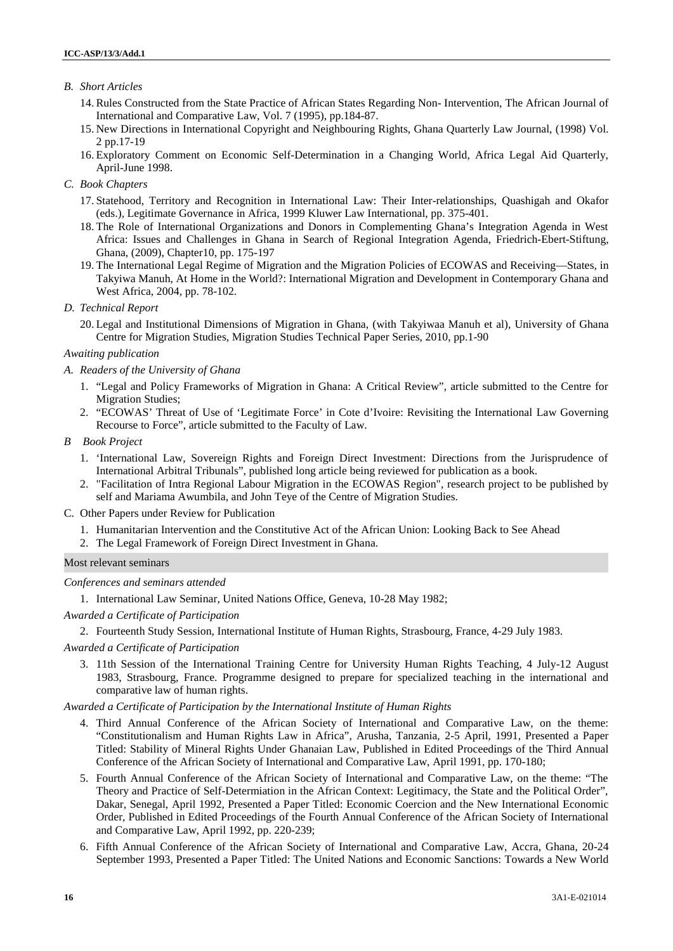# *B. Short Articles*

- 14. Rules Constructed from the State Practice of African States Regarding Non- Intervention, The African Journal of International and Comparative Law, Vol. 7 (1995), pp.184-87.
- 15. New Directions in International Copyright and Neighbouring Rights, Ghana Quarterly Law Journal, (1998) Vol. 2 pp.17-19
- 16. Exploratory Comment on Economic Self-Determination in a Changing World, Africa Legal Aid Quarterly, April-June 1998.

## *C. Book Chapters*

- 17. Statehood, Territory and Recognition in International Law: Their Inter-relationships, Quashigah and Okafor (eds.), Legitimate Governance in Africa, 1999 Kluwer Law International, pp. 375-401.
- 18. The Role of International Organizations and Donors in Complementing Ghana's Integration Agenda in West Africa: Issues and Challenges in Ghana in Search of Regional Integration Agenda, Friedrich-Ebert-Stiftung, Ghana, (2009), Chapter10, pp. 175-197
- 19. The International Legal Regime of Migration and the Migration Policies of ECOWAS and Receiving—States, in Takyiwa Manuh, At Home in the World?: International Migration and Development in Contemporary Ghana and West Africa, 2004, pp. 78-102.

## *D. Technical Report*

20. Legal and Institutional Dimensions of Migration in Ghana, (with Takyiwaa Manuh et al), University of Ghana Centre for Migration Studies, Migration Studies Technical Paper Series, 2010, pp.1-90

# *Awaiting publication*

- *A. Readers of the University of Ghana*
	- 1. "Legal and Policy Frameworks of Migration in Ghana: A Critical Review", article submitted to the Centre for Migration Studies;
	- 2. "ECOWAS' Threat of Use of 'Legitimate Force' in Cote d'Ivoire: Revisiting the International Law Governing Recourse to Force", article submitted to the Faculty of Law.

# *B Book Project*

- 1. 'International Law, Sovereign Rights and Foreign Direct Investment: Directions from the Jurisprudence of International Arbitral Tribunals", published long article being reviewed for publication as a book.
- 2. "Facilitation of Intra Regional Labour Migration in the ECOWAS Region", research project to be published by self and Mariama Awumbila, and John Teye of the Centre of Migration Studies.

## C. Other Papers under Review for Publication

- 1. Humanitarian Intervention and the Constitutive Act of the African Union: Looking Back to See Ahead
- 2. The Legal Framework of Foreign Direct Investment in Ghana.

### Most relevant seminars

### *Conferences and seminars attended*

1. International Law Seminar, United Nations Office, Geneva, 10-28 May 1982;

### *Awarded a Certificate of Participation*

2. Fourteenth Study Session, International Institute of Human Rights, Strasbourg, France, 4-29 July 1983.

# *Awarded a Certificate of Participation*

3. 11th Session of the International Training Centre for University Human Rights Teaching, 4 July-12 August 1983, Strasbourg, France. Programme designed to prepare for specialized teaching in the international and comparative law of human rights.

### *Awarded a Certificate of Participation by the International Institute of Human Rights*

- 4. Third Annual Conference of the African Society of International and Comparative Law, on the theme: "Constitutionalism and Human Rights Law in Africa", Arusha, Tanzania, 2-5 April, 1991, Presented a Paper Titled: Stability of Mineral Rights Under Ghanaian Law, Published in Edited Proceedings of the Third Annual Conference of the African Society of International and Comparative Law, April 1991, pp. 170-180;
- 5. Fourth Annual Conference of the African Society of International and Comparative Law, on the theme: "The Theory and Practice of Self-Determiation in the African Context: Legitimacy, the State and the Political Order", Dakar, Senegal, April 1992, Presented a Paper Titled: Economic Coercion and the New International Economic Order, Published in Edited Proceedings of the Fourth Annual Conference of the African Society of International and Comparative Law, April 1992, pp. 220-239;
- 6. Fifth Annual Conference of the African Society of International and Comparative Law, Accra, Ghana, 20-24 September 1993, Presented a Paper Titled: The United Nations and Economic Sanctions: Towards a New World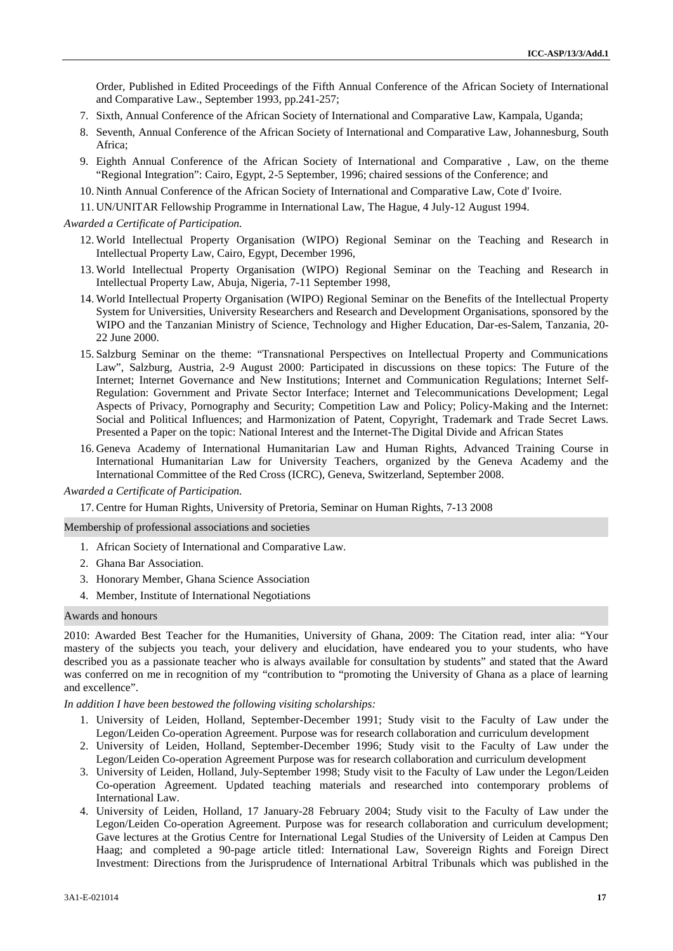Order, Published in Edited Proceedings of the Fifth Annual Conference of the African Society of International and Comparative Law., September 1993, pp.241-257;

- 7. Sixth, Annual Conference of the African Society of International and Comparative Law, Kampala, Uganda;
- 8. Seventh, Annual Conference of the African Society of International and Comparative Law, Johannesburg, South Africa;
- 9. Eighth Annual Conference of the African Society of International and Comparative , Law, on the theme "Regional Integration": Cairo, Egypt, 2-5 September, 1996; chaired sessions of the Conference; and
- 10. Ninth Annual Conference of the African Society of International and Comparative Law, Cote d' Ivoire.
- 11. UN/UNITAR Fellowship Programme in International Law, The Hague, 4 July-12 August 1994.

*Awarded a Certificate of Participation.*

- 12. World Intellectual Property Organisation (WIPO) Regional Seminar on the Teaching and Research in Intellectual Property Law, Cairo, Egypt, December 1996,
- 13. World Intellectual Property Organisation (WIPO) Regional Seminar on the Teaching and Research in Intellectual Property Law, Abuja, Nigeria, 7-11 September 1998,
- 14. World Intellectual Property Organisation (WIPO) Regional Seminar on the Benefits of the Intellectual Property System for Universities, University Researchers and Research and Development Organisations, sponsored by the WIPO and the Tanzanian Ministry of Science, Technology and Higher Education, Dar-es-Salem, Tanzania, 20- 22 June 2000.
- 15. Salzburg Seminar on the theme: "Transnational Perspectives on Intellectual Property and Communications Law", Salzburg, Austria, 2-9 August 2000: Participated in discussions on these topics: The Future of the Internet; Internet Governance and New Institutions; Internet and Communication Regulations; Internet Self- Regulation: Government and Private Sector Interface; Internet and Telecommunications Development; Legal Aspects of Privacy, Pornography and Security; Competition Law and Policy; Policy-Making and the Internet: Social and Political Influences; and Harmonization of Patent, Copyright, Trademark and Trade Secret Laws. Presented a Paper on the topic: National Interest and the Internet-The Digital Divide and African States
- 16. Geneva Academy of International Humanitarian Law and Human Rights, Advanced Training Course in International Humanitarian Law for University Teachers, organized by the Geneva Academy and the International Committee of the Red Cross (ICRC), Geneva, Switzerland, September 2008.

*Awarded a Certificate of Participation.*

17. Centre for Human Rights, University of Pretoria, Seminar on Human Rights, 7-13 2008

Membership of professional associations and societies

- 1. African Society of International and Comparative Law.
- 2. Ghana Bar Association.
- 3. Honorary Member, Ghana Science Association
- 4. Member, Institute of International Negotiations

# Awards and honours

2010: Awarded Best Teacher for the Humanities, University of Ghana, 2009: The Citation read, inter alia: "Your mastery of the subjects you teach, your delivery and elucidation, have endeared you to your students, who have described you as a passionate teacher who is always available for consultation by students" and stated that the Award was conferred on me in recognition of my "contribution to "promoting the University of Ghana as a place of learning and excellence".

*In addition I have been bestowed the following visiting scholarships:*

- 1. University of Leiden, Holland, September-December 1991; Study visit to the Faculty of Law under the Legon/Leiden Co-operation Agreement. Purpose was for research collaboration and curriculum development
- 2. University of Leiden, Holland, September-December 1996; Study visit to the Faculty of Law under the Legon/Leiden Co-operation Agreement Purpose was for research collaboration and curriculum development
- 3. University of Leiden, Holland, July-September 1998; Study visit to the Faculty of Law under the Legon/Leiden Co-operation Agreement. Updated teaching materials and researched into contemporary problems of International Law.
- 4. University of Leiden, Holland, 17 January-28 February 2004; Study visit to the Faculty of Law under the Legon/Leiden Co-operation Agreement. Purpose was for research collaboration and curriculum development; Gave lectures at the Grotius Centre for International Legal Studies of the University of Leiden at Campus Den Haag; and completed a 90-page article titled: International Law, Sovereign Rights and Foreign Direct Investment: Directions from the Jurisprudence of International Arbitral Tribunals which was published in the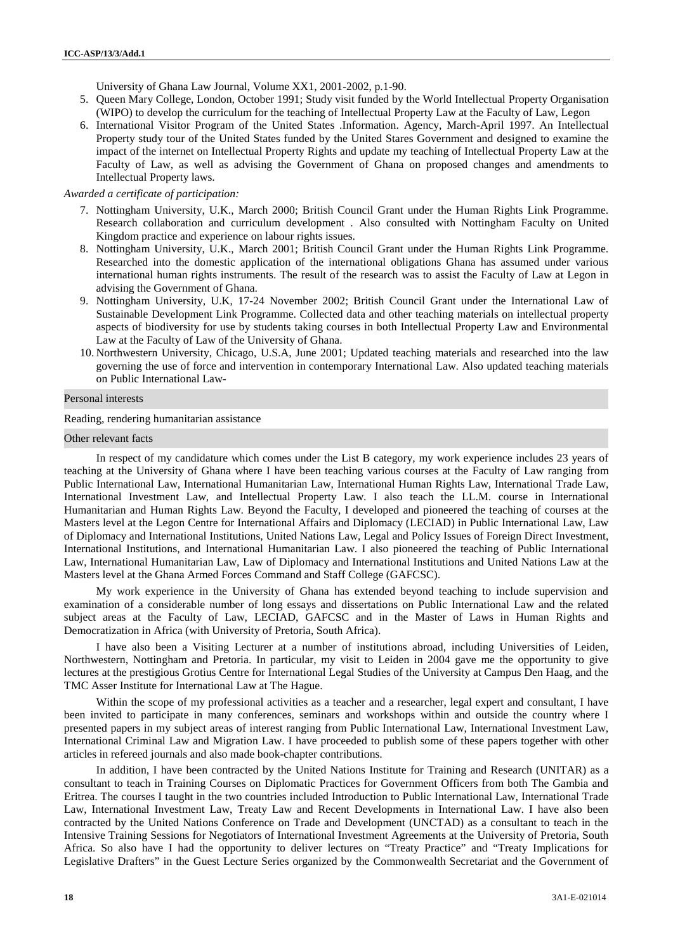University of Ghana Law Journal, Volume XX1, 2001-2002, p.1-90.

- 5. Queen Mary College, London, October 1991; Study visit funded by the World Intellectual Property Organisation (WIPO) to develop the curriculum for the teaching of Intellectual Property Law at the Faculty of Law, Legon
- 6. International Visitor Program of the United States .Information. Agency, March-April 1997. An Intellectual Property study tour of the United States funded by the United Stares Government and designed to examine the impact of the internet on Intellectual Property Rights and update my teaching of Intellectual Property Law at the Faculty of Law, as well as advising the Government of Ghana on proposed changes and amendments to Intellectual Property laws.

*Awarded a certificate of participation:*

- 7. Nottingham University, U.K., March 2000; British Council Grant under the Human Rights Link Programme. Research collaboration and curriculum development . Also consulted with Nottingham Faculty on United Kingdom practice and experience on labour rights issues.
- 8. Nottingham University, U.K., March 2001; British Council Grant under the Human Rights Link Programme. Researched into the domestic application of the international obligations Ghana has assumed under various international human rights instruments. The result of the research was to assist the Faculty of Law at Legon in advising the Government of Ghana.
- 9. Nottingham University, U.K, 17-24 November 2002; British Council Grant under the International Law of Sustainable Development Link Programme. Collected data and other teaching materials on intellectual property aspects of biodiversity for use by students taking courses in both Intellectual Property Law and Environmental Law at the Faculty of Law of the University of Ghana.
- 10. Northwestern University, Chicago, U.S.A, June 2001; Updated teaching materials and researched into the law governing the use of force and intervention in contemporary International Law. Also updated teaching materials on Public International Law-

#### Personal interests

Reading, rendering humanitarian assistance

## Other relevant facts

In respect of my candidature which comes under the List B category, my work experience includes 23 years of teaching at the University of Ghana where I have been teaching various courses at the Faculty of Law ranging from Public International Law, International Humanitarian Law, International Human Rights Law, International Trade Law, International Investment Law, and Intellectual Property Law. I also teach the LL.M. course in International Humanitarian and Human Rights Law. Beyond the Faculty, I developed and pioneered the teaching of courses at the Masters level at the Legon Centre for International Affairs and Diplomacy (LECIAD) in Public International Law, Law of Diplomacy and International Institutions, United Nations Law, Legal and Policy Issues of Foreign Direct Investment, International Institutions, and International Humanitarian Law. I also pioneered the teaching of Public International Law, International Humanitarian Law, Law of Diplomacy and International Institutions and United Nations Law at the Masters level at the Ghana Armed Forces Command and Staff College (GAFCSC).

My work experience in the University of Ghana has extended beyond teaching to include supervision and examination of a considerable number of long essays and dissertations on Public International Law and the related subject areas at the Faculty of Law, LECIAD, GAFCSC and in the Master of Laws in Human Rights and Democratization in Africa (with University of Pretoria, South Africa).

I have also been a Visiting Lecturer at a number of institutions abroad, including Universities of Leiden, Northwestern, Nottingham and Pretoria. In particular, my visit to Leiden in 2004 gave me the opportunity to give lectures at the prestigious Grotius Centre for International Legal Studies of the University at Campus Den Haag, and the TMC Asser Institute for International Law at The Hague.

Within the scope of my professional activities as a teacher and a researcher, legal expert and consultant, I have been invited to participate in many conferences, seminars and workshops within and outside the country where I presented papers in my subject areas of interest ranging from Public International Law, International Investment Law, International Criminal Law and Migration Law. I have proceeded to publish some of these papers together with other articles in refereed journals and also made book-chapter contributions.

In addition, I have been contracted by the United Nations Institute for Training and Research (UNITAR) as a consultant to teach in Training Courses on Diplomatic Practices for Government Officers from both The Gambia and Eritrea. The courses I taught in the two countries included Introduction to Public International Law, International Trade Law, International Investment Law, Treaty Law and Recent Developments in International Law. I have also been contracted by the United Nations Conference on Trade and Development (UNCTAD) as a consultant to teach in the Intensive Training Sessions for Negotiators of International Investment Agreements at the University of Pretoria, South Africa. So also have I had the opportunity to deliver lectures on "Treaty Practice" and "Treaty Implications for Legislative Drafters" in the Guest Lecture Series organized by the Commonwealth Secretariat and the Government of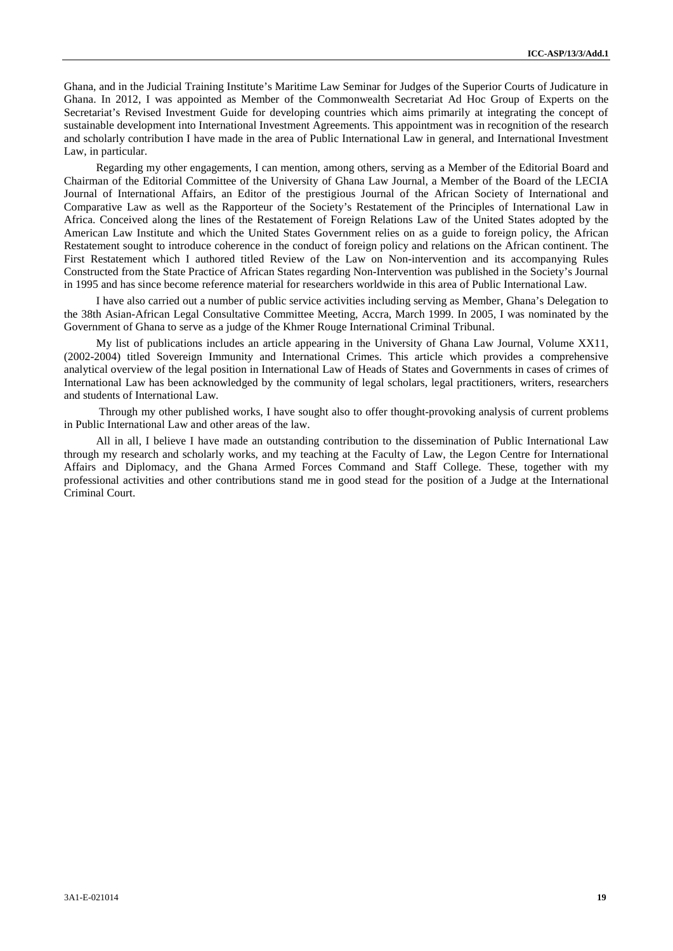Ghana, and in the Judicial Training Institute's Maritime Law Seminar for Judges of the Superior Courts of Judicature in Ghana. In 2012, I was appointed as Member of the Commonwealth Secretariat Ad Hoc Group of Experts on the Secretariat's Revised Investment Guide for developing countries which aims primarily at integrating the concept of sustainable development into International Investment Agreements. This appointment was in recognition of the research and scholarly contribution I have made in the area of Public International Law in general, and International Investment Law, in particular.

Regarding my other engagements, I can mention, among others, serving as a Member of the Editorial Board and Chairman of the Editorial Committee of the University of Ghana Law Journal, a Member of the Board of the LECIA Journal of International Affairs, an Editor of the prestigious Journal of the African Society of International and Comparative Law as well as the Rapporteur of the Society's Restatement of the Principles of International Law in Africa. Conceived along the lines of the Restatement of Foreign Relations Law of the United States adopted by the American Law Institute and which the United States Government relies on as a guide to foreign policy, the African Restatement sought to introduce coherence in the conduct of foreign policy and relations on the African continent. The First Restatement which I authored titled Review of the Law on Non-intervention and its accompanying Rules Constructed from the State Practice of African States regarding Non-Intervention was published in the Society's Journal in 1995 and has since become reference material for researchers worldwide in this area of Public International Law.

I have also carried out a number of public service activities including serving as Member, Ghana's Delegation to the 38th Asian-African Legal Consultative Committee Meeting, Accra, March 1999. In 2005, I was nominated by the Government of Ghana to serve as a judge of the Khmer Rouge International Criminal Tribunal.

My list of publications includes an article appearing in the University of Ghana Law Journal, Volume XX11, (2002-2004) titled Sovereign Immunity and International Crimes. This article which provides a comprehensive analytical overview of the legal position in International Law of Heads of States and Governments in cases of crimes of International Law has been acknowledged by the community of legal scholars, legal practitioners, writers, researchers and students of International Law.

Through my other published works, I have sought also to offer thought-provoking analysis of current problems in Public International Law and other areas of the law.

All in all, I believe I have made an outstanding contribution to the dissemination of Public International Law through my research and scholarly works, and my teaching at the Faculty of Law, the Legon Centre for International Affairs and Diplomacy, and the Ghana Armed Forces Command and Staff College. These, together with my professional activities and other contributions stand me in good stead for the position of a Judge at the International Criminal Court.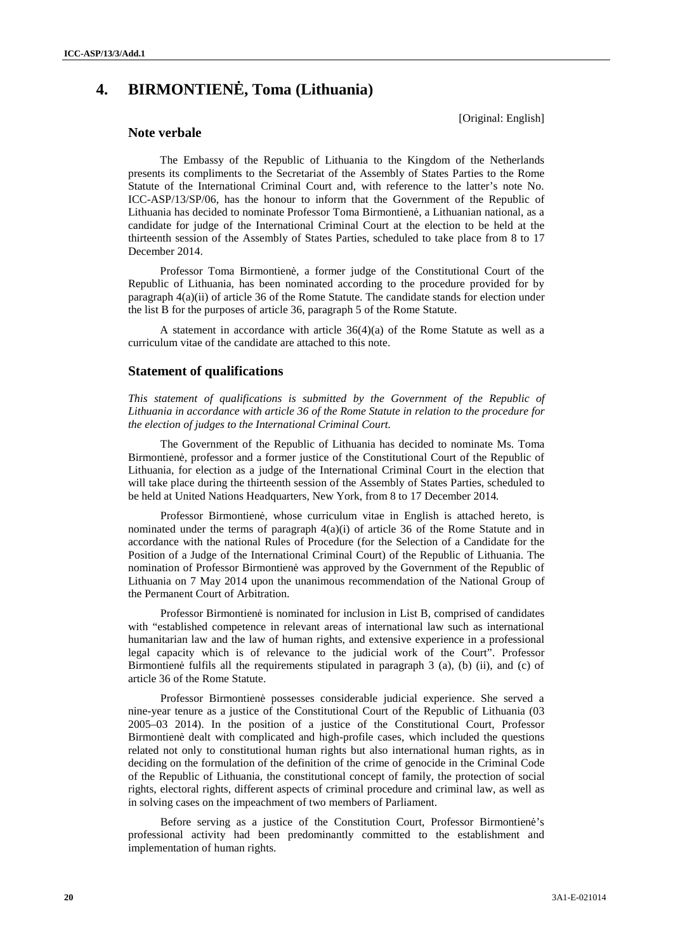# **4. BIRMONTIENĖ, Toma (Lithuania)**

[Original: English]

# **Note verbale**

The Embassy of the Republic of Lithuania to the Kingdom of the Netherlands presents its compliments to the Secretariat of the Assembly of States Parties to the Rome Statute of the International Criminal Court and, with reference to the latter's note No. ICC-ASP/13/SP/06, has the honour to inform that the Government of the Republic of Lithuania has decided to nominate Professor Toma Birmontien, a Lithuanian national, as a candidate for judge of the International Criminal Court at the election to be held at the thirteenth session of the Assembly of States Parties, scheduled to take place from 8 to 17 December 2014.

Professor Toma Birmontienė, a former judge of the Constitutional Court of the Republic of Lithuania, has been nominated according to the procedure provided for by paragraph 4(a)(ii) of article 36 of the Rome Statute. The candidate stands for election under the list B for the purposes of article 36, paragraph 5 of the Rome Statute.

A statement in accordance with article 36(4)(a) of the Rome Statute as well as a curriculum vitae of the candidate are attached to this note.

## **Statement of qualifications**

*This statement of qualifications is submitted by the Government of the Republic of Lithuania in accordance with article 36 of the Rome Statute in relation to the procedure for the election of judges to the International Criminal Court.*

The Government of the Republic of Lithuania has decided to nominate Ms. Toma Birmontien, professor and a former justice of the Constitutional Court of the Republic of Lithuania, for election as a judge of the International Criminal Court in the election that will take place during the thirteenth session of the Assembly of States Parties, scheduled to be held at United Nations Headquarters, New York, from 8 to 17 December 2014*.*

Professor Birmontien, whose curriculum vitae in English is attached hereto, is nominated under the terms of paragraph  $4(a)(i)$  of article 36 of the Rome Statute and in accordance with the national Rules of Procedure (for the Selection of a Candidate for the Position of a Judge of the International Criminal Court) of the Republic of Lithuania. The nomination of Professor Birmontienė was approved by the Government of the Republic of Lithuania on 7 May 2014 upon the unanimous recommendation of the National Group of the Permanent Court of Arbitration.

Professor Birmontien is nominated for inclusion in List B, comprised of candidates with "established competence in relevant areas of international law such as international humanitarian law and the law of human rights, and extensive experience in a professional legal capacity which is of relevance to the judicial work of the Court". Professor Birmontien fulfils all the requirements stipulated in paragraph 3 (a), (b) (ii), and (c) of article 36 of the Rome Statute.

Professor Birmontien possesses considerable judicial experience. She served a nine-year tenure as a justice of the Constitutional Court of the Republic of Lithuania (03 2005–03 2014). In the position of a justice of the Constitutional Court, Professor Birmontien dealt with complicated and high-profile cases, which included the questions related not only to constitutional human rights but also international human rights, as in deciding on the formulation of the definition of the crime of genocide in the Criminal Code of the Republic of Lithuania, the constitutional concept of family, the protection of social rights, electoral rights, different aspects of criminal procedure and criminal law, as well as in solving cases on the impeachment of two members of Parliament.

Before serving as a justice of the Constitution Court, Professor Birmontien 's professional activity had been predominantly committed to the establishment and implementation of human rights.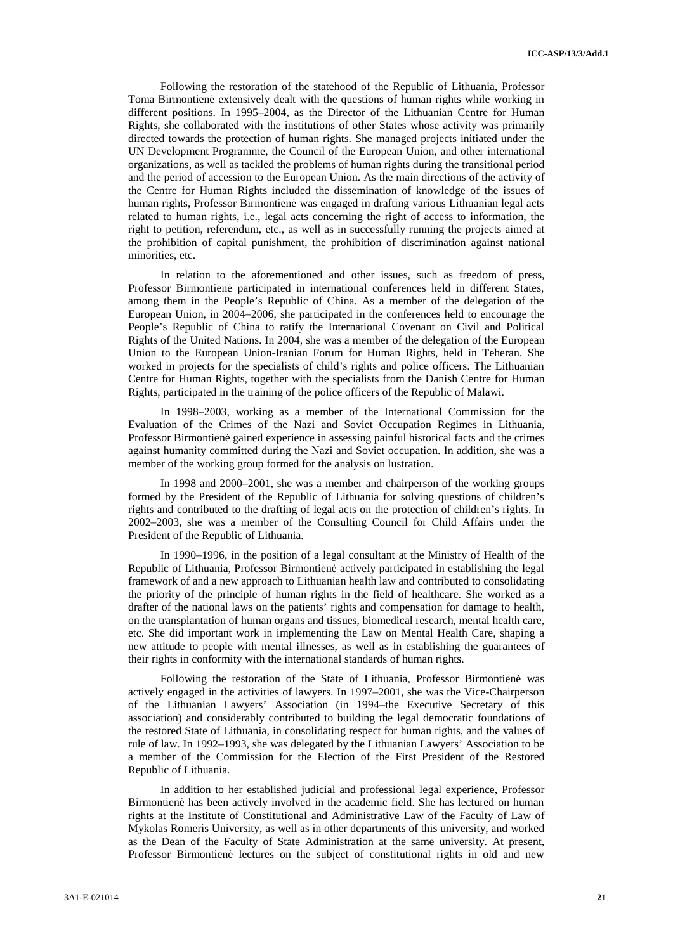Following the restoration of the statehood of the Republic of Lithuania, Professor Toma Birmontienė extensively dealt with the questions of human rights while working in different positions. In 1995–2004, as the Director of the Lithuanian Centre for Human Rights, she collaborated with the institutions of other States whose activity was primarily directed towards the protection of human rights. She managed projects initiated under the UN Development Programme, the Council of the European Union, and other international organizations, as well as tackled the problems of human rights during the transitional period and the period of accession to the European Union. As the main directions of the activity of the Centre for Human Rights included the dissemination of knowledge of the issues of human rights, Professor Birmontien was engaged in drafting various Lithuanian legal acts related to human rights, i.e., legal acts concerning the right of access to information, the right to petition, referendum, etc., as well as in successfully running the projects aimed at the prohibition of capital punishment, the prohibition of discrimination against national minorities, etc.

In relation to the aforementioned and other issues, such as freedom of press, Professor Birmontien participated in international conferences held in different States, among them in the People's Republic of China. As a member of the delegation of the European Union, in 2004–2006, she participated in the conferences held to encourage the People's Republic of China to ratify the International Covenant on Civil and Political Rights of the United Nations. In 2004, she was a member of the delegation of the European Union to the European Union-Iranian Forum for Human Rights, held in Teheran. She worked in projects for the specialists of child's rights and police officers. The Lithuanian Centre for Human Rights, together with the specialists from the Danish Centre for Human Rights, participated in the training of the police officers of the Republic of Malawi.

In 1998–2003, working as a member of the International Commission for the Evaluation of the Crimes of the Nazi and Soviet Occupation Regimes in Lithuania, Professor Birmontien gained experience in assessing painful historical facts and the crimes against humanity committed during the Nazi and Soviet occupation. In addition, she was a member of the working group formed for the analysis on lustration.

In 1998 and 2000–2001, she was a member and chairperson of the working groups formed by the President of the Republic of Lithuania for solving questions of children's rights and contributed to the drafting of legal acts on the protection of children's rights. In 2002–2003, she was a member of the Consulting Council for Child Affairs under the President of the Republic of Lithuania.

In 1990–1996, in the position of a legal consultant at the Ministry of Health of the Republic of Lithuania, Professor Birmontien actively participated in establishing the legal framework of and a new approach to Lithuanian health law and contributed to consolidating the priority of the principle of human rights in the field of healthcare. She worked as a drafter of the national laws on the patients' rights and compensation for damage to health, on the transplantation of human organs and tissues, biomedical research, mental health care, etc. She did important work in implementing the Law on Mental Health Care, shaping a new attitude to people with mental illnesses, as well as in establishing the guarantees of their rights in conformity with the international standards of human rights.

Following the restoration of the State of Lithuania, Professor Birmontien was actively engaged in the activities of lawyers. In 1997–2001, she was the Vice-Chairperson of the Lithuanian Lawyers' Association (in 1994–the Executive Secretary of this association) and considerably contributed to building the legal democratic foundations of the restored State of Lithuania, in consolidating respect for human rights, and the values of rule of law. In 1992–1993, she was delegated by the Lithuanian Lawyers' Association to be a member of the Commission for the Election of the First President of the Restored Republic of Lithuania.

In addition to her established judicial and professional legal experience, Professor Birmontien has been actively involved in the academic field. She has lectured on human rights at the Institute of Constitutional and Administrative Law of the Faculty of Law of Mykolas Romeris University, as well as in other departments of this university, and worked as the Dean of the Faculty of State Administration at the same university. At present, Professor Birmontien lectures on the subject of constitutional rights in old and new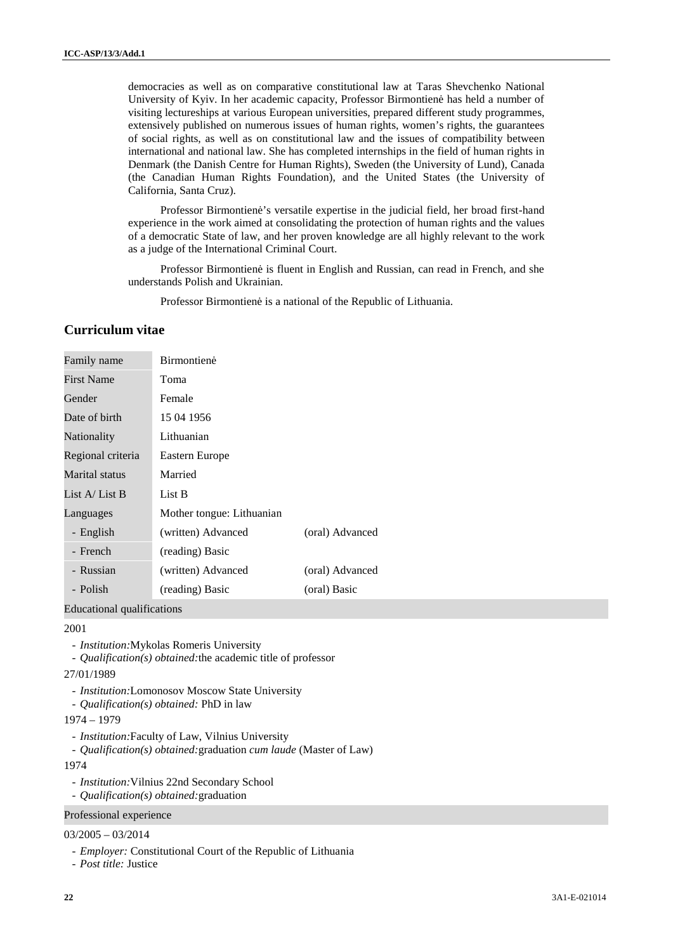democracies as well as on comparative constitutional law at Taras Shevchenko National University of Kyiv. In her academic capacity, Professor Birmontien has held a number of visiting lectureships at various European universities, prepared different study programmes, extensively published on numerous issues of human rights, women's rights, the guarantees of social rights, as well as on constitutional law and the issues of compatibility between international and national law. She has completed internships in the field of human rights in Denmark (the Danish Centre for Human Rights), Sweden (the University of Lund), Canada (the Canadian Human Rights Foundation), and the United States (the University of California, Santa Cruz).

Professor Birmontien 's versatile expertise in the judicial field, her broad first-hand experience in the work aimed at consolidating the protection of human rights and the values of a democratic State of law, and her proven knowledge are all highly relevant to the work as a judge of the International Criminal Court.

Professor Birmontien is fluent in English and Russian, can read in French, and she understands Polish and Ukrainian.

Professor Birmontien is a national of the Republic of Lithuania.

# **Curriculum vitae**

| Family name       | <b>Birmontien</b>         |                 |
|-------------------|---------------------------|-----------------|
| <b>First Name</b> | Toma                      |                 |
| Gender            | Female                    |                 |
| Date of birth     | 15 04 1956                |                 |
| Nationality       | Lithuanian                |                 |
| Regional criteria | Eastern Europe            |                 |
| Marital status    | Married                   |                 |
| List A/ List B    | List B                    |                 |
| Languages         | Mother tongue: Lithuanian |                 |
| - English         | (written) Advanced        | (oral) Advanced |
| - French          | (reading) Basic           |                 |
| - Russian         | (written) Advanced        | (oral) Advanced |
| - Polish          | (reading) Basic           | (oral) Basic    |

Educational qualifications

# 2001

- *Institution:*Mykolas Romeris University
- *Qualification(s) obtained:*the academic title of professor
- 27/01/1989
	- *Institution:*Lomonosov Moscow State University
	- *Qualification(s) obtained:* PhD in law
- 1974 1979
- *Institution:*Faculty of Law, Vilnius University
- *Qualification(s) obtained:*graduation *cum laude* (Master of Law)

1974

- *Institution:*Vilnius 22nd Secondary School
- *Qualification(s) obtained:*graduation

# Professional experience

## 03/2005 – 03/2014

- *Employer:* Constitutional Court of the Republic of Lithuania
- *Post title:* Justice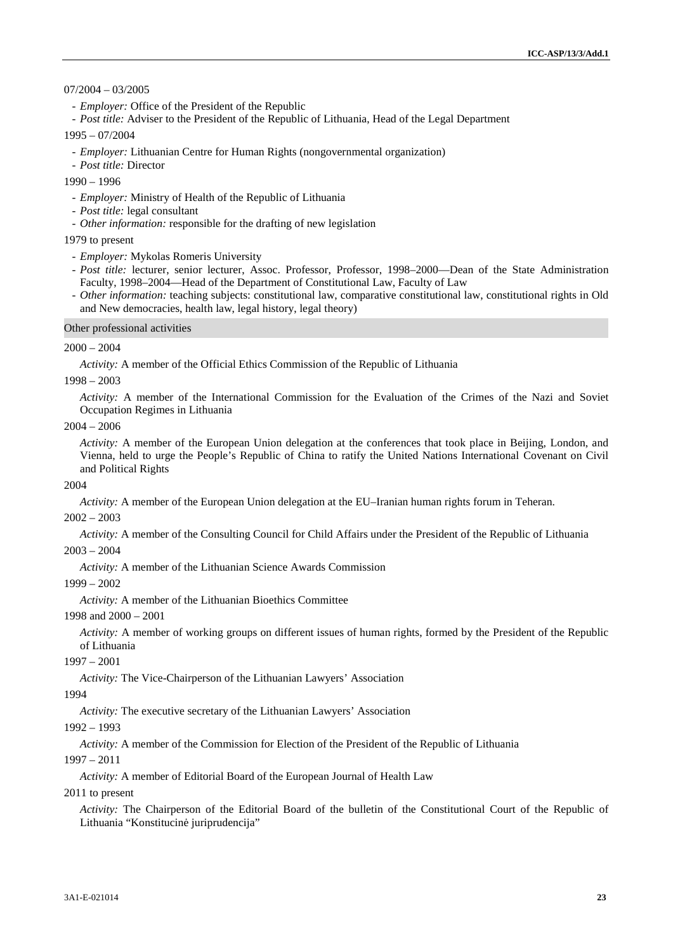## 07/2004 – 03/2005

- *Employer:* Office of the President of the Republic

- *Post title:* Adviser to the President of the Republic of Lithuania, Head of the Legal Department

#### 1995 – 07/2004

- *Employer:* Lithuanian Centre for Human Rights (nongovernmental organization)
- *Post title:* Director

## 1990 – 1996

- *Employer:* Ministry of Health of the Republic of Lithuania
- *Post title:* legal consultant
- *Other information:* responsible for the drafting of new legislation

### 1979 to present

- *Employer:* Mykolas Romeris University
- *Post title:* lecturer, senior lecturer, Assoc. Professor, Professor, 1998–2000—Dean of the State Administration Faculty, 1998–2004—Head of the Department of Constitutional Law, Faculty of Law
- *Other information:* teaching subjects: constitutional law, comparative constitutional law, constitutional rights in Old and New democracies, health law, legal history, legal theory)

#### Other professional activities

#### $2000 - 2004$

*Activity:* A member of the Official Ethics Commission of the Republic of Lithuania

#### 1998 – 2003

*Activity:* A member of the International Commission for the Evaluation of the Crimes of the Nazi and Soviet Occupation Regimes in Lithuania

#### 2004 – 2006

*Activity:* A member of the European Union delegation at the conferences that took place in Beijing, London, and Vienna, held to urge the People's Republic of China to ratify the United Nations International Covenant on Civil and Political Rights

#### 2004

*Activity:* A member of the European Union delegation at the EU–Iranian human rights forum in Teheran.

#### $2002 - 2003$

*Activity:* A member of the Consulting Council for Child Affairs under the President of the Republic of Lithuania

# $2003 - 2004$

*Activity:* A member of the Lithuanian Science Awards Commission

#### 1999 – 2002

*Activity:* A member of the Lithuanian Bioethics Committee

# 1998 and 2000 – 2001

*Activity:* A member of working groups on different issues of human rights, formed by the President of the Republic of Lithuania

#### 1997 – 2001

*Activity:* The Vice-Chairperson of the Lithuanian Lawyers' Association

#### 1994

*Activity:* The executive secretary of the Lithuanian Lawyers' Association

#### 1992 – 1993

*Activity:* A member of the Commission for Election of the President of the Republic of Lithuania

#### 1997 – 2011

*Activity:* A member of Editorial Board of the European Journal of Health Law

#### 2011 to present

*Activity:* The Chairperson of the Editorial Board of the bulletin of the Constitutional Court of the Republic of Lithuania "Konstitucin juriprudencija"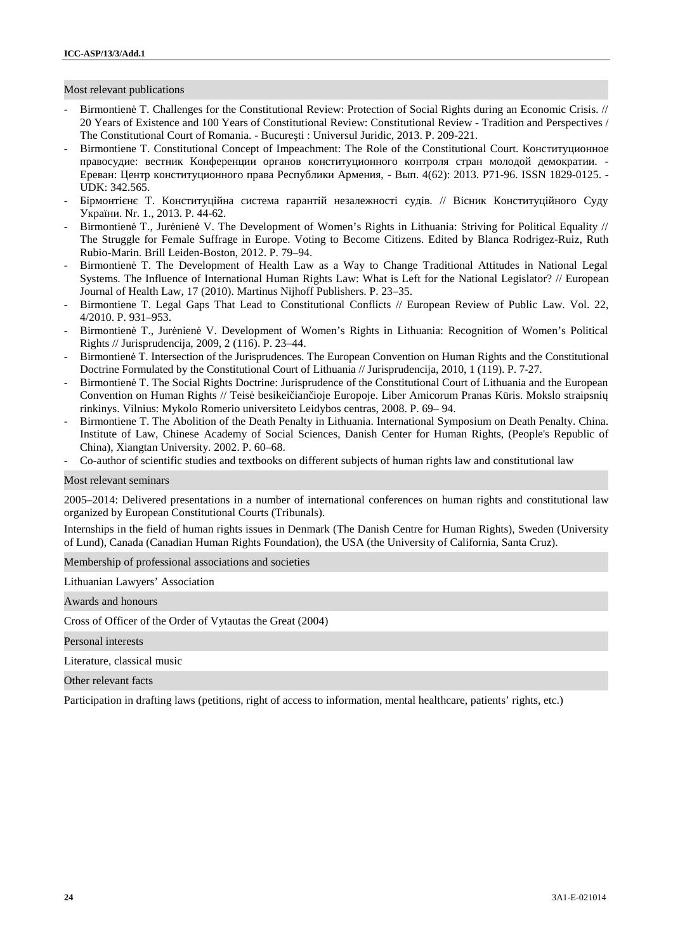Most relevant publications

Birmontien T. Challenges for the Constitutional Review: Protection of Social Rights during an Economic Crisis. // 20 Years of Existence and 100 Years of Constitutional Review: Constitutional Review - Tradition and Perspectives / The Constitutional Court of Romania. - Bucure ti : Universul Juridic, 2013. P. 209-221.

правосудие: вестник Конференции органов конституционного контроля стран молодой демократии. -

- Birmontiene T. Constitutional Concept of Impeachment: The Role of the Constitutional Court.

UDK: 342.565.

. 4(62): 2013. P71-96. ISSN 1829-0125. -

 $-$  Бірмонтії нази $\mathcal{H}$ . Nr. 1., 2013. P. 44-62.

- Birmontien T., Jur nien V. The Development of Women's Rights in Lithuania: Striving for Political Equality // The Struggle for Female Suffrage in Europe. Voting to Become Citizens. Edited by Blanca Rodrigez-Ruiz, Ruth Rubio-Marin. Brill Leiden-Boston, 2012. P. 79–94.
- Birmontien T. The Development of Health Law as a Way to Change Traditional Attitudes in National Legal Systems. The Influence of International Human Rights Law: What is Left for the National Legislator? // European Journal of Health Law, 17 (2010). Martinus Nijhoff Publishers. P. 23–35.
- Birmontiene T. Legal Gaps That Lead to Constitutional Conflicts // European Review of Public Law. Vol. 22, 4/2010. P. 931–953.
- Birmontien T., Jur nien V. Development of Women's Rights in Lithuania: Recognition of Women's Political Rights // Jurisprudencija, 2009, 2 (116). P. 23–44.
- Birmontien T. Intersection of the Jurisprudences. The European Convention on Human Rights and the Constitutional Doctrine Formulated by the Constitutional Court of Lithuania // Jurisprudencija, 2010, 1 (119). P. 7-27.
- Birmontien T. The Social Rights Doctrine: Jurisprudence of the Constitutional Court of Lithuania and the European Convention on Human Rights // Teis besikei ian ioje Europoje. Liber Amicorum Pranas K ris. Mokslo straipsni rinkinys. Vilnius: Mykolo Romerio universiteto Leidybos centras, 2008. P. 69– 94.
- Birmontiene T. The Abolition of the Death Penalty in Lithuania. International Symposium on Death Penalty. China. Institute of Law, Chinese Academy of Social Sciences, Danish Center for Human Rights, (People's Republic of China), Xiangtan University. 2002. P. 60–68.
- Co-author of scientific studies and textbooks on different subjects of human rights law and constitutional law

Most relevant seminars

2005–2014: Delivered presentations in a number of international conferences on human rights and constitutional law organized by European Constitutional Courts (Tribunals).

Internships in the field of human rights issues in Denmark (The Danish Centre for Human Rights), Sweden (University of Lund), Canada (Canadian Human Rights Foundation), the USA (the University of California, Santa Cruz).

Membership of professional associations and societies

Lithuanian Lawyers' Association

Awards and honours

Cross of Officer of the Order of Vytautas the Great (2004)

Personal interests

Literature, classical music

Other relevant facts

Participation in drafting laws (petitions, right of access to information, mental healthcare, patients' rights, etc.)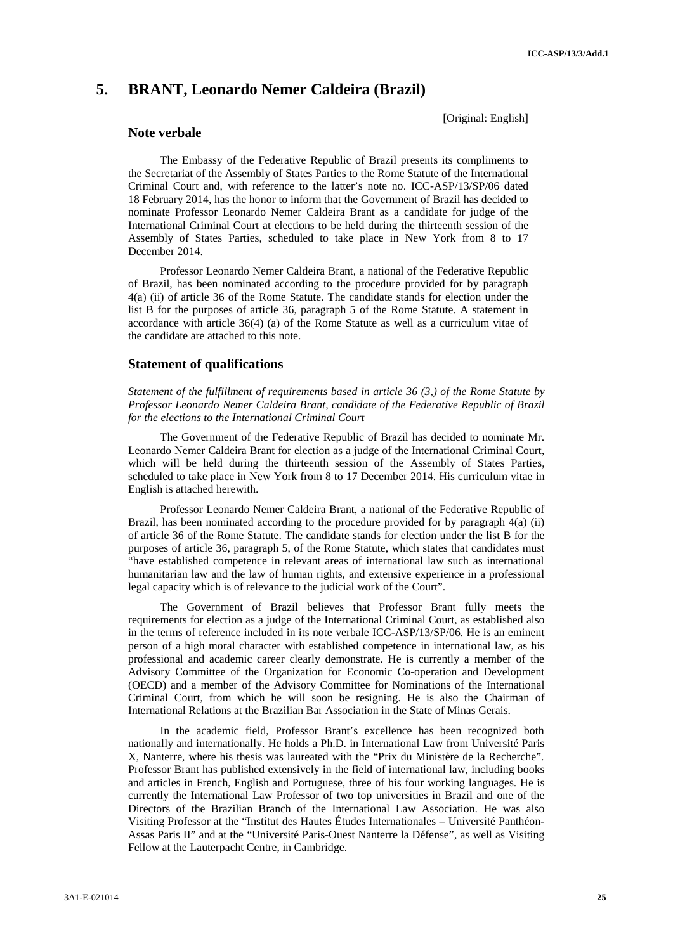# **5. BRANT, Leonardo Nemer Caldeira (Brazil)**

**Note verbale**

[Original: English]

The Embassy of the Federative Republic of Brazil presents its compliments to the Secretariat of the Assembly of States Parties to the Rome Statute of the International Criminal Court and, with reference to the latter's note no. ICC-ASP/13/SP/06 dated 18 February 2014, has the honor to inform that the Government of Brazil has decided to nominate Professor Leonardo Nemer Caldeira Brant as a candidate for judge of the International Criminal Court at elections to be held during the thirteenth session of the Assembly of States Parties, scheduled to take place in New York from 8 to 17 December 2014.

Professor Leonardo Nemer Caldeira Brant, a national of the Federative Republic of Brazil, has been nominated according to the procedure provided for by paragraph 4(a) (ii) of article 36 of the Rome Statute. The candidate stands for election under the list B for the purposes of article 36, paragraph 5 of the Rome Statute. A statement in accordance with article 36(4) (a) of the Rome Statute as well as a curriculum vitae of the candidate are attached to this note.

## **Statement of qualifications**

*Statement of the fulfillment of requirements based in article 36 (3,) of the Rome Statute by Professor Leonardo Nemer Caldeira Brant, candidate of the Federative Republic of Brazil for the elections to the International Criminal Court*

The Government of the Federative Republic of Brazil has decided to nominate Mr. Leonardo Nemer Caldeira Brant for election as a judge of the International Criminal Court, which will be held during the thirteenth session of the Assembly of States Parties, scheduled to take place in New York from 8 to 17 December 2014. His curriculum vitae in English is attached herewith.

Professor Leonardo Nemer Caldeira Brant, a national of the Federative Republic of Brazil, has been nominated according to the procedure provided for by paragraph 4(a) (ii) of article 36 of the Rome Statute. The candidate stands for election under the list B for the purposes of article 36, paragraph 5, of the Rome Statute, which states that candidates must "have established competence in relevant areas of international law such as international humanitarian law and the law of human rights, and extensive experience in a professional legal capacity which is of relevance to the judicial work of the Court".

The Government of Brazil believes that Professor Brant fully meets the requirements for election as a judge of the International Criminal Court, as established also in the terms of reference included in its note verbale ICC-ASP/13/SP/06. He is an eminent person of a high moral character with established competence in international law, as his professional and academic career clearly demonstrate. He is currently a member of the Advisory Committee of the Organization for Economic Co-operation and Development (OECD) and a member of the Advisory Committee for Nominations of the International Criminal Court, from which he will soon be resigning. He is also the Chairman of International Relations at the Brazilian Bar Association in the State of Minas Gerais.

In the academic field, Professor Brant's excellence has been recognized both nationally and internationally. He holds a Ph.D. in International Law from Université Paris X, Nanterre, where his thesis was laureated with the "Prix du Ministère de la Recherche". Professor Brant has published extensively in the field of international law, including books and articles in French, English and Portuguese, three of his four working languages. He is currently the International Law Professor of two top universities in Brazil and one of the Directors of the Brazilian Branch of the International Law Association. He was also Visiting Professor at the "Institut des Hautes Études Internationales – Université Panthéon- Assas Paris II" and at the "Université Paris-Ouest Nanterre la Défense", as well as Visiting Fellow at the Lauterpacht Centre, in Cambridge.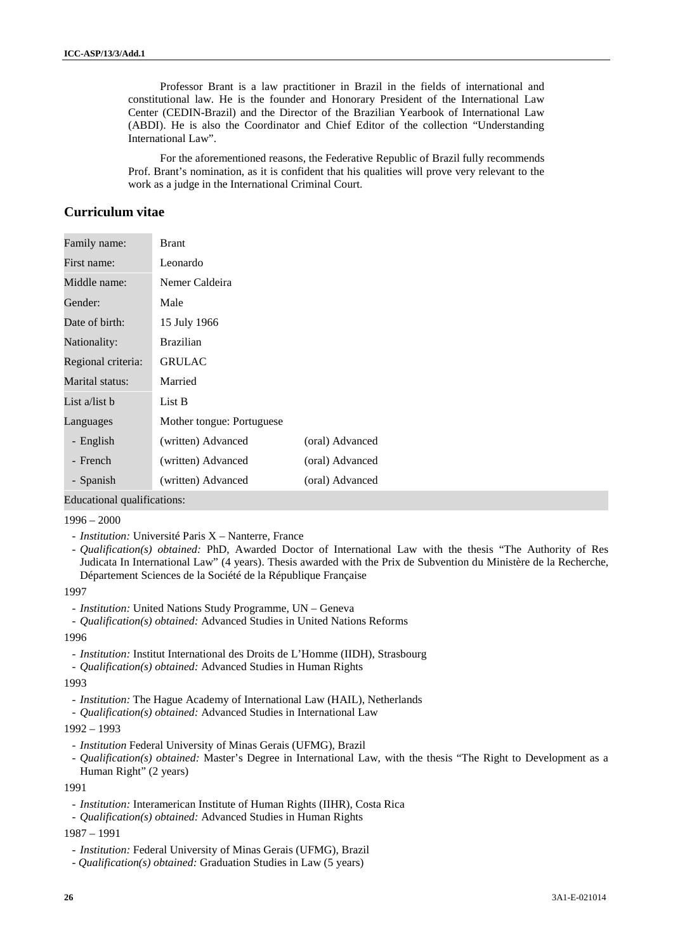Professor Brant is a law practitioner in Brazil in the fields of international and constitutional law. He is the founder and Honorary President of the International Law Center (CEDIN-Brazil) and the Director of the Brazilian Yearbook of International Law (ABDI). He is also the Coordinator and Chief Editor of the collection "Understanding International Law".

For the aforementioned reasons, the Federative Republic of Brazil fully recommends Prof. Brant's nomination, as it is confident that his qualities will prove very relevant to the work as a judge in the International Criminal Court.

# **Curriculum vitae**

| Family name:       | <b>Brant</b>              |                 |
|--------------------|---------------------------|-----------------|
| First name:        | Leonardo                  |                 |
| Middle name:       | Nemer Caldeira            |                 |
| Gender:            | Male                      |                 |
| Date of birth:     | 15 July 1966              |                 |
| Nationality:       | <b>Brazilian</b>          |                 |
| Regional criteria: | <b>GRULAC</b>             |                 |
| Marital status:    | Married                   |                 |
| List a/list b      | List B                    |                 |
| Languages          | Mother tongue: Portuguese |                 |
| - English          | (written) Advanced        | (oral) Advanced |
| - French           | (written) Advanced        | (oral) Advanced |
| - Spanish          | (written) Advanced        | (oral) Advanced |

Educational qualifications:

#### $1996 - 2000$

- *Institution:* Université Paris X Nanterre, France
- *Qualification(s) obtained:* PhD, Awarded Doctor of International Law with the thesis "The Authority of Res Judicata In International Law" (4 years). Thesis awarded with the Prix de Subvention du Ministère de la Recherche, Département Sciences de la Société de la République Française

1997

- *Institution:* United Nations Study Programme, UN Geneva
- *Qualification(s) obtained:* Advanced Studies in United Nations Reforms

#### 1996

- *Institution:* Institut International des Droits de L'Homme (IIDH), Strasbourg

- *Qualification(s) obtained:* Advanced Studies in Human Rights

#### 1993

- *Institution:* The Hague Academy of International Law (HAIL), Netherlands
- *Qualification(s) obtained:* Advanced Studies in International Law

#### 1992 – 1993

- *Institution* Federal University of Minas Gerais (UFMG), Brazil
- *Qualification(s) obtained:* Master's Degree in International Law, with the thesis "The Right to Development as a Human Right" (2 years)

1991

- *Institution:* Interamerican Institute of Human Rights (IIHR), Costa Rica
- *Qualification(s) obtained:* Advanced Studies in Human Rights

1987 – 1991

- *Institution:* Federal University of Minas Gerais (UFMG), Brazil
- *Qualification(s) obtained:* Graduation Studies in Law (5 years)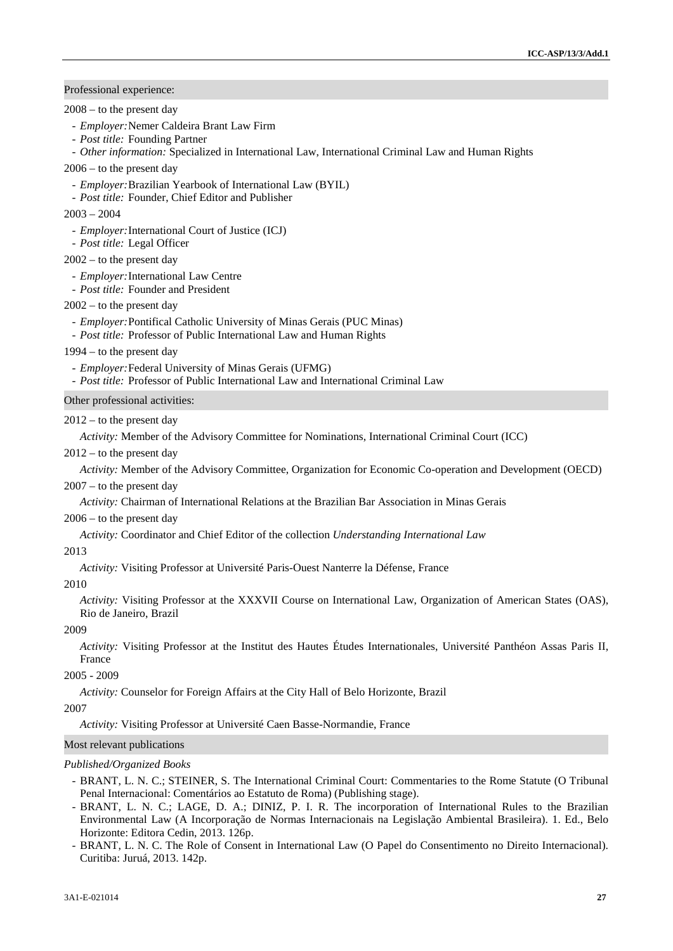# Professional experience:

2008 – to the present day

- *Employer:*Nemer Caldeira Brant Law Firm
- *Post title:* Founding Partner
- *Other information:* Specialized in International Law, International Criminal Law and Human Rights

2006 – to the present day

- *Employer:*Brazilian Yearbook of International Law (BYIL)

- *Post title:* Founder, Chief Editor and Publisher

2003 – 2004

- *Employer:*International Court of Justice (ICJ)
- *Post title:* Legal Officer

## $2002 -$  to the present day

- *Employer:*International Law Centre
- *Post title:* Founder and President

## $2002 -$  to the present day

- *Employer:*Pontifical Catholic University of Minas Gerais (PUC Minas)
- *Post title:* Professor of Public International Law and Human Rights
- 1994 to the present day
- *Employer:*Federal University of Minas Gerais (UFMG)
- *Post title:* Professor of Public International Law and International Criminal Law

## Other professional activities:

#### $2012 -$  to the present day

*Activity:* Member of the Advisory Committee for Nominations, International Criminal Court (ICC)

 $2012 -$  to the present day

*Activity:* Member of the Advisory Committee, Organization for Economic Co-operation and Development (OECD)

#### 2007 – to the present day

*Activity:* Chairman of International Relations at the Brazilian Bar Association in Minas Gerais

#### 2006 – to the present day

*Activity:* Coordinator and Chief Editor of the collection *Understanding International Law*

#### 2013

*Activity:* Visiting Professor at Université Paris-Ouest Nanterre la Défense, France

#### 2010

*Activity:* Visiting Professor at the XXXVII Course on International Law, Organization of American States (OAS), Rio de Janeiro, Brazil

#### 2009

*Activity:* Visiting Professor at the Institut des Hautes Études Internationales, Université Panthéon Assas Paris II, France

## 2005 - 2009

*Activity:* Counselor for Foreign Affairs at the City Hall of Belo Horizonte, Brazil

2007

*Activity:* Visiting Professor at Université Caen Basse-Normandie, France

#### Most relevant publications

#### *Published/Organized Books*

- BRANT, L. N. C.; STEINER, S. The International Criminal Court: Commentaries to the Rome Statute (O Tribunal Penal Internacional: Comentários ao Estatuto de Roma) (Publishing stage).
- BRANT, L. N. C.; LAGE, D. A.; DINIZ, P. I. R. The incorporation of International Rules to the Brazilian Environmental Law (A Incorporação de Normas Internacionais na Legislação Ambiental Brasileira). 1. Ed., Belo Horizonte: Editora Cedin, 2013. 126p.
- BRANT, L. N. C. The Role of Consent in International Law (O Papel do Consentimento no Direito Internacional). Curitiba: Juruá, 2013. 142p.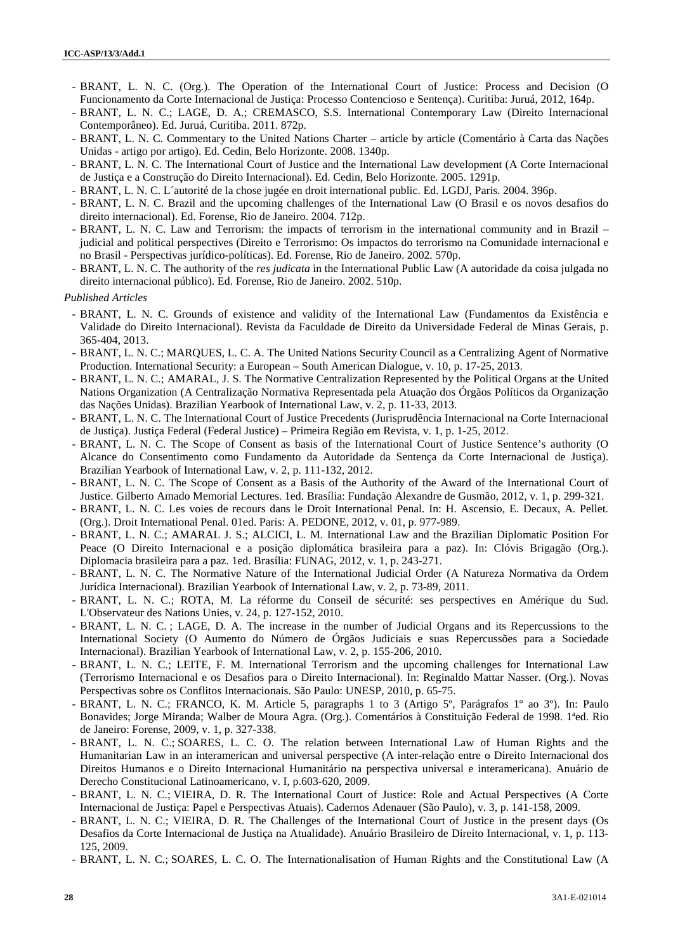- BRANT, L. N. C. (Org.). The Operation of the International Court of Justice: Process and Decision (O Funcionamento da Corte Internacional de Justiça: Processo Contencioso e Sentença). Curitiba: Juruá, 2012, 164p.
- BRANT, L. N. C.; LAGE, D. A.; CREMASCO, S.S. International Contemporary Law (Direito Internacional Contemporâneo). Ed. Juruá, Curitiba. 2011. 872p.
- BRANT, L. N. C. Commentary to the United Nations Charter article by article (Comentário à Carta das Nações Unidas - artigo por artigo). Ed. Cedin, Belo Horizonte. 2008. 1340p.
- BRANT, L. N. C. The International Court of Justice and the International Law development (A Corte Internacional de Justiça e a Construção do Direito Internacional). Ed. Cedin, Belo Horizonte. 2005. 1291p.
- BRANT, L. N. C. L´autorité de la chose jugée en droit international public. Ed. LGDJ, Paris. 2004. 396p.
- BRANT, L. N. C. Brazil and the upcoming challenges of the International Law (O Brasil e os novos desafios do direito internacional). Ed. Forense, Rio de Janeiro. 2004. 712p.
- BRANT, L. N. C. Law and Terrorism: the impacts of terrorism in the international community and in Brazil judicial and political perspectives (Direito e Terrorismo: Os impactos do terrorismo na Comunidade internacional e no Brasil - Perspectivas jurídico-políticas). Ed. Forense, Rio de Janeiro. 2002. 570p.
- BRANT, L. N. C. The authority of the *res judicata* in the International Public Law (A autoridade da coisa julgada no direito internacional público). Ed. Forense, Rio de Janeiro. 2002. 510p.

### *Published Articles*

- BRANT, L. N. C. Grounds of existence and validity of the International Law (Fundamentos da Existência e Validade do Direito Internacional). Revista da Faculdade de Direito da Universidade Federal de Minas Gerais, p. 365-404, 2013.
- BRANT, L. N. C.; MARQUES, L. C. A. The United Nations Security Council as a Centralizing Agent of Normative Production. International Security: a European – South American Dialogue, v. 10, p. 17-25, 2013.
- BRANT, L. N. C.; AMARAL, J. S. The Normative Centralization Represented by the Political Organs at the United Nations Organization (A Centralização Normativa Representada pela Atuação dos Órgãos Políticos da Organização das Nações Unidas). Brazilian Yearbook of International Law, v. 2, p. 11-33, 2013.
- BRANT, L. N. C. The International Court of Justice Precedents (Jurisprudência Internacional na Corte Internacional de Justiça). Justiça Federal (Federal Justice) – Primeira Região em Revista, v. 1, p. 1-25, 2012.
- BRANT, L. N. C. The Scope of Consent as basis of the International Court of Justice Sentence's authority (O Alcance do Consentimento como Fundamento da Autoridade da Sentença da Corte Internacional de Justiça). Brazilian Yearbook of International Law, v. 2, p. 111-132, 2012.
- BRANT, L. N. C. The Scope of Consent as a Basis of the Authority of the Award of the International Court of Justice. Gilberto Amado Memorial Lectures. 1ed. Brasília: Fundação Alexandre de Gusmão, 2012, v. 1, p. 299-321.
- BRANT, L. N. C. Les voies de recours dans le Droit International Penal. In: H. Ascensio, E. Decaux, A. Pellet. (Org.). Droit International Penal. 01ed. Paris: A. PEDONE, 2012, v. 01, p. 977-989.
- BRANT, L. N. C.; AMARAL J. S.; ALCICI, L. M. International Law and the Brazilian Diplomatic Position For Peace (O Direito Internacional e a posição diplomática brasileira para a paz). In: Clóvis Brigagão (Org.). Diplomacia brasileira para a paz. 1ed. Brasília: FUNAG, 2012, v. 1, p. 243-271.
- BRANT, L. N. C. The Normative Nature of the International Judicial Order (A Natureza Normativa da Ordem Jurídica Internacional). Brazilian Yearbook of International Law, v. 2, p. 73-89, 2011.
- BRANT, L. N. C.; ROTA, M. La réforme du Conseil de sécurité: ses perspectives en Amérique du Sud. L'Observateur des Nations Unies, v. 24, p. 127-152, 2010.
- BRANT, L. N. C. ; LAGE, D. A. The increase in the number of Judicial Organs and its Repercussions to the International Society (O Aumento do Número de Órgãos Judiciais e suas Repercussões para a Sociedade Internacional). Brazilian Yearbook of International Law, v. 2, p. 155-206, 2010.
- BRANT, L. N. C.; LEITE, F. M. International Terrorism and the upcoming challenges for International Law (Terrorismo Internacional e os Desafios para o Direito Internacional). In: Reginaldo Mattar Nasser. (Org.). Novas Perspectivas sobre os Conflitos Internacionais. São Paulo: UNESP, 2010, p. 65-75.
- BRANT, L. N. C.; FRANCO, K. M. Article 5, paragraphs 1 to 3 (Artigo 5º, Parágrafos 1º ao 3º). In: Paulo Bonavides; Jorge Miranda; Walber de Moura Agra. (Org.). Comentários à Constituição Federal de 1998. 1ªed. Rio de Janeiro: Forense, 2009, v. 1, p. 327-338.
- BRANT, L. N. C.; SOARES, L. C. O. The relation between International Law of Human Rights and the Humanitarian Law in an interamerican and universal perspective (A inter-relação entre o Direito Internacional dos Direitos Humanos e o Direito Internacional Humanitário na perspectiva universal e interamericana). Anuário de Derecho Constitucional Latinoamericano, v. I, p.603-620, 2009.
- BRANT, L. N. C.; VIEIRA, D. R. The International Court of Justice: Role and Actual Perspectives (A Corte Internacional de Justiça: Papel e Perspectivas Atuais). Cadernos Adenauer (São Paulo), v. 3, p. 141-158, 2009.
- BRANT, L. N. C.; VIEIRA, D. R. The Challenges of the International Court of Justice in the present days (Os Desafios da Corte Internacional de Justiça na Atualidade). Anuário Brasileiro de Direito Internacional, v. 1, p. 113- 125, 2009.
- BRANT, L. N. C.; SOARES, L. C. O. The Internationalisation of Human Rights and the Constitutional Law (A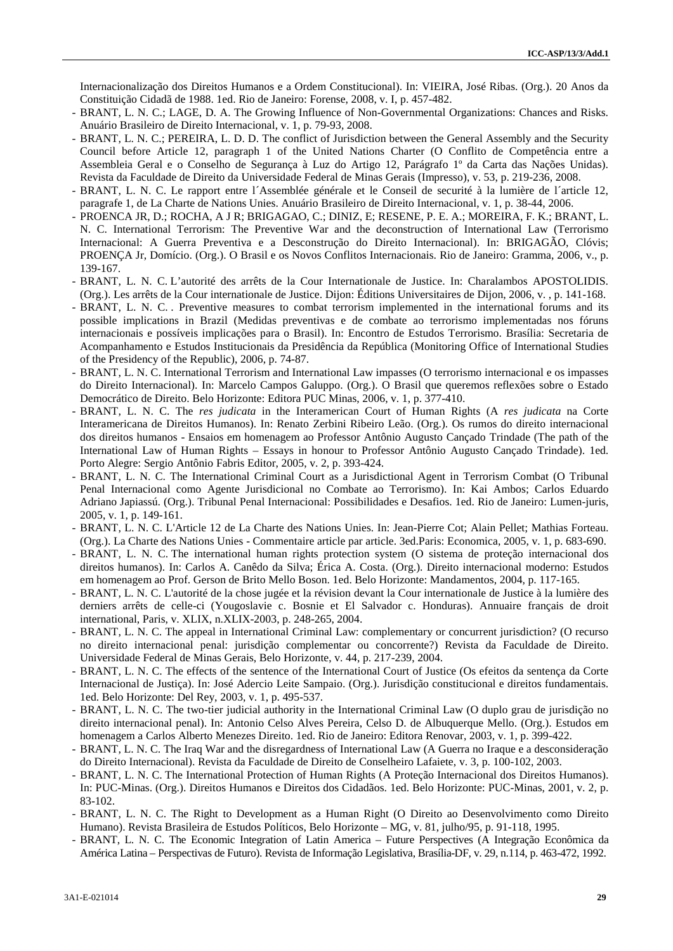Internacionalização dos Direitos Humanos e a Ordem Constitucional). In: VIEIRA, José Ribas. (Org.). 20 Anos da Constituição Cidadã de 1988. 1ed. Rio de Janeiro: Forense, 2008, v. I, p. 457-482.

- BRANT, L. N. C.; LAGE, D. A. The Growing Influence of Non-Governmental Organizations: Chances and Risks. Anuário Brasileiro de Direito Internacional, v. 1, p. 79-93, 2008.
- BRANT, L. N. C.; PEREIRA, L. D. D. The conflict of Jurisdiction between the General Assembly and the Security Council before Article 12, paragraph 1 of the United Nations Charter (O Conflito de Competência entre a Assembleia Geral e o Conselho de Segurança à Luz do Artigo 12, Parágrafo 1º da Carta das Nações Unidas). Revista da Faculdade de Direito da Universidade Federal de Minas Gerais (Impresso), v. 53, p. 219-236, 2008.
- BRANT, L. N. C. Le rapport entre l'Assemblée générale et le Conseil de securité à la lumière de l'article 12, paragrafe 1, de La Charte de Nations Unies. Anuário Brasileiro de Direito Internacional, v. 1, p. 38-44, 2006.
- PROENCA JR, D.; ROCHA, A J R; BRIGAGAO, C.; DINIZ, E; RESENE, P. E. A.; MOREIRA, F. K.; BRANT, L. N. C. International Terrorism: The Preventive War and the deconstruction of International Law (Terrorismo Internacional: A Guerra Preventiva e a Desconstrução do Direito Internacional). In: BRIGAGÃO, Clóvis; PROENÇA Jr, Domício. (Org.). O Brasil e os Novos Conflitos Internacionais. Rio de Janeiro: Gramma, 2006, v., p. 139-167.
- BRANT, L. N. C. L'autorité des arrêts de la Cour Internationale de Justice. In: Charalambos APOSTOLIDIS. (Org.). Les arrêts de la Cour internationale de Justice. Dijon: Éditions Universitaires de Dijon, 2006, v. , p. 141-168.
- BRANT, L. N. C. . Preventive measures to combat terrorism implemented in the international forums and its possible implications in Brazil (Medidas preventivas e de combate ao terrorismo implementadas nos fóruns internacionais e possíveis implicações para o Brasil). In: Encontro de Estudos Terrorismo. Brasília: Secretaria de Acompanhamento e Estudos Institucionais da Presidência da República (Monitoring Office of International Studies of the Presidency of the Republic), 2006, p. 74-87.
- BRANT, L. N. C. International Terrorism and International Law impasses (O terrorismo internacional e os impasses do Direito Internacional). In: Marcelo Campos Galuppo. (Org.). O Brasil que queremos reflexões sobre o Estado Democrático de Direito. Belo Horizonte: Editora PUC Minas, 2006, v. 1, p. 377-410.
- BRANT, L. N. C. The *res judicata* in the Interamerican Court of Human Rights (A *res judicata* na Corte Interamericana de Direitos Humanos). In: Renato Zerbini Ribeiro Leão. (Org.). Os rumos do direito internacional dos direitos humanos - Ensaios em homenagem ao Professor Antônio Augusto Cançado Trindade (The path of the International Law of Human Rights – Essays in honour to Professor Antônio Augusto Cançado Trindade). 1ed. Porto Alegre: Sergio Antônio Fabris Editor, 2005, v. 2, p. 393-424.
- BRANT, L. N. C. The International Criminal Court as a Jurisdictional Agent in Terrorism Combat (O Tribunal Penal Internacional como Agente Jurisdicional no Combate ao Terrorismo). In: Kai Ambos; Carlos Eduardo Adriano Japiassú. (Org.). Tribunal Penal Internacional: Possibilidades e Desafios. 1ed. Rio de Janeiro: Lumen-juris, 2005, v. 1, p. 149-161.
- BRANT, L. N. C. L'Article 12 de La Charte des Nations Unies. In: Jean-Pierre Cot; Alain Pellet; Mathias Forteau. (Org.). La Charte des Nations Unies - Commentaire article par article. 3ed.Paris: Economica, 2005, v. 1, p. 683-690.
- BRANT, L. N. C. The international human rights protection system (O sistema de proteção internacional dos direitos humanos). In: Carlos A. Canêdo da Silva; Érica A. Costa. (Org.). Direito internacional moderno: Estudos em homenagem ao Prof. Gerson de Brito Mello Boson. 1ed. Belo Horizonte: Mandamentos, 2004, p. 117-165.
- BRANT, L. N. C. L'autorité de la chose jugée et la révision devant la Cour internationale de Justice à la lumière des derniers arrêts de celle-ci (Yougoslavie c. Bosnie et El Salvador c. Honduras). Annuaire français de droit international, Paris, v. XLIX, n.XLIX-2003, p. 248-265, 2004.
- BRANT, L. N. C. The appeal in International Criminal Law: complementary or concurrent jurisdiction? (O recurso no direito internacional penal: jurisdição complementar ou concorrente?) Revista da Faculdade de Direito. Universidade Federal de Minas Gerais, Belo Horizonte, v. 44, p. 217-239, 2004.
- BRANT, L. N. C. The effects of the sentence of the International Court of Justice (Os efeitos da sentença da Corte Internacional de Justiça). In: José Adercio Leite Sampaio. (Org.). Jurisdição constitucional e direitos fundamentais. 1ed. Belo Horizonte: Del Rey, 2003, v. 1, p. 495-537.
- BRANT, L. N. C. The two-tier judicial authority in the International Criminal Law (O duplo grau de jurisdição no direito internacional penal). In: Antonio Celso Alves Pereira, Celso D. de Albuquerque Mello. (Org.). Estudos em homenagem a Carlos Alberto Menezes Direito. 1ed. Rio de Janeiro: Editora Renovar, 2003, v. 1, p. 399-422.
- BRANT, L. N. C. The Iraq War and the disregardness of International Law (A Guerra no Iraque e a desconsideração do Direito Internacional). Revista da Faculdade de Direito de Conselheiro Lafaiete, v. 3, p. 100-102, 2003.
- BRANT, L. N. C. The International Protection of Human Rights (A Proteção Internacional dos Direitos Humanos). In: PUC-Minas. (Org.). Direitos Humanos e Direitos dos Cidadãos. 1ed. Belo Horizonte: PUC-Minas, 2001, v. 2, p. 83-102.
- BRANT, L. N. C. The Right to Development as a Human Right (O Direito ao Desenvolvimento como Direito Humano). Revista Brasileira de Estudos Políticos, Belo Horizonte – MG, v. 81, julho/95, p. 91-118, 1995.
- BRANT, L. N. C. The Economic Integration of Latin America Future Perspectives (A Integração Econômica da América Latina – Perspectivas de Futuro). Revista de Informação Legislativa, Brasília-DF, v. 29, n.114, p. 463-472, 1992.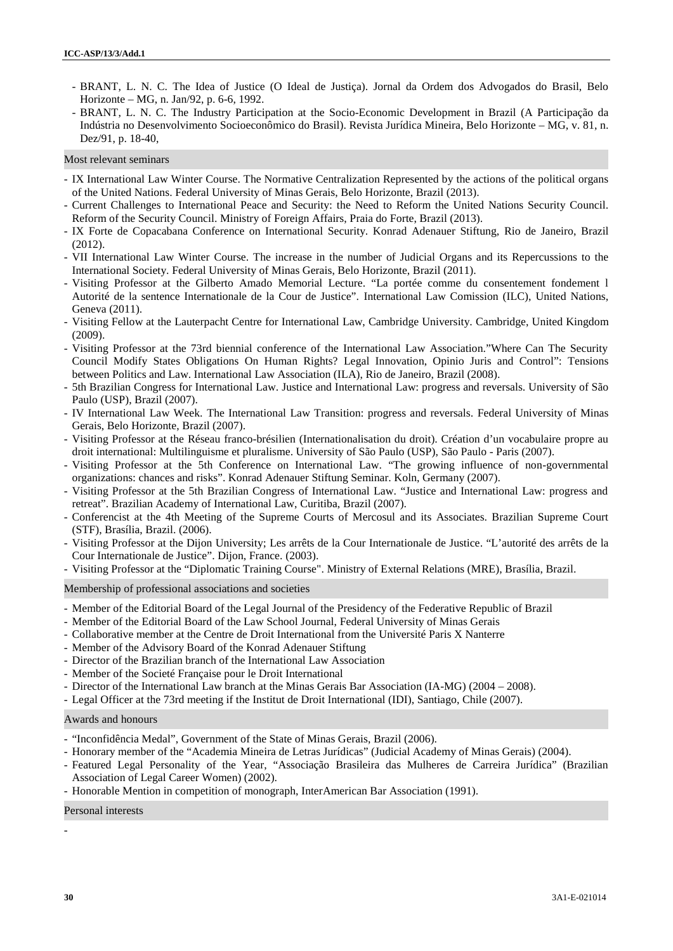- BRANT, L. N. C. The Idea of Justice (O Ideal de Justiça). Jornal da Ordem dos Advogados do Brasil, Belo Horizonte – MG, n. Jan/92, p. 6-6, 1992.
- BRANT, L. N. C. The Industry Participation at the Socio-Economic Development in Brazil (A Participação da Indústria no Desenvolvimento Socioeconômico do Brasil). Revista Jurídica Mineira, Belo Horizonte – MG, v. 81, n. Dez/91, p. 18-40,

## Most relevant seminars

- IX International Law Winter Course. The Normative Centralization Represented by the actions of the political organs of the United Nations. Federal University of Minas Gerais, Belo Horizonte, Brazil (2013).
- Current Challenges to International Peace and Security: the Need to Reform the United Nations Security Council. Reform of the Security Council. Ministry of Foreign Affairs, Praia do Forte, Brazil (2013).
- IX Forte de Copacabana Conference on International Security. Konrad Adenauer Stiftung, Rio de Janeiro, Brazil (2012).
- VII International Law Winter Course. The increase in the number of Judicial Organs and its Repercussions to the International Society. Federal University of Minas Gerais, Belo Horizonte, Brazil (2011).
- Visiting Professor at the Gilberto Amado Memorial Lecture. "La portée comme du consentement fondement l Autorité de la sentence Internationale de la Cour de Justice". International Law Comission (ILC), United Nations, Geneva (2011).
- Visiting Fellow at the Lauterpacht Centre for International Law, Cambridge University. Cambridge, United Kingdom (2009).
- Visiting Professor at the 73rd biennial conference of the International Law Association."Where Can The Security Council Modify States Obligations On Human Rights? Legal Innovation, Opinio Juris and Control": Tensions between Politics and Law. International Law Association (ILA), Rio de Janeiro, Brazil (2008).
- 5th Brazilian Congress for International Law. Justice and International Law: progress and reversals. University of São Paulo (USP), Brazil (2007).
- IV International Law Week. The International Law Transition: progress and reversals. Federal University of Minas Gerais, Belo Horizonte, Brazil (2007).
- Visiting Professor at the Réseau franco-brésilien (Internationalisation du droit). Création d'un vocabulaire propre au droit international: Multilinguisme et pluralisme. University of São Paulo (USP), São Paulo - Paris (2007).
- Visiting Professor at the 5th Conference on International Law. "The growing influence of non-governmental organizations: chances and risks". Konrad Adenauer Stiftung Seminar. Koln, Germany (2007).
- Visiting Professor at the 5th Brazilian Congress of International Law. "Justice and International Law: progress and retreat". Brazilian Academy of International Law, Curitiba, Brazil (2007).
- Conferencist at the 4th Meeting of the Supreme Courts of Mercosul and its Associates. Brazilian Supreme Court (STF), Brasília, Brazil. (2006).
- Visiting Professor at the Dijon University; Les arrêts de la Cour Internationale de Justice. "L'autorité des arrêts de la Cour Internationale de Justice". Dijon, France. (2003).
- Visiting Professor at the "Diplomatic Training Course". Ministry of External Relations (MRE), Brasília, Brazil.

Membership of professional associations and societies

- Member of the Editorial Board of the Legal Journal of the Presidency of the Federative Republic of Brazil
- Member of the Editorial Board of the Law School Journal, Federal University of Minas Gerais
- Collaborative member at the Centre de Droit International from the Université Paris X Nanterre
- Member of the Advisory Board of the Konrad Adenauer Stiftung
- Director of the Brazilian branch of the International Law Association
- Member of the Societé Française pour le Droit International
- Director of the International Law branch at the Minas Gerais Bar Association (IA-MG) (2004 2008).
- Legal Officer at the 73rd meeting if the Institut de Droit International (IDI), Santiago, Chile (2007).

#### Awards and honours

- "Inconfidência Medal", Government of the State of Minas Gerais, Brazil (2006).
- Honorary member of the "Academia Mineira de Letras Jurídicas" (Judicial Academy of Minas Gerais) (2004).
- Featured Legal Personality of the Year, "Associação Brasileira das Mulheres de Carreira Jurídica" (Brazilian Association of Legal Career Women) (2002).

- Honorable Mention in competition of monograph, InterAmerican Bar Association (1991).

#### Personal interests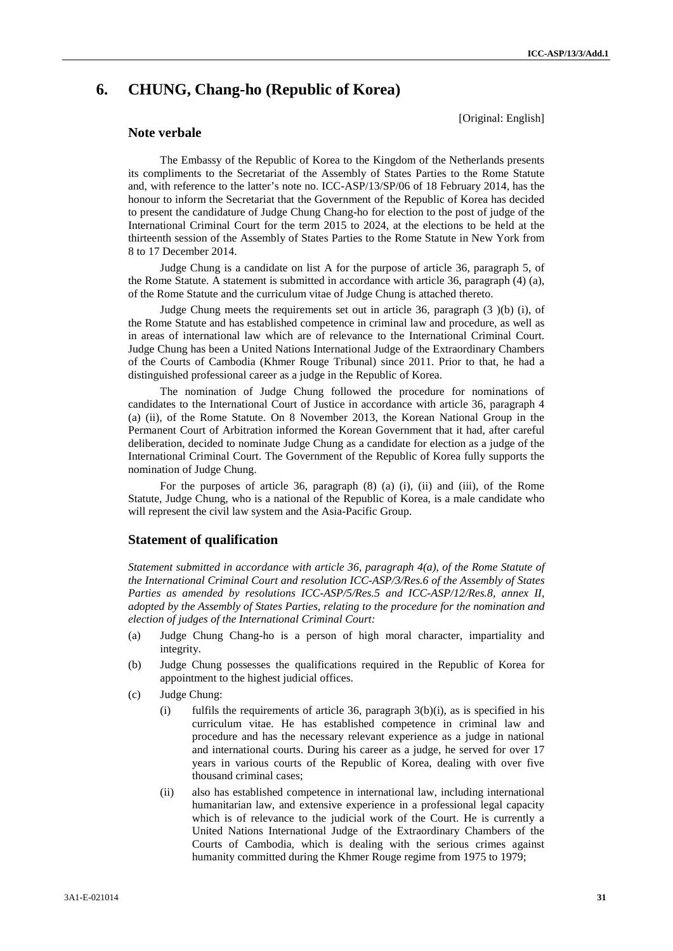# **6. CHUNG, Chang-ho (Republic of Korea)**

# **Note verbale**

[Original: English]

The Embassy of the Republic of Korea to the Kingdom of the Netherlands presents its compliments to the Secretariat of the Assembly of States Parties to the Rome Statute and, with reference to the latter's note no. ICC-ASP/13/SP/06 of 18 February 2014, has the honour to inform the Secretariat that the Government of the Republic of Korea has decided to present the candidature of Judge Chung Chang-ho for election to the post of judge of the International Criminal Court for the term 2015 to 2024, at the elections to be held at the thirteenth session of the Assembly of States Parties to the Rome Statute in New York from 8 to 17 December 2014.

Judge Chung is a candidate on list A for the purpose of article 36, paragraph 5, of the Rome Statute. A statement is submitted in accordance with article 36, paragraph (4) (a), of the Rome Statute and the curriculum vitae of Judge Chung is attached thereto.

Judge Chung meets the requirements set out in article 36, paragraph (3 )(b) (i), of the Rome Statute and has established competence in criminal law and procedure, as well as in areas of international law which are of relevance to the International Criminal Court. Judge Chung has been a United Nations International Judge of the Extraordinary Chambers of the Courts of Cambodia (Khmer Rouge Tribunal) since 2011. Prior to that, he had a distinguished professional career as a judge in the Republic of Korea.

The nomination of Judge Chung followed the procedure for nominations of candidates to the International Court of Justice in accordance with article 36, paragraph 4 (a) (ii), of the Rome Statute. On 8 November 2013, the Korean National Group in the Permanent Court of Arbitration informed the Korean Government that it had, after careful deliberation, decided to nominate Judge Chung as a candidate for election as a judge of the International Criminal Court. The Government of the Republic of Korea fully supports the nomination of Judge Chung.

For the purposes of article 36, paragraph (8) (a) (i), (ii) and (iii), of the Rome Statute, Judge Chung, who is a national of the Republic of Korea, is a male candidate who will represent the civil law system and the Asia-Pacific Group.

# **Statement of qualification**

*Statement submitted in accordance with article 36, paragraph 4(a), of the Rome Statute of the International Criminal Court and resolution ICC-ASP/3/Res.6 of the Assembly of States Parties as amended by resolutions ICC-ASP/5/Res.5 and ICC-ASP/12/Res.8, annex II, adopted by the Assembly of States Parties, relating to the procedure for the nomination and election of judges of the International Criminal Court:*

- (a) Judge Chung Chang-ho is a person of high moral character, impartiality and integrity.
- (b) Judge Chung possesses the qualifications required in the Republic of Korea for appointment to the highest judicial offices.
- (c) Judge Chung:
	- (i) fulfils the requirements of article 36, paragraph 3(b)(i), as is specified in his curriculum vitae. He has established competence in criminal law and procedure and has the necessary relevant experience as a judge in national and international courts. During his career as a judge, he served for over 17 years in various courts of the Republic of Korea, dealing with over five thousand criminal cases;
	- (ii) also has established competence in international law, including international humanitarian law, and extensive experience in a professional legal capacity which is of relevance to the judicial work of the Court. He is currently a United Nations International Judge of the Extraordinary Chambers of the Courts of Cambodia, which is dealing with the serious crimes against humanity committed during the Khmer Rouge regime from 1975 to 1979;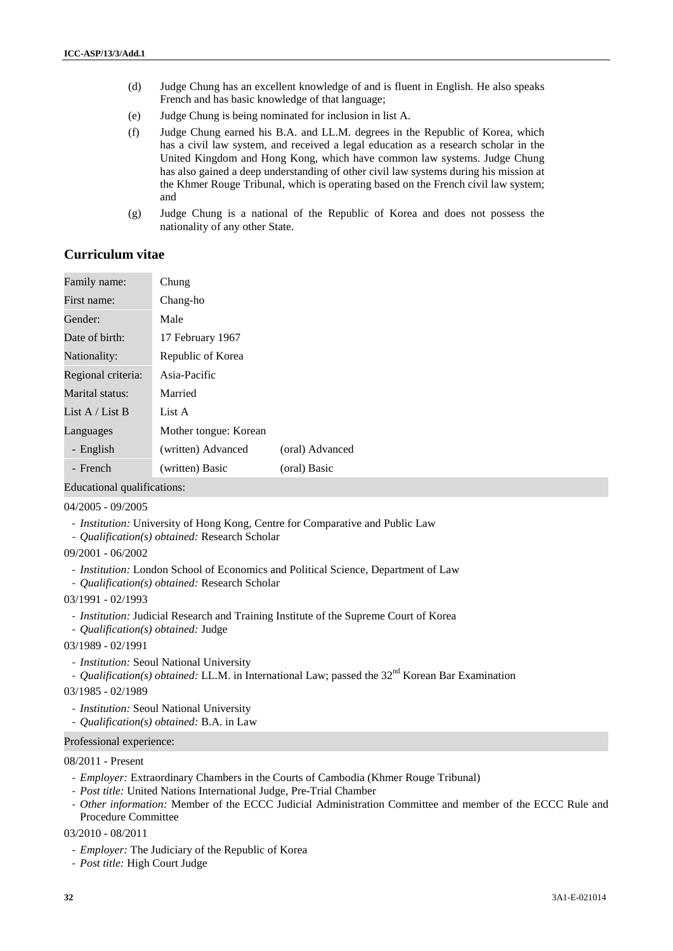- (d) Judge Chung has an excellent knowledge of and is fluent in English. He also speaks French and has basic knowledge of that language;
- (e) Judge Chung is being nominated for inclusion in list A.
- (f) Judge Chung earned his B.A. and LL.M. degrees in the Republic of Korea, which has a civil law system, and received a legal education as a research scholar in the United Kingdom and Hong Kong, which have common law systems. Judge Chung has also gained a deep understanding of other civil law systems during his mission at the Khmer Rouge Tribunal, which is operating based on the French civil law system; and
- (g) Judge Chung is a national of the Republic of Korea and does not possess the nationality of any other State.

# **Curriculum vitae**

| Family name:       | Chung                 |                 |
|--------------------|-----------------------|-----------------|
| First name:        | Chang-ho              |                 |
| Gender:            | Male                  |                 |
| Date of birth:     | 17 February 1967      |                 |
| Nationality:       | Republic of Korea     |                 |
| Regional criteria: | Asia-Pacific          |                 |
| Marital status:    | Married               |                 |
| List A / List B    | List A                |                 |
| Languages          | Mother tongue: Korean |                 |
| - English          | (written) Advanced    | (oral) Advanced |
| - French           | (written) Basic       | (oral) Basic    |

Educational qualifications:

#### 04/2005 - 09/2005

- *Institution:* University of Hong Kong, Centre for Comparative and Public Law
- *Qualification(s) obtained:* Research Scholar

09/2001 - 06/2002

- *Institution:* London School of Economics and Political Science, Department of Law
- *Qualification(s) obtained:* Research Scholar

03/1991 - 02/1993

- *Institution:* Judicial Research and Training Institute of the Supreme Court of Korea
- *Qualification(s) obtained:* Judge
- 03/1989 02/1991
	- *Institution:* Seoul National University
	- *Qualification(s) obtained:* LL.M. in International Law; passed the 32<sup>nd</sup> Korean Bar Examination
- 03/1985 02/1989
	- *Institution:* Seoul National University
	- *Qualification(s) obtained:* B.A. in Law

### Professional experience:

08/2011 - Present

- *Employer:* Extraordinary Chambers in the Courts of Cambodia (Khmer Rouge Tribunal)
- *Post title:* United Nations International Judge, Pre-Trial Chamber
- *Other information:* Member of the ECCC Judicial Administration Committee and member of the ECCC Rule and Procedure Committee

03/2010 - 08/2011

- *Employer:* The Judiciary of the Republic of Korea
- *Post title:* High Court Judge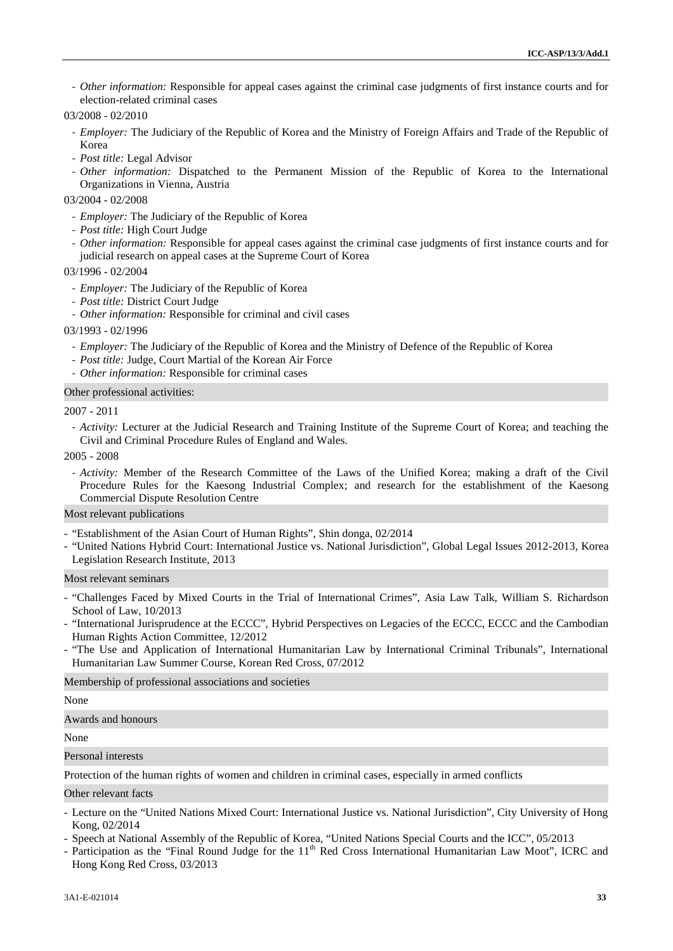- *Other information:* Responsible for appeal cases against the criminal case judgments of first instance courts and for election-related criminal cases

03/2008 - 02/2010

- *Employer:* The Judiciary of the Republic of Korea and the Ministry of Foreign Affairs and Trade of the Republic of Korea
- *Post title:* Legal Advisor
- *Other information:* Dispatched to the Permanent Mission of the Republic of Korea to the International Organizations in Vienna, Austria

03/2004 - 02/2008

- *Employer:* The Judiciary of the Republic of Korea
- *Post title:* High Court Judge
- *Other information:* Responsible for appeal cases against the criminal case judgments of first instance courts and for judicial research on appeal cases at the Supreme Court of Korea

03/1996 - 02/2004

- *Employer:* The Judiciary of the Republic of Korea
- *Post title:* District Court Judge
- *Other information:* Responsible for criminal and civil cases

03/1993 - 02/1996

- *Employer:* The Judiciary of the Republic of Korea and the Ministry of Defence of the Republic of Korea
- *Post title:* Judge, Court Martial of the Korean Air Force
- *Other information:* Responsible for criminal cases

Other professional activities:

2007 - 2011

- *Activity:* Lecturer at the Judicial Research and Training Institute of the Supreme Court of Korea; and teaching the Civil and Criminal Procedure Rules of England and Wales.

2005 - 2008

- *Activity:* Member of the Research Committee of the Laws of the Unified Korea; making a draft of the Civil Procedure Rules for the Kaesong Industrial Complex; and research for the establishment of the Kaesong Commercial Dispute Resolution Centre

# Most relevant publications

- "Establishment of the Asian Court of Human Rights", Shin donga, 02/2014
- "United Nations Hybrid Court: International Justice vs. National Jurisdiction", Global Legal Issues 2012-2013, Korea Legislation Research Institute, 2013

Most relevant seminars

- "Challenges Faced by Mixed Courts in the Trial of International Crimes", Asia Law Talk, William S. Richardson School of Law, 10/2013
- "International Jurisprudence at the ECCC", Hybrid Perspectives on Legacies of the ECCC, ECCC and the Cambodian Human Rights Action Committee, 12/2012
- "The Use and Application of International Humanitarian Law by International Criminal Tribunals", International Humanitarian Law Summer Course, Korean Red Cross, 07/2012

Membership of professional associations and societies

#### None

Awards and honours

None

Personal interests

Protection of the human rights of women and children in criminal cases, especially in armed conflicts

#### Other relevant facts

- Lecture on the "United Nations Mixed Court: International Justice vs. National Jurisdiction", City University of Hong Kong, 02/2014
- Speech at National Assembly of the Republic of Korea, "United Nations Special Courts and the ICC", 05/2013
- Participation as the "Final Round Judge for the 11<sup>th</sup> Red Cross International Humanitarian Law Moot", ICRC and Hong Kong Red Cross, 03/2013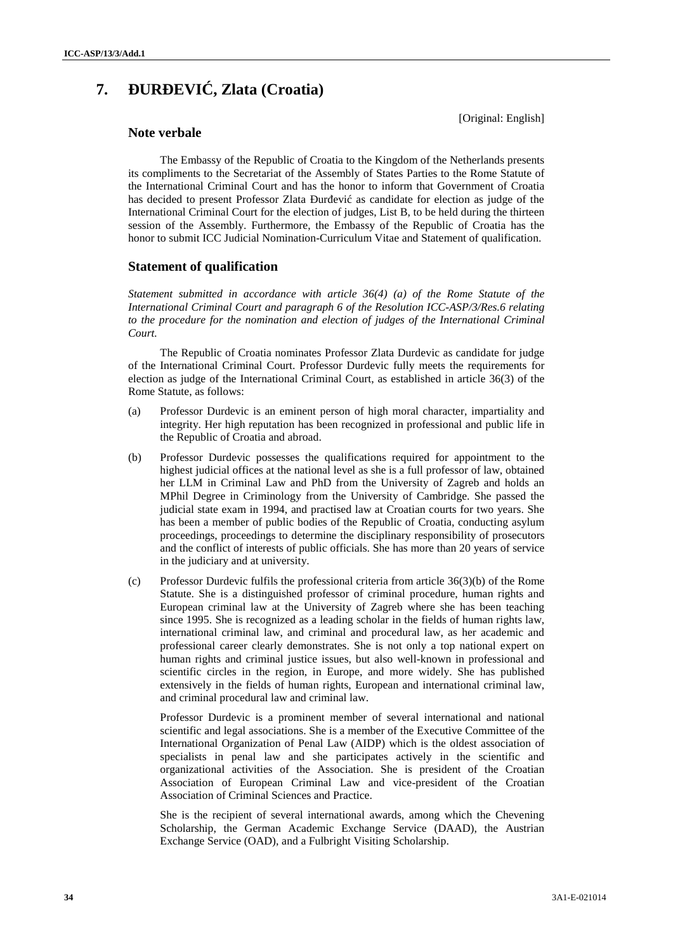# **7. UR EVI**, **Zlata** (Croatia)

[Original: English]

# **Note verbale**

The Embassy of the Republic of Croatia to the Kingdom of the Netherlands presents its compliments to the Secretariat of the Assembly of States Parties to the Rome Statute of the International Criminal Court and has the honor to inform that Government of Croatia has decided to present Professor Zlata ur evi as candidate for election as judge of the International Criminal Court for the election of judges, List B, to be held during the thirteen session of the Assembly. Furthermore, the Embassy of the Republic of Croatia has the honor to submit ICC Judicial Nomination-Curriculum Vitae and Statement of qualification.

# **Statement of qualification**

*Statement submitted in accordance with article 36(4) (a) of the Rome Statute of the International Criminal Court and paragraph 6 of the Resolution ICC-ASP/3/Res.6 relating to the procedure for the nomination and election of judges of the International Criminal Court.*

The Republic of Croatia nominates Professor Zlata Durdevic as candidate for judge of the International Criminal Court. Professor Durdevic fully meets the requirements for election as judge of the International Criminal Court, as established in article 36(3) of the Rome Statute, as follows:

- (a) Professor Durdevic is an eminent person of high moral character, impartiality and integrity. Her high reputation has been recognized in professional and public life in the Republic of Croatia and abroad.
- (b) Professor Durdevic possesses the qualifications required for appointment to the highest judicial offices at the national level as she is a full professor of law, obtained her LLM in Criminal Law and PhD from the University of Zagreb and holds an MPhil Degree in Criminology from the University of Cambridge. She passed the judicial state exam in 1994, and practised law at Croatian courts for two years. She has been a member of public bodies of the Republic of Croatia, conducting asylum proceedings, proceedings to determine the disciplinary responsibility of prosecutors and the conflict of interests of public officials. She has more than 20 years of service in the judiciary and at university.
- (c) Professor Durdevic fulfils the professional criteria from article 36(3)(b) of the Rome Statute. She is a distinguished professor of criminal procedure, human rights and European criminal law at the University of Zagreb where she has been teaching since 1995. She is recognized as a leading scholar in the fields of human rights law, international criminal law, and criminal and procedural law, as her academic and professional career clearly demonstrates. She is not only a top national expert on human rights and criminal justice issues, but also well-known in professional and scientific circles in the region, in Europe, and more widely. She has published extensively in the fields of human rights, European and international criminal law, and criminal procedural law and criminal law.

Professor Durdevic is a prominent member of several international and national scientific and legal associations. She is a member of the Executive Committee of the International Organization of Penal Law (AIDP) which is the oldest association of specialists in penal law and she participates actively in the scientific and organizational activities of the Association. She is president of the Croatian Association of European Criminal Law and vice-president of the Croatian Association of Criminal Sciences and Practice.

She is the recipient of several international awards, among which the Chevening Scholarship, the German Academic Exchange Service (DAAD), the Austrian Exchange Service (OAD), and a Fulbright Visiting Scholarship.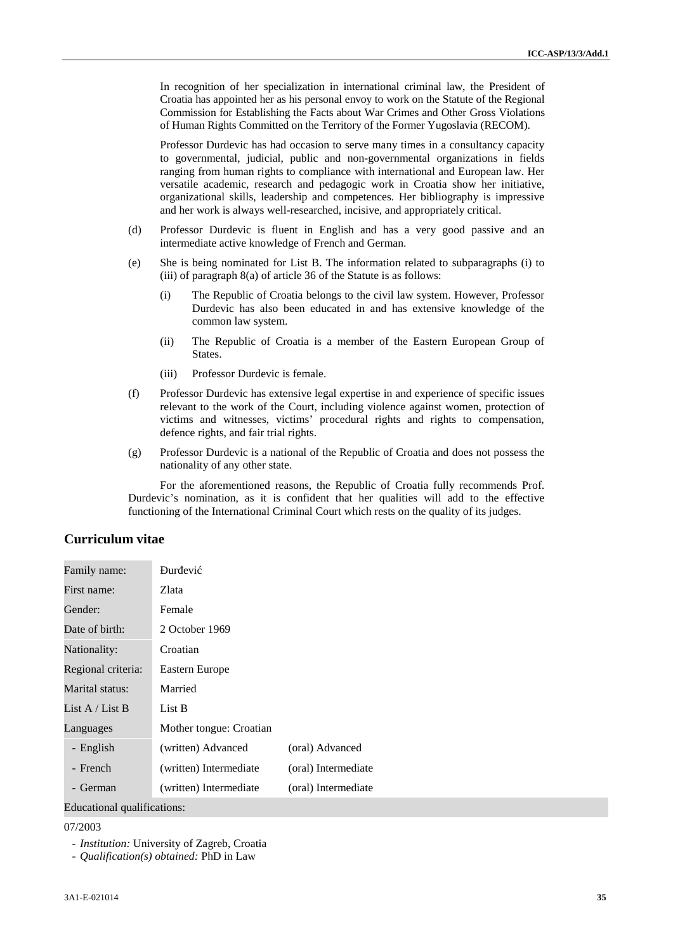In recognition of her specialization in international criminal law, the President of Croatia has appointed her as his personal envoy to work on the Statute of the Regional Commission for Establishing the Facts about War Crimes and Other Gross Violations of Human Rights Committed on the Territory of the Former Yugoslavia (RECOM).

Professor Durdevic has had occasion to serve many times in a consultancy capacity to governmental, judicial, public and non-governmental organizations in fields ranging from human rights to compliance with international and European law. Her versatile academic, research and pedagogic work in Croatia show her initiative, organizational skills, leadership and competences. Her bibliography is impressive and her work is always well-researched, incisive, and appropriately critical.

- (d) Professor Durdevic is fluent in English and has a very good passive and an intermediate active knowledge of French and German.
- (e) She is being nominated for List B. The information related to subparagraphs (i) to (iii) of paragraph 8(a) of article 36 of the Statute is as follows:
	- (i) The Republic of Croatia belongs to the civil law system. However, Professor Durdevic has also been educated in and has extensive knowledge of the common law system.
	- (ii) The Republic of Croatia is a member of the Eastern European Group of States.
	- (iii) Professor Durdevic is female.
- (f) Professor Durdevic has extensive legal expertise in and experience of specific issues relevant to the work of the Court, including violence against women, protection of victims and witnesses, victims' procedural rights and rights to compensation, defence rights, and fair trial rights.
- (g) Professor Durdevic is a national of the Republic of Croatia and does not possess the nationality of any other state.

For the aforementioned reasons, the Republic of Croatia fully recommends Prof. Durdevic's nomination, as it is confident that her qualities will add to the effective functioning of the International Criminal Court which rests on the quality of its judges.

# **Curriculum vitae**

| Family name:<br>ur evi |                         |                     |
|------------------------|-------------------------|---------------------|
| First name:            | Zlata                   |                     |
| Gender:                | Female                  |                     |
| Date of birth:         | 2 October 1969          |                     |
| Nationality:           | Croatian                |                     |
| Regional criteria:     | Eastern Europe          |                     |
| Marital status:        | Married                 |                     |
| List A / List B        | List B                  |                     |
| Languages              | Mother tongue: Croatian |                     |
| - English              | (written) Advanced      | (oral) Advanced     |
| - French               | (written) Intermediate  | (oral) Intermediate |
| German                 | (written) Intermediate  | (oral) Intermediate |

Educational qualifications:

07/2003

- *Qualification(s) obtained:* PhD in Law

<sup>-</sup> *Institution:* University of Zagreb, Croatia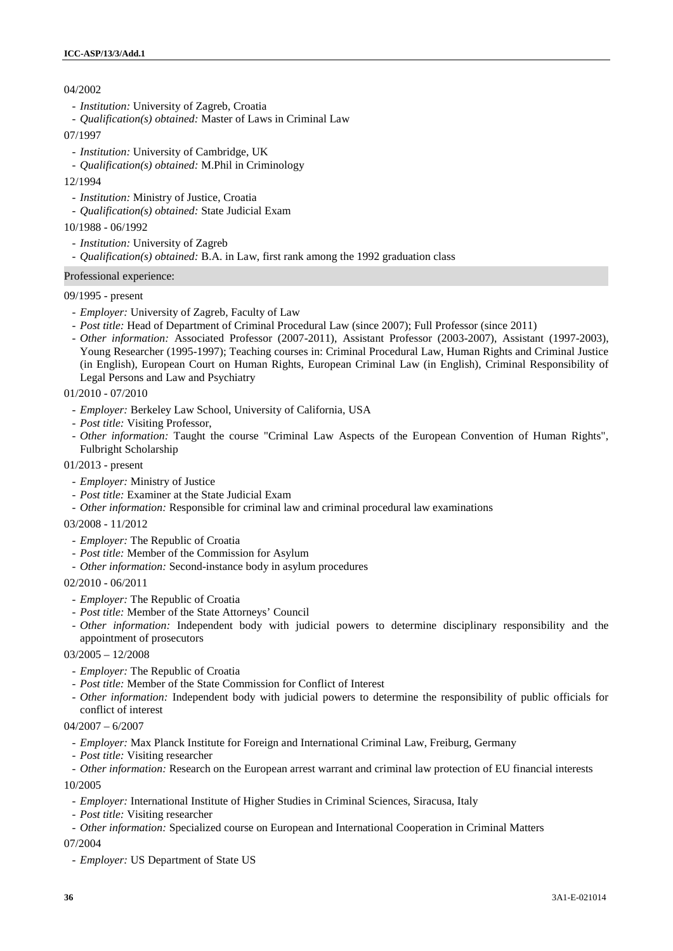# 04/2002

- *Institution:* University of Zagreb, Croatia
- *Qualification(s) obtained:* Master of Laws in Criminal Law
- 07/1997
	- *Institution:* University of Cambridge, UK
	- *Qualification(s) obtained:* M.Phil in Criminology
- 12/1994
	- *Institution:* Ministry of Justice, Croatia
	- *Qualification(s) obtained:* State Judicial Exam

## 10/1988 - 06/1992

- *Institution:* University of Zagreb
- *Qualification(s) obtained:* B.A. in Law, first rank among the 1992 graduation class

## Professional experience:

## 09/1995 - present

- *Employer:* University of Zagreb, Faculty of Law
- *Post title:* Head of Department of Criminal Procedural Law (since 2007); Full Professor (since 2011)
- *Other information:* Associated Professor (2007-2011), Assistant Professor (2003-2007), Assistant (1997-2003), Young Researcher (1995-1997); Teaching courses in: Criminal Procedural Law, Human Rights and Criminal Justice (in English), European Court on Human Rights, European Criminal Law (in English), Criminal Responsibility of Legal Persons and Law and Psychiatry

## 01/2010 - 07/2010

- *Employer:* Berkeley Law School, University of California, USA
- *Post title:* Visiting Professor,
- *Other information:* Taught the course "Criminal Law Aspects of the European Convention of Human Rights", Fulbright Scholarship

## 01/2013 - present

- *Employer:* Ministry of Justice
- *Post title:* Examiner at the State Judicial Exam
- *Other information:* Responsible for criminal law and criminal procedural law examinations
- 03/2008 11/2012
	- *Employer:* The Republic of Croatia
	- *Post title:* Member of the Commission for Asylum
	- *Other information:* Second-instance body in asylum procedures

### 02/2010 - 06/2011

- *Employer:* The Republic of Croatia
- *Post title:* Member of the State Attorneys' Council
- *Other information:* Independent body with judicial powers to determine disciplinary responsibility and the appointment of prosecutors

# 03/2005 – 12/2008

- *Employer:* The Republic of Croatia
- *Post title:* Member of the State Commission for Conflict of Interest
- *Other information:* Independent body with judicial powers to determine the responsibility of public officials for conflict of interest

## $04/2007 - 6/2007$

- *Employer:* Max Planck Institute for Foreign and International Criminal Law, Freiburg, Germany
- *Post title:* Visiting researcher

- *Other information:* Research on the European arrest warrant and criminal law protection of EU financial interests

# 10/2005

- *Employer:* International Institute of Higher Studies in Criminal Sciences, Siracusa, Italy
- *Post title:* Visiting researcher
- *Other information:* Specialized course on European and International Cooperation in Criminal Matters

### 07/2004

- *Employer:* US Department of State US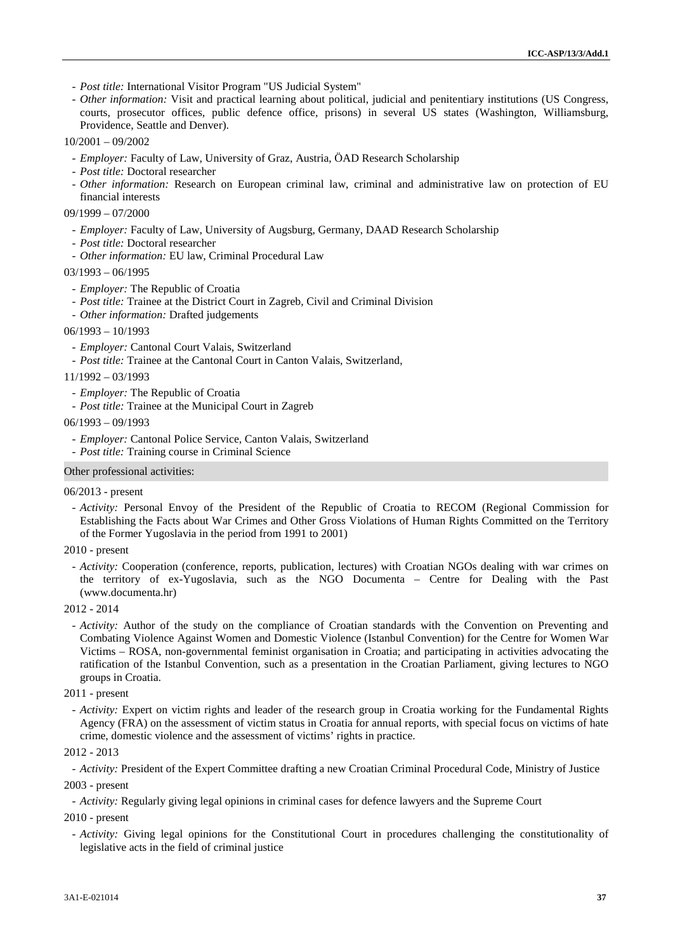- *Post title:* International Visitor Program "US Judicial System"
- *Other information:* Visit and practical learning about political, judicial and penitentiary institutions (US Congress, courts, prosecutor offices, public defence office, prisons) in several US states (Washington, Williamsburg, Providence, Seattle and Denver).
- 10/2001 09/2002
	- *Employer:* Faculty of Law, University of Graz, Austria, ÖAD Research Scholarship
	- *Post title:* Doctoral researcher
	- *Other information:* Research on European criminal law, criminal and administrative law on protection of EU financial interests

#### 09/1999 – 07/2000

- *Employer:* Faculty of Law, University of Augsburg, Germany, DAAD Research Scholarship
- *Post title:* Doctoral researcher
- *Other information:* EU law, Criminal Procedural Law

#### $03/1993 - 06/1995$

- *Employer:* The Republic of Croatia
- *Post title:* Trainee at the District Court in Zagreb, Civil and Criminal Division
- *Other information:* Drafted judgements

#### 06/1993 – 10/1993

- *Employer:* Cantonal Court Valais, Switzerland
- *Post title:* Trainee at the Cantonal Court in Canton Valais, Switzerland,

#### $11/1992 - 03/1993$

- *Employer:* The Republic of Croatia
- *Post title:* Trainee at the Municipal Court in Zagreb

#### 06/1993 – 09/1993

- *Employer:* Cantonal Police Service, Canton Valais, Switzerland

- *Post title:* Training course in Criminal Science

#### Other professional activities:

#### 06/2013 - present

- *Activity:* Personal Envoy of the President of the Republic of Croatia to RECOM (Regional Commission for Establishing the Facts about War Crimes and Other Gross Violations of Human Rights Committed on the Territory of the Former Yugoslavia in the period from 1991 to 2001)

#### 2010 - present

- *Activity:* Cooperation (conference, reports, publication, lectures) with Croatian NGOs dealing with war crimes on the territory of ex-Yugoslavia, such as the NGO Documenta – Centre for Dealing with the Past (www.documenta.hr)
- 2012 2014
	- *Activity:* Author of the study on the compliance of Croatian standards with the Convention on Preventing and Combating Violence Against Women and Domestic Violence (Istanbul Convention) for the Centre for Women War Victims – ROSA, non-governmental feminist organisation in Croatia; and participating in activities advocating the ratification of the Istanbul Convention, such as a presentation in the Croatian Parliament, giving lectures to NGO groups in Croatia.

#### 2011 - present

- *Activity:* Expert on victim rights and leader of the research group in Croatia working for the Fundamental Rights Agency (FRA) on the assessment of victim status in Croatia for annual reports, with special focus on victims of hate crime, domestic violence and the assessment of victims' rights in practice.

#### 2012 - 2013

- *Activity:* President of the Expert Committee drafting a new Croatian Criminal Procedural Code, Ministry of Justice

#### 2003 - present

- *Activity:* Regularly giving legal opinions in criminal cases for defence lawyers and the Supreme Court

#### 2010 - present

- *Activity:* Giving legal opinions for the Constitutional Court in procedures challenging the constitutionality of legislative acts in the field of criminal justice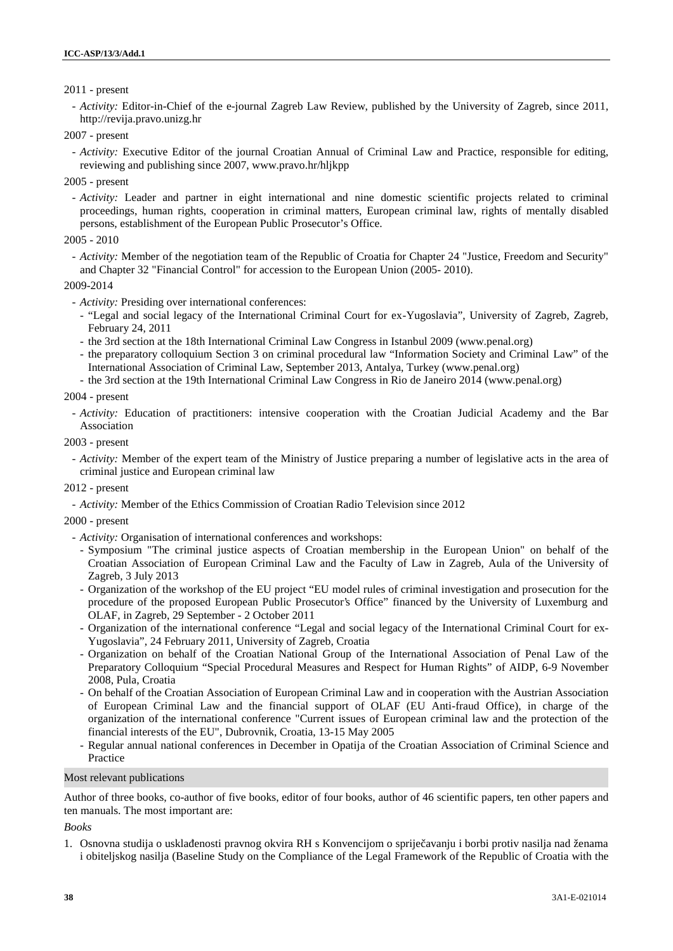## 2011 - present

- *Activity:* Editor-in-Chief of the e-journal Zagreb Law Review, published by the University of Zagreb, since 2011, http://revija.pravo.unizg.hr

#### 2007 - present

- *Activity:* Executive Editor of the journal Croatian Annual of Criminal Law and Practice, responsible for editing, reviewing and publishing since 2007, www.pravo.hr/hljkpp

2005 - present

- *Activity:* Leader and partner in eight international and nine domestic scientific projects related to criminal proceedings, human rights, cooperation in criminal matters, European criminal law, rights of mentally disabled persons, establishment of the European Public Prosecutor's Office.

#### 2005 - 2010

- *Activity:* Member of the negotiation team of the Republic of Croatia for Chapter 24 "Justice, Freedom and Security" and Chapter 32 "Financial Control" for accession to the European Union (2005- 2010).

#### 2009-2014

- *Activity:* Presiding over international conferences:
	- "Legal and social legacy of the International Criminal Court for ex-Yugoslavia", University of Zagreb, Zagreb, February 24, 2011
	- the 3rd section at the 18th International Criminal Law Congress in Istanbul 2009 (www.penal.org)
	- the preparatory colloquium Section 3 on criminal procedural law "Information Society and Criminal Law" of the International Association of Criminal Law, September 2013, Antalya, Turkey (www.penal.org)
	- the 3rd section at the 19th International Criminal Law Congress in Rio de Janeiro 2014 (www.penal.org)

#### 2004 - present

- *Activity:* Education of practitioners: intensive cooperation with the Croatian Judicial Academy and the Bar Association

#### 2003 - present

- *Activity:* Member of the expert team of the Ministry of Justice preparing a number of legislative acts in the area of criminal justice and European criminal law

#### 2012 - present

- *Activity:* Member of the Ethics Commission of Croatian Radio Television since 2012

#### 2000 - present

- *Activity:* Organisation of international conferences and workshops:
- Symposium "The criminal justice aspects of Croatian membership in the European Union" on behalf of the Croatian Association of European Criminal Law and the Faculty of Law in Zagreb, Aula of the University of Zagreb, 3 July 2013
- Organization of the workshop of the EU project "EU model rules of criminal investigation and prosecution for the procedure of the proposed European Public Prosecutor's Office" financed by the University of Luxemburg and OLAF, in Zagreb, 29 September - 2 October 2011
- Organization of the international conference "Legal and social legacy of the International Criminal Court for ex- Yugoslavia", 24 February 2011, University of Zagreb, Croatia
- Organization on behalf of the Croatian National Group of the International Association of Penal Law of the Preparatory Colloquium "Special Procedural Measures and Respect for Human Rights" of AIDP, 6-9 November 2008, Pula, Croatia
- On behalf of the Croatian Association of European Criminal Law and in cooperation with the Austrian Association of European Criminal Law and the financial support of OLAF (EU Anti-fraud Office), in charge of the organization of the international conference "Current issues of European criminal law and the protection of the financial interests of the EU", Dubrovnik, Croatia, 13-15 May 2005
- Regular annual national conferences in December in Opatija of the Croatian Association of Criminal Science and Practice

#### Most relevant publications

Author of three books, co-author of five books, editor of four books, author of 46 scientific papers, ten other papers and ten manuals. The most important are:

#### *Books*

1. Osnovna studija o uskla enosti pravnog okvira RH s Konvencijom o sprije avanju i borbi protiv nasilja nad ženama i obiteljskog nasilja (Baseline Study on the Compliance of the Legal Framework of the Republic of Croatia with the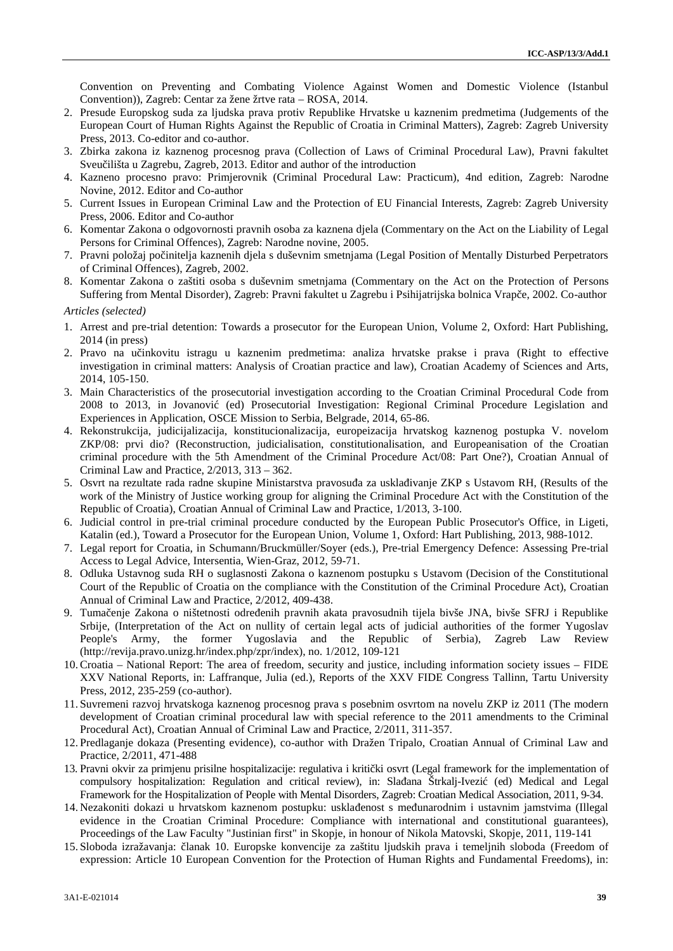Convention on Preventing and Combating Violence Against Women and Domestic Violence (Istanbul Convention)), Zagreb: Centar za žene žrtve rata – ROSA, 2014.

- 2. Presude Europskog suda za ljudska prava protiv Republike Hrvatske u kaznenim predmetima (Judgements of the European Court of Human Rights Against the Republic of Croatia in Criminal Matters), Zagreb: Zagreb University Press, 2013. Co-editor and co-author.
- 3. Zbirka zakona iz kaznenog procesnog prava (Collection of Laws of Criminal Procedural Law), Pravni fakultet Sveu ilišta u Zagrebu, Zagreb, 2013. Editor and author of the introduction
- 4. Kazneno procesno pravo: Primjerovnik (Criminal Procedural Law: Practicum), 4nd edition, Zagreb: Narodne Novine, 2012. Editor and Co-author
- 5. Current Issues in European Criminal Law and the Protection of EU Financial Interests, Zagreb: Zagreb University Press, 2006. Editor and Co-author
- 6. Komentar Zakona o odgovornosti pravnih osoba za kaznena djela (Commentary on the Act on the Liability of Legal Persons for Criminal Offences), Zagreb: Narodne novine, 2005.
- 7. Pravni položaj počinitelja kaznenih djela s duševnim smetnjama (Legal Position of Mentally Disturbed Perpetrators of Criminal Offences), Zagreb, 2002.
- 8. Komentar Zakona o zaštiti osoba s duševnim smetnjama (Commentary on the Act on the Protection of Persons Suffering from Mental Disorder), Zagreb: Pravni fakultet u Zagrebu i Psihijatrijska bolnica Vrape, 2002. Co-author

*Articles (selected)*

- 1. Arrest and pre-trial detention: Towards a prosecutor for the European Union, Volume 2, Oxford: Hart Publishing, 2014 (in press)
- 2. Pravo na učinkovitu istragu u kaznenim predmetima: analiza hrvatske prakse i prava (Right to effective investigation in criminal matters: Analysis of Croatian practice and law), Croatian Academy of Sciences and Arts, 2014, 105-150.
- 3. Main Characteristics of the prosecutorial investigation according to the Croatian Criminal Procedural Code from 2008 to 2013, in Jovanović (ed) Prosecutorial Investigation: Regional Criminal Procedure Legislation and Experiences in Application, OSCE Mission to Serbia, Belgrade, 2014, 65-86.
- 4. Rekonstrukcija, judicijalizacija, konstitucionalizacija, europeizacija hrvatskog kaznenog postupka V. novelom ZKP/08: prvi dio? (Reconstruction, judicialisation, constitutionalisation, and Europeanisation of the Croatian criminal procedure with the 5th Amendment of the Criminal Procedure Act/08: Part One?), Croatian Annual of Criminal Law and Practice, 2/2013, 313 – 362.
- 5. Osvrt na rezultate rada radne skupine Ministarstva pravosu a za uskla ivanje ZKP s Ustavom RH, (Results of the work of the Ministry of Justice working group for aligning the Criminal Procedure Act with the Constitution of the Republic of Croatia), Croatian Annual of Criminal Law and Practice, 1/2013, 3-100.
- 6. Judicial control in pre-trial criminal procedure conducted by the European Public Prosecutor's Office, in Ligeti, Katalin (ed.), Toward a Prosecutor for the European Union, Volume 1, Oxford: Hart Publishing, 2013, 988-1012.
- 7. Legal report for Croatia, in Schumann/Bruckmüller/Soyer (eds.), Pre-trial Emergency Defence: Assessing Pre-trial Access to Legal Advice, Intersentia, Wien-Graz, 2012, 59-71.
- 8. Odluka Ustavnog suda RH o suglasnosti Zakona o kaznenom postupku s Ustavom (Decision of the Constitutional Court of the Republic of Croatia on the compliance with the Constitution of the Criminal Procedure Act), Croatian Annual of Criminal Law and Practice, 2/2012, 409-438.
- 9. Tuma enje Zakona o ništetnosti odre enih pravnih akata pravosudnih tijela bivše JNA, bivše SFRJ i Republike Srbije, (Interpretation of the Act on nullity of certain legal acts of judicial authorities of the former Yugoslav People's Army, the former Yugoslavia and the Republic of Serbia), Zagreb Law Review (http://revija.pravo.unizg.hr/index.php/zpr/index), no. 1/2012, 109-121
- 10.Croatia National Report: The area of freedom, security and justice, including information society issues FIDE XXV National Reports, in: Laffranque, Julia (ed.), Reports of the XXV FIDE Congress Tallinn, Tartu University Press, 2012, 235-259 (co-author).
- 11. Suvremeni razvoj hrvatskoga kaznenog procesnog prava s posebnim osvrtom na novelu ZKP iz 2011 (The modern development of Croatian criminal procedural law with special reference to the 2011 amendments to the Criminal Procedural Act), Croatian Annual of Criminal Law and Practice, 2/2011, 311-357.
- 12. Predlaganje dokaza (Presenting evidence), co-author with Dražen Tripalo, Croatian Annual of Criminal Law and Practice, 2/2011, 471-488
- 13. Pravni okvir za primjenu prisilne hospitalizacije: regulativa i kriti ki osvrt (Legal framework for the implementation of compulsory hospitalization: Regulation and critical review), in: Slađana Štrkalj-Ivezić (ed) Medical and Legal Framework for the Hospitalization of People with Mental Disorders, Zagreb: Croatian Medical Association, 2011, 9-34.
- 14. Nezakoniti dokazi u hrvatskom kaznenom postupku: uskla enost s me unarodnim i ustavnim jamstvima (Illegal evidence in the Croatian Criminal Procedure: Compliance with international and constitutional guarantees), Proceedings of the Law Faculty "Justinian first" in Skopje, in honour of Nikola Matovski, Skopje, 2011, 119-141
- 15. Sloboda izražavanja: lanak 10. Europske konvencije za zaštitu ljudskih prava i temeljnih sloboda (Freedom of expression: Article 10 European Convention for the Protection of Human Rights and Fundamental Freedoms), in: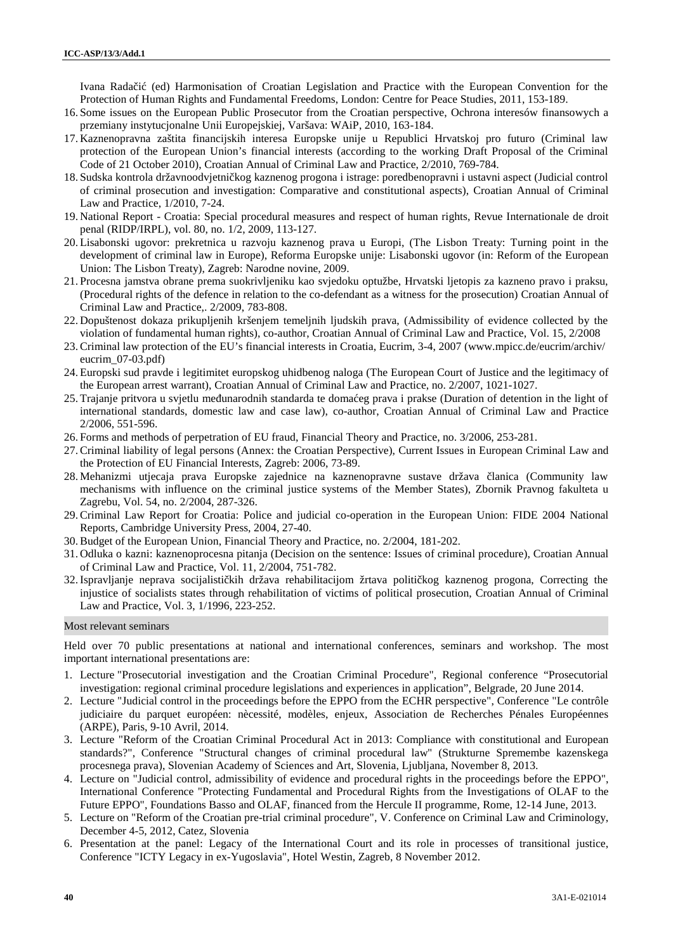Ivana Rada i (ed) Harmonisation of Croatian Legislation and Practice with the European Convention for the Protection of Human Rights and Fundamental Freedoms, London: Centre for Peace Studies, 2011, 153-189.

- 16. Some issues on the European Public Prosecutor from the Croatian perspective, Ochrona interesów finansowych a przemiany instytucjonalne Unii Europejskiej, Varšava: WAiP, 2010, 163-184.
- 17. Kaznenopravna zaštita financijskih interesa Europske unije u Republici Hrvatskoj pro futuro (Criminal law protection of the European Union's financial interests (according to the working Draft Proposal of the Criminal Code of 21 October 2010), Croatian Annual of Criminal Law and Practice, 2/2010, 769-784.
- 18. Sudska kontrola državnoodvjetni kog kaznenog progona i istrage: poredbenopravni i ustavni aspect (Judicial control of criminal prosecution and investigation: Comparative and constitutional aspects), Croatian Annual of Criminal Law and Practice, 1/2010, 7-24.
- 19. National Report Croatia: Special procedural measures and respect of human rights, Revue Internationale de droit penal (RIDP/IRPL), vol. 80, no. 1/2, 2009, 113-127.
- 20. Lisabonski ugovor: prekretnica u razvoju kaznenog prava u Europi, (The Lisbon Treaty: Turning point in the development of criminal law in Europe), Reforma Europske unije: Lisabonski ugovor (in: Reform of the European Union: The Lisbon Treaty), Zagreb: Narodne novine, 2009.
- 21. Procesna jamstva obrane prema suokrivljeniku kao svjedoku optužbe, Hrvatski ljetopis za kazneno pravo i praksu, (Procedural rights of the defence in relation to the co-defendant as a witness for the prosecution) Croatian Annual of Criminal Law and Practice,. 2/2009, 783-808.
- 22. Dopuštenost dokaza prikupljenih kršenjem temeljnih ljudskih prava, (Admissibility of evidence collected by the violation of fundamental human rights), co-author, Croatian Annual of Criminal Law and Practice, Vol. 15, 2/2008
- 23.Criminal law protection of the EU's financial interests in Croatia, Eucrim, 3-4, 2007 (www.mpicc.de/eucrim/archiv/ eucrim\_07-03.pdf)
- 24. Europski sud pravde i legitimitet europskog uhidbenog naloga (The European Court of Justice and the legitimacy of the European arrest warrant), Croatian Annual of Criminal Law and Practice, no. 2/2007, 1021-1027.
- 25. Trajanje pritvora u svjetlu me unarodnih standarda te doma eg prava i prakse (Duration of detention in the light of international standards, domestic law and case law), co-author, Croatian Annual of Criminal Law and Practice 2/2006, 551-596.
- 26. Forms and methods of perpetration of EU fraud, Financial Theory and Practice, no. 3/2006, 253-281.
- 27.Criminal liability of legal persons (Annex: the Croatian Perspective), Current Issues in European Criminal Law and the Protection of EU Financial Interests, Zagreb: 2006, 73-89.
- 28. Mehanizmi utjecaja prava Europske zajednice na kaznenopravne sustave država lanica (Community law mechanisms with influence on the criminal justice systems of the Member States), Zbornik Pravnog fakulteta u Zagrebu, Vol. 54, no. 2/2004, 287-326.
- 29.Criminal Law Report for Croatia: Police and judicial co-operation in the European Union: FIDE 2004 National Reports, Cambridge University Press, 2004, 27-40.
- 30.Budget of the European Union, Financial Theory and Practice, no. 2/2004, 181-202.
- 31. Odluka o kazni: kaznenoprocesna pitanja (Decision on the sentence: Issues of criminal procedure), Croatian Annual of Criminal Law and Practice, Vol. 11, 2/2004, 751-782.
- 32. Ispravljanje neprava socijalisti kih država rehabilitacijom žrtava politi kog kaznenog progona, Correcting the injustice of socialists states through rehabilitation of victims of political prosecution, Croatian Annual of Criminal Law and Practice, Vol. 3, 1/1996, 223-252.

### Most relevant seminars

Held over 70 public presentations at national and international conferences, seminars and workshop. The most important international presentations are:

- 1. Lecture "Prosecutorial investigation and the Croatian Criminal Procedure", Regional conference "Prosecutorial investigation: regional criminal procedure legislations and experiences in application", Belgrade, 20 June 2014.
- 2. Lecture "Judicial control in the proceedings before the EPPO from the ECHR perspective", Conference "Le contrôle judiciaire du parquet européen: nècessité, modèles, enjeux, Association de Recherches Pénales Européennes (ARPE), Paris, 9-10 Avril, 2014.
- 3. Lecture "Reform of the Croatian Criminal Procedural Act in 2013: Compliance with constitutional and European standards?", Conference "Structural changes of criminal procedural law" (Strukturne Spremembe kazenskega procesnega prava), Slovenian Academy of Sciences and Art, Slovenia, Ljubljana, November 8, 2013.
- 4. Lecture on "Judicial control, admissibility of evidence and procedural rights in the proceedings before the EPPO", International Conference "Protecting Fundamental and Procedural Rights from the Investigations of OLAF to the Future EPPO", Foundations Basso and OLAF, financed from the Hercule II programme, Rome, 12-14 June, 2013.
- 5. Lecture on "Reform of the Croatian pre-trial criminal procedure", V. Conference on Criminal Law and Criminology, December 4-5, 2012, Catez, Slovenia
- 6. Presentation at the panel: Legacy of the International Court and its role in processes of transitional justice, Conference "ICTY Legacy in ex-Yugoslavia", Hotel Westin, Zagreb, 8 November 2012.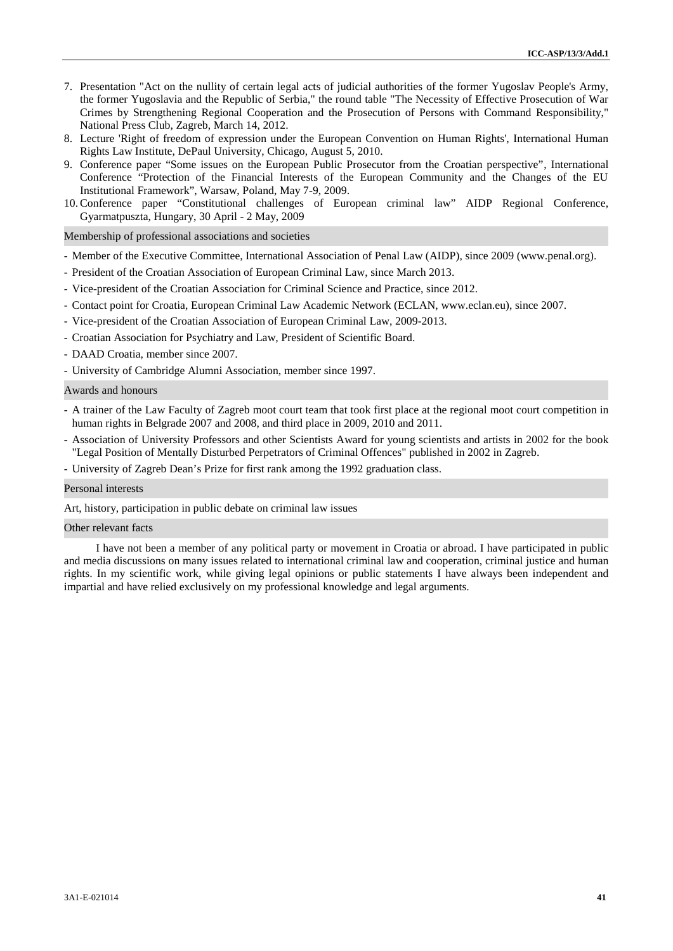- 7. Presentation "Act on the nullity of certain legal acts of judicial authorities of the former Yugoslav People's Army, the former Yugoslavia and the Republic of Serbia," the round table "The Necessity of Effective Prosecution of War Crimes by Strengthening Regional Cooperation and the Prosecution of Persons with Command Responsibility," National Press Club, Zagreb, March 14, 2012.
- 8. Lecture 'Right of freedom of expression under the European Convention on Human Rights', International Human Rights Law Institute, DePaul University, Chicago, August 5, 2010.
- 9. Conference paper "Some issues on the European Public Prosecutor from the Croatian perspective", International Conference "Protection of the Financial Interests of the European Community and the Changes of the EU Institutional Framework", Warsaw, Poland, May 7-9, 2009.
- 10.Conference paper "Constitutional challenges of European criminal law" AIDP Regional Conference, Gyarmatpuszta, Hungary, 30 April - 2 May, 2009

Membership of professional associations and societies

- Member of the Executive Committee, International Association of Penal Law (AIDP), since 2009 (www.penal.org).
- President of the Croatian Association of European Criminal Law, since March 2013.
- Vice-president of the Croatian Association for Criminal Science and Practice, since 2012.
- Contact point for Croatia, European Criminal Law Academic Network (ECLAN, www.eclan.eu), since 2007.
- Vice-president of the Croatian Association of European Criminal Law, 2009-2013.
- Croatian Association for Psychiatry and Law, President of Scientific Board.
- DAAD Croatia, member since 2007.
- University of Cambridge Alumni Association, member since 1997.

# Awards and honours

- A trainer of the Law Faculty of Zagreb moot court team that took first place at the regional moot court competition in human rights in Belgrade 2007 and 2008, and third place in 2009, 2010 and 2011.
- Association of University Professors and other Scientists Award for young scientists and artists in 2002 for the book "Legal Position of Mentally Disturbed Perpetrators of Criminal Offences" published in 2002 in Zagreb.
- University of Zagreb Dean's Prize for first rank among the 1992 graduation class.

#### Personal interests

Art, history, participation in public debate on criminal law issues

#### Other relevant facts

I have not been a member of any political party or movement in Croatia or abroad. I have participated in public and media discussions on many issues related to international criminal law and cooperation, criminal justice and human rights. In my scientific work, while giving legal opinions or public statements I have always been independent and impartial and have relied exclusively on my professional knowledge and legal arguments.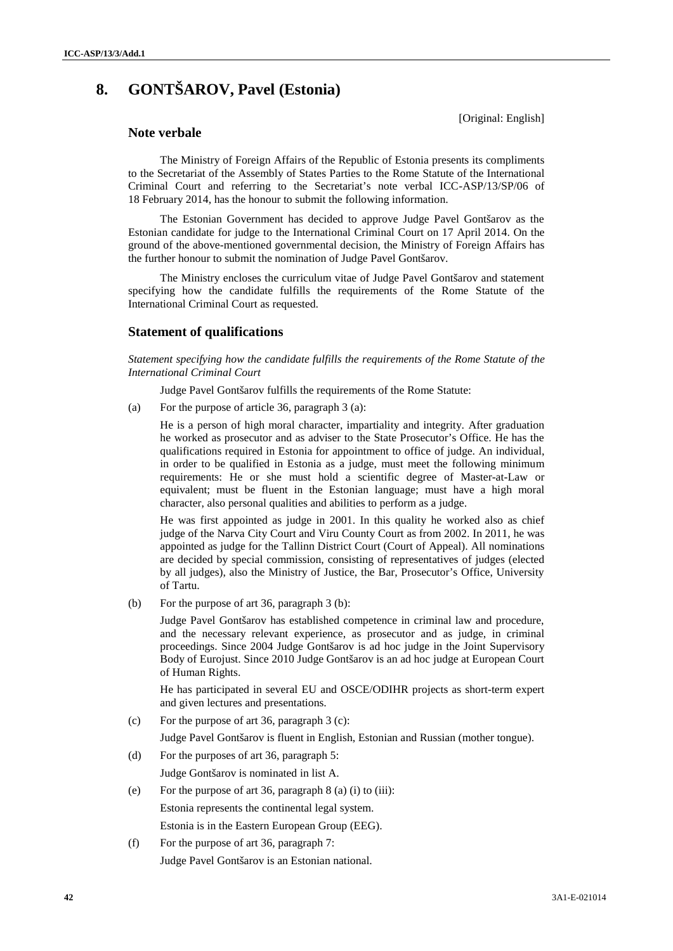# **8. GONTŠAROV, Pavel (Estonia)**

[Original: English]

# **Note verbale**

The Ministry of Foreign Affairs of the Republic of Estonia presents its compliments to the Secretariat of the Assembly of States Parties to the Rome Statute of the International Criminal Court and referring to the Secretariat's note verbal ICC-ASP/13/SP/06 of 18 February 2014, has the honour to submit the following information.

The Estonian Government has decided to approve Judge Pavel Gontšarov as the Estonian candidate for judge to the International Criminal Court on 17 April 2014. On the ground of the above-mentioned governmental decision, the Ministry of Foreign Affairs has the further honour to submit the nomination of Judge Pavel Gontšarov.

The Ministry encloses the curriculum vitae of Judge Pavel Gontšarov and statement specifying how the candidate fulfills the requirements of the Rome Statute of the International Criminal Court as requested.

# **Statement of qualifications**

*Statement specifying how the candidate fulfills the requirements of the Rome Statute of the International Criminal Court*

Judge Pavel Gontšarov fulfills the requirements of the Rome Statute:

(a) For the purpose of article 36, paragraph 3 (a):

He is a person of high moral character, impartiality and integrity. After graduation he worked as prosecutor and as adviser to the State Prosecutor's Office. He has the qualifications required in Estonia for appointment to office of judge. An individual, in order to be qualified in Estonia as a judge, must meet the following minimum requirements: He or she must hold a scientific degree of Master-at-Law or equivalent; must be fluent in the Estonian language; must have a high moral character, also personal qualities and abilities to perform as a judge.

He was first appointed as judge in 2001. In this quality he worked also as chief judge of the Narva City Court and Viru County Court as from 2002. In 2011, he was appointed as judge for the Tallinn District Court (Court of Appeal). All nominations are decided by special commission, consisting of representatives of judges (elected by all judges), also the Ministry of Justice, the Bar, Prosecutor's Office, University of Tartu.

(b) For the purpose of art 36, paragraph 3 (b):

Judge Pavel Gontšarov has established competence in criminal law and procedure, and the necessary relevant experience, as prosecutor and as judge, in criminal proceedings. Since 2004 Judge Gontšarov is ad hoc judge in the Joint Supervisory Body of Eurojust. Since 2010 Judge Gontšarov is an ad hoc judge at European Court of Human Rights.

He has participated in several EU and OSCE/ODIHR projects as short-term expert and given lectures and presentations.

(c) For the purpose of art 36, paragraph 3 (c):

Judge Pavel Gontšarov is fluent in English, Estonian and Russian (mother tongue).

- (d) For the purposes of art 36, paragraph 5: Judge Gontšarov is nominated in list A.
- (e) For the purpose of art 36, paragraph 8 (a) (i) to (iii): Estonia represents the continental legal system. Estonia is in the Eastern European Group (EEG).
- (f) For the purpose of art 36, paragraph 7: Judge Pavel Gontšarov is an Estonian national.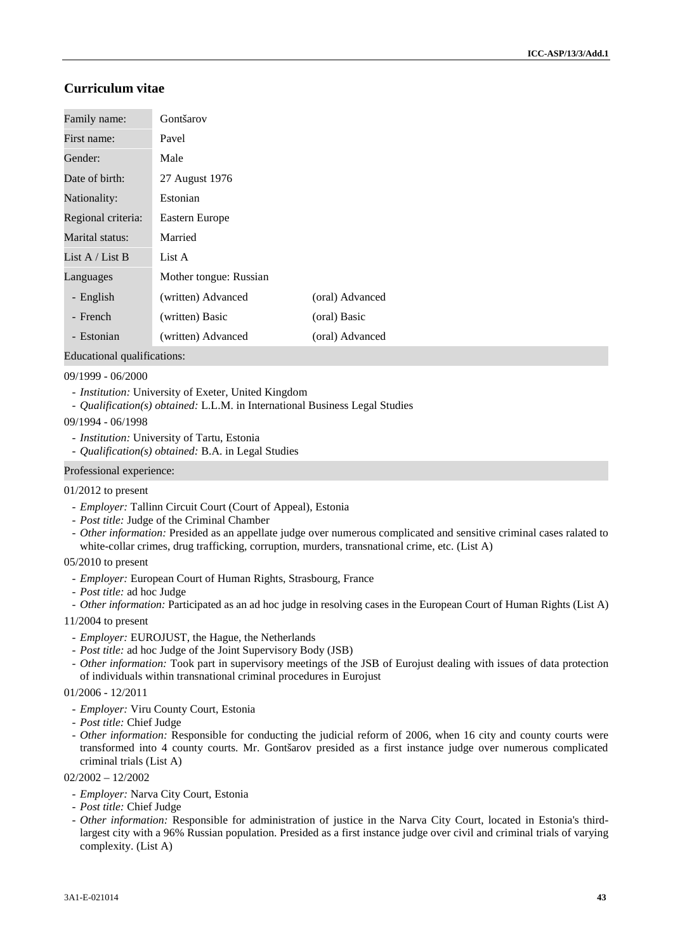# **Curriculum vitae**

| Family name:       | Gontšarov              |                 |
|--------------------|------------------------|-----------------|
| First name:        | Pavel                  |                 |
| Gender:            | Male                   |                 |
| Date of birth:     | 27 August 1976         |                 |
| Nationality:       | Estonian               |                 |
| Regional criteria: | Eastern Europe         |                 |
| Marital status:    | Married                |                 |
| List A / List B    | List A                 |                 |
| Languages          | Mother tongue: Russian |                 |
| - English          | (written) Advanced     | (oral) Advanced |
| - French           | (written) Basic        | (oral) Basic    |
| - Estonian         | (written) Advanced     | (oral) Advanced |

Educational qualifications:

09/1999 - 06/2000

- *Institution:* University of Exeter, United Kingdom
- *Qualification(s) obtained:* L.L.M. in International Business Legal Studies

09/1994 - 06/1998

- *Institution:* University of Tartu, Estonia
- *Qualification(s) obtained:* B.A. in Legal Studies

#### Professional experience:

#### 01/2012 to present

- *Employer:* Tallinn Circuit Court (Court of Appeal), Estonia
- *Post title:* Judge of the Criminal Chamber
- *Other information:* Presided as an appellate judge over numerous complicated and sensitive criminal cases ralated to white-collar crimes, drug trafficking, corruption, murders, transnational crime, etc. (List A)

#### 05/2010 to present

- *Employer:* European Court of Human Rights, Strasbourg, France
- *Post title:* ad hoc Judge
- *Other information:* Participated as an ad hoc judge in resolving cases in the European Court of Human Rights (List A)
- 11/2004 to present
	- *Employer:* EUROJUST, the Hague, the Netherlands
	- *Post title:* ad hoc Judge of the Joint Supervisory Body (JSB)
	- *Other information:* Took part in supervisory meetings of the JSB of Eurojust dealing with issues of data protection of individuals within transnational criminal procedures in Eurojust

#### 01/2006 - 12/2011

- *Employer:* Viru County Court, Estonia
- *Post title:* Chief Judge
- *Other information:* Responsible for conducting the judicial reform of 2006, when 16 city and county courts were transformed into 4 county courts. Mr. Gontšarov presided as a first instance judge over numerous complicated criminal trials (List A)

02/2002 – 12/2002

- *Employer:* Narva City Court, Estonia
- *Post title:* Chief Judge
- *Other information:* Responsible for administration of justice in the Narva City Court, located in Estonia's thirdlargest city with a 96% Russian population. Presided as a first instance judge over civil and criminal trials of varying complexity. (List A)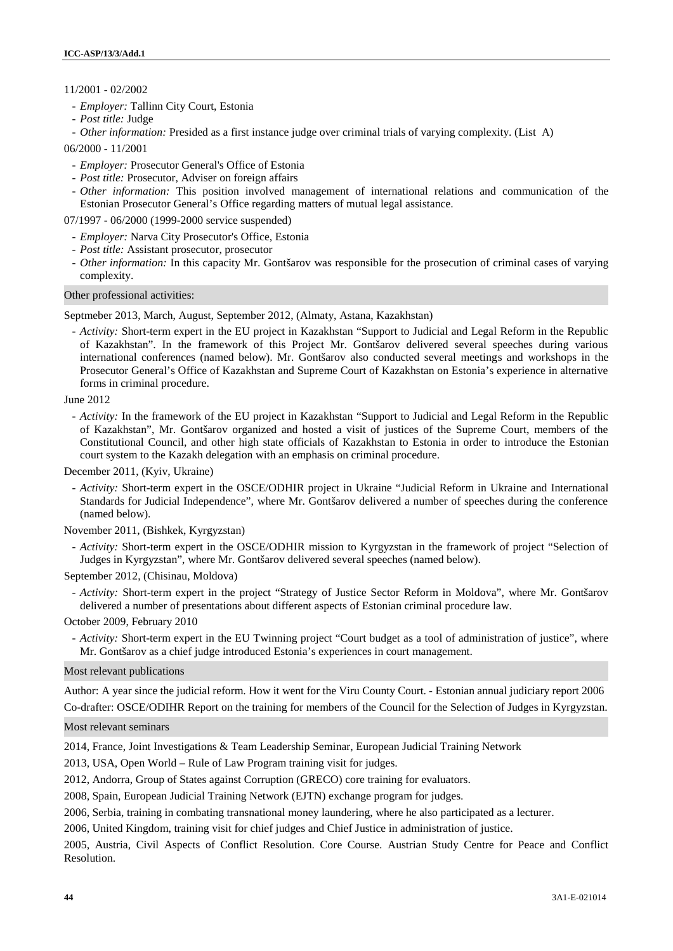## 11/2001 - 02/2002

- *Employer:* Tallinn City Court, Estonia
- *Post title:* Judge
- *Other information:* Presided as a first instance judge over criminal trials of varying complexity. (List A)
- 06/2000 11/2001
	- *Employer:* Prosecutor General's Office of Estonia
	- *Post title:* Prosecutor, Adviser on foreign affairs
	- *Other information:* This position involved management of international relations and communication of the Estonian Prosecutor General's Office regarding matters of mutual legal assistance.

07/1997 - 06/2000 (1999-2000 service suspended)

- *Employer:* Narva City Prosecutor's Office, Estonia
- *Post title:* Assistant prosecutor, prosecutor
- *Other information:* In this capacity Mr. Gontšarov was responsible for the prosecution of criminal cases of varying complexity.

## Other professional activities:

Septmeber 2013, March, August, September 2012, (Almaty, Astana, Kazakhstan)

- *Activity:* Short-term expert in the EU project in Kazakhstan "Support to Judicial and Legal Reform in the Republic of Kazakhstan". In the framework of this Project Mr. Gontšarov delivered several speeches during various international conferences (named below). Mr. Gontšarov also conducted several meetings and workshops in the Prosecutor General's Office of Kazakhstan and Supreme Court of Kazakhstan on Estonia's experience in alternative forms in criminal procedure.

#### June 2012

- *Activity:* In the framework of the EU project in Kazakhstan "Support to Judicial and Legal Reform in the Republic of Kazakhstan", Mr. Gontšarov organized and hosted a visit of justices of the Supreme Court, members of the Constitutional Council, and other high state officials of Kazakhstan to Estonia in order to introduce the Estonian court system to the Kazakh delegation with an emphasis on criminal procedure.

December 2011, (Kyiv, Ukraine)

- *Activity:* Short-term expert in the OSCE/ODHIR project in Ukraine "Judicial Reform in Ukraine and International Standards for Judicial Independence", where Mr. Gontšarov delivered a number of speeches during the conference (named below).

#### November 2011, (Bishkek, Kyrgyzstan)

- *Activity:* Short-term expert in the OSCE/ODHIR mission to Kyrgyzstan in the framework of project "Selection of Judges in Kyrgyzstan", where Mr. Gontšarov delivered several speeches (named below).

September 2012, (Chisinau, Moldova)

- *Activity:* Short-term expert in the project "Strategy of Justice Sector Reform in Moldova", where Mr. Gontšarov delivered a number of presentations about different aspects of Estonian criminal procedure law.

October 2009, February 2010

- *Activity:* Short-term expert in the EU Twinning project "Court budget as a tool of administration of justice", where Mr. Gontšarov as a chief judge introduced Estonia's experiences in court management.

#### Most relevant publications

Author: A year since the judicial reform. How it went for the Viru County Court. - Estonian annual judiciary report 2006 Co-drafter: OSCE/ODIHR Report on the training for members of the Council for the Selection of Judges in Kyrgyzstan.

#### Most relevant seminars

2014, France, Joint Investigations & Team Leadership Seminar, European Judicial Training Network

2013, USA, Open World – Rule of Law Program training visit for judges.

2012, Andorra, Group of States against Corruption (GRECO) core training for evaluators.

2008, Spain, European Judicial Training Network (EJTN) exchange program for judges.

2006, Serbia, training in combating transnational money laundering, where he also participated as a lecturer.

2006, United Kingdom, training visit for chief judges and Chief Justice in administration of justice.

2005, Austria, Civil Aspects of Conflict Resolution. Core Course. Austrian Study Centre for Peace and Conflict Resolution.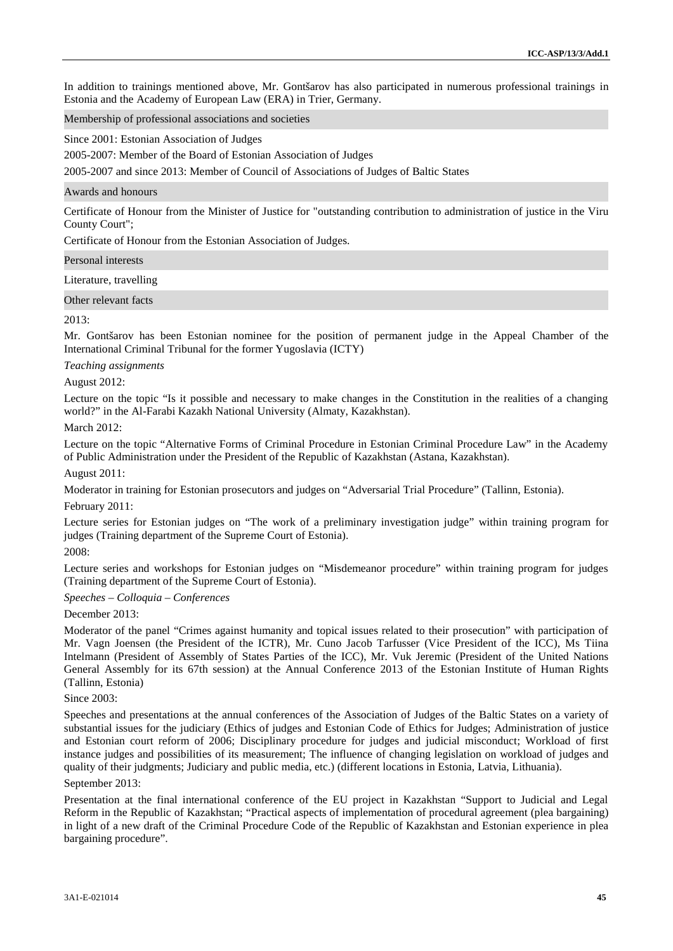In addition to trainings mentioned above, Mr. Gontšarov has also participated in numerous professional trainings in Estonia and the Academy of European Law (ERA) in Trier, Germany.

Membership of professional associations and societies

Since 2001: Estonian Association of Judges

2005-2007: Member of the Board of Estonian Association of Judges

2005-2007 and since 2013: Member of Council of Associations of Judges of Baltic States

#### Awards and honours

Certificate of Honour from the Minister of Justice for "outstanding contribution to administration of justice in the Viru County Court";

Certificate of Honour from the Estonian Association of Judges.

#### Personal interests

Literature, travelling

#### Other relevant facts

#### $2013$

Mr. Gontšarov has been Estonian nominee for the position of permanent judge in the Appeal Chamber of the International Criminal Tribunal for the former Yugoslavia (ICTY)

#### *Teaching assignments*

August 2012:

Lecture on the topic "Is it possible and necessary to make changes in the Constitution in the realities of a changing world?" in the Al-Farabi Kazakh National University (Almaty, Kazakhstan).

#### March 2012:

Lecture on the topic "Alternative Forms of Criminal Procedure in Estonian Criminal Procedure Law" in the Academy of Public Administration under the President of the Republic of Kazakhstan (Astana, Kazakhstan).

August 2011:

Moderator in training for Estonian prosecutors and judges on "Adversarial Trial Procedure" (Tallinn, Estonia).

#### February 2011:

Lecture series for Estonian judges on "The work of a preliminary investigation judge" within training program for judges (Training department of the Supreme Court of Estonia).

# 2008:

Lecture series and workshops for Estonian judges on "Misdemeanor procedure" within training program for judges (Training department of the Supreme Court of Estonia).

#### *Speeches – Colloquia – Conferences*

December 2013:

Moderator of the panel "Crimes against humanity and topical issues related to their prosecution" with participation of Mr. Vagn Joensen (the President of the ICTR), Mr. Cuno Jacob Tarfusser (Vice President of the ICC), Ms Tiina Intelmann (President of Assembly of States Parties of the ICC), Mr. Vuk Jeremic (President of the United Nations General Assembly for its 67th session) at the Annual Conference 2013 of the Estonian Institute of Human Rights (Tallinn, Estonia)

#### Since 2003:

Speeches and presentations at the annual conferences of the Association of Judges of the Baltic States on a variety of substantial issues for the judiciary (Ethics of judges and Estonian Code of Ethics for Judges; Administration of justice and Estonian court reform of 2006; Disciplinary procedure for judges and judicial misconduct; Workload of first instance judges and possibilities of its measurement; The influence of changing legislation on workload of judges and quality of their judgments; Judiciary and public media, etc.) (different locations in Estonia, Latvia, Lithuania).

# September 2013:

Presentation at the final international conference of the EU project in Kazakhstan "Support to Judicial and Legal Reform in the Republic of Kazakhstan; "Practical aspects of implementation of procedural agreement (plea bargaining) in light of a new draft of the Criminal Procedure Code of the Republic of Kazakhstan and Estonian experience in plea bargaining procedure".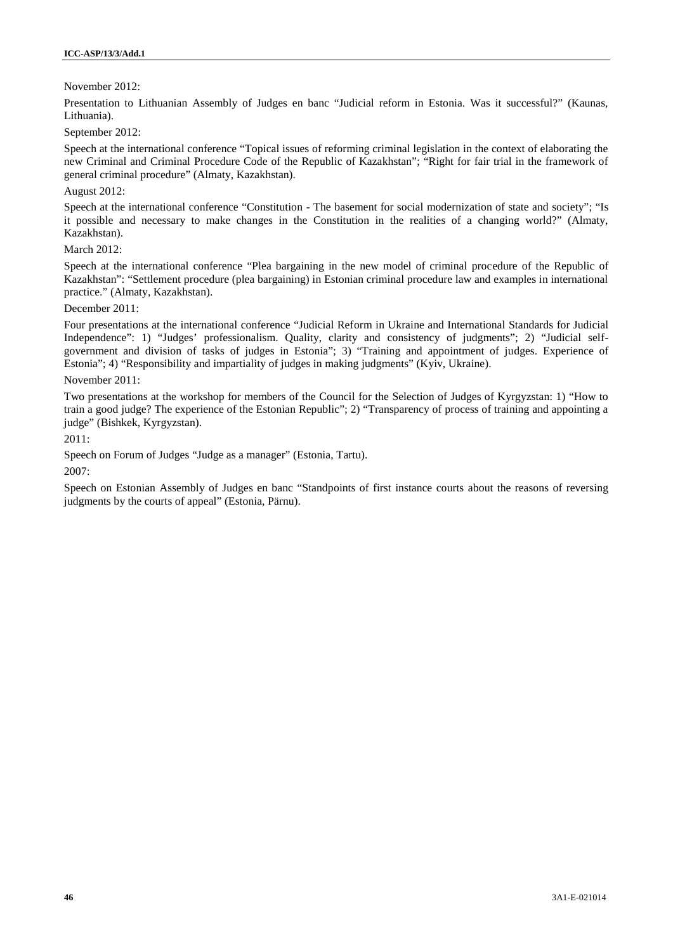# November 2012:

Presentation to Lithuanian Assembly of Judges en banc "Judicial reform in Estonia. Was it successful?" (Kaunas, Lithuania).

September 2012:

Speech at the international conference "Topical issues of reforming criminal legislation in the context of elaborating the new Criminal and Criminal Procedure Code of the Republic of Kazakhstan"; "Right for fair trial in the framework of general criminal procedure" (Almaty, Kazakhstan).

## August 2012:

Speech at the international conference "Constitution - The basement for social modernization of state and society"; "Is it possible and necessary to make changes in the Constitution in the realities of a changing world?" (Almaty, Kazakhstan).

## March 2012:

Speech at the international conference "Plea bargaining in the new model of criminal procedure of the Republic of Kazakhstan": "Settlement procedure (plea bargaining) in Estonian criminal procedure law and examples in international practice." (Almaty, Kazakhstan).

## December 2011:

Four presentations at the international conference "Judicial Reform in Ukraine and International Standards for Judicial Independence": 1) "Judges' professionalism. Quality, clarity and consistency of judgments"; 2) "Judicial self government and division of tasks of judges in Estonia"; 3) "Training and appointment of judges. Experience of Estonia"; 4) "Responsibility and impartiality of judges in making judgments" (Kyiv, Ukraine).

## November 2011:

Two presentations at the workshop for members of the Council for the Selection of Judges of Kyrgyzstan: 1) "How to train a good judge? The experience of the Estonian Republic"; 2) "Transparency of process of training and appointing a judge" (Bishkek, Kyrgyzstan).

2011:

Speech on Forum of Judges "Judge as a manager" (Estonia, Tartu).

2007:

Speech on Estonian Assembly of Judges en banc "Standpoints of first instance courts about the reasons of reversing judgments by the courts of appeal" (Estonia, Pärnu).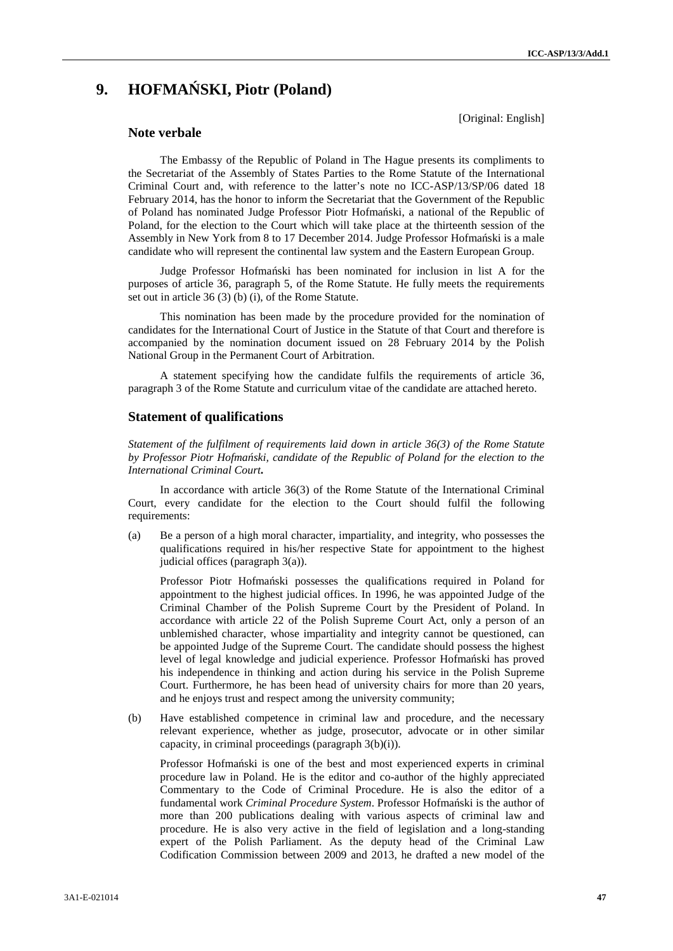[Original: English]

# **9. HOFMA SKI**, Piotr **(Poland)**

## **Note verbale**

The Embassy of the Republic of Poland in The Hague presents its compliments to the Secretariat of the Assembly of States Parties to the Rome Statute of the International Criminal Court and, with reference to the latter's note no ICC-ASP/13/SP/06 dated 18 February 2014, has the honor to inform the Secretariat that the Government of the Republic of Poland has nominated Judge Professor Piotr Hofmański, a national of the Republic of Poland, for the election to the Court which will take place at the thirteenth session of the Assembly in New York from 8 to 17 December 2014. Judge Professor Hofma ski is a male candidate who will represent the continental law system and the Eastern European Group.

Judge Professor Hofma ski has been nominated for inclusion in list A for the purposes of article 36, paragraph 5, of the Rome Statute. He fully meets the requirements set out in article 36 (3) (b) (i), of the Rome Statute.

This nomination has been made by the procedure provided for the nomination of candidates for the International Court of Justice in the Statute of that Court and therefore is accompanied by the nomination document issued on 28 February 2014 by the Polish National Group in the Permanent Court of Arbitration.

A statement specifying how the candidate fulfils the requirements of article 36, paragraph 3 of the Rome Statute and curriculum vitae of the candidate are attached hereto.

# **Statement of qualifications**

*Statement of the fulfilment of requirements laid down in article 36(3) of the Rome Statute* by Professor Piotr Hofma ski, candidate of the Republic of Poland for the election to the *International Criminal Court***.**

In accordance with article 36(3) of the Rome Statute of the International Criminal Court, every candidate for the election to the Court should fulfil the following requirements:

(a) Be a person of a high moral character, impartiality, and integrity, who possesses the qualifications required in his/her respective State for appointment to the highest judicial offices (paragraph 3(a)).

Professor Piotr Hofma ski possesses the qualifications required in Poland for appointment to the highest judicial offices. In 1996, he was appointed Judge of the Criminal Chamber of the Polish Supreme Court by the President of Poland. In accordance with article 22 of the Polish Supreme Court Act, only a person of an unblemished character, whose impartiality and integrity cannot be questioned, can be appointed Judge of the Supreme Court. The candidate should possess the highest level of legal knowledge and judicial experience. Professor Hofma ski has proved his independence in thinking and action during his service in the Polish Supreme Court. Furthermore, he has been head of university chairs for more than 20 years, and he enjoys trust and respect among the university community;

(b) Have established competence in criminal law and procedure, and the necessary relevant experience, whether as judge, prosecutor, advocate or in other similar capacity, in criminal proceedings (paragraph 3(b)(i)).

Professor Hofma ski is one of the best and most experienced experts in criminal procedure law in Poland. He is the editor and co-author of the highly appreciated Commentary to the Code of Criminal Procedure. He is also the editor of a fundamental work *Criminal Procedure System*. Professor Hofmański is the author of more than 200 publications dealing with various aspects of criminal law and procedure. He is also very active in the field of legislation and a long-standing expert of the Polish Parliament. As the deputy head of the Criminal Law Codification Commission between 2009 and 2013, he drafted a new model of the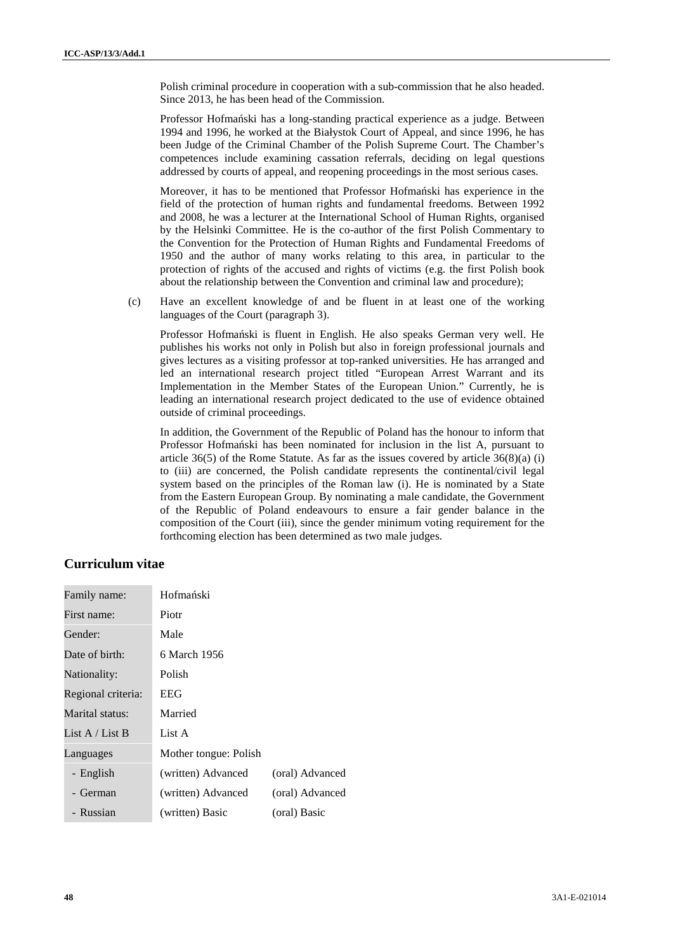Polish criminal procedure in cooperation with a sub-commission that he also headed. Since 2013, he has been head of the Commission.

Professor Hofma ski has a long-standing practical experience as a judge. Between 1994 and 1996, he worked at the Białystok Court of Appeal, and since 1996, he has been Judge of the Criminal Chamber of the Polish Supreme Court. The Chamber's competences include examining cassation referrals, deciding on legal questions addressed by courts of appeal, and reopening proceedings in the most serious cases.

Moreover, it has to be mentioned that Professor Hofma ski has experience in the field of the protection of human rights and fundamental freedoms. Between 1992 and 2008, he was a lecturer at the International School of Human Rights, organised by the Helsinki Committee. He is the co-author of the first Polish Commentary to the Convention for the Protection of Human Rights and Fundamental Freedoms of 1950 and the author of many works relating to this area, in particular to the protection of rights of the accused and rights of victims (e.g. the first Polish book about the relationship between the Convention and criminal law and procedure);

(c) Have an excellent knowledge of and be fluent in at least one of the working languages of the Court (paragraph 3).

Professor Hofma ski is fluent in English. He also speaks German very well. He publishes his works not only in Polish but also in foreign professional journals and gives lectures as a visiting professor at top-ranked universities. He has arranged and led an international research project titled "European Arrest Warrant and its Implementation in the Member States of the European Union." Currently, he is leading an international research project dedicated to the use of evidence obtained outside of criminal proceedings.

In addition, the Government of the Republic of Poland has the honour to inform that Professor Hofma ski has been nominated for inclusion in the list A, pursuant to article  $36(5)$  of the Rome Statute. As far as the issues covered by article  $36(8)(a)$  (i) to (iii) are concerned, the Polish candidate represents the continental/civil legal system based on the principles of the Roman law (i). He is nominated by a State from the Eastern European Group. By nominating a male candidate, the Government of the Republic of Poland endeavours to ensure a fair gender balance in the composition of the Court (iii), since the gender minimum voting requirement for the forthcoming election has been determined as two male judges.

# **Curriculum vitae**

| Family name:       | Hofma ski             |                 |
|--------------------|-----------------------|-----------------|
| First name:        | Piotr                 |                 |
| Gender:            | Male                  |                 |
| Date of birth:     | 6 March 1956          |                 |
| Nationality:       | Polish                |                 |
| Regional criteria: | EEG                   |                 |
| Marital status:    | Married               |                 |
| List A / List B    | List A                |                 |
| Languages          | Mother tongue: Polish |                 |
| - English          | (written) Advanced    | (oral) Advanced |
| - German           | (written) Advanced    | (oral) Advanced |
| - Russian          | (written) Basic       | (oral) Basic    |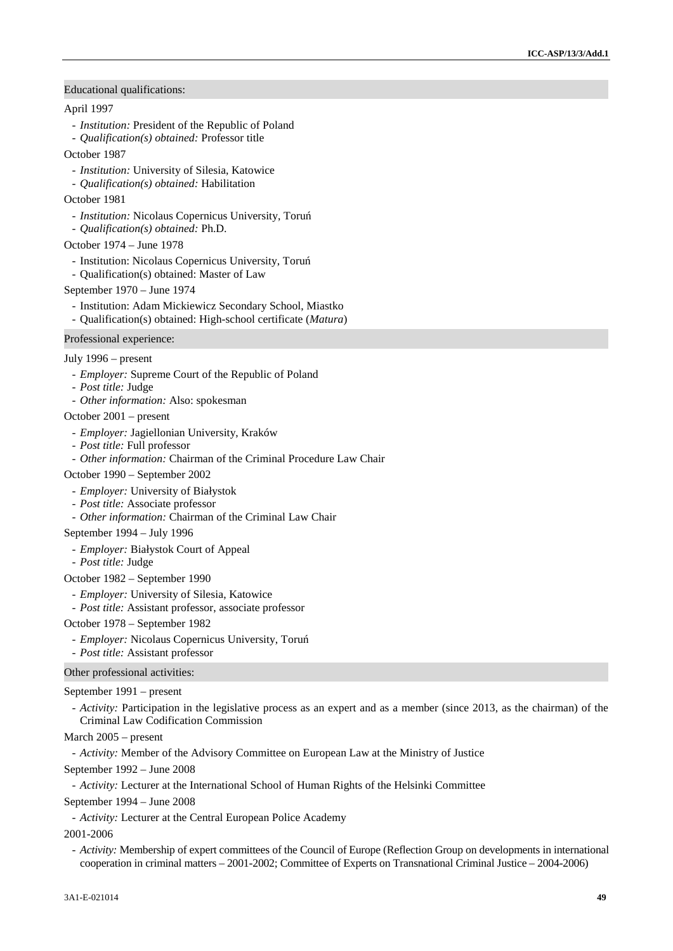#### Educational qualifications:

#### April 1997

- *Institution:* President of the Republic of Poland
- *Qualification(s) obtained:* Professor title
- October 1987
	- *Institution:* University of Silesia, Katowice
	- *Qualification(s) obtained:* Habilitation

#### October 1981

- *Institution:* Nicolaus Copernicus University, Toru
- *Qualification(s) obtained:* Ph.D.
- October 1974 June 1978
	- Institution: Nicolaus Copernicus University, Toru
- Qualification(s) obtained: Master of Law
- September 1970 June 1974
	- Institution: Adam Mickiewicz Secondary School, Miastko
	- Qualification(s) obtained: High-school certificate (*Matura*)

#### Professional experience:

## July 1996 – present

- *Employer:* Supreme Court of the Republic of Poland
- *Post title:* Judge
- *Other information:* Also: spokesman

# October 2001 – present

- *Employer:* Jagiellonian University, Kraków
- *Post title:* Full professor
- *Other information:* Chairman of the Criminal Procedure Law Chair

October 1990 – September 2002

- *Employer:* University of Białystok
- *Post title:* Associate professor
- *Other information:* Chairman of the Criminal Law Chair
- September 1994 July 1996
	- *Employer:* Białystok Court of Appeal
	- *Post title:* Judge

#### October 1982 – September 1990

- *Employer:* University of Silesia, Katowice
- *Post title:* Assistant professor, associate professor

#### October 1978 – September 1982

- *Employer:* Nicolaus Copernicus University, Toru
- *Post title:* Assistant professor

#### Other professional activities:

#### September 1991 – present

- *Activity:* Participation in the legislative process as an expert and as a member (since 2013, as the chairman) of the Criminal Law Codification Commission

#### March 2005 – present

- *Activity:* Member of the Advisory Committee on European Law at the Ministry of Justice

September 1992 – June 2008

- *Activity:* Lecturer at the International School of Human Rights of the Helsinki Committee

September 1994 – June 2008

- *Activity:* Lecturer at the Central European Police Academy

2001-2006

- *Activity:* Membership of expert committees of the Council of Europe (Reflection Group on developments in international cooperation in criminal matters – 2001-2002; Committee of Experts on Transnational Criminal Justice – 2004-2006)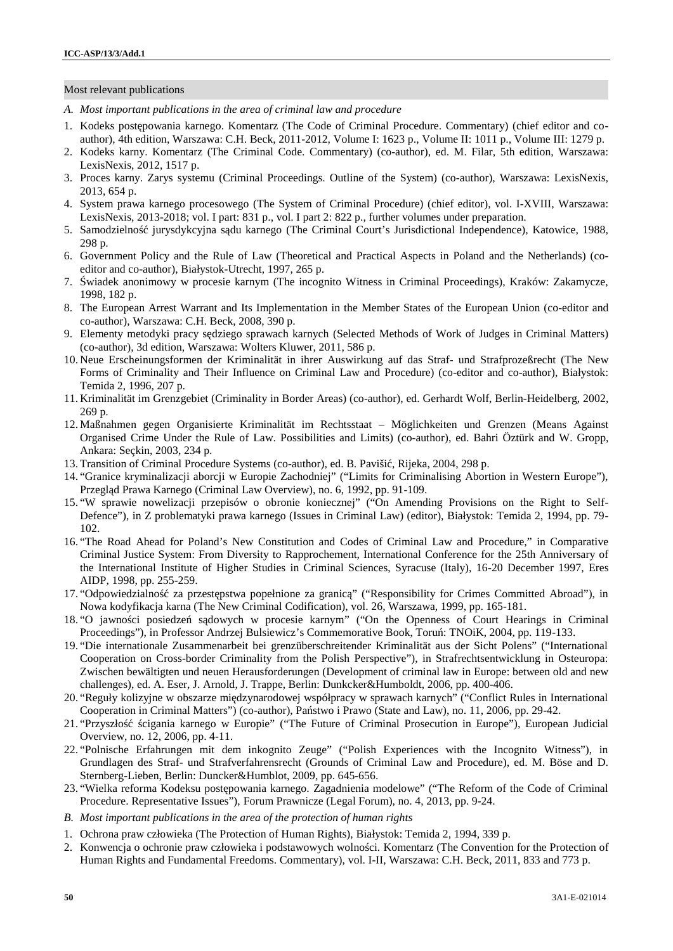#### Most relevant publications

- *A. Most important publications in the area of criminal law and procedure*
- 1. Kodeks postępowania karnego. Komentarz (The Code of Criminal Procedure. Commentary) (chief editor and co author), 4th edition, Warszawa: C.H. Beck, 2011-2012, Volume I: 1623 p., Volume II: 1011 p., Volume III: 1279 p.
- 2. Kodeks karny. Komentarz (The Criminal Code. Commentary) (co-author), ed. M. Filar, 5th edition, Warszawa: LexisNexis, 2012, 1517 p.
- 3. Proces karny. Zarys systemu (Criminal Proceedings. Outline of the System) (co-author), Warszawa: LexisNexis, 2013, 654 p.
- 4. System prawa karnego procesowego (The System of Criminal Procedure) (chief editor), vol. I-XVIII, Warszawa: LexisNexis, 2013-2018; vol. I part: 831 p., vol. I part 2: 822 p., further volumes under preparation.
- 5. Samodzielno jurysdykcyjna s du karnego (The Criminal Court's Jurisdictional Independence), Katowice, 1988, 298 p.
- 6. Government Policy and the Rule of Law (Theoretical and Practical Aspects in Poland and the Netherlands) (co editor and co-author), Białystok-Utrecht, 1997, 265 p.
- 7. wiadek anonimowy w procesie karnym (The incognito Witness in Criminal Proceedings), Kraków: Zakamycze, 1998, 182 p.
- 8. The European Arrest Warrant and Its Implementation in the Member States of the European Union (co-editor and co-author), Warszawa: C.H. Beck, 2008, 390 p.
- 9. Elementy metodyki pracy s dziego sprawach karnych (Selected Methods of Work of Judges in Criminal Matters) (co-author), 3d edition, Warszawa: Wolters Kluwer, 2011, 586 p.
- 10. Neue Erscheinungsformen der Kriminalität in ihrer Auswirkung auf das Straf- und Strafprozeßrecht (The New Forms of Criminality and Their Influence on Criminal Law and Procedure) (co-editor and co-author), Białystok: Temida 2, 1996, 207 p.
- 11. Kriminalität im Grenzgebiet (Criminality in Border Areas) (co-author), ed. Gerhardt Wolf, Berlin-Heidelberg, 2002, 269 p.
- 12. Maßnahmen gegen Organisierte Kriminalität im Rechtsstaat Möglichkeiten und Grenzen (Means Against Organised Crime Under the Rule of Law. Possibilities and Limits) (co-author), ed. Bahri Öztürk and W. Gropp, Ankara: Seçkin, 2003, 234 p.
- 13. Transition of Criminal Procedure Systems (co-author), ed. B. Paviši, Rijeka, 2004, 298 p.
- 14. "Granice kryminalizacji aborcji w Europie Zachodniej" ("Limits for Criminalising Abortion in Western Europe"), Przegl d Prawa Karnego (Criminal Law Overview), no. 6, 1992, pp. 91-109.
- 15. "W sprawie nowelizacji przepisów o obronie koniecznej" ("On Amending Provisions on the Right to Self- Defence"), in Z problematyki prawa karnego (Issues in Criminal Law) (editor), Białystok: Temida 2, 1994, pp. 79- 102.
- 16. "The Road Ahead for Poland's New Constitution and Codes of Criminal Law and Procedure," in Comparative Criminal Justice System: From Diversity to Rapprochement, International Conference for the 25th Anniversary of the International Institute of Higher Studies in Criminal Sciences, Syracuse (Italy), 16-20 December 1997, Eres AIDP, 1998, pp. 255-259.
- 17. "Odpowiedzialno za przest pstwa popełnione za granic<sup>y</sup> ("Responsibility for Crimes Committed Abroad"), in Nowa kodyfikacja karna (The New Criminal Codification), vol. 26, Warszawa, 1999, pp. 165-181.
- 18. "O jawno ci posiedze s dowych w procesie karnym" ("On the Openness of Court Hearings in Criminal Proceedings"), in Professor Andrzej Bulsiewicz's Commemorative Book, Toru : TNOiK, 2004, pp. 119-133.
- 19. "Die internationale Zusammenarbeit bei grenzüberschreitender Kriminalität aus der Sicht Polens" ("International Cooperation on Cross-border Criminality from the Polish Perspective"), in Strafrechtsentwicklung in Osteuropa: Zwischen bewältigten und neuen Herausforderungen (Development of criminal law in Europe: between old and new challenges), ed. A. Eser, J. Arnold, J. Trappe, Berlin: Dunkcker&Humboldt, 2006, pp. 400-406.
- 20. "Reguły kolizyjne w obszarze mi dzynarodowej współpracy w sprawach karnych" ("Conflict Rules in International Cooperation in Criminal Matters") (co-author), Pa stwo i Prawo (State and Law), no. 11, 2006, pp. 29-42.
- 21. "Przyszło cigania karnego w Europie" ("The Future of Criminal Prosecution in Europe"), European Judicial Overview, no. 12, 2006, pp. 4-11.
- 22. "Polnische Erfahrungen mit dem inkognito Zeuge" ("Polish Experiences with the Incognito Witness"), in Grundlagen des Straf- und Strafverfahrensrecht (Grounds of Criminal Law and Procedure), ed. M. Böse and D. Sternberg-Lieben, Berlin: Duncker&Humblot, 2009, pp. 645-656.
- 23. "Wielka reforma Kodeksu postępowania karnego. Zagadnienia modelowe" ("The Reform of the Code of Criminal Procedure. Representative Issues"), Forum Prawnicze (Legal Forum), no. 4, 2013, pp. 9-24.
- *B. Most important publications in the area of the protection of human rights*
- 1. Ochrona praw człowieka (The Protection of Human Rights), Białystok: Temida 2, 1994, 339 p.
- 2. Konwencja o ochronie praw człowieka i podstawowych wolno ci. Komentarz (The Convention for the Protection of Human Rights and Fundamental Freedoms. Commentary), vol. I-II, Warszawa: C.H. Beck, 2011, 833 and 773 p.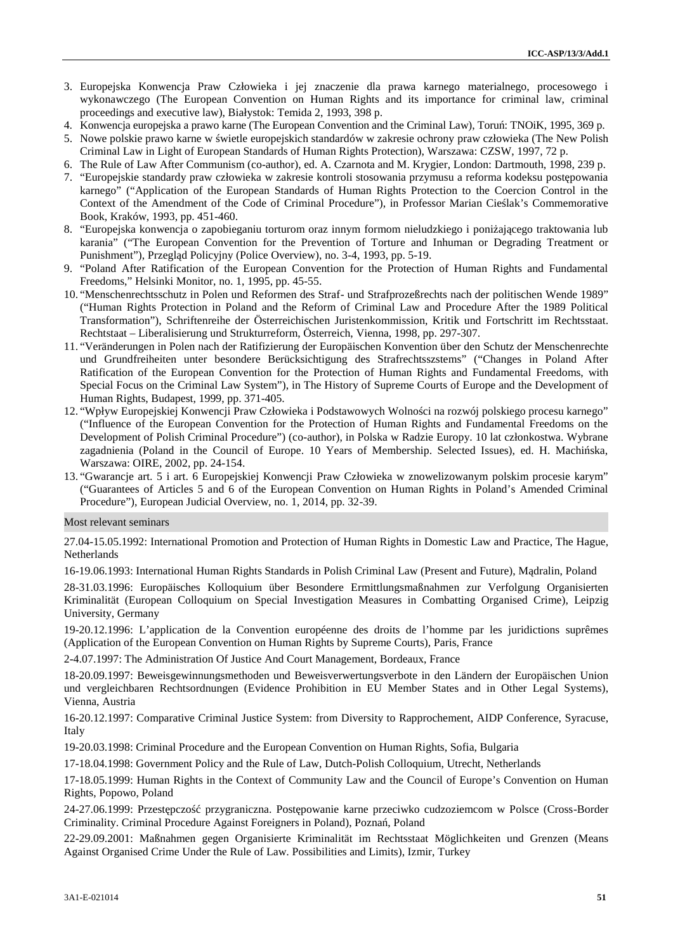- 3. Europejska Konwencja Praw Człowieka i jej znaczenie dla prawa karnego materialnego, procesowego i wykonawczego (The European Convention on Human Rights and its importance for criminal law, criminal proceedings and executive law), Białystok: Temida 2, 1993, 398 p.
- 4. Konwencja europejska a prawo karne (The European Convention and the Criminal Law), Toru: TNOiK, 1995, 369 p.
- 5. Nowe polskie prawo karne w wietle europejskich standardów w zakresie ochrony praw człowieka (The New Polish Criminal Law in Light of European Standards of Human Rights Protection), Warszawa: CZSW, 1997, 72 p.
- 6. The Rule of Law After Communism (co-author), ed. A. Czarnota and M. Krygier, London: Dartmouth, 1998, 239 p.
- 7. "Europejskie standardy praw człowieka w zakresie kontroli stosowania przymusu a reforma kodeksu postępowania karnego" ("Application of the European Standards of Human Rights Protection to the Coercion Control in the Context of the Amendment of the Code of Criminal Procedure"), in Professor Marian Cie lak's Commemorative Book, Kraków, 1993, pp. 451-460.
- 8. "Europejska konwencja o zapobieganiu torturom oraz innym formom nieludzkiego i poni aj cego traktowania lub karania" ("The European Convention for the Prevention of Torture and Inhuman or Degrading Treatment or Punishment"), Przegl d Policyjny (Police Overview), no. 3-4, 1993, pp. 5-19.
- 9. "Poland After Ratification of the European Convention for the Protection of Human Rights and Fundamental Freedoms," Helsinki Monitor, no. 1, 1995, pp. 45-55.
- 10. "Menschenrechtsschutz in Polen und Reformen des Straf- und Strafprozeßrechts nach der politischen Wende 1989" ("Human Rights Protection in Poland and the Reform of Criminal Law and Procedure After the 1989 Political Transformation"), Schriftenreihe der Österreichischen Juristenkommission, Kritik und Fortschritt im Rechtsstaat. Rechtstaat – Liberalisierung und Strukturreform, Österreich, Vienna, 1998, pp. 297-307.
- 11. "Veränderungen in Polen nach der Ratifizierung der Europäischen Konvention über den Schutz der Menschenrechte und Grundfreiheiten unter besondere Berücksichtigung des Strafrechtsszstems" ("Changes in Poland After Ratification of the European Convention for the Protection of Human Rights and Fundamental Freedoms, with Special Focus on the Criminal Law System"), in The History of Supreme Courts of Europe and the Development of Human Rights, Budapest, 1999, pp. 371-405.
- 12. "Wpływ Europejskiej Konwencji Praw Człowieka i Podstawowych Wolno ci na rozwój polskiego procesu karnego" ("Influence of the European Convention for the Protection of Human Rights and Fundamental Freedoms on the Development of Polish Criminal Procedure") (co-author), in Polska w Radzie Europy. 10 lat członkostwa. Wybrane zagadnienia (Poland in the Council of Europe. 10 Years of Membership. Selected Issues), ed. H. Machi ska, Warszawa: OIRE, 2002, pp. 24-154.
- 13. "Gwarancje art. 5 i art. 6 Europejskiej Konwencji Praw Człowieka w znowelizowanym polskim procesie karym" ("Guarantees of Articles 5 and 6 of the European Convention on Human Rights in Poland's Amended Criminal Procedure"), European Judicial Overview, no. 1, 2014, pp. 32-39.

#### Most relevant seminars

27.04-15.05.1992: International Promotion and Protection of Human Rights in Domestic Law and Practice, The Hague, **Netherlands** 

16-19.06.1993: International Human Rights Standards in Polish Criminal Law (Present and Future), M dralin, Poland

28-31.03.1996: Europäisches Kolloquium über Besondere Ermittlungsmaßnahmen zur Verfolgung Organisierten Kriminalität (European Colloquium on Special Investigation Measures in Combatting Organised Crime), Leipzig University, Germany

19-20.12.1996: L'application de la Convention européenne des droits de l'homme par les juridictions suprêmes (Application of the European Convention on Human Rights by Supreme Courts), Paris, France

2-4.07.1997: The Administration Of Justice And Court Management, Bordeaux, France

18-20.09.1997: Beweisgewinnungsmethoden und Beweisverwertungsverbote in den Ländern der Europäischen Union und vergleichbaren Rechtsordnungen (Evidence Prohibition in EU Member States and in Other Legal Systems), Vienna, Austria

16-20.12.1997: Comparative Criminal Justice System: from Diversity to Rapprochement, AIDP Conference, Syracuse, Italy

19-20.03.1998: Criminal Procedure and the European Convention on Human Rights, Sofia, Bulgaria

17-18.04.1998: Government Policy and the Rule of Law, Dutch-Polish Colloquium, Utrecht, Netherlands

17-18.05.1999: Human Rights in the Context of Community Law and the Council of Europe's Convention on Human Rights, Popowo, Poland

24-27.06.1999: Przest pczo przygraniczna. Post powanie karne przeciwko cudzoziemcom w Polsce (Cross-Border Criminality. Criminal Procedure Against Foreigners in Poland), Pozna, Poland

22-29.09.2001: Maßnahmen gegen Organisierte Kriminalität im Rechtsstaat Möglichkeiten und Grenzen (Means Against Organised Crime Under the Rule of Law. Possibilities and Limits), Izmir, Turkey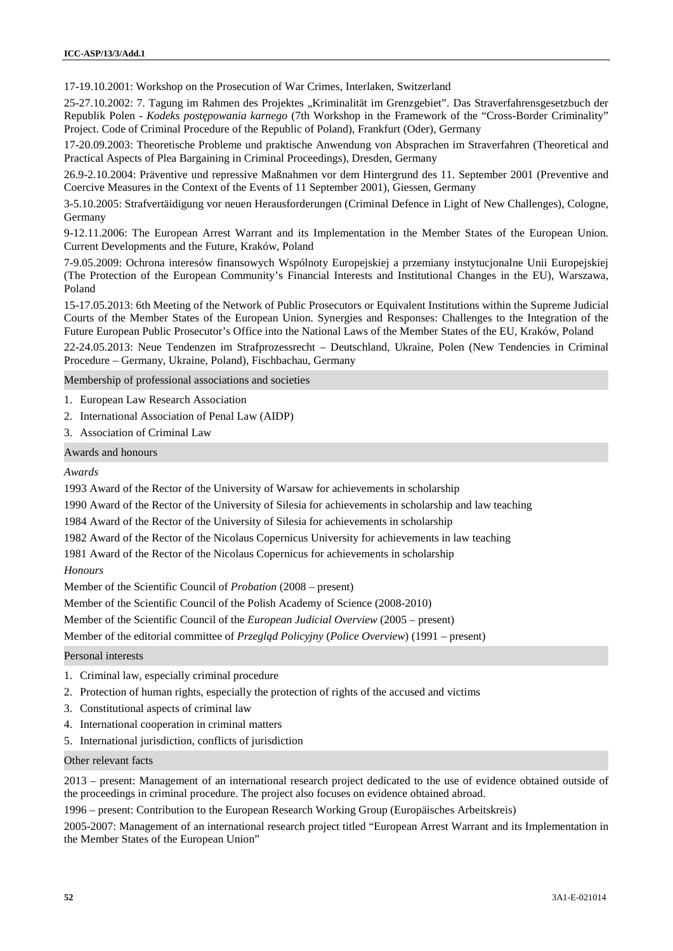17-19.10.2001: Workshop on the Prosecution of War Crimes, Interlaken, Switzerland

25-27.10.2002: 7. Tagung im Rahmen des Projektes "Kriminalität im Grenzgebiet". Das Straverfahrensgesetzbuch der Republik Polen - *Kodeks post powania karnego* (7th Workshop in the Framework of the "Cross-Border Criminality" Project. Code of Criminal Procedure of the Republic of Poland), Frankfurt (Oder), Germany

17-20.09.2003: Theoretische Probleme und praktische Anwendung von Absprachen im Straverfahren (Theoretical and Practical Aspects of Plea Bargaining in Criminal Proceedings), Dresden, Germany

26.9-2.10.2004: Präventive und repressive Maßnahmen vor dem Hintergrund des 11. September 2001 (Preventive and Coercive Measures in the Context of the Events of 11 September 2001), Giessen, Germany

3-5.10.2005: Strafvertäidigung vor neuen Herausforderungen (Criminal Defence in Light of New Challenges), Cologne, Germany

9-12.11.2006: The European Arrest Warrant and its Implementation in the Member States of the European Union. Current Developments and the Future, Kraków, Poland

7-9.05.2009: Ochrona interesów finansowych Wspólnoty Europejskiej a przemiany instytucjonalne Unii Europejskiej (The Protection of the European Community's Financial Interests and Institutional Changes in the EU), Warszawa, Poland

15-17.05.2013: 6th Meeting of the Network of Public Prosecutors or Equivalent Institutions within the Supreme Judicial Courts of the Member States of the European Union. Synergies and Responses: Challenges to the Integration of the Future European Public Prosecutor's Office into the National Laws of the Member States of the EU, Kraków, Poland

22-24.05.2013: Neue Tendenzen im Strafprozessrecht – Deutschland, Ukraine, Polen (New Tendencies in Criminal Procedure – Germany, Ukraine, Poland), Fischbachau, Germany

Membership of professional associations and societies

- 1. European Law Research Association
- 2. International Association of Penal Law (AIDP)
- 3. Association of Criminal Law

Awards and honours

*Awards*

1993 Award of the Rector of the University of Warsaw for achievements in scholarship

1990 Award of the Rector of the University of Silesia for achievements in scholarship and law teaching

1984 Award of the Rector of the University of Silesia for achievements in scholarship

1982 Award of the Rector of the Nicolaus Copernicus University for achievements in law teaching

1981 Award of the Rector of the Nicolaus Copernicus for achievements in scholarship

*Honours*

Member of the Scientific Council of *Probation* (2008 – present)

Member of the Scientific Council of the Polish Academy of Science (2008-2010)

Member of the Scientific Council of the *European Judicial Overview* (2005 – present)

Member of the editorial committee of *Przegl d Policyjny* (*Police Overview*) (1991 – present)

Personal interests

- 1. Criminal law, especially criminal procedure
- 2. Protection of human rights, especially the protection of rights of the accused and victims
- 3. Constitutional aspects of criminal law
- 4. International cooperation in criminal matters
- 5. International jurisdiction, conflicts of jurisdiction

#### Other relevant facts

2013 – present: Management of an international research project dedicated to the use of evidence obtained outside of the proceedings in criminal procedure. The project also focuses on evidence obtained abroad.

1996 – present: Contribution to the European Research Working Group (Europäisches Arbeitskreis)

2005-2007: Management of an international research project titled "European Arrest Warrant and its Implementation in the Member States of the European Union"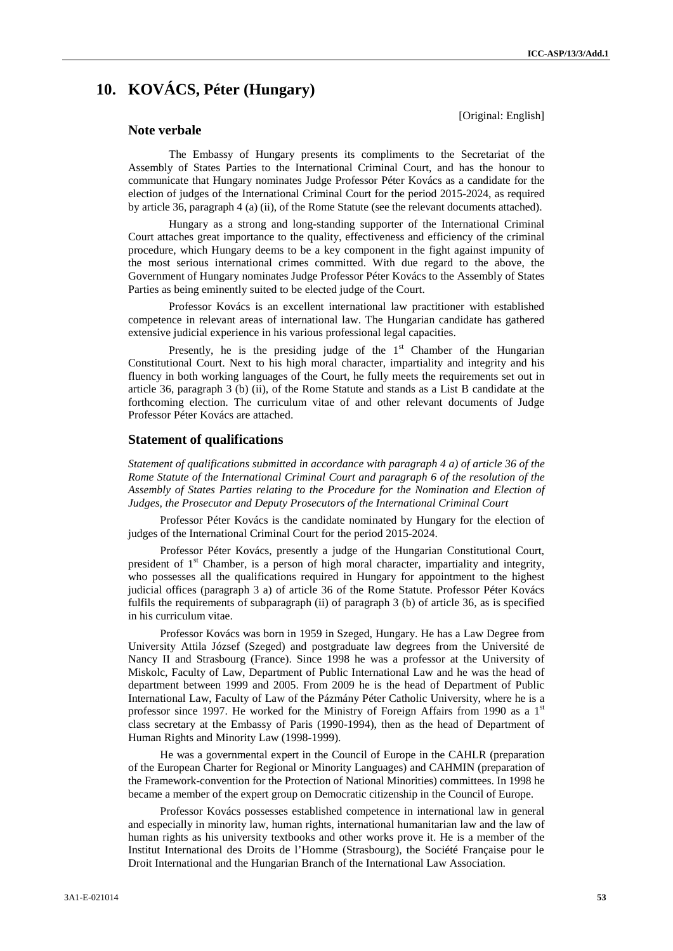# **10. KOVÁCS, Péter (Hungary)**

# **Note verbale**

[Original: English]

The Embassy of Hungary presents its compliments to the Secretariat of the Assembly of States Parties to the International Criminal Court, and has the honour to communicate that Hungary nominates Judge Professor Péter Kovács as a candidate for the election of judges of the International Criminal Court for the period 2015-2024, as required by article 36, paragraph 4 (a) (ii), of the Rome Statute (see the relevant documents attached).

Hungary as a strong and long-standing supporter of the International Criminal Court attaches great importance to the quality, effectiveness and efficiency of the criminal procedure, which Hungary deems to be a key component in the fight against impunity of the most serious international crimes committed. With due regard to the above, the Government of Hungary nominates Judge Professor Péter Kovács to the Assembly of States Parties as being eminently suited to be elected judge of the Court.

Professor Kovács is an excellent international law practitioner with established competence in relevant areas of international law. The Hungarian candidate has gathered extensive judicial experience in his various professional legal capacities.

Presently, he is the presiding judge of the  $1<sup>st</sup>$  Chamber of the Hungarian Constitutional Court. Next to his high moral character, impartiality and integrity and his fluency in both working languages of the Court, he fully meets the requirements set out in article 36, paragraph 3 (b) (ii), of the Rome Statute and stands as a List B candidate at the forthcoming election. The curriculum vitae of and other relevant documents of Judge Professor Péter Kovács are attached.

## **Statement of qualifications**

*Statement of qualifications submitted in accordance with paragraph 4 a) of article 36 of the Rome Statute of the International Criminal Court and paragraph 6 of the resolution of the Assembly of States Parties relating to the Procedure for the Nomination and Election of Judges, the Prosecutor and Deputy Prosecutors of the International Criminal Court*

Professor Péter Kovács is the candidate nominated by Hungary for the election of judges of the International Criminal Court for the period 2015-2024.

Professor Péter Kovács, presently a judge of the Hungarian Constitutional Court, president of  $1<sup>st</sup>$  Chamber, is a person of high moral character, impartiality and integrity, who possesses all the qualifications required in Hungary for appointment to the highest judicial offices (paragraph 3 a) of article 36 of the Rome Statute. Professor Péter Kovács fulfils the requirements of subparagraph (ii) of paragraph 3 (b) of article 36, as is specified in his curriculum vitae.

Professor Kovács was born in 1959 in Szeged, Hungary. He has a Law Degree from University Attila József (Szeged) and postgraduate law degrees from the Université de Nancy II and Strasbourg (France). Since 1998 he was a professor at the University of Miskolc, Faculty of Law, Department of Public International Law and he was the head of department between 1999 and 2005. From 2009 he is the head of Department of Public International Law, Faculty of Law of the Pázmány Péter Catholic University, where he is a professor since 1997. He worked for the Ministry of Foreign Affairs from 1990 as a 1<sup>st</sup> class secretary at the Embassy of Paris (1990-1994), then as the head of Department of Human Rights and Minority Law (1998-1999).

He was a governmental expert in the Council of Europe in the CAHLR (preparation of the European Charter for Regional or Minority Languages) and CAHMIN (preparation of the Framework-convention for the Protection of National Minorities) committees. In 1998 he became a member of the expert group on Democratic citizenship in the Council of Europe.

Professor Kovács possesses established competence in international law in general and especially in minority law, human rights, international humanitarian law and the law of human rights as his university textbooks and other works prove it. He is a member of the Institut International des Droits de l'Homme (Strasbourg), the Société Française pour le Droit International and the Hungarian Branch of the International Law Association.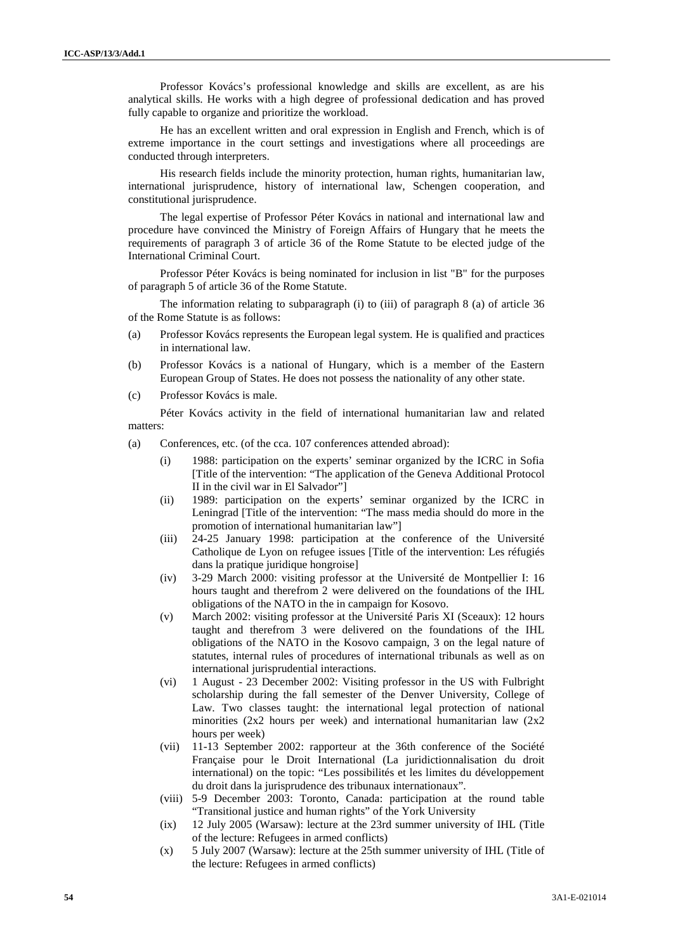Professor Kovács's professional knowledge and skills are excellent, as are his analytical skills. He works with a high degree of professional dedication and has proved fully capable to organize and prioritize the workload.

He has an excellent written and oral expression in English and French, which is of extreme importance in the court settings and investigations where all proceedings are conducted through interpreters.

His research fields include the minority protection, human rights, humanitarian law, international jurisprudence, history of international law, Schengen cooperation, and constitutional jurisprudence.

The legal expertise of Professor Péter Kovács in national and international law and procedure have convinced the Ministry of Foreign Affairs of Hungary that he meets the requirements of paragraph 3 of article 36 of the Rome Statute to be elected judge of the International Criminal Court.

Professor Péter Kovács is being nominated for inclusion in list "B" for the purposes of paragraph 5 of article 36 of the Rome Statute.

The information relating to subparagraph (i) to (iii) of paragraph 8 (a) of article 36 of the Rome Statute is as follows:

- (a) Professor Kovács represents the European legal system. He is qualified and practices in international law.
- (b) Professor Kovács is a national of Hungary, which is a member of the Eastern European Group of States. He does not possess the nationality of any other state.
- (c) Professor Kovács is male.

Péter Kovács activity in the field of international humanitarian law and related matters:

- (a) Conferences, etc. (of the cca. 107 conferences attended abroad):
	- (i) 1988: participation on the experts' seminar organized by the ICRC in Sofia [Title of the intervention: "The application of the Geneva Additional Protocol II in the civil war in El Salvador"]
	- (ii) 1989: participation on the experts' seminar organized by the ICRC in Leningrad [Title of the intervention: "The mass media should do more in the promotion of international humanitarian law"]
	- (iii) 24-25 January 1998: participation at the conference of the Université Catholique de Lyon on refugee issues [Title of the intervention: Les réfugiés dans la pratique juridique hongroise]
	- (iv) 3-29 March 2000: visiting professor at the Université de Montpellier I: 16 hours taught and therefrom 2 were delivered on the foundations of the IHL obligations of the NATO in the in campaign for Kosovo.
	- (v) March 2002: visiting professor at the Université Paris XI (Sceaux): 12 hours taught and therefrom 3 were delivered on the foundations of the IHL obligations of the NATO in the Kosovo campaign, 3 on the legal nature of statutes, internal rules of procedures of international tribunals as well as on international jurisprudential interactions.
	- (vi) 1 August 23 December 2002: Visiting professor in the US with Fulbright scholarship during the fall semester of the Denver University, College of Law. Two classes taught: the international legal protection of national minorities (2x2 hours per week) and international humanitarian law (2x2 hours per week)
	- (vii) 11-13 September 2002: rapporteur at the 36th conference of the Société Française pour le Droit International (La juridictionnalisation du droit international) on the topic: "Les possibilités et les limites du développement du droit dans la jurisprudence des tribunaux internationaux".
	- (viii) 5-9 December 2003: Toronto, Canada: participation at the round table "Transitional justice and human rights" of the York University
	- (ix) 12 July 2005 (Warsaw): lecture at the 23rd summer university of IHL (Title of the lecture: Refugees in armed conflicts)
	- (x) 5 July 2007 (Warsaw): lecture at the 25th summer university of IHL (Title of the lecture: Refugees in armed conflicts)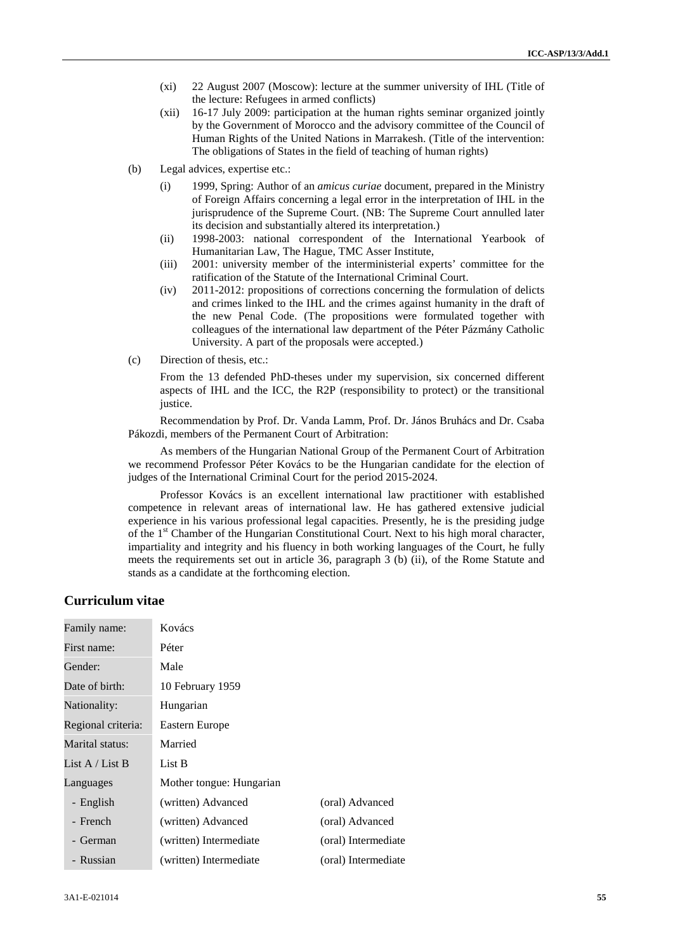- (xi) 22 August 2007 (Moscow): lecture at the summer university of IHL (Title of the lecture: Refugees in armed conflicts)
- (xii) 16-17 July 2009: participation at the human rights seminar organized jointly by the Government of Morocco and the advisory committee of the Council of Human Rights of the United Nations in Marrakesh. (Title of the intervention: The obligations of States in the field of teaching of human rights)
- (b) Legal advices, expertise etc.:
	- (i) 1999, Spring: Author of an *amicus curiae* document, prepared in the Ministry of Foreign Affairs concerning a legal error in the interpretation of IHL in the jurisprudence of the Supreme Court. (NB: The Supreme Court annulled later its decision and substantially altered its interpretation.)
	- (ii) 1998-2003: national correspondent of the International Yearbook of Humanitarian Law, The Hague, TMC Asser Institute,
	- (iii) 2001: university member of the interministerial experts' committee for the ratification of the Statute of the International Criminal Court.
	- (iv) 2011-2012: propositions of corrections concerning the formulation of delicts and crimes linked to the IHL and the crimes against humanity in the draft of the new Penal Code. (The propositions were formulated together with colleagues of the international law department of the Péter Pázmány Catholic University. A part of the proposals were accepted.)
- (c) Direction of thesis, etc.:

From the 13 defended PhD-theses under my supervision, six concerned different aspects of IHL and the ICC, the R2P (responsibility to protect) or the transitional justice.

Recommendation by Prof. Dr. Vanda Lamm, Prof. Dr. János Bruhács and Dr. Csaba Pákozdi, members of the Permanent Court of Arbitration:

As members of the Hungarian National Group of the Permanent Court of Arbitration we recommend Professor Péter Kovács to be the Hungarian candidate for the election of judges of the International Criminal Court for the period 2015-2024.

Professor Kovács is an excellent international law practitioner with established competence in relevant areas of international law. He has gathered extensive judicial experience in his various professional legal capacities. Presently, he is the presiding judge of the 1<sup>st</sup> Chamber of the Hungarian Constitutional Court. Next to his high moral character, impartiality and integrity and his fluency in both working languages of the Court, he fully meets the requirements set out in article 36, paragraph 3 (b) (ii), of the Rome Statute and stands as a candidate at the forthcoming election.

# **Curriculum vitae**

| Family name:       | Kovács                   |                     |
|--------------------|--------------------------|---------------------|
| First name:        | Péter                    |                     |
| Gender:            | Male                     |                     |
| Date of birth:     | 10 February 1959         |                     |
| Nationality:       | Hungarian                |                     |
| Regional criteria: | Eastern Europe           |                     |
| Marital status:    | Married                  |                     |
| List A / List B    | List B                   |                     |
| Languages          | Mother tongue: Hungarian |                     |
| - English          | (written) Advanced       | (oral) Advanced     |
| - French           | (written) Advanced       | (oral) Advanced     |
| - German           | (written) Intermediate   | (oral) Intermediate |
| - Russian          | (written) Intermediate   | (oral) Intermediate |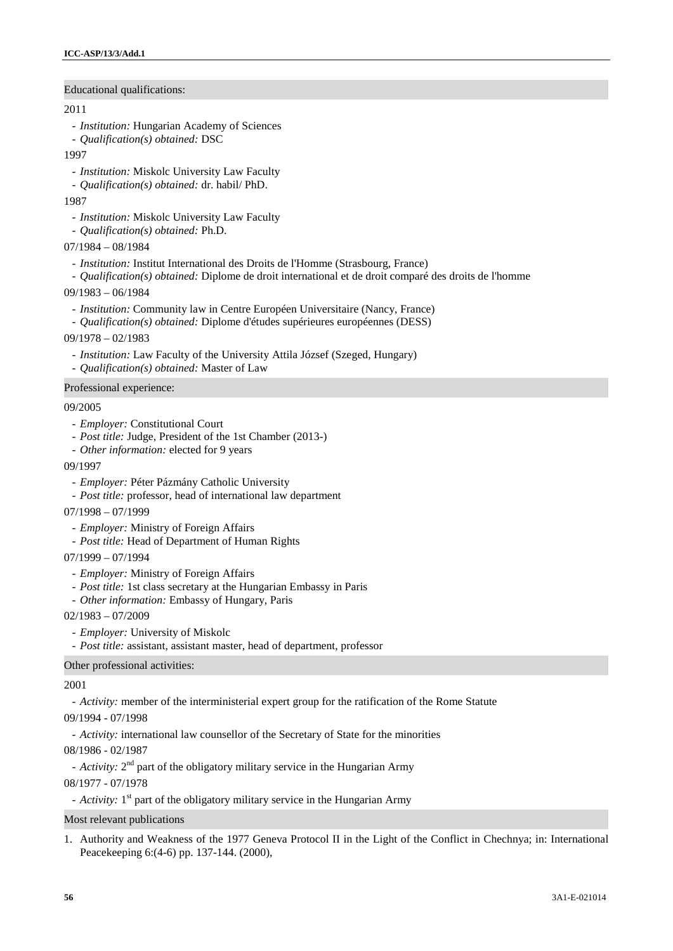# Educational qualifications:

#### 2011

- *Institution:* Hungarian Academy of Sciences
- *Qualification(s) obtained:* DSC
- 1997
	- *Institution:* Miskolc University Law Faculty
- *Qualification(s) obtained:* dr. habil/ PhD.

1987

- *Institution:* Miskolc University Law Faculty
- *Qualification(s) obtained:* Ph.D.
- 07/1984 08/1984
	- *Institution:* Institut International des Droits de l'Homme (Strasbourg, France)
	- *Qualification(s) obtained:* Diplome de droit international et de droit comparé des droits de l'homme
- 09/1983 06/1984
	- *Institution:* Community law in Centre Européen Universitaire (Nancy, France)
	- *Qualification(s) obtained:* Diplome d'études supérieures européennes (DESS)
- 09/1978 02/1983
	- *Institution:* Law Faculty of the University Attila József (Szeged, Hungary)
	- *Qualification(s) obtained:* Master of Law

## Professional experience:

#### 09/2005

- *Employer:* Constitutional Court
- *Post title:* Judge, President of the 1st Chamber (2013-)
- *Other information:* elected for 9 years
- 09/1997
	- *Employer:* Péter Pázmány Catholic University
	- *Post title:* professor, head of international law department
- 07/1998 07/1999
	- *Employer:* Ministry of Foreign Affairs
	- *Post title:* Head of Department of Human Rights
- 07/1999 07/1994
	- *Employer:* Ministry of Foreign Affairs
	- *Post title:* 1st class secretary at the Hungarian Embassy in Paris
	- *Other information:* Embassy of Hungary, Paris
- 02/1983 07/2009
	- *Employer:* University of Miskolc
	- *Post title:* assistant, assistant master, head of department, professor

#### Other professional activities:

## 2001

- *Activity:* member of the interministerial expert group for the ratification of the Rome Statute

09/1994 - 07/1998

- *Activity:* international law counsellor of the Secretary of State for the minorities

08/1986 - 02/1987

- *Activity*: 2<sup>nd</sup> part of the obligatory military service in the Hungarian Army

08/1977 - 07/1978

- *Activity*: 1<sup>st</sup> part of the obligatory military service in the Hungarian Army

#### Most relevant publications

1. Authority and Weakness of the 1977 Geneva Protocol II in the Light of the Conflict in Chechnya; in: International Peacekeeping 6:(4-6) pp. 137-144. (2000),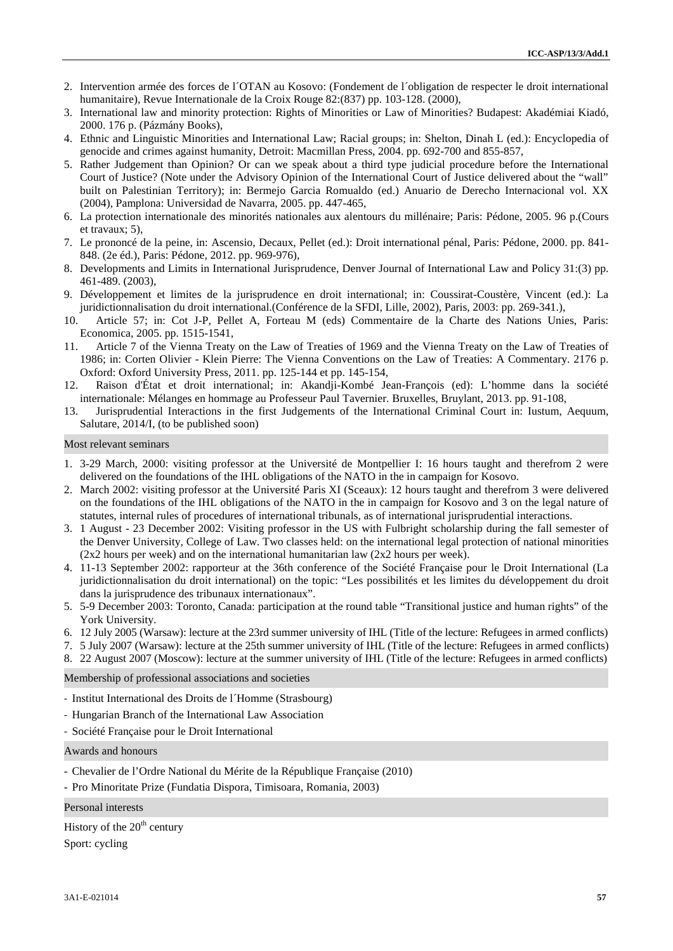- 2. Intervention armée des forces de l´OTAN au Kosovo: (Fondement de l´obligation de respecter le droit international humanitaire), Revue Internationale de la Croix Rouge 82:(837) pp. 103-128. (2000),
- 3. International law and minority protection: Rights of Minorities or Law of Minorities? Budapest: Akadémiai Kiadó, 2000. 176 p. (Pázmány Books),
- 4. Ethnic and Linguistic Minorities and International Law; Racial groups; in: Shelton, Dinah L (ed.): Encyclopedia of genocide and crimes against humanity, Detroit: Macmillan Press, 2004. pp. 692-700 and 855-857,
- 5. Rather Judgement than Opinion? Or can we speak about a third type judicial procedure before the International Court of Justice? (Note under the Advisory Opinion of the International Court of Justice delivered about the "wall" built on Palestinian Territory); in: Bermejo Garcia Romualdo (ed.) Anuario de Derecho Internacional vol. XX (2004), Pamplona: Universidad de Navarra, 2005. pp. 447-465,
- 6. La protection internationale des minorités nationales aux alentours du millénaire; Paris: Pédone, 2005. 96 p.(Cours et travaux; 5),
- 7. Le prononcé de la peine, in: Ascensio, Decaux, Pellet (ed.): Droit international pénal, Paris: Pédone, 2000. pp. 841- 848. (2e éd.), Paris: Pédone, 2012. pp. 969-976),
- 8. Developments and Limits in International Jurisprudence, Denver Journal of International Law and Policy 31:(3) pp. 461-489. (2003),
- 9. Développement et limites de la jurisprudence en droit international; in: Coussirat-Coustère, Vincent (ed.): La juridictionnalisation du droit international.(Conférence de la SFDI, Lille, 2002), Paris, 2003: pp. 269-341.),
- 10. Article 57; in: Cot J-P, Pellet A, Forteau M (eds) Commentaire de la Charte des Nations Unies, Paris: Economica, 2005. pp. 1515-1541,
- 11. Article 7 of the Vienna Treaty on the Law of Treaties of 1969 and the Vienna Treaty on the Law of Treaties of 1986; in: Corten Olivier - Klein Pierre: The Vienna Conventions on the Law of Treaties: A Commentary. 2176 p. Oxford: Oxford University Press, 2011. pp. 125-144 et pp. 145-154,
- 12. Raison d'État et droit international; in: Akandji-Kombé Jean-François (ed): L'homme dans la société internationale: Mélanges en hommage au Professeur Paul Tavernier. Bruxelles, Bruylant, 2013. pp. 91-108,
- 13. Jurisprudential Interactions in the first Judgements of the International Criminal Court in: Iustum, Aequum, Salutare, 2014/I, (to be published soon)

#### Most relevant seminars

- 1. 3-29 March, 2000: visiting professor at the Université de Montpellier I: 16 hours taught and therefrom 2 were delivered on the foundations of the IHL obligations of the NATO in the in campaign for Kosovo.
- 2. March 2002: visiting professor at the Université Paris XI (Sceaux): 12 hours taught and therefrom 3 were delivered on the foundations of the IHL obligations of the NATO in the in campaign for Kosovo and 3 on the legal nature of statutes, internal rules of procedures of international tribunals, as of international jurisprudential interactions.
- 3. 1 August 23 December 2002: Visiting professor in the US with Fulbright scholarship during the fall semester of the Denver University, College of Law. Two classes held: on the international legal protection of national minorities  $(2x2$  hours per week) and on the international humanitarian law  $(2x2$  hours per week).
- 4. 11-13 September 2002: rapporteur at the 36th conference of the Société Française pour le Droit International (La juridictionnalisation du droit international) on the topic: "Les possibilités et les limites du développement du droit dans la jurisprudence des tribunaux internationaux".
- 5. 5-9 December 2003: Toronto, Canada: participation at the round table "Transitional justice and human rights" of the York University.
- 6. 12 July 2005 (Warsaw): lecture at the 23rd summer university of IHL (Title of the lecture: Refugees in armed conflicts)
- 7. 5 July 2007 (Warsaw): lecture at the 25th summer university of IHL (Title of the lecture: Refugees in armed conflicts)
- 8. 22 August 2007 (Moscow): lecture at the summer university of IHL (Title of the lecture: Refugees in armed conflicts)

Membership of professional associations and societies

- Institut International des Droits de l´Homme (Strasbourg)
- Hungarian Branch of the International Law Association
- Société Française pour le Droit International

#### Awards and honours

- Chevalier de l'Ordre National du Mérite de la République Française (2010)
- Pro Minoritate Prize (Fundatia Dispora, Timisoara, Romania, 2003)

Personal interests

History of the  $20<sup>th</sup>$  century Sport: cycling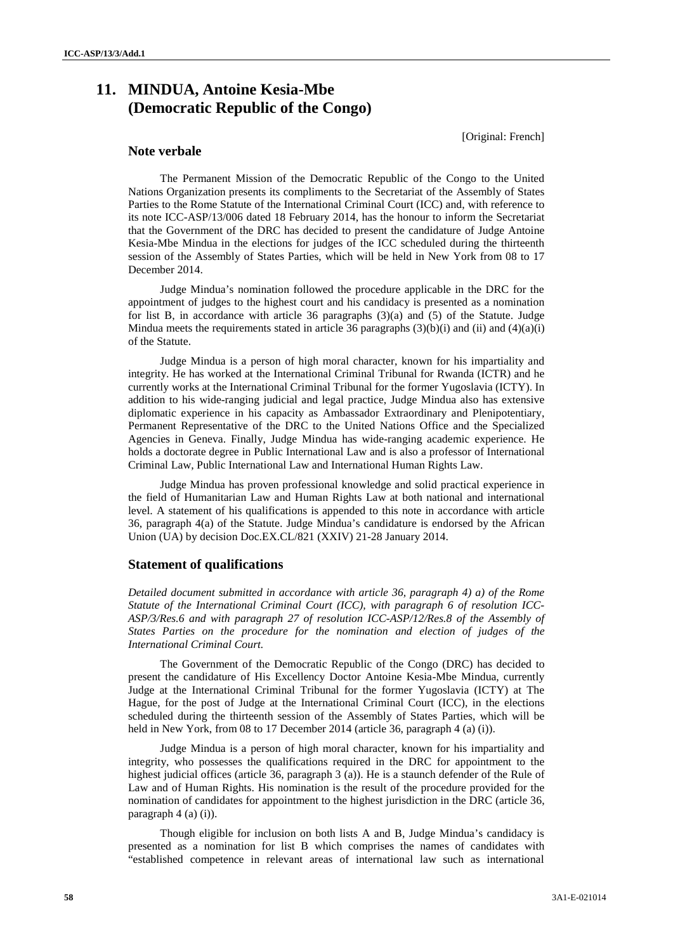# **11. MINDUA, Antoine Kesia-Mbe (Democratic Republic of the Congo)**

[Original: French]

# **Note verbale**

The Permanent Mission of the Democratic Republic of the Congo to the United Nations Organization presents its compliments to the Secretariat of the Assembly of States Parties to the Rome Statute of the International Criminal Court (ICC) and, with reference to its note ICC-ASP/13/006 dated 18 February 2014, has the honour to inform the Secretariat that the Government of the DRC has decided to present the candidature of Judge Antoine Kesia-Mbe Mindua in the elections for judges of the ICC scheduled during the thirteenth session of the Assembly of States Parties, which will be held in New York from 08 to 17 December 2014.

Judge Mindua's nomination followed the procedure applicable in the DRC for the appointment of judges to the highest court and his candidacy is presented as a nomination for list B, in accordance with article  $36$  paragraphs  $(3)(a)$  and  $(5)$  of the Statute. Judge Mindua meets the requirements stated in article 36 paragraphs  $(3)(b)(i)$  and  $(ii)$  and  $(4)(a)(i)$ of the Statute.

Judge Mindua is a person of high moral character, known for his impartiality and integrity. He has worked at the International Criminal Tribunal for Rwanda (ICTR) and he currently works at the International Criminal Tribunal for the former Yugoslavia (ICTY). In addition to his wide-ranging judicial and legal practice, Judge Mindua also has extensive diplomatic experience in his capacity as Ambassador Extraordinary and Plenipotentiary, Permanent Representative of the DRC to the United Nations Office and the Specialized Agencies in Geneva. Finally, Judge Mindua has wide-ranging academic experience. He holds a doctorate degree in Public International Law and is also a professor of International Criminal Law, Public International Law and International Human Rights Law.

Judge Mindua has proven professional knowledge and solid practical experience in the field of Humanitarian Law and Human Rights Law at both national and international level. A statement of his qualifications is appended to this note in accordance with article 36, paragraph 4(a) of the Statute. Judge Mindua's candidature is endorsed by the African Union (UA) by decision Doc.EX.CL/821 (XXIV) 21-28 January 2014.

# **Statement of qualifications**

*Detailed document submitted in accordance with article 36, paragraph 4) a) of the Rome Statute of the International Criminal Court (ICC), with paragraph 6 of resolution ICC- ASP/3/Res.6 and with paragraph 27 of resolution ICC-ASP/12/Res.8 of the Assembly of States Parties on the procedure for the nomination and election of judges of the International Criminal Court.*

The Government of the Democratic Republic of the Congo (DRC) has decided to present the candidature of His Excellency Doctor Antoine Kesia-Mbe Mindua, currently Judge at the International Criminal Tribunal for the former Yugoslavia (ICTY) at The Hague, for the post of Judge at the International Criminal Court (ICC), in the elections scheduled during the thirteenth session of the Assembly of States Parties, which will be held in New York, from 08 to 17 December 2014 (article 36, paragraph 4 (a) (i)).

Judge Mindua is a person of high moral character, known for his impartiality and integrity, who possesses the qualifications required in the DRC for appointment to the highest judicial offices (article 36, paragraph 3 (a)). He is a staunch defender of the Rule of Law and of Human Rights. His nomination is the result of the procedure provided for the nomination of candidates for appointment to the highest jurisdiction in the DRC (article 36, paragraph 4 (a) (i)).

Though eligible for inclusion on both lists A and B, Judge Mindua's candidacy is presented as a nomination for list B which comprises the names of candidates with "established competence in relevant areas of international law such as international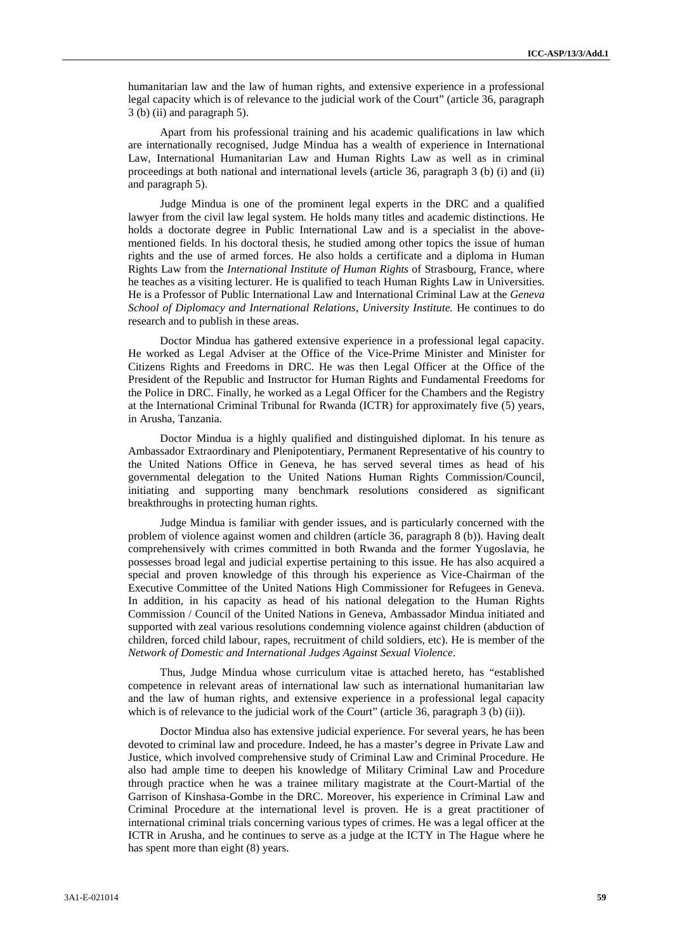humanitarian law and the law of human rights, and extensive experience in a professional legal capacity which is of relevance to the judicial work of the Court" (article 36, paragraph 3 (b) (ii) and paragraph 5).

Apart from his professional training and his academic qualifications in law which are internationally recognised, Judge Mindua has a wealth of experience in International Law, International Humanitarian Law and Human Rights Law as well as in criminal proceedings at both national and international levels (article 36, paragraph 3 (b) (i) and (ii) and paragraph 5).

Judge Mindua is one of the prominent legal experts in the DRC and a qualified lawyer from the civil law legal system. He holds many titles and academic distinctions. He holds a doctorate degree in Public International Law and is a specialist in the above mentioned fields. In his doctoral thesis, he studied among other topics the issue of human rights and the use of armed forces. He also holds a certificate and a diploma in Human Rights Law from the *International Institute of Human Rights* of Strasbourg, France, where he teaches as a visiting lecturer. He is qualified to teach Human Rights Law in Universities. He is a Professor of Public International Law and International Criminal Law at the *Geneva School of Diplomacy and International Relations, University Institute.* He continues to do research and to publish in these areas.

Doctor Mindua has gathered extensive experience in a professional legal capacity. He worked as Legal Adviser at the Office of the Vice-Prime Minister and Minister for Citizens Rights and Freedoms in DRC. He was then Legal Officer at the Office of the President of the Republic and Instructor for Human Rights and Fundamental Freedoms for the Police in DRC. Finally, he worked as a Legal Officer for the Chambers and the Registry at the International Criminal Tribunal for Rwanda (ICTR) for approximately five (5) years, in Arusha, Tanzania.

Doctor Mindua is a highly qualified and distinguished diplomat. In his tenure as Ambassador Extraordinary and Plenipotentiary, Permanent Representative of his country to the United Nations Office in Geneva, he has served several times as head of his governmental delegation to the United Nations Human Rights Commission/Council, initiating and supporting many benchmark resolutions considered as significant breakthroughs in protecting human rights.

Judge Mindua is familiar with gender issues, and is particularly concerned with the problem of violence against women and children (article 36, paragraph 8 (b)). Having dealt comprehensively with crimes committed in both Rwanda and the former Yugoslavia, he possesses broad legal and judicial expertise pertaining to this issue. He has also acquired a special and proven knowledge of this through his experience as Vice-Chairman of the Executive Committee of the United Nations High Commissioner for Refugees in Geneva. In addition, in his capacity as head of his national delegation to the Human Rights Commission / Council of the United Nations in Geneva, Ambassador Mindua initiated and supported with zeal various resolutions condemning violence against children (abduction of children, forced child labour, rapes, recruitment of child soldiers, etc). He is member of the *Network of Domestic and International Judges Against Sexual Violence*.

Thus, Judge Mindua whose curriculum vitae is attached hereto, has "established competence in relevant areas of international law such as international humanitarian law and the law of human rights, and extensive experience in a professional legal capacity which is of relevance to the judicial work of the Court" (article 36, paragraph 3 (b) (ii)).

Doctor Mindua also has extensive judicial experience. For several years, he has been devoted to criminal law and procedure. Indeed, he has a master's degree in Private Law and Justice, which involved comprehensive study of Criminal Law and Criminal Procedure. He also had ample time to deepen his knowledge of Military Criminal Law and Procedure through practice when he was a trainee military magistrate at the Court-Martial of the Garrison of Kinshasa-Gombe in the DRC. Moreover, his experience in Criminal Law and Criminal Procedure at the international level is proven. He is a great practitioner of international criminal trials concerning various types of crimes. He was a legal officer at the ICTR in Arusha, and he continues to serve as a judge at the ICTY in The Hague where he has spent more than eight (8) years.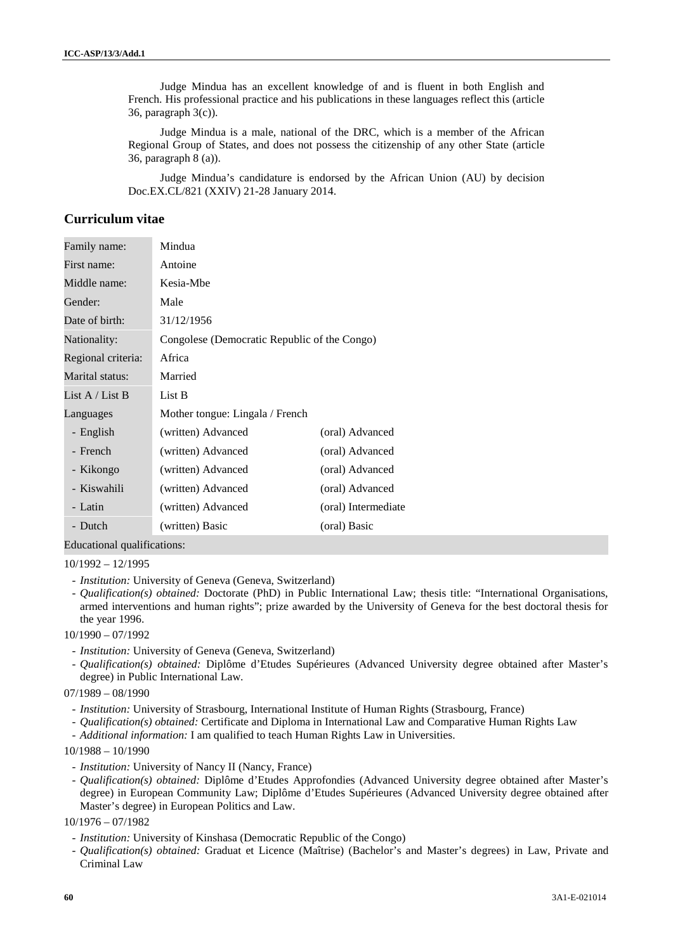Judge Mindua has an excellent knowledge of and is fluent in both English and French. His professional practice and his publications in these languages reflect this (article 36, paragraph 3(c)).

Judge Mindua is a male, national of the DRC, which is a member of the African Regional Group of States, and does not possess the citizenship of any other State (article 36, paragraph 8 (a)).

Judge Mindua's candidature is endorsed by the African Union (AU) by decision Doc.EX.CL/821 (XXIV) 21-28 January 2014.

# **Curriculum vitae**

| Family name:       | Mindua                                       |                     |  |
|--------------------|----------------------------------------------|---------------------|--|
| First name:        | Antoine                                      |                     |  |
| Middle name:       | Kesia-Mbe                                    |                     |  |
| Gender:            | Male                                         |                     |  |
| Date of birth:     | 31/12/1956                                   |                     |  |
| Nationality:       | Congolese (Democratic Republic of the Congo) |                     |  |
| Regional criteria: | Africa                                       |                     |  |
| Marital status:    | Married                                      |                     |  |
| List $A /$ List B  | List B                                       |                     |  |
| Languages          | Mother tongue: Lingala / French              |                     |  |
| - English          | (written) Advanced                           | (oral) Advanced     |  |
| - French           | (written) Advanced                           | (oral) Advanced     |  |
| - Kikongo          | (written) Advanced                           | (oral) Advanced     |  |
| - Kiswahili        | (written) Advanced                           | (oral) Advanced     |  |
| - Latin            | (written) Advanced                           | (oral) Intermediate |  |
| - Dutch            | (written) Basic                              | (oral) Basic        |  |

Educational qualifications:

#### 10/1992 – 12/1995

- *Institution:* University of Geneva (Geneva, Switzerland)
- *Qualification(s) obtained:* Doctorate (PhD) in Public International Law; thesis title: "International Organisations, armed interventions and human rights"; prize awarded by the University of Geneva for the best doctoral thesis for the year 1996.

10/1990 – 07/1992

- *Institution:* University of Geneva (Geneva, Switzerland)
- *Qualification(s) obtained:* Diplôme d'Etudes Supérieures (Advanced University degree obtained after Master's degree) in Public International Law.

07/1989 – 08/1990

- *Institution:* University of Strasbourg, International Institute of Human Rights (Strasbourg, France)
- *Qualification(s) obtained:* Certificate and Diploma in International Law and Comparative Human Rights Law
- *Additional information:* I am qualified to teach Human Rights Law in Universities.

10/1988 – 10/1990

- *Institution:* University of Nancy II (Nancy, France)
- *Qualification(s) obtained:* Diplôme d'Etudes Approfondies (Advanced University degree obtained after Master's degree) in European Community Law; Diplôme d'Etudes Supérieures (Advanced University degree obtained after Master's degree) in European Politics and Law.
- 10/1976 07/1982
	- *Institution:* University of Kinshasa (Democratic Republic of the Congo)
	- *Qualification(s) obtained:* Graduat et Licence (Maîtrise) (Bachelor's and Master's degrees) in Law, Private and Criminal Law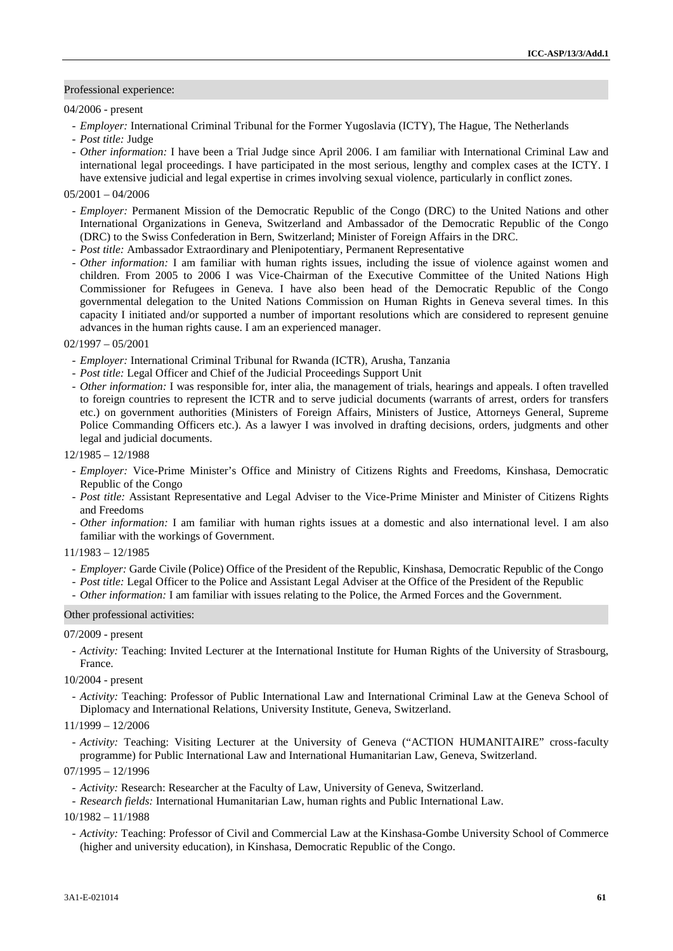#### Professional experience:

#### 04/2006 - present

- *Employer:* International Criminal Tribunal for the Former Yugoslavia (ICTY), The Hague, The Netherlands
- *Post title:* Judge
- *Other information:* I have been a Trial Judge since April 2006. I am familiar with International Criminal Law and international legal proceedings. I have participated in the most serious, lengthy and complex cases at the ICTY. I have extensive judicial and legal expertise in crimes involving sexual violence, particularly in conflict zones.

#### $05/2001 - 04/2006$

- *Employer:* Permanent Mission of the Democratic Republic of the Congo (DRC) to the United Nations and other International Organizations in Geneva, Switzerland and Ambassador of the Democratic Republic of the Congo (DRC) to the Swiss Confederation in Bern, Switzerland; Minister of Foreign Affairs in the DRC.
- *Post title:* Ambassador Extraordinary and Plenipotentiary, Permanent Representative
- *Other information:* I am familiar with human rights issues, including the issue of violence against women and children. From 2005 to 2006 I was Vice-Chairman of the Executive Committee of the United Nations High Commissioner for Refugees in Geneva. I have also been head of the Democratic Republic of the Congo governmental delegation to the United Nations Commission on Human Rights in Geneva several times. In this capacity I initiated and/or supported a number of important resolutions which are considered to represent genuine advances in the human rights cause. I am an experienced manager.

#### 02/1997 – 05/2001

- *Employer:* International Criminal Tribunal for Rwanda (ICTR), Arusha, Tanzania
- *Post title:* Legal Officer and Chief of the Judicial Proceedings Support Unit
- *Other information:* I was responsible for, inter alia, the management of trials, hearings and appeals. I often travelled to foreign countries to represent the ICTR and to serve judicial documents (warrants of arrest, orders for transfers etc.) on government authorities (Ministers of Foreign Affairs, Ministers of Justice, Attorneys General, Supreme Police Commanding Officers etc.). As a lawyer I was involved in drafting decisions, orders, judgments and other legal and judicial documents.

# 12/1985 – 12/1988

- *Employer:* Vice-Prime Minister's Office and Ministry of Citizens Rights and Freedoms, Kinshasa, Democratic Republic of the Congo
- *Post title:* Assistant Representative and Legal Adviser to the Vice-Prime Minister and Minister of Citizens Rights and Freedoms
- *Other information:* I am familiar with human rights issues at a domestic and also international level. I am also familiar with the workings of Government.

#### 11/1983 – 12/1985

- *Employer:* Garde Civile (Police) Office of the President of the Republic, Kinshasa, Democratic Republic of the Congo
- *Post title:* Legal Officer to the Police and Assistant Legal Adviser at the Office of the President of the Republic
- *Other information:* I am familiar with issues relating to the Police, the Armed Forces and the Government.

#### Other professional activities:

#### 07/2009 - present

- *Activity:* Teaching: Invited Lecturer at the International Institute for Human Rights of the University of Strasbourg, France.
- 10/2004 present
- *Activity:* Teaching: Professor of Public International Law and International Criminal Law at the Geneva School of Diplomacy and International Relations, University Institute, Geneva, Switzerland.

# 11/1999 – 12/2006

- *Activity:* Teaching: Visiting Lecturer at the University of Geneva ("ACTION HUMANITAIRE" cross-faculty programme) for Public International Law and International Humanitarian Law, Geneva, Switzerland.

# 07/1995 – 12/1996

- *Activity:* Research: Researcher at the Faculty of Law, University of Geneva, Switzerland.
- *Research fields:* International Humanitarian Law, human rights and Public International Law.

10/1982 – 11/1988

- *Activity:* Teaching: Professor of Civil and Commercial Law at the Kinshasa-Gombe University School of Commerce (higher and university education), in Kinshasa, Democratic Republic of the Congo.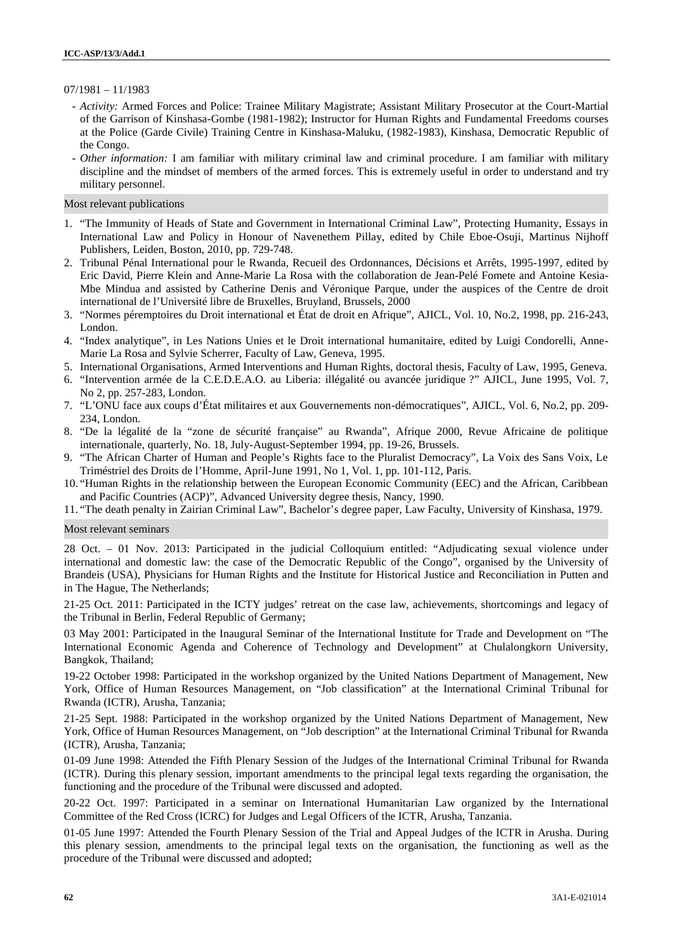#### 07/1981 – 11/1983

- *Activity:* Armed Forces and Police: Trainee Military Magistrate; Assistant Military Prosecutor at the Court-Martial of the Garrison of Kinshasa-Gombe (1981-1982); Instructor for Human Rights and Fundamental Freedoms courses at the Police (Garde Civile) Training Centre in Kinshasa-Maluku, (1982-1983), Kinshasa, Democratic Republic of the Congo.
- *Other information:* I am familiar with military criminal law and criminal procedure. I am familiar with military discipline and the mindset of members of the armed forces. This is extremely useful in order to understand and try military personnel.

## Most relevant publications

- 1. "The Immunity of Heads of State and Government in International Criminal Law", Protecting Humanity, Essays in International Law and Policy in Honour of Navenethem Pillay, edited by Chile Eboe-Osuji, Martinus Nijhoff Publishers, Leiden, Boston, 2010, pp. 729-748.
- 2. Tribunal Pénal International pour le Rwanda, Recueil des Ordonnances, Décisions et Arrêts, 1995-1997, edited by Eric David, Pierre Klein and Anne-Marie La Rosa with the collaboration de Jean-Pelé Fomete and Antoine Kesia- Mbe Mindua and assisted by Catherine Denis and Véronique Parque, under the auspices of the Centre de droit international de l'Université libre de Bruxelles, Bruyland, Brussels, 2000
- 3. "Normes péremptoires du Droit international et État de droit en Afrique", AJICL, Vol. 10, No.2, 1998, pp. 216-243, London.
- 4. "Index analytique", in Les Nations Unies et le Droit international humanitaire, edited by Luigi Condorelli, Anne- Marie La Rosa and Sylvie Scherrer, Faculty of Law, Geneva, 1995.
- 5. International Organisations, Armed Interventions and Human Rights, doctoral thesis, Faculty of Law, 1995, Geneva.
- 6. "Intervention armée de la C.E.D.E.A.O. au Liberia: illégalité ou avancée juridique ?" AJICL, June 1995, Vol. 7, No 2, pp. 257-283, London.
- 7. "L'ONU face aux coups d'État militaires et aux Gouvernements non-démocratiques", AJICL, Vol. 6, No.2, pp. 209- 234, London.
- 8. "De la légalité de la "zone de sécurité française" au Rwanda", Afrique 2000, Revue Africaine de politique internationale, quarterly, No. 18, July-August-September 1994, pp. 19-26, Brussels.
- 9. "The African Charter of Human and People's Rights face to the Pluralist Democracy", La Voix des Sans Voix, Le Triméstriel des Droits de l'Homme, April-June 1991, No 1, Vol. 1, pp. 101-112, Paris.
- 10. "Human Rights in the relationship between the European Economic Community (EEC) and the African, Caribbean and Pacific Countries (ACP)", Advanced University degree thesis, Nancy, 1990.

11. "The death penalty in Zairian Criminal Law", Bachelor's degree paper, Law Faculty, University of Kinshasa, 1979.

#### Most relevant seminars

28 Oct. – 01 Nov. 2013: Participated in the judicial Colloquium entitled: "Adjudicating sexual violence under international and domestic law: the case of the Democratic Republic of the Congo", organised by the University of Brandeis (USA), Physicians for Human Rights and the Institute for Historical Justice and Reconciliation in Putten and in The Hague, The Netherlands;

21-25 Oct. 2011: Participated in the ICTY judges' retreat on the case law, achievements, shortcomings and legacy of the Tribunal in Berlin, Federal Republic of Germany;

03 May 2001: Participated in the Inaugural Seminar of the International Institute for Trade and Development on "The International Economic Agenda and Coherence of Technology and Development" at Chulalongkorn University, Bangkok, Thailand;

19-22 October 1998: Participated in the workshop organized by the United Nations Department of Management, New York, Office of Human Resources Management, on "Job classification" at the International Criminal Tribunal for Rwanda (ICTR), Arusha, Tanzania;

21-25 Sept. 1988: Participated in the workshop organized by the United Nations Department of Management, New York, Office of Human Resources Management, on "Job description" at the International Criminal Tribunal for Rwanda (ICTR), Arusha, Tanzania;

01-09 June 1998: Attended the Fifth Plenary Session of the Judges of the International Criminal Tribunal for Rwanda (ICTR). During this plenary session, important amendments to the principal legal texts regarding the organisation, the functioning and the procedure of the Tribunal were discussed and adopted.

20-22 Oct. 1997: Participated in a seminar on International Humanitarian Law organized by the International Committee of the Red Cross (ICRC) for Judges and Legal Officers of the ICTR, Arusha, Tanzania.

01-05 June 1997: Attended the Fourth Plenary Session of the Trial and Appeal Judges of the ICTR in Arusha. During this plenary session, amendments to the principal legal texts on the organisation, the functioning as well as the procedure of the Tribunal were discussed and adopted;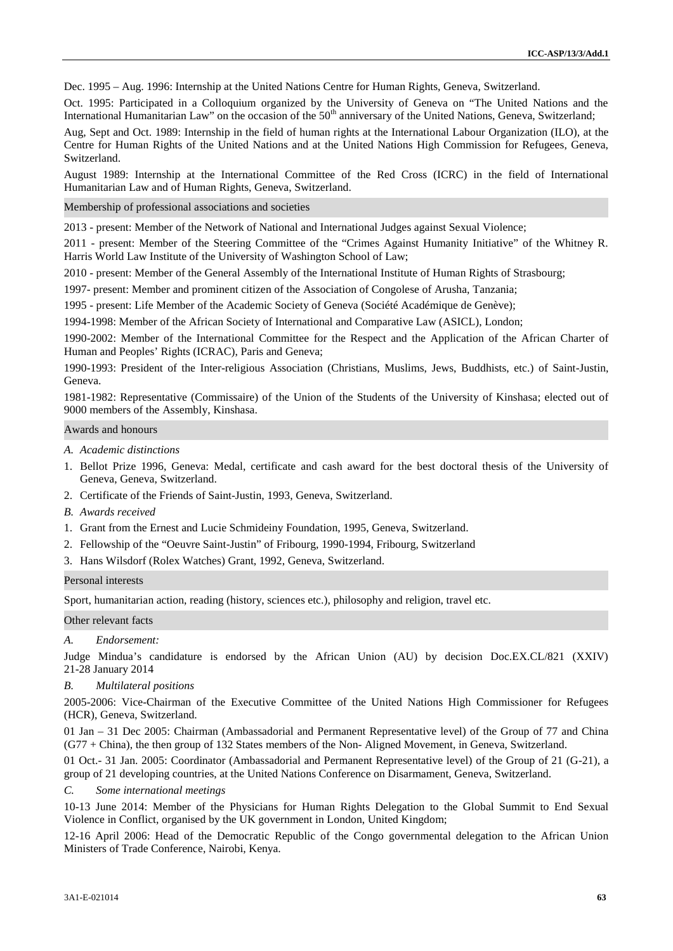Dec. 1995 – Aug. 1996: Internship at the United Nations Centre for Human Rights, Geneva, Switzerland.

Oct. 1995: Participated in a Colloquium organized by the University of Geneva on "The United Nations and the International Humanitarian Law" on the occasion of the 50<sup>th</sup> anniversary of the United Nations, Geneva, Switzerland;

Aug, Sept and Oct. 1989: Internship in the field of human rights at the International Labour Organization (ILO), at the Centre for Human Rights of the United Nations and at the United Nations High Commission for Refugees, Geneva, Switzerland.

August 1989: Internship at the International Committee of the Red Cross (ICRC) in the field of International Humanitarian Law and of Human Rights, Geneva, Switzerland.

Membership of professional associations and societies

2013 - present: Member of the Network of National and International Judges against Sexual Violence;

2011 - present: Member of the Steering Committee of the "Crimes Against Humanity Initiative" of the Whitney R. Harris World Law Institute of the University of Washington School of Law;

2010 - present: Member of the General Assembly of the International Institute of Human Rights of Strasbourg;

1997- present: Member and prominent citizen of the Association of Congolese of Arusha, Tanzania;

1995 - present: Life Member of the Academic Society of Geneva (Société Académique de Genève);

1994-1998: Member of the African Society of International and Comparative Law (ASICL), London;

1990-2002: Member of the International Committee for the Respect and the Application of the African Charter of Human and Peoples' Rights (ICRAC), Paris and Geneva;

1990-1993: President of the Inter-religious Association (Christians, Muslims, Jews, Buddhists, etc.) of Saint-Justin, Geneva.

1981-1982: Representative (Commissaire) of the Union of the Students of the University of Kinshasa; elected out of 9000 members of the Assembly, Kinshasa.

#### Awards and honours

- *A. Academic distinctions*
- 1. Bellot Prize 1996, Geneva: Medal, certificate and cash award for the best doctoral thesis of the University of Geneva, Geneva, Switzerland.
- 2. Certificate of the Friends of Saint-Justin, 1993, Geneva, Switzerland.
- *B. Awards received*
- 1. Grant from the Ernest and Lucie Schmideiny Foundation, 1995, Geneva, Switzerland.
- 2. Fellowship of the "Oeuvre Saint-Justin" of Fribourg, 1990-1994, Fribourg, Switzerland
- 3. Hans Wilsdorf (Rolex Watches) Grant, 1992, Geneva, Switzerland.

#### Personal interests

Sport, humanitarian action, reading (history, sciences etc.), philosophy and religion, travel etc.

#### Other relevant facts

#### *A. Endorsement:*

Judge Mindua's candidature is endorsed by the African Union (AU) by decision Doc.EX.CL/821 (XXIV) 21-28 January 2014

#### *B. Multilateral positions*

2005-2006: Vice-Chairman of the Executive Committee of the United Nations High Commissioner for Refugees (HCR), Geneva, Switzerland.

01 Jan – 31 Dec 2005: Chairman (Ambassadorial and Permanent Representative level) of the Group of 77 and China (G77 + China), the then group of 132 States members of the Non- Aligned Movement, in Geneva, Switzerland.

01 Oct.- 31 Jan. 2005: Coordinator (Ambassadorial and Permanent Representative level) of the Group of 21 (G-21), a group of 21 developing countries, at the United Nations Conference on Disarmament, Geneva, Switzerland.

## *C. Some international meetings*

10-13 June 2014: Member of the Physicians for Human Rights Delegation to the Global Summit to End Sexual Violence in Conflict, organised by the UK government in London, United Kingdom;

12-16 April 2006: Head of the Democratic Republic of the Congo governmental delegation to the African Union Ministers of Trade Conference, Nairobi, Kenya.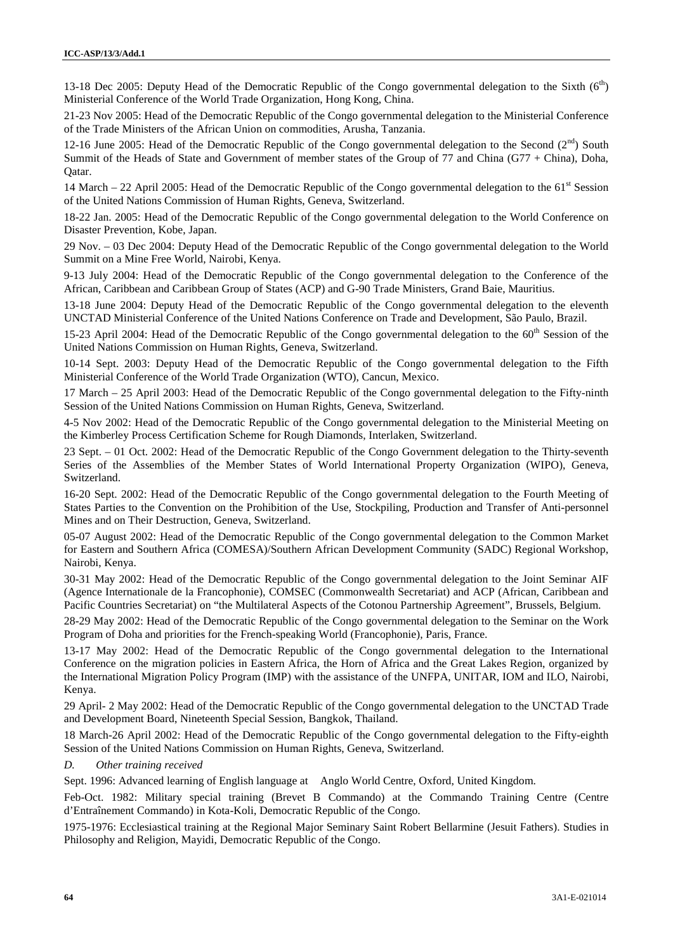13-18 Dec 2005: Deputy Head of the Democratic Republic of the Congo governmental delegation to the Sixth  $(6<sup>th</sup>)$ Ministerial Conference of the World Trade Organization, Hong Kong, China.

21-23 Nov 2005: Head of the Democratic Republic of the Congo governmental delegation to the Ministerial Conference of the Trade Ministers of the African Union on commodities, Arusha, Tanzania.

12-16 June 2005: Head of the Democratic Republic of the Congo governmental delegation to the Second ( $2<sup>nd</sup>$ ) South Summit of the Heads of State and Government of member states of the Group of 77 and China (G77 + China), Doha, Qatar.

14 March – 22 April 2005: Head of the Democratic Republic of the Congo governmental delegation to the  $61<sup>st</sup>$  Session of the United Nations Commission of Human Rights, Geneva, Switzerland.

18-22 Jan. 2005: Head of the Democratic Republic of the Congo governmental delegation to the World Conference on Disaster Prevention, Kobe, Japan.

29 Nov. – 03 Dec 2004: Deputy Head of the Democratic Republic of the Congo governmental delegation to the World Summit on a Mine Free World, Nairobi, Kenya.

9-13 July 2004: Head of the Democratic Republic of the Congo governmental delegation to the Conference of the African, Caribbean and Caribbean Group of States (ACP) and G-90 Trade Ministers, Grand Baie, Mauritius.

13-18 June 2004: Deputy Head of the Democratic Republic of the Congo governmental delegation to the eleventh UNCTAD Ministerial Conference of the United Nations Conference on Trade and Development, São Paulo, Brazil.

15-23 April 2004: Head of the Democratic Republic of the Congo governmental delegation to the 60<sup>th</sup> Session of the United Nations Commission on Human Rights, Geneva, Switzerland.

10-14 Sept. 2003: Deputy Head of the Democratic Republic of the Congo governmental delegation to the Fifth Ministerial Conference of the World Trade Organization (WTO), Cancun, Mexico.

17 March – 25 April 2003: Head of the Democratic Republic of the Congo governmental delegation to the Fifty-ninth Session of the United Nations Commission on Human Rights, Geneva, Switzerland.

4-5 Nov 2002: Head of the Democratic Republic of the Congo governmental delegation to the Ministerial Meeting on the Kimberley Process Certification Scheme for Rough Diamonds, Interlaken, Switzerland.

23 Sept. – 01 Oct. 2002: Head of the Democratic Republic of the Congo Government delegation to the Thirty-seventh Series of the Assemblies of the Member States of World International Property Organization (WIPO), Geneva, Switzerland.

16-20 Sept. 2002: Head of the Democratic Republic of the Congo governmental delegation to the Fourth Meeting of States Parties to the Convention on the Prohibition of the Use, Stockpiling, Production and Transfer of Anti-personnel Mines and on Their Destruction, Geneva, Switzerland.

05-07 August 2002: Head of the Democratic Republic of the Congo governmental delegation to the Common Market for Eastern and Southern Africa (COMESA)/Southern African Development Community (SADC) Regional Workshop, Nairobi, Kenya.

30-31 May 2002: Head of the Democratic Republic of the Congo governmental delegation to the Joint Seminar AIF (Agence Internationale de la Francophonie), COMSEC (Commonwealth Secretariat) and ACP (African, Caribbean and Pacific Countries Secretariat) on "the Multilateral Aspects of the Cotonou Partnership Agreement", Brussels, Belgium.

28-29 May 2002: Head of the Democratic Republic of the Congo governmental delegation to the Seminar on the Work Program of Doha and priorities for the French-speaking World (Francophonie), Paris, France.

13-17 May 2002: Head of the Democratic Republic of the Congo governmental delegation to the International Conference on the migration policies in Eastern Africa, the Horn of Africa and the Great Lakes Region, organized by the International Migration Policy Program (IMP) with the assistance of the UNFPA, UNITAR, IOM and ILO, Nairobi, Kenya.

29 April- 2 May 2002: Head of the Democratic Republic of the Congo governmental delegation to the UNCTAD Trade and Development Board, Nineteenth Special Session, Bangkok, Thailand.

18 March-26 April 2002: Head of the Democratic Republic of the Congo governmental delegation to the Fifty-eighth Session of the United Nations Commission on Human Rights, Geneva, Switzerland.

#### *D. Other training received*

Sept. 1996: Advanced learning of English language at Anglo World Centre, Oxford, United Kingdom.

Feb-Oct. 1982: Military special training (Brevet B Commando) at the Commando Training Centre (Centre d'Entraînement Commando) in Kota-Koli, Democratic Republic of the Congo.

1975-1976: Ecclesiastical training at the Regional Major Seminary Saint Robert Bellarmine (Jesuit Fathers). Studies in Philosophy and Religion, Mayidi, Democratic Republic of the Congo.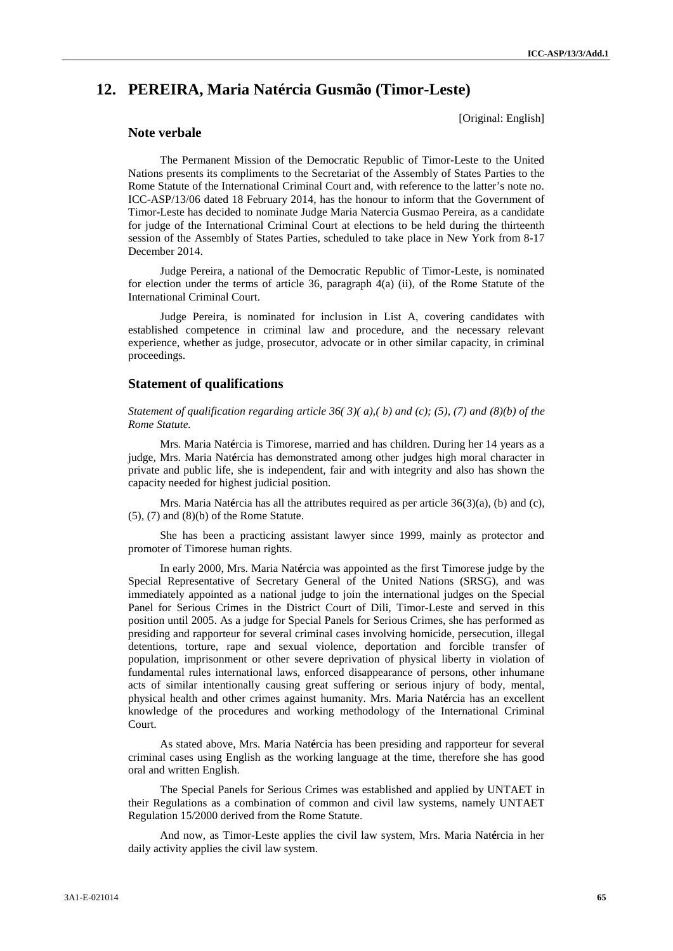# **12. PEREIRA, Maria Natércia Gusmão (Timor-Leste)**

[Original: English]

# **Note verbale**

The Permanent Mission of the Democratic Republic of Timor-Leste to the United Nations presents its compliments to the Secretariat of the Assembly of States Parties to the Rome Statute of the International Criminal Court and, with reference to the latter's note no. ICC-ASP/13/06 dated 18 February 2014, has the honour to inform that the Government of Timor-Leste has decided to nominate Judge Maria Natercia Gusmao Pereira, as a candidate for judge of the International Criminal Court at elections to be held during the thirteenth session of the Assembly of States Parties, scheduled to take place in New York from 8-17 December 2014.

Judge Pereira, a national of the Democratic Republic of Timor-Leste, is nominated for election under the terms of article 36, paragraph 4(a) (ii), of the Rome Statute of the International Criminal Court.

Judge Pereira, is nominated for inclusion in List A, covering candidates with established competence in criminal law and procedure, and the necessary relevant experience, whether as judge, prosecutor, advocate or in other similar capacity, in criminal proceedings.

#### **Statement of qualifications**

*Statement of qualification regarding article 36( 3)( a),( b) and (c); (5), (7) and (8)(b) of the Rome Statute.*

Mrs. Maria Nat**é**rcia is Timorese, married and has children. During her 14 years as a judge, Mrs. Maria Nat**é**rcia has demonstrated among other judges high moral character in private and public life, she is independent, fair and with integrity and also has shown the capacity needed for highest judicial position.

Mrs. Maria Nat**é**rcia has all the attributes required as per article 36(3)(a), (b) and (c),  $(5)$ ,  $(7)$  and  $(8)(b)$  of the Rome Statute.

She has been a practicing assistant lawyer since 1999, mainly as protector and promoter of Timorese human rights.

In early 2000, Mrs. Maria Nat**é**rcia was appointed as the first Timorese judge by the Special Representative of Secretary General of the United Nations (SRSG), and was immediately appointed as a national judge to join the international judges on the Special Panel for Serious Crimes in the District Court of Dili, Timor-Leste and served in this position until 2005. As a judge for Special Panels for Serious Crimes, she has performed as presiding and rapporteur for several criminal cases involving homicide, persecution, illegal detentions, torture, rape and sexual violence, deportation and forcible transfer of population, imprisonment or other severe deprivation of physical liberty in violation of fundamental rules international laws, enforced disappearance of persons, other inhumane acts of similar intentionally causing great suffering or serious injury of body, mental, physical health and other crimes against humanity. Mrs. Maria Nat**é**rcia has an excellent knowledge of the procedures and working methodology of the International Criminal Court.

As stated above, Mrs. Maria Nat**é**rcia has been presiding and rapporteur for several criminal cases using English as the working language at the time, therefore she has good oral and written English.

The Special Panels for Serious Crimes was established and applied by UNTAET in their Regulations as a combination of common and civil law systems, namely UNTAET Regulation 15/2000 derived from the Rome Statute.

And now, as Timor-Leste applies the civil law system, Mrs. Maria Nat**é**rcia in her daily activity applies the civil law system.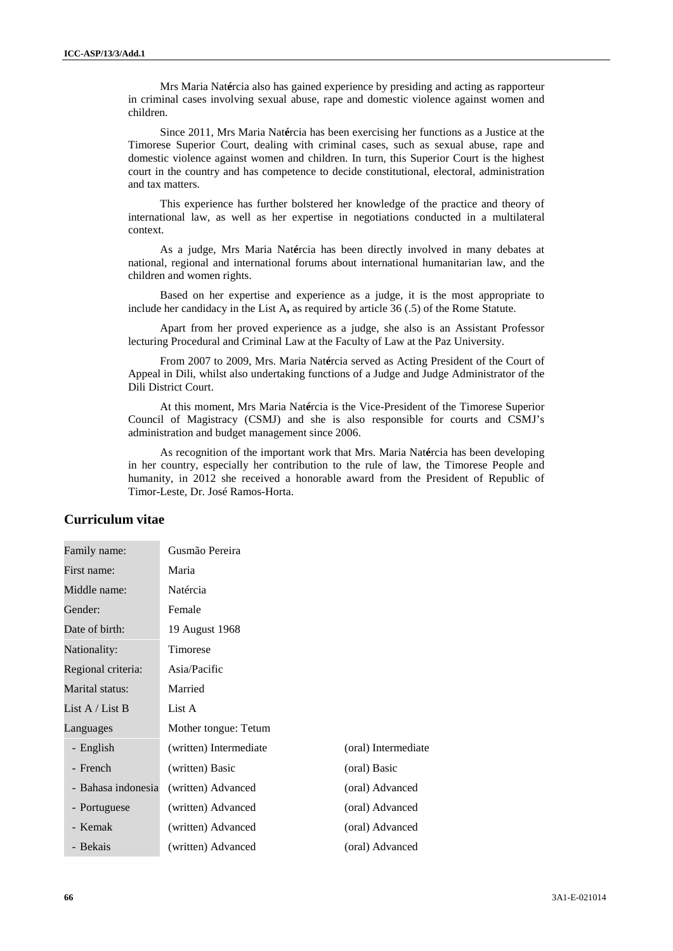Mrs Maria Nat**é**rcia also has gained experience by presiding and acting as rapporteur in criminal cases involving sexual abuse, rape and domestic violence against women and children.

Since 2011, Mrs Maria Nat**é**rcia has been exercising her functions as a Justice at the Timorese Superior Court, dealing with criminal cases, such as sexual abuse, rape and domestic violence against women and children. In turn, this Superior Court is the highest court in the country and has competence to decide constitutional, electoral, administration and tax matters.

This experience has further bolstered her knowledge of the practice and theory of international law, as well as her expertise in negotiations conducted in a multilateral context.

As a judge, Mrs Maria Nat**é**rcia has been directly involved in many debates at national, regional and international forums about international humanitarian law, and the children and women rights.

Based on her expertise and experience as a judge, it is the most appropriate to include her candidacy in the List A**,** as required by article 36 (.5) of the Rome Statute.

Apart from her proved experience as a judge, she also is an Assistant Professor lecturing Procedural and Criminal Law at the Faculty of Law at the Paz University.

From 2007 to 2009, Mrs. Maria Nat**é**rcia served as Acting President of the Court of Appeal in Dili, whilst also undertaking functions of a Judge and Judge Administrator of the Dili District Court.

At this moment, Mrs Maria Nat**é**rcia is the Vice-President of the Timorese Superior Council of Magistracy (CSMJ) and she is also responsible for courts and CSMJ's administration and budget management since 2006.

As recognition of the important work that Mrs. Maria Nat**é**rcia has been developing in her country, especially her contribution to the rule of law, the Timorese People and humanity, in 2012 she received a honorable award from the President of Republic of Timor-Leste, Dr. José Ramos-Horta.

# **Curriculum vitae**

| Family name:       | Gusmão Pereira         |                     |
|--------------------|------------------------|---------------------|
| First name:        | Maria                  |                     |
| Middle name:       | Natércia               |                     |
| Gender:            | Female                 |                     |
| Date of birth:     | 19 August 1968         |                     |
| Nationality:       | Timorese               |                     |
| Regional criteria: | Asia/Pacific           |                     |
| Marital status:    | Married                |                     |
| List A / List B    | List A                 |                     |
| Languages          | Mother tongue: Tetum   |                     |
| - English          | (written) Intermediate | (oral) Intermediate |
| - French           | (written) Basic        | (oral) Basic        |
| - Bahasa indonesia | (written) Advanced     | (oral) Advanced     |
| - Portuguese       | (written) Advanced     | (oral) Advanced     |
| - Kemak            | (written) Advanced     | (oral) Advanced     |
| - Bekais           | (written) Advanced     | (oral) Advanced     |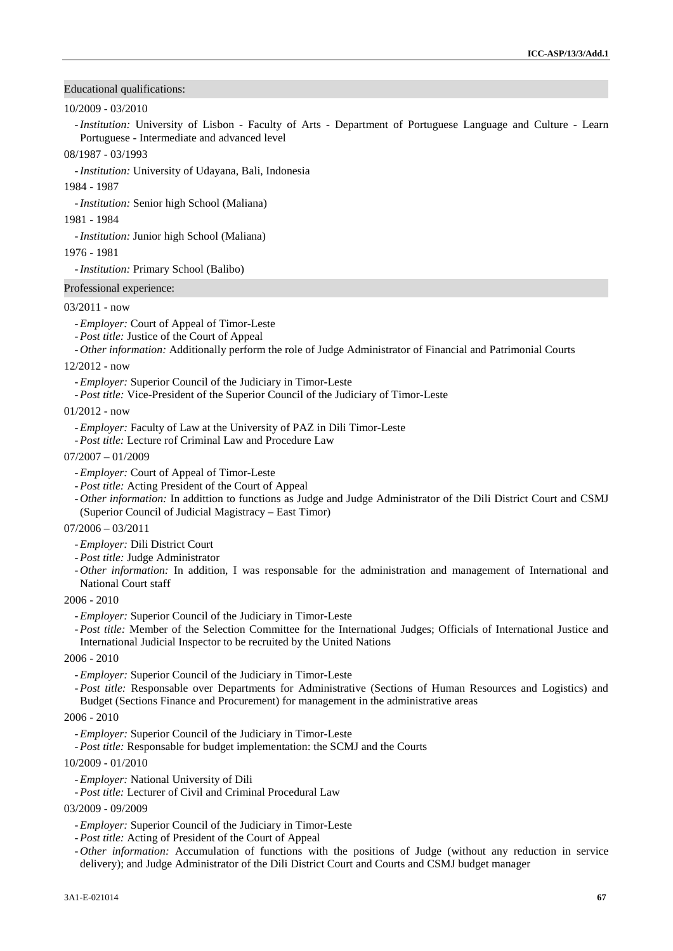#### Educational qualifications:

## 10/2009 - 03/2010

-*Institution:* University of Lisbon - Faculty of Arts - Department of Portuguese Language and Culture -Learn Portuguese - Intermediate and advanced level

#### 08/1987 - 03/1993

-*Institution:* University of Udayana, Bali, Indonesia

1984 - 1987

-*Institution:* Senior high School (Maliana)

1981 - 1984

-*Institution:* Junior high School (Maliana)

1976 - 1981

-*Institution:* Primary School (Balibo)

Professional experience:

#### 03/2011 - now

- -*Employer:* Court of Appeal of Timor-Leste
- -*Post title:* Justice of the Court of Appeal
- *Other information:* Additionally perform the role of Judge Administrator of Financial and Patrimonial Courts

#### 12/2012 - now

-*Employer:* Superior Council of the Judiciary in Timor-Leste

-*Post title:* Vice-President of the Superior Council of the Judiciary of Timor-Leste

#### 01/2012 - now

- -*Employer:* Faculty of Law at the University of PAZ in Dili Timor-Leste
- -*Post title:* Lecture rof Criminal Law and Procedure Law

#### $07/2007 - 01/2009$

- -*Employer:* Court of Appeal of Timor-Leste
- -*Post title:* Acting President of the Court of Appeal
- *Other information:* In addittion to functions as Judge and Judge Administrator of the Dili District Court and CSMJ (Superior Council of Judicial Magistracy – East Timor)

07/2006 – 03/2011

- -*Employer:* Dili District Court
- -*Post title:* Judge Administrator
- *Other information:* In addition, I was responsable for the administration and management of International and National Court staff

#### 2006 - 2010

-*Employer:* Superior Council of the Judiciary in Timor-Leste

-*Post title:* Member of the Selection Committee for the International Judges; Officials of International Justice and International Judicial Inspector to be recruited by the United Nations

#### 2006 - 2010

-*Employer:* Superior Council of the Judiciary in Timor-Leste

-*Post title:* Responsable over Departments for Administrative (Sections of Human Resources and Logistics) and Budget (Sections Finance and Procurement) for management in the administrative areas

## 2006 - 2010

-*Employer:* Superior Council of the Judiciary in Timor-Leste

-*Post title:* Responsable for budget implementation: the SCMJ and the Courts

#### 10/2009 - 01/2010

-*Employer:* National University of Dili

-*Post title:* Lecturer of Civil and Criminal Procedural Law

- 03/2009 09/2009
	- -*Employer:* Superior Council of the Judiciary in Timor-Leste
	- -*Post title:* Acting of President of the Court of Appeal
	- *Other information:* Accumulation of functions with the positions of Judge (without any reduction in service delivery); and Judge Administrator of the Dili District Court and Courts and CSMJ budget manager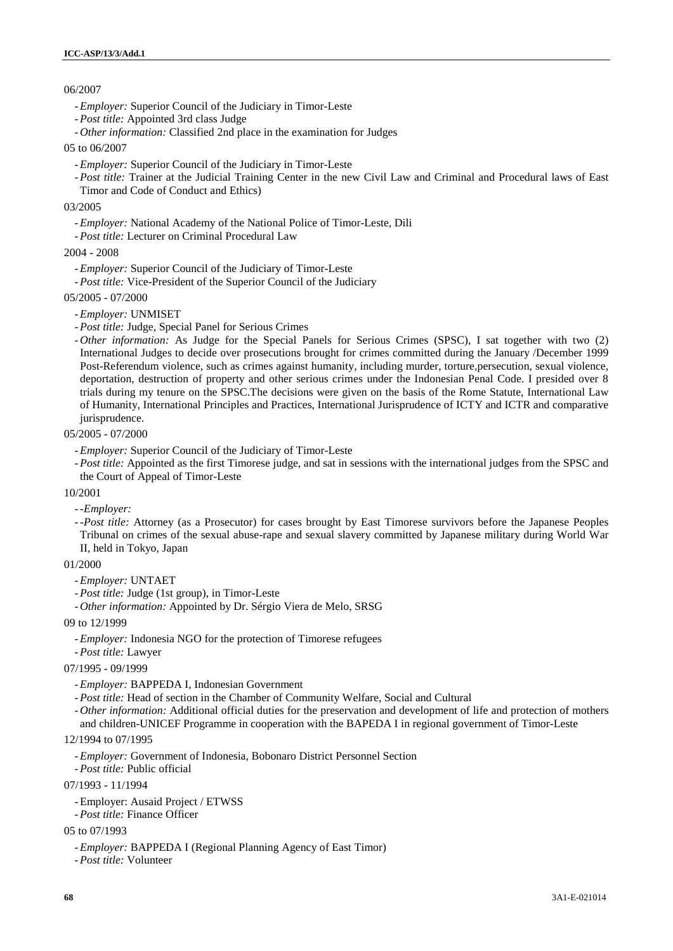# 06/2007

- -*Employer:* Superior Council of the Judiciary in Timor-Leste
- -*Post title:* Appointed 3rd class Judge
- *Other information:* Classified 2nd place in the examination for Judges

#### 05 to 06/2007

- -*Employer:* Superior Council of the Judiciary in Timor-Leste
- -*Post title:* Trainer at the Judicial Training Center in the new Civil Law and Criminal and Procedural laws of East Timor and Code of Conduct and Ethics)

#### 03/2005

- -*Employer:* National Academy of the National Police of Timor-Leste, Dili
- -*Post title:* Lecturer on Criminal Procedural Law

## 2004 - 2008

- -*Employer:* Superior Council of the Judiciary of Timor-Leste
- -*Post title:* Vice-President of the Superior Council of the Judiciary

## 05/2005 - 07/2000

- -*Employer:* UNMISET
- -*Post title:* Judge, Special Panel for Serious Crimes
- *Other information:* As Judge for the Special Panels for Serious Crimes (SPSC), I sat together with two (2) International Judges to decide over prosecutions brought for crimes committed during the January /December 1999 Post-Referendum violence, such as crimes against humanity, including murder, torture,persecution, sexual violence, deportation, destruction of property and other serious crimes under the Indonesian Penal Code. I presided over 8 trials during my tenure on the SPSC.The decisions were given on the basis of the Rome Statute, International Law of Humanity, International Principles and Practices, International Jurisprudence of ICTY and ICTR and comparative jurisprudence.

## 05/2005 - 07/2000

- -*Employer:* Superior Council of the Judiciary of Timor-Leste
- -*Post title:* Appointed as the first Timorese judge, and sat in sessions with the international judges from the SPSC and the Court of Appeal of Timor-Leste

#### 10/2001

-*-Employer:*

-*-Post title:* Attorney (as a Prosecutor) for cases brought by East Timorese survivors before the Japanese Peoples Tribunal on crimes of the sexual abuse-rape and sexual slavery committed by Japanese military during World War II, held in Tokyo, Japan

# 01/2000

- -*Employer:* UNTAET
- -*Post title:* Judge (1st group), in Timor-Leste
- *Other information:* Appointed by Dr. Sérgio Viera de Melo, SRSG

#### 09 to 12/1999

- -*Employer:* Indonesia NGO for the protection of Timorese refugees
- -*Post title:* Lawyer

#### 07/1995 - 09/1999

- -*Employer:* BAPPEDA I, Indonesian Government
- -*Post title:* Head of section in the Chamber of Community Welfare, Social and Cultural
- *Other information:* Additional official duties for the preservation and development of life and protection of mothers and children-UNICEF Programme in cooperation with the BAPEDA I in regional government of Timor-Leste

#### 12/1994 to 07/1995

- -*Employer:* Government of Indonesia, Bobonaro District Personnel Section
- -*Post title:* Public official
- 07/1993 11/1994
	- -Employer: Ausaid Project / ETWSS
	- -*Post title:* Finance Officer

# 05 to 07/1993

- -*Employer:* BAPPEDA I (Regional Planning Agency of East Timor)
- -*Post title:* Volunteer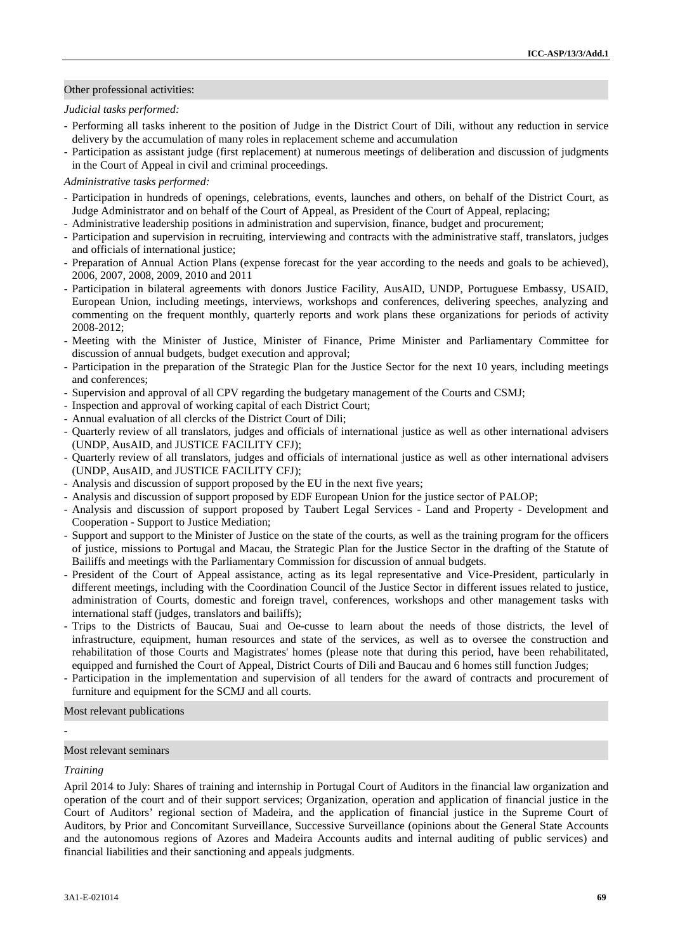## Other professional activities:

#### *Judicial tasks performed:*

- Performing all tasks inherent to the position of Judge in the District Court of Dili, without any reduction in service delivery by the accumulation of many roles in replacement scheme and accumulation
- Participation as assistant judge (first replacement) at numerous meetings of deliberation and discussion of judgments in the Court of Appeal in civil and criminal proceedings.

## *Administrative tasks performed:*

- Participation in hundreds of openings, celebrations, events, launches and others, on behalf of the District Court, as Judge Administrator and on behalf of the Court of Appeal, as President of the Court of Appeal, replacing;
- Administrative leadership positions in administration and supervision, finance, budget and procurement;
- Participation and supervision in recruiting, interviewing and contracts with the administrative staff, translators, judges and officials of international justice;
- Preparation of Annual Action Plans (expense forecast for the year according to the needs and goals to be achieved), 2006, 2007, 2008, 2009, 2010 and 2011
- Participation in bilateral agreements with donors Justice Facility, AusAID, UNDP, Portuguese Embassy, USAID, European Union, including meetings, interviews, workshops and conferences, delivering speeches, analyzing and commenting on the frequent monthly, quarterly reports and work plans these organizations for periods of activity 2008-2012;
- Meeting with the Minister of Justice, Minister of Finance, Prime Minister and Parliamentary Committee for discussion of annual budgets, budget execution and approval;
- Participation in the preparation of the Strategic Plan for the Justice Sector for the next 10 years, including meetings and conferences;
- Supervision and approval of all CPV regarding the budgetary management of the Courts and CSMJ;
- Inspection and approval of working capital of each District Court;
- Annual evaluation of all clercks of the District Court of Dili;
- Quarterly review of all translators, judges and officials of international justice as well as other international advisers (UNDP, AusAID, and JUSTICE FACILITY CFJ);
- Quarterly review of all translators, judges and officials of international justice as well as other international advisers (UNDP, AusAID, and JUSTICE FACILITY CFJ);
- Analysis and discussion of support proposed by the EU in the next five years;
- Analysis and discussion of support proposed by EDF European Union for the justice sector of PALOP;
- Analysis and discussion of support proposed by Taubert Legal Services Land and Property Development and Cooperation - Support to Justice Mediation;
- Support and support to the Minister of Justice on the state of the courts, as well as the training program for the officers of justice, missions to Portugal and Macau, the Strategic Plan for the Justice Sector in the drafting of the Statute of Bailiffs and meetings with the Parliamentary Commission for discussion of annual budgets.
- President of the Court of Appeal assistance, acting as its legal representative and Vice-President, particularly in different meetings, including with the Coordination Council of the Justice Sector in different issues related to justice, administration of Courts, domestic and foreign travel, conferences, workshops and other management tasks with international staff (judges, translators and bailiffs);
- Trips to the Districts of Baucau, Suai and Oe-cusse to learn about the needs of those districts, the level of infrastructure, equipment, human resources and state of the services, as well as to oversee the construction and rehabilitation of those Courts and Magistrates' homes (please note that during this period, have been rehabilitated, equipped and furnished the Court of Appeal, District Courts of Dili and Baucau and 6 homes still function Judges;
- Participation in the implementation and supervision of all tenders for the award of contracts and procurement of furniture and equipment for the SCMJ and all courts.

Most relevant publications

## Most relevant seminars

#### *Training*

April 2014 to July: Shares of training and internship in Portugal Court of Auditors in the financial law organization and operation of the court and of their support services; Organization, operation and application of financial justice in the Court of Auditors' regional section of Madeira, and the application of financial justice in the Supreme Court of Auditors, by Prior and Concomitant Surveillance, Successive Surveillance (opinions about the General State Accounts and the autonomous regions of Azores and Madeira Accounts audits and internal auditing of public services) and financial liabilities and their sanctioning and appeals judgments.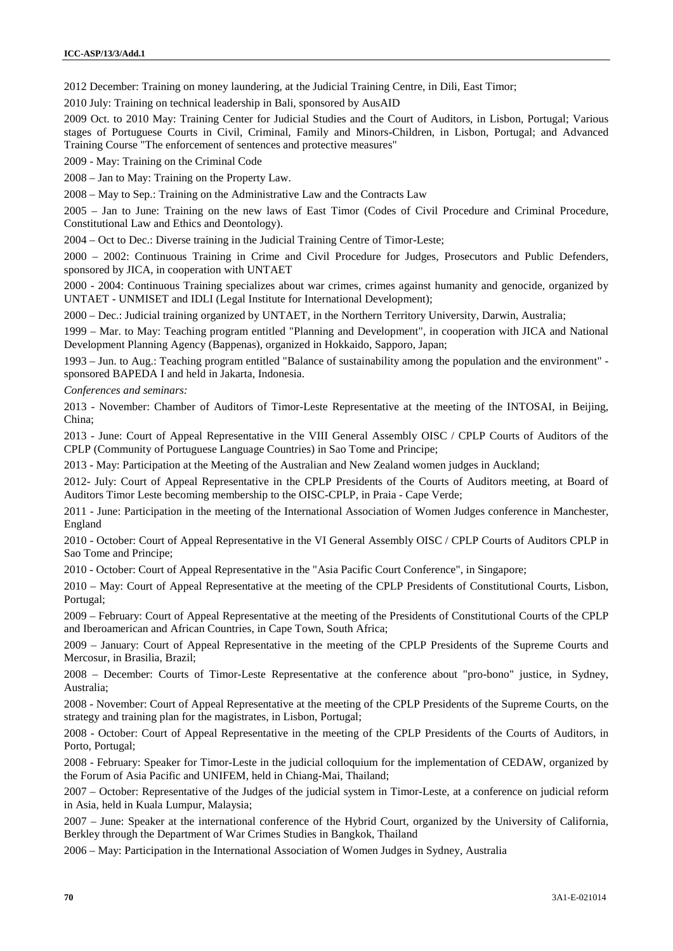2012 December: Training on money laundering, at the Judicial Training Centre, in Dili, East Timor;

2010 July: Training on technical leadership in Bali, sponsored by AusAID

2009 Oct. to 2010 May: Training Center for Judicial Studies and the Court of Auditors, in Lisbon, Portugal; Various stages of Portuguese Courts in Civil, Criminal, Family and Minors-Children, in Lisbon, Portugal; and Advanced Training Course "The enforcement of sentences and protective measures"

2009 - May: Training on the Criminal Code

2008 – Jan to May: Training on the Property Law.

2008 – May to Sep.: Training on the Administrative Law and the Contracts Law

2005 – Jan to June: Training on the new laws of East Timor (Codes of Civil Procedure and Criminal Procedure, Constitutional Law and Ethics and Deontology).

2004 – Oct to Dec.: Diverse training in the Judicial Training Centre of Timor-Leste;

2000 – 2002: Continuous Training in Crime and Civil Procedure for Judges, Prosecutors and Public Defenders, sponsored by JICA, in cooperation with UNTAET

2000 - 2004: Continuous Training specializes about war crimes, crimes against humanity and genocide, organized by UNTAET - UNMISET and IDLI (Legal Institute for International Development);

2000 – Dec.: Judicial training organized by UNTAET, in the Northern Territory University, Darwin, Australia;

1999 – Mar. to May: Teaching program entitled "Planning and Development", in cooperation with JICA and National Development Planning Agency (Bappenas), organized in Hokkaido, Sapporo, Japan;

1993 – Jun. to Aug.: Teaching program entitled "Balance of sustainability among the population and the environment" sponsored BAPEDA I and held in Jakarta, Indonesia.

*Conferences and seminars:*

2013 - November: Chamber of Auditors of Timor-Leste Representative at the meeting of the INTOSAI, in Beijing, China;

2013 - June: Court of Appeal Representative in the VIII General Assembly OISC / CPLP Courts of Auditors of the CPLP (Community of Portuguese Language Countries) in Sao Tome and Principe;

2013 - May: Participation at the Meeting of the Australian and New Zealand women judges in Auckland;

2012- July: Court of Appeal Representative in the CPLP Presidents of the Courts of Auditors meeting, at Board of Auditors Timor Leste becoming membership to the OISC-CPLP, in Praia - Cape Verde;

2011 - June: Participation in the meeting of the International Association of Women Judges conference in Manchester, England

2010 - October: Court of Appeal Representative in the VI General Assembly OISC / CPLP Courts of Auditors CPLP in Sao Tome and Principe;

2010 - October: Court of Appeal Representative in the "Asia Pacific Court Conference", in Singapore;

2010 – May: Court of Appeal Representative at the meeting of the CPLP Presidents of Constitutional Courts, Lisbon, Portugal;

2009 – February: Court of Appeal Representative at the meeting of the Presidents of Constitutional Courts of the CPLP and Iberoamerican and African Countries, in Cape Town, South Africa;

2009 – January: Court of Appeal Representative in the meeting of the CPLP Presidents of the Supreme Courts and Mercosur, in Brasilia, Brazil;

2008 – December: Courts of Timor-Leste Representative at the conference about "pro-bono" justice, in Sydney, Australia;

2008 - November: Court of Appeal Representative at the meeting of the CPLP Presidents of the Supreme Courts, on the strategy and training plan for the magistrates, in Lisbon, Portugal;

2008 - October: Court of Appeal Representative in the meeting of the CPLP Presidents of the Courts of Auditors, in Porto, Portugal;

2008 - February: Speaker for Timor-Leste in the judicial colloquium for the implementation of CEDAW, organized by the Forum of Asia Pacific and UNIFEM, held in Chiang-Mai, Thailand;

2007 – October: Representative of the Judges of the judicial system in Timor-Leste, at a conference on judicial reform in Asia, held in Kuala Lumpur, Malaysia;

2007 – June: Speaker at the international conference of the Hybrid Court, organized by the University of California, Berkley through the Department of War Crimes Studies in Bangkok, Thailand

2006 – May: Participation in the International Association of Women Judges in Sydney, Australia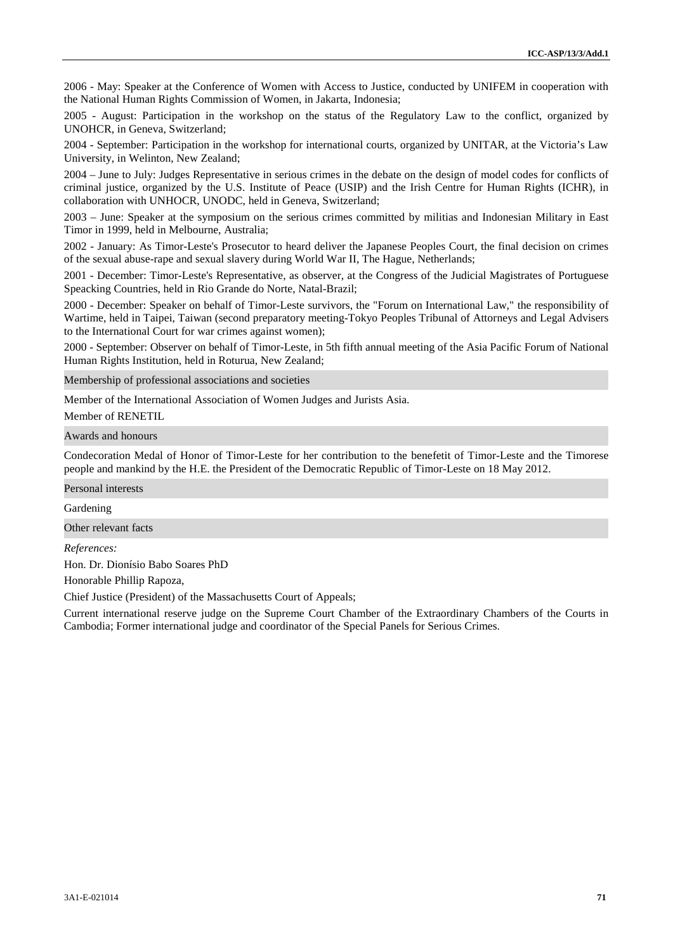2006 - May: Speaker at the Conference of Women with Access to Justice, conducted by UNIFEM in cooperation with the National Human Rights Commission of Women, in Jakarta, Indonesia;

2005 - August: Participation in the workshop on the status of the Regulatory Law to the conflict, organized by UNOHCR, in Geneva, Switzerland;

2004 - September: Participation in the workshop for international courts, organized by UNITAR, at the Victoria's Law University, in Welinton, New Zealand;

2004 – June to July: Judges Representative in serious crimes in the debate on the design of model codes for conflicts of criminal justice, organized by the U.S. Institute of Peace (USIP) and the Irish Centre for Human Rights (ICHR), in collaboration with UNHOCR, UNODC, held in Geneva, Switzerland;

2003 – June: Speaker at the symposium on the serious crimes committed by militias and Indonesian Military in East Timor in 1999, held in Melbourne, Australia;

2002 - January: As Timor-Leste's Prosecutor to heard deliver the Japanese Peoples Court, the final decision on crimes of the sexual abuse-rape and sexual slavery during World War II, The Hague, Netherlands;

2001 - December: Timor-Leste's Representative, as observer, at the Congress of the Judicial Magistrates of Portuguese Speacking Countries, held in Rio Grande do Norte, Natal-Brazil;

2000 - December: Speaker on behalf of Timor-Leste survivors, the "Forum on International Law," the responsibility of Wartime, held in Taipei, Taiwan (second preparatory meeting-Tokyo Peoples Tribunal of Attorneys and Legal Advisers to the International Court for war crimes against women);

2000 - September: Observer on behalf of Timor-Leste, in 5th fifth annual meeting of the Asia Pacific Forum of National Human Rights Institution, held in Roturua, New Zealand;

Membership of professional associations and societies

Member of the International Association of Women Judges and Jurists Asia.

Member of RENETIL

Awards and honours

Condecoration Medal of Honor of Timor-Leste for her contribution to the benefetit of Timor-Leste and the Timorese people and mankind by the H.E. the President of the Democratic Republic of Timor-Leste on 18 May 2012.

Personal interests

Gardening

Other relevant facts

*References:*

Hon. Dr. Dionísio Babo Soares PhD

Honorable Phillip Rapoza,

Chief Justice (President) of the Massachusetts Court of Appeals;

Current international reserve judge on the Supreme Court Chamber of the Extraordinary Chambers of the Courts in Cambodia; Former international judge and coordinator of the Special Panels for Serious Crimes.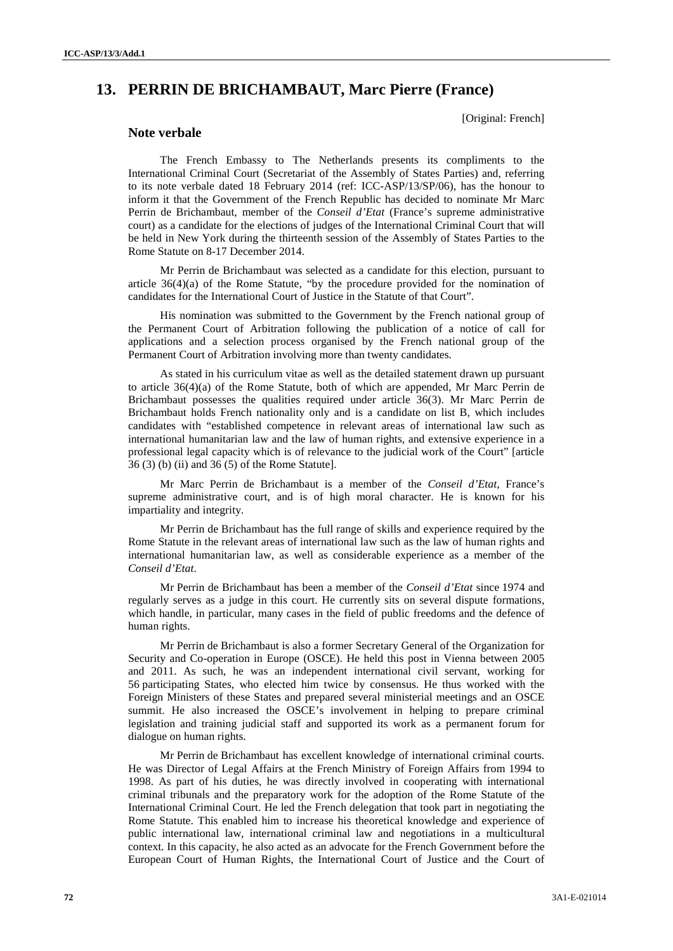# **13. PERRIN DE BRICHAMBAUT, Marc Pierre (France)**

[Original: French]

# **Note verbale**

The French Embassy to The Netherlands presents its compliments to the International Criminal Court (Secretariat of the Assembly of States Parties) and, referring to its note verbale dated 18 February 2014 (ref: ICC-ASP/13/SP/06), has the honour to inform it that the Government of the French Republic has decided to nominate Mr Marc Perrin de Brichambaut, member of the *Conseil d'Etat* (France's supreme administrative court) as a candidate for the elections of judges of the International Criminal Court that will be held in New York during the thirteenth session of the Assembly of States Parties to the Rome Statute on 8-17 December 2014.

Mr Perrin de Brichambaut was selected as a candidate for this election, pursuant to article 36(4)(a) of the Rome Statute, "by the procedure provided for the nomination of candidates for the International Court of Justice in the Statute of that Court".

His nomination was submitted to the Government by the French national group of the Permanent Court of Arbitration following the publication of a notice of call for applications and a selection process organised by the French national group of the Permanent Court of Arbitration involving more than twenty candidates.

As stated in his curriculum vitae as well as the detailed statement drawn up pursuant to article 36(4)(a) of the Rome Statute, both of which are appended, Mr Marc Perrin de Brichambaut possesses the qualities required under article 36(3). Mr Marc Perrin de Brichambaut holds French nationality only and is a candidate on list B, which includes candidates with "established competence in relevant areas of international law such as international humanitarian law and the law of human rights, and extensive experience in a professional legal capacity which is of relevance to the judicial work of the Court" [article 36 (3) (b) (ii) and 36 (5) of the Rome Statute].

Mr Marc Perrin de Brichambaut is a member of the *Conseil d'Etat*, France's supreme administrative court, and is of high moral character. He is known for his impartiality and integrity.

Mr Perrin de Brichambaut has the full range of skills and experience required by the Rome Statute in the relevant areas of international law such as the law of human rights and international humanitarian law, as well as considerable experience as a member of the *Conseil d'Etat*.

Mr Perrin de Brichambaut has been a member of the *Conseil d'Etat* since 1974 and regularly serves as a judge in this court. He currently sits on several dispute formations, which handle, in particular, many cases in the field of public freedoms and the defence of human rights.

Mr Perrin de Brichambaut is also a former Secretary General of the Organization for Security and Co-operation in Europe (OSCE). He held this post in Vienna between 2005 and 2011. As such, he was an independent international civil servant, working for 56 participating States, who elected him twice by consensus. He thus worked with the Foreign Ministers of these States and prepared several ministerial meetings and an OSCE summit. He also increased the OSCE's involvement in helping to prepare criminal legislation and training judicial staff and supported its work as a permanent forum for dialogue on human rights.

Mr Perrin de Brichambaut has excellent knowledge of international criminal courts. He was Director of Legal Affairs at the French Ministry of Foreign Affairs from 1994 to 1998. As part of his duties, he was directly involved in cooperating with international criminal tribunals and the preparatory work for the adoption of the Rome Statute of the International Criminal Court. He led the French delegation that took part in negotiating the Rome Statute. This enabled him to increase his theoretical knowledge and experience of public international law, international criminal law and negotiations in a multicultural context. In this capacity, he also acted as an advocate for the French Government before the European Court of Human Rights, the International Court of Justice and the Court of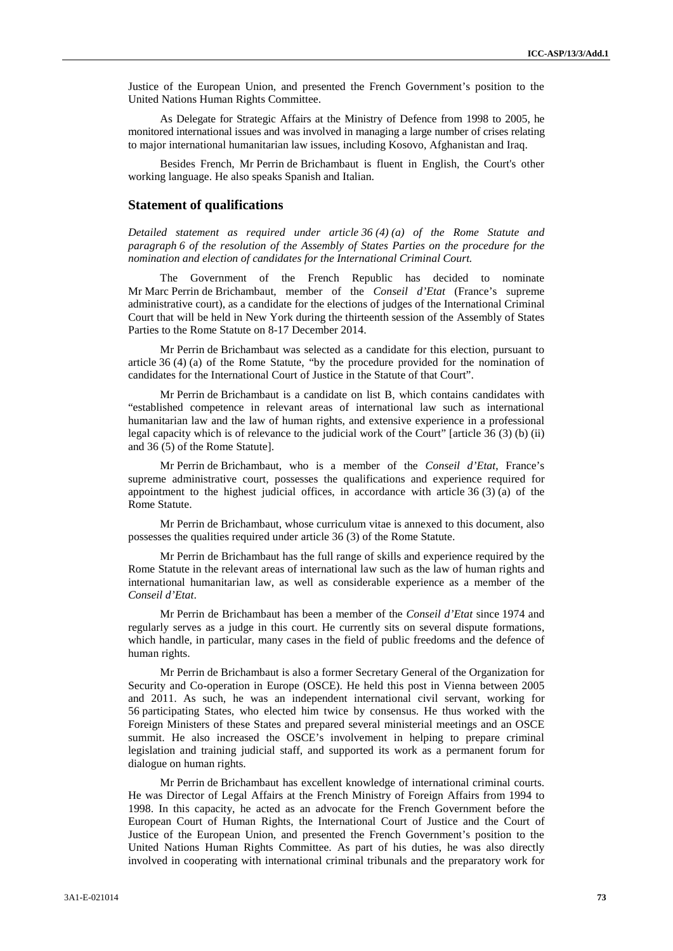Justice of the European Union, and presented the French Government's position to the United Nations Human Rights Committee.

As Delegate for Strategic Affairs at the Ministry of Defence from 1998 to 2005, he monitored international issues and was involved in managing a large number of crises relating to major international humanitarian law issues, including Kosovo, Afghanistan and Iraq.

Besides French, Mr Perrin de Brichambaut is fluent in English, the Court's other working language. He also speaks Spanish and Italian.

## **Statement of qualifications**

*Detailed statement as required under article 36 (4) (a) of the Rome Statute and paragraph 6 of the resolution of the Assembly of States Parties on the procedure for the nomination and election of candidates for the International Criminal Court.*

The Government of the French Republic has decided to nominate Mr Marc Perrin de Brichambaut, member of the *Conseil d'Etat* (France's supreme administrative court), as a candidate for the elections of judges of the International Criminal Court that will be held in New York during the thirteenth session of the Assembly of States Parties to the Rome Statute on 8-17 December 2014.

Mr Perrin de Brichambaut was selected as a candidate for this election, pursuant to article 36 (4) (a) of the Rome Statute, "by the procedure provided for the nomination of candidates for the International Court of Justice in the Statute of that Court".

Mr Perrin de Brichambaut is a candidate on list B, which contains candidates with "established competence in relevant areas of international law such as international humanitarian law and the law of human rights, and extensive experience in a professional legal capacity which is of relevance to the judicial work of the Court" [article 36 (3) (b) (ii) and 36 (5) of the Rome Statute].

Mr Perrin de Brichambaut, who is a member of the *Conseil d'Etat*, France's supreme administrative court, possesses the qualifications and experience required for appointment to the highest judicial offices, in accordance with article  $36(3)(a)$  of the Rome Statute.

Mr Perrin de Brichambaut, whose curriculum vitae is annexed to this document, also possesses the qualities required under article 36 (3) of the Rome Statute.

Mr Perrin de Brichambaut has the full range of skills and experience required by the Rome Statute in the relevant areas of international law such as the law of human rights and international humanitarian law, as well as considerable experience as a member of the *Conseil d'Etat*.

Mr Perrin de Brichambaut has been a member of the *Conseil d'Etat* since 1974 and regularly serves as a judge in this court. He currently sits on several dispute formations, which handle, in particular, many cases in the field of public freedoms and the defence of human rights.

Mr Perrin de Brichambaut is also a former Secretary General of the Organization for Security and Co-operation in Europe (OSCE). He held this post in Vienna between 2005 and 2011. As such, he was an independent international civil servant, working for 56 participating States, who elected him twice by consensus. He thus worked with the Foreign Ministers of these States and prepared several ministerial meetings and an OSCE summit. He also increased the OSCE's involvement in helping to prepare criminal legislation and training judicial staff, and supported its work as a permanent forum for dialogue on human rights.

Mr Perrin de Brichambaut has excellent knowledge of international criminal courts. He was Director of Legal Affairs at the French Ministry of Foreign Affairs from 1994 to 1998. In this capacity, he acted as an advocate for the French Government before the European Court of Human Rights, the International Court of Justice and the Court of Justice of the European Union, and presented the French Government's position to the United Nations Human Rights Committee. As part of his duties, he was also directly involved in cooperating with international criminal tribunals and the preparatory work for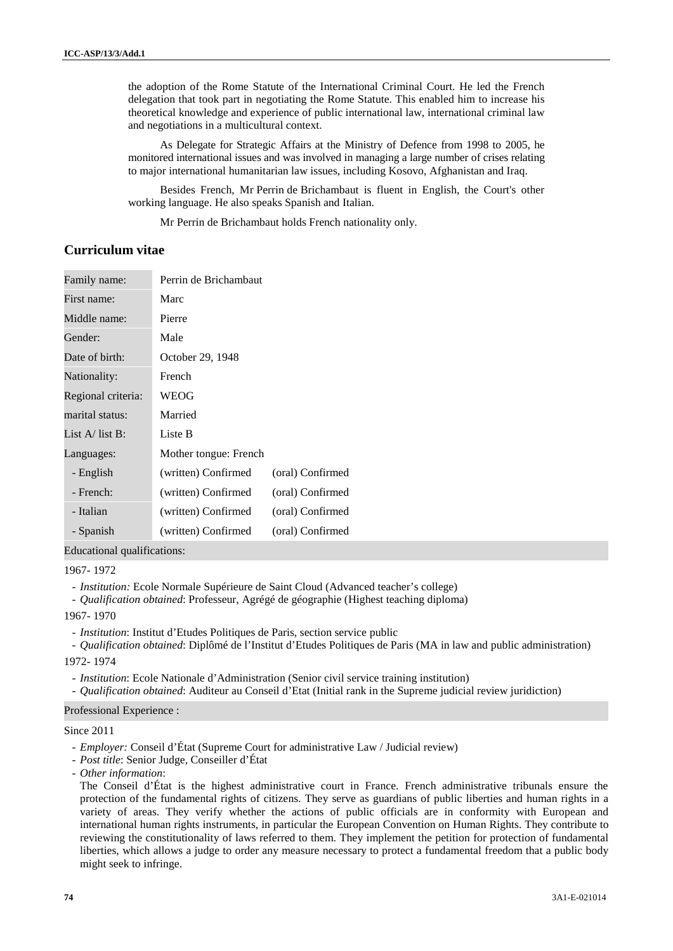the adoption of the Rome Statute of the International Criminal Court. He led the French delegation that took part in negotiating the Rome Statute. This enabled him to increase his theoretical knowledge and experience of public international law, international criminal law and negotiations in a multicultural context.

As Delegate for Strategic Affairs at the Ministry of Defence from 1998 to 2005, he monitored international issues and was involved in managing a large number of crises relating to major international humanitarian law issues, including Kosovo, Afghanistan and Iraq.

Besides French, Mr Perrin de Brichambaut is fluent in English, the Court's other working language. He also speaks Spanish and Italian.

Mr Perrin de Brichambaut holds French nationality only.

## **Curriculum vitae**

| Family name:              | Perrin de Brichambaut |                  |
|---------------------------|-----------------------|------------------|
| First name:               | Marc                  |                  |
| Middle name:              | Pierre                |                  |
| Gender:                   | Male                  |                  |
| Date of birth:            | October 29, 1948      |                  |
| Nationality:              | French                |                  |
| Regional criteria:        | WEOG                  |                  |
| marital status:           | Married               |                  |
| List $A/\text{list } B$ : | Liste B               |                  |
| Languages:                | Mother tongue: French |                  |
| - English                 | (written) Confirmed   | (oral) Confirmed |
| - French:                 | (written) Confirmed   | (oral) Confirmed |
| - Italian                 | (written) Confirmed   | (oral) Confirmed |
| - Spanish                 | (written) Confirmed   | (oral) Confirmed |

Educational qualifications:

#### 1967- 1972

- *Institution:* Ecole Normale Supérieure de Saint Cloud (Advanced teacher's college)

- *Qualification obtained*: Professeur, Agrégé de géographie (Highest teaching diploma)

## 1967- 1970

- *Institution*: Institut d'Etudes Politiques de Paris, section service public
- *Qualification obtained*: Diplômé de l'Institut d'Etudes Politiques de Paris (MA in law and public administration)

#### 1972- 1974

- *Institution*: Ecole Nationale d'Administration (Senior civil service training institution)
- *Qualification obtained*: Auditeur au Conseil d'Etat (Initial rank in the Supreme judicial review juridiction)

## Professional Experience :

### Since 2011

- *Employer:* Conseil d'État (Supreme Court for administrative Law / Judicial review)
- *Post title*: Senior Judge, Conseiller d'État
- *Other information*:

The Conseil d'État is the highest administrative court in France. French administrative tribunals ensure the protection of the fundamental rights of citizens. They serve as guardians of public liberties and human rights in a variety of areas. They verify whether the actions of public officials are in conformity with European and international human rights instruments, in particular the European Convention on Human Rights. They contribute to reviewing the constitutionality of laws referred to them. They implement the petition for protection of fundamental liberties, which allows a judge to order any measure necessary to protect a fundamental freedom that a public body might seek to infringe.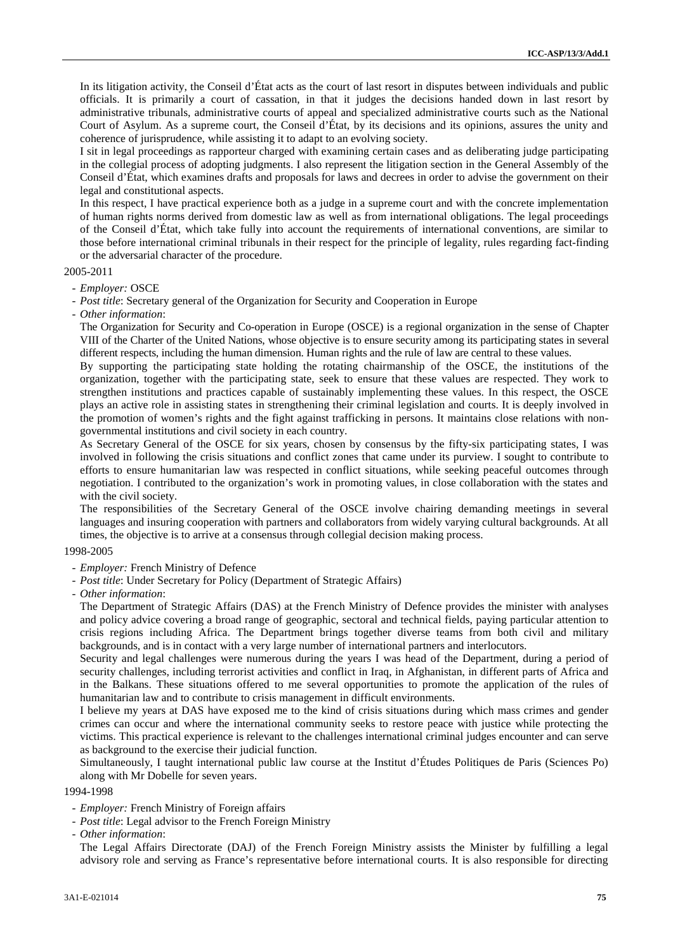In its litigation activity, the Conseil d'État acts as the court of last resort in disputes between individuals and public officials. It is primarily a court of cassation, in that it judges the decisions handed down in last resort by administrative tribunals, administrative courts of appeal and specialized administrative courts such as the National Court of Asylum. As a supreme court, the Conseil d'État, by its decisions and its opinions, assures the unity and coherence of jurisprudence, while assisting it to adapt to an evolving society.

I sit in legal proceedings as rapporteur charged with examining certain cases and as deliberating judge participating in the collegial process of adopting judgments. I also represent the litigation section in the General Assembly of the Conseil d'État, which examines drafts and proposals for laws and decrees in order to advise the government on their legal and constitutional aspects.

In this respect, I have practical experience both as a judge in a supreme court and with the concrete implementation of human rights norms derived from domestic law as well as from international obligations. The legal proceedings of the Conseil d'État, which take fully into account the requirements of international conventions, are similar to those before international criminal tribunals in their respect for the principle of legality, rules regarding fact-finding or the adversarial character of the procedure.

### 2005-2011

- *Employer:* OSCE
- *Post title*: Secretary general of the Organization for Security and Cooperation in Europe
- *Other information*:

The Organization for Security and Co-operation in Europe (OSCE) is a regional organization in the sense of Chapter VIII of the Charter of the United Nations, whose objective is to ensure security among its participating states in several different respects, including the human dimension. Human rights and the rule of law are central to these values.

By supporting the participating state holding the rotating chairmanship of the OSCE, the institutions of the organization, together with the participating state, seek to ensure that these values are respected. They work to strengthen institutions and practices capable of sustainably implementing these values. In this respect, the OSCE plays an active role in assisting states in strengthening their criminal legislation and courts. It is deeply involved in the promotion of women's rights and the fight against trafficking in persons. It maintains close relations with non governmental institutions and civil society in each country.

As Secretary General of the OSCE for six years, chosen by consensus by the fifty-six participating states, I was involved in following the crisis situations and conflict zones that came under its purview. I sought to contribute to efforts to ensure humanitarian law was respected in conflict situations, while seeking peaceful outcomes through negotiation. I contributed to the organization's work in promoting values, in close collaboration with the states and with the civil society.

The responsibilities of the Secretary General of the OSCE involve chairing demanding meetings in several languages and insuring cooperation with partners and collaborators from widely varying cultural backgrounds. At all times, the objective is to arrive at a consensus through collegial decision making process.

#### 1998-2005

- *Employer:* French Ministry of Defence
- *Post title*: Under Secretary for Policy (Department of Strategic Affairs)
- *Other information*:

The Department of Strategic Affairs (DAS) at the French Ministry of Defence provides the minister with analyses and policy advice covering a broad range of geographic, sectoral and technical fields, paying particular attention to crisis regions including Africa. The Department brings together diverse teams from both civil and military backgrounds, and is in contact with a very large number of international partners and interlocutors.

Security and legal challenges were numerous during the years I was head of the Department, during a period of security challenges, including terrorist activities and conflict in Iraq, in Afghanistan, in different parts of Africa and in the Balkans. These situations offered to me several opportunities to promote the application of the rules of humanitarian law and to contribute to crisis management in difficult environments.

I believe my years at DAS have exposed me to the kind of crisis situations during which mass crimes and gender crimes can occur and where the international community seeks to restore peace with justice while protecting the victims. This practical experience is relevant to the challenges international criminal judges encounter and can serve as background to the exercise their judicial function.

Simultaneously, I taught international public law course at the Institut d'Études Politiques de Paris (Sciences Po) along with Mr Dobelle for seven years.

1994-1998

- *Employer:* French Ministry of Foreign affairs
- *Post title*: Legal advisor to the French Foreign Ministry
- *Other information*:

The Legal Affairs Directorate (DAJ) of the French Foreign Ministry assists the Minister by fulfilling a legal advisory role and serving as France's representative before international courts. It is also responsible for directing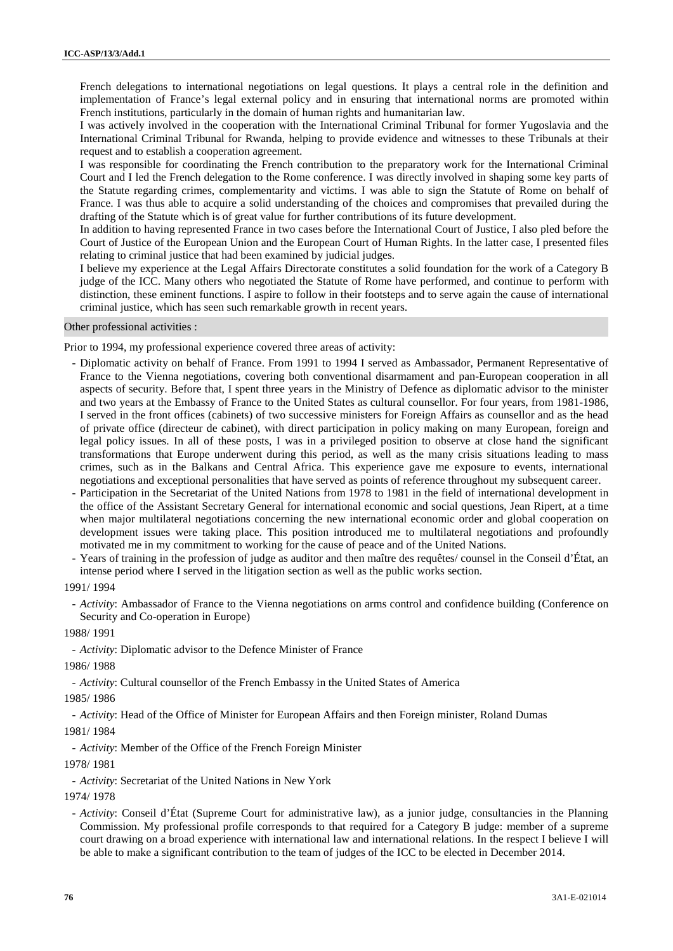French delegations to international negotiations on legal questions. It plays a central role in the definition and implementation of France's legal external policy and in ensuring that international norms are promoted within French institutions, particularly in the domain of human rights and humanitarian law.

I was actively involved in the cooperation with the International Criminal Tribunal for former Yugoslavia and the International Criminal Tribunal for Rwanda, helping to provide evidence and witnesses to these Tribunals at their request and to establish a cooperation agreement.

I was responsible for coordinating the French contribution to the preparatory work for the International Criminal Court and I led the French delegation to the Rome conference. I was directly involved in shaping some key parts of the Statute regarding crimes, complementarity and victims. I was able to sign the Statute of Rome on behalf of France. I was thus able to acquire a solid understanding of the choices and compromises that prevailed during the drafting of the Statute which is of great value for further contributions of its future development.

In addition to having represented France in two cases before the International Court of Justice, I also pled before the Court of Justice of the European Union and the European Court of Human Rights. In the latter case, I presented files relating to criminal justice that had been examined by judicial judges.

I believe my experience at the Legal Affairs Directorate constitutes a solid foundation for the work of a Category B judge of the ICC. Many others who negotiated the Statute of Rome have performed, and continue to perform with distinction, these eminent functions. I aspire to follow in their footsteps and to serve again the cause of international criminal justice, which has seen such remarkable growth in recent years.

Other professional activities :

Prior to 1994, my professional experience covered three areas of activity:

- Diplomatic activity on behalf of France. From 1991 to 1994 I served as Ambassador, Permanent Representative of France to the Vienna negotiations, covering both conventional disarmament and pan-European cooperation in all aspects of security. Before that, I spent three years in the Ministry of Defence as diplomatic advisor to the minister and two years at the Embassy of France to the United States as cultural counsellor. For four years, from 1981-1986, I served in the front offices (cabinets) of two successive ministers for Foreign Affairs as counsellor and as the head of private office (directeur de cabinet), with direct participation in policy making on many European, foreign and legal policy issues. In all of these posts, I was in a privileged position to observe at close hand the significant transformations that Europe underwent during this period, as well as the many crisis situations leading to mass crimes, such as in the Balkans and Central Africa. This experience gave me exposure to events, international negotiations and exceptional personalities that have served as points of reference throughout my subsequent career.
- Participation in the Secretariat of the United Nations from 1978 to 1981 in the field of international development in the office of the Assistant Secretary General for international economic and social questions, Jean Ripert, at a time when major multilateral negotiations concerning the new international economic order and global cooperation on development issues were taking place. This position introduced me to multilateral negotiations and profoundly motivated me in my commitment to working for the cause of peace and of the United Nations.
- Years of training in the profession of judge as auditor and then maître des requêtes/ counsel in the Conseil d'État, an intense period where I served in the litigation section as well as the public works section.

1991/ 1994

- *Activity*: Ambassador of France to the Vienna negotiations on arms control and confidence building (Conference on Security and Co-operation in Europe)

1988/ 1991

- *Activity*: Diplomatic advisor to the Defence Minister of France

1986/ 1988

- *Activity*: Cultural counsellor of the French Embassy in the United States of America

1985/ 1986

- *Activity*: Head of the Office of Minister for European Affairs and then Foreign minister, Roland Dumas

1981/ 1984

- *Activity*: Member of the Office of the French Foreign Minister

1978/ 1981

- *Activity*: Secretariat of the United Nations in New York

1974/ 1978

- *Activity*: Conseil d'État (Supreme Court for administrative law), as a junior judge, consultancies in the Planning Commission. My professional profile corresponds to that required for a Category B judge: member of a supreme court drawing on a broad experience with international law and international relations. In the respect I believe I will be able to make a significant contribution to the team of judges of the ICC to be elected in December 2014.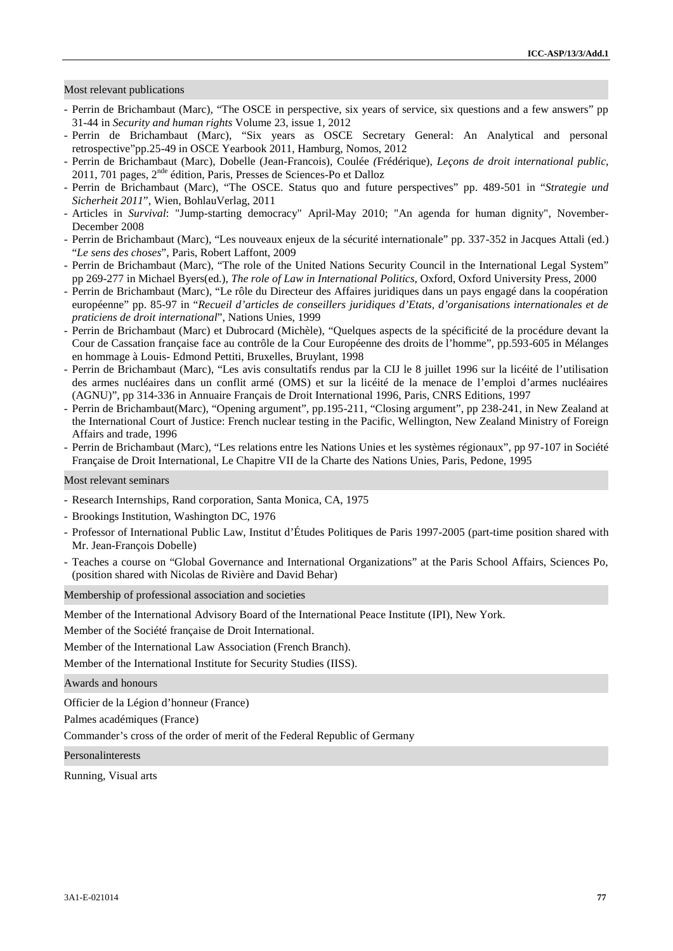## Most relevant publications

- Perrin de Brichambaut (Marc), "The OSCE in perspective, six years of service, six questions and a few answers" pp 31-44 in *Security and human rights* Volume 23, issue 1, 2012
- Perrin de Brichambaut (Marc), "Six years as OSCE Secretary General: An Analytical and personal retrospective"pp.25-49 in OSCE Yearbook 2011, Hamburg, Nomos, 2012
- Perrin de Brichambaut (Marc), Dobelle (Jean-Francois), Coulée *(*Frédérique), *Leçons de droit international public*,  $2011$ , 701 pages,  $2^{nde}$  édition, Paris, Presses de Sciences-Po et Dalloz
- Perrin de Brichambaut (Marc), "The OSCE. Status quo and future perspectives" pp. 489-501 in "*Strategie und Sicherheit 2011*", Wien, BohlauVerlag, 2011
- Articles in *Survival*: "Jump-starting democracy" April-May 2010; "An agenda for human dignity", November- December 2008
- Perrin de Brichambaut (Marc), "Les nouveaux enjeux de la sécurité internationale" pp. 337-352 in Jacques Attali (ed.) "*Le sens des choses*", Paris, Robert Laffont, 2009
- Perrin de Brichambaut (Marc), "The role of the United Nations Security Council in the International Legal System" pp 269-277 in Michael Byers(ed.), *The role of Law in International Politics*, Oxford, Oxford University Press, 2000
- Perrin de Brichambaut (Marc), "Le rôle du Directeur des Affaires juridiques dans un pays engagé dans la coopération européenne" pp. 85-97 in "*Recueil d'articles de conseillers juridiques d'Etats, d'organisations internationales et de praticiens de droit international*", Nations Unies, 1999
- Perrin de Brichambaut (Marc) et Dubrocard (Michèle), "Quelques aspects de la spécificité de la procédure devant la Cour de Cassation française face au contrôle de la Cour Européenne des droits de l'homme", pp.593-605 in Mélanges en hommage à Louis- Edmond Pettiti, Bruxelles, Bruylant, 1998
- Perrin de Brichambaut (Marc), "Les avis consultatifs rendus par la CIJ le 8 juillet 1996 sur la licéité de l'utilisation des armes nucléaires dans un conflit armé (OMS) et sur la licéité de la menace de l'emploi d'armes nucléaires (AGNU)", pp 314-336 in Annuaire Français de Droit International 1996, Paris, CNRS Editions, 1997
- Perrin de Brichambaut(Marc), "Opening argument", pp.195-211, "Closing argument", pp 238-241, in New Zealand at the International Court of Justice: French nuclear testing in the Pacific, Wellington, New Zealand Ministry of Foreign Affairs and trade, 1996
- Perrin de Brichambaut (Marc), "Les relations entre les Nations Unies et les systèmes régionaux", pp 97-107 in Société Française de Droit International, Le Chapitre VII de la Charte des Nations Unies, Paris, Pedone, 1995

Most relevant seminars

- Research Internships, Rand corporation, Santa Monica, CA, 1975
- Brookings Institution, Washington DC, 1976
- Professor of International Public Law, Institut d'Études Politiques de Paris 1997-2005 (part-time position shared with Mr. Jean-François Dobelle)
- Teaches a course on "Global Governance and International Organizations" at the Paris School Affairs, Sciences Po, (position shared with Nicolas de Rivière and David Behar)

Membership of professional association and societies

Member of the International Advisory Board of the International Peace Institute (IPI), New York.

Member of the Société française de Droit International.

Member of the International Law Association (French Branch).

Member of the International Institute for Security Studies (IISS).

Awards and honours

Officier de la Légion d'honneur (France)

Palmes académiques (France)

Commander's cross of the order of merit of the Federal Republic of Germany

Personalinterests

Running, Visual arts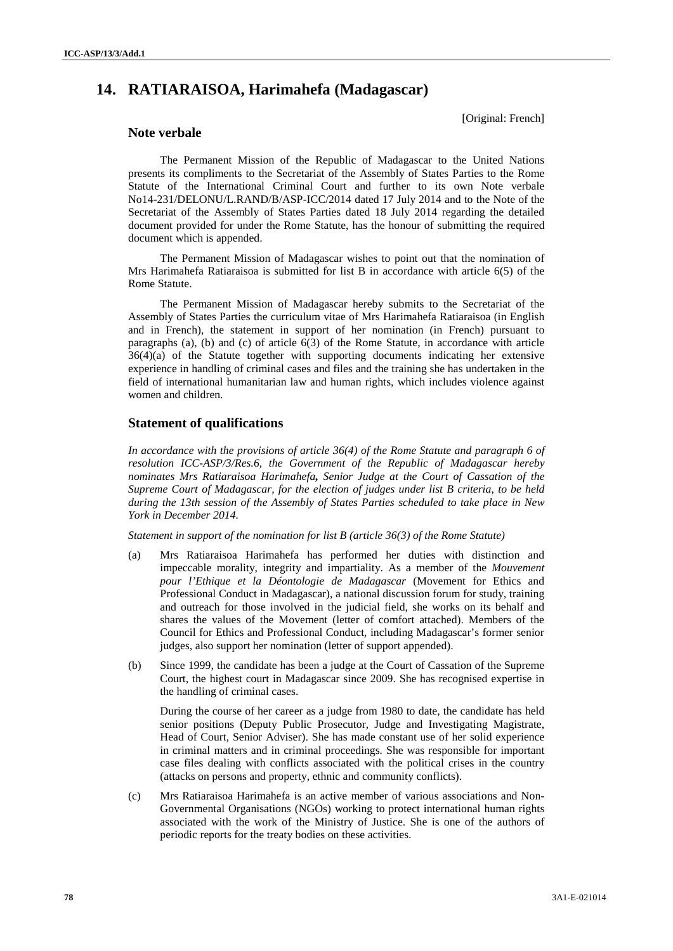# **14. RATIARAISOA, Harimahefa (Madagascar)**

[Original: French]

## **Note verbale**

The Permanent Mission of the Republic of Madagascar to the United Nations presents its compliments to the Secretariat of the Assembly of States Parties to the Rome Statute of the International Criminal Court and further to its own Note verbale No14-231/DELONU/L.RAND/B/ASP-ICC/2014 dated 17 July 2014 and to the Note of the Secretariat of the Assembly of States Parties dated 18 July 2014 regarding the detailed document provided for under the Rome Statute, has the honour of submitting the required document which is appended.

The Permanent Mission of Madagascar wishes to point out that the nomination of Mrs Harimahefa Ratiaraisoa is submitted for list B in accordance with article 6(5) of the Rome Statute.

The Permanent Mission of Madagascar hereby submits to the Secretariat of the Assembly of States Parties the curriculum vitae of Mrs Harimahefa Ratiaraisoa (in English and in French), the statement in support of her nomination (in French) pursuant to paragraphs (a), (b) and (c) of article  $6(3)$  of the Rome Statute, in accordance with article 36(4)(a) of the Statute together with supporting documents indicating her extensive experience in handling of criminal cases and files and the training she has undertaken in the field of international humanitarian law and human rights, which includes violence against women and children.

## **Statement of qualifications**

*In accordance with the provisions of article 36(4) of the Rome Statute and paragraph 6 of resolution ICC-ASP/3/Res.6, the Government of the Republic of Madagascar hereby nominates Mrs Ratiaraisoa Harimahefa, Senior Judge at the Court of Cassation of the Supreme Court of Madagascar, for the election of judges under list B criteria, to be held during the 13th session of the Assembly of States Parties scheduled to take place in New York in December 2014.*

*Statement in support of the nomination for list B (article 36(3) of the Rome Statute)*

- (a) Mrs Ratiaraisoa Harimahefa has performed her duties with distinction and impeccable morality, integrity and impartiality. As a member of the *Mouvement pour l'Ethique et la Déontologie de Madagascar* (Movement for Ethics and Professional Conduct in Madagascar), a national discussion forum for study, training and outreach for those involved in the judicial field, she works on its behalf and shares the values of the Movement (letter of comfort attached). Members of the Council for Ethics and Professional Conduct, including Madagascar's former senior judges, also support her nomination (letter of support appended).
- (b) Since 1999, the candidate has been a judge at the Court of Cassation of the Supreme Court, the highest court in Madagascar since 2009. She has recognised expertise in the handling of criminal cases.

During the course of her career as a judge from 1980 to date, the candidate has held senior positions (Deputy Public Prosecutor, Judge and Investigating Magistrate, Head of Court, Senior Adviser). She has made constant use of her solid experience in criminal matters and in criminal proceedings. She was responsible for important case files dealing with conflicts associated with the political crises in the country (attacks on persons and property, ethnic and community conflicts).

(c) Mrs Ratiaraisoa Harimahefa is an active member of various associations and Non- Governmental Organisations (NGOs) working to protect international human rights associated with the work of the Ministry of Justice. She is one of the authors of periodic reports for the treaty bodies on these activities.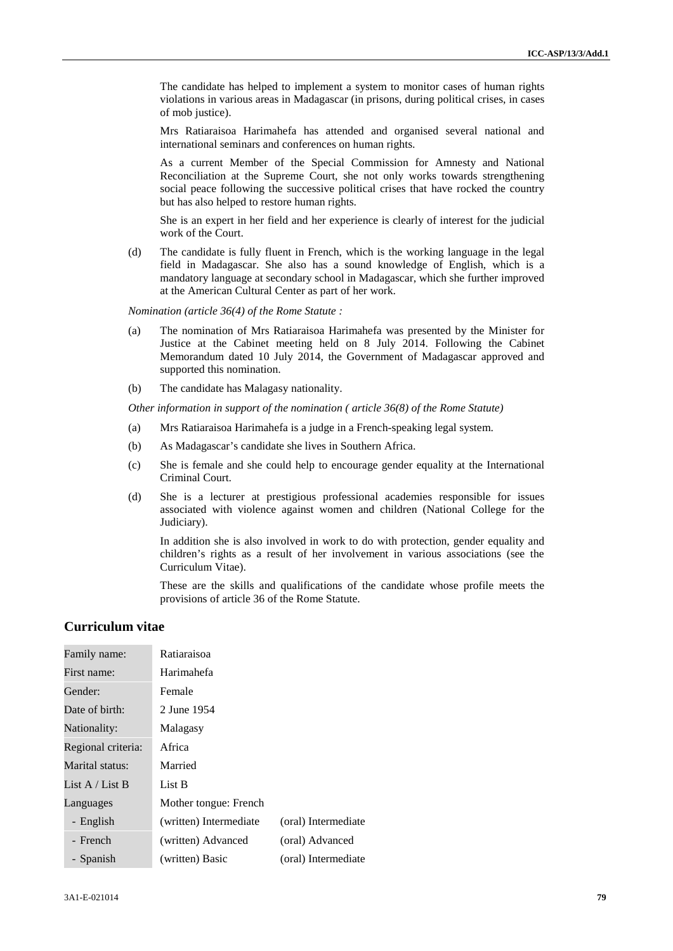The candidate has helped to implement a system to monitor cases of human rights violations in various areas in Madagascar (in prisons, during political crises, in cases of mob justice).

Mrs Ratiaraisoa Harimahefa has attended and organised several national and international seminars and conferences on human rights.

As a current Member of the Special Commission for Amnesty and National Reconciliation at the Supreme Court, she not only works towards strengthening social peace following the successive political crises that have rocked the country but has also helped to restore human rights.

She is an expert in her field and her experience is clearly of interest for the judicial work of the Court.

(d) The candidate is fully fluent in French, which is the working language in the legal field in Madagascar. She also has a sound knowledge of English, which is a mandatory language at secondary school in Madagascar, which she further improved at the American Cultural Center as part of her work.

*Nomination (article 36(4) of the Rome Statute :*

- (a) The nomination of Mrs Ratiaraisoa Harimahefa was presented by the Minister for Justice at the Cabinet meeting held on 8 July 2014. Following the Cabinet Memorandum dated 10 July 2014, the Government of Madagascar approved and supported this nomination.
- (b) The candidate has Malagasy nationality.

*Other information in support of the nomination ( article 36(8) of the Rome Statute)*

- (a) Mrs Ratiaraisoa Harimahefa is a judge in a French-speaking legal system.
- (b) As Madagascar's candidate she lives in Southern Africa.
- (c) She is female and she could help to encourage gender equality at the International Criminal Court.
- (d) She is a lecturer at prestigious professional academies responsible for issues associated with violence against women and children (National College for the Judiciary).

In addition she is also involved in work to do with protection, gender equality and children's rights as a result of her involvement in various associations (see the Curriculum Vitae).

These are the skills and qualifications of the candidate whose profile meets the provisions of article 36 of the Rome Statute.

## **Curriculum vitae**

| Family name:       | Ratiaraisoa            |                     |
|--------------------|------------------------|---------------------|
| First name:        | Harimahefa             |                     |
| Gender:            | Female                 |                     |
| Date of birth:     | 2 June 1954            |                     |
| Nationality:       | Malagasy               |                     |
| Regional criteria: | Africa                 |                     |
| Marital status:    | Married                |                     |
| List A / List B    | List B                 |                     |
| Languages          | Mother tongue: French  |                     |
| - English          | (written) Intermediate | (oral) Intermediate |
| - French           | (written) Advanced     | (oral) Advanced     |
| - Spanish          | (written) Basic        | (oral) Intermediate |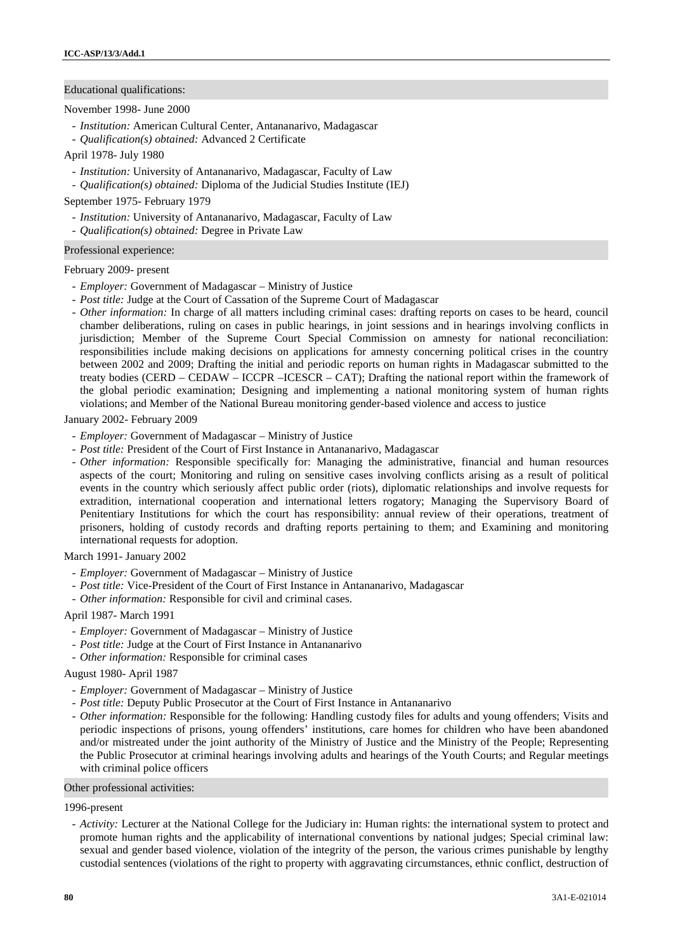## Educational qualifications:

### November 1998- June 2000

- *Institution:* American Cultural Center, Antananarivo, Madagascar
- *Qualification(s) obtained:* Advanced 2 Certificate
- April 1978- July 1980
	- *Institution:* University of Antananarivo, Madagascar, Faculty of Law
	- *Qualification(s) obtained:* Diploma of the Judicial Studies Institute (IEJ)

### September 1975- February 1979

- *Institution:* University of Antananarivo, Madagascar, Faculty of Law
- *Qualification(s) obtained:* Degree in Private Law

#### Professional experience:

## February 2009- present

- *Employer:* Government of Madagascar Ministry of Justice
- *Post title:* Judge at the Court of Cassation of the Supreme Court of Madagascar
- *Other information:* In charge of all matters including criminal cases: drafting reports on cases to be heard, council chamber deliberations, ruling on cases in public hearings, in joint sessions and in hearings involving conflicts in jurisdiction; Member of the Supreme Court Special Commission on amnesty for national reconciliation: responsibilities include making decisions on applications for amnesty concerning political crises in the country between 2002 and 2009; Drafting the initial and periodic reports on human rights in Madagascar submitted to the treaty bodies (CERD – CEDAW – ICCPR –ICESCR – CAT); Drafting the national report within the framework of the global periodic examination; Designing and implementing a national monitoring system of human rights violations; and Member of the National Bureau monitoring gender-based violence and access to justice

## January 2002- February 2009

- *Employer:* Government of Madagascar Ministry of Justice
- *Post title:* President of the Court of First Instance in Antananarivo, Madagascar
- *Other information:* Responsible specifically for: Managing the administrative, financial and human resources aspects of the court; Monitoring and ruling on sensitive cases involving conflicts arising as a result of political events in the country which seriously affect public order (riots), diplomatic relationships and involve requests for extradition, international cooperation and international letters rogatory; Managing the Supervisory Board of Penitentiary Institutions for which the court has responsibility: annual review of their operations, treatment of prisoners, holding of custody records and drafting reports pertaining to them; and Examining and monitoring international requests for adoption.

## March 1991- January 2002

- *Employer:* Government of Madagascar Ministry of Justice
- *Post title:* Vice-President of the Court of First Instance in Antananarivo, Madagascar
- *Other information:* Responsible for civil and criminal cases.

## April 1987- March 1991

- *Employer:* Government of Madagascar Ministry of Justice
- *Post title:* Judge at the Court of First Instance in Antananarivo
- *Other information:* Responsible for criminal cases

### August 1980- April 1987

- *Employer:* Government of Madagascar Ministry of Justice
- *Post title:* Deputy Public Prosecutor at the Court of First Instance in Antananarivo
- *Other information:* Responsible for the following: Handling custody files for adults and young offenders; Visits and periodic inspections of prisons, young offenders' institutions, care homes for children who have been abandoned and/or mistreated under the joint authority of the Ministry of Justice and the Ministry of the People; Representing the Public Prosecutor at criminal hearings involving adults and hearings of the Youth Courts; and Regular meetings with criminal police officers

#### Other professional activities:

#### 1996-present

- *Activity:* Lecturer at the National College for the Judiciary in: Human rights: the international system to protect and promote human rights and the applicability of international conventions by national judges; Special criminal law: sexual and gender based violence, violation of the integrity of the person, the various crimes punishable by lengthy custodial sentences (violations of the right to property with aggravating circumstances, ethnic conflict, destruction of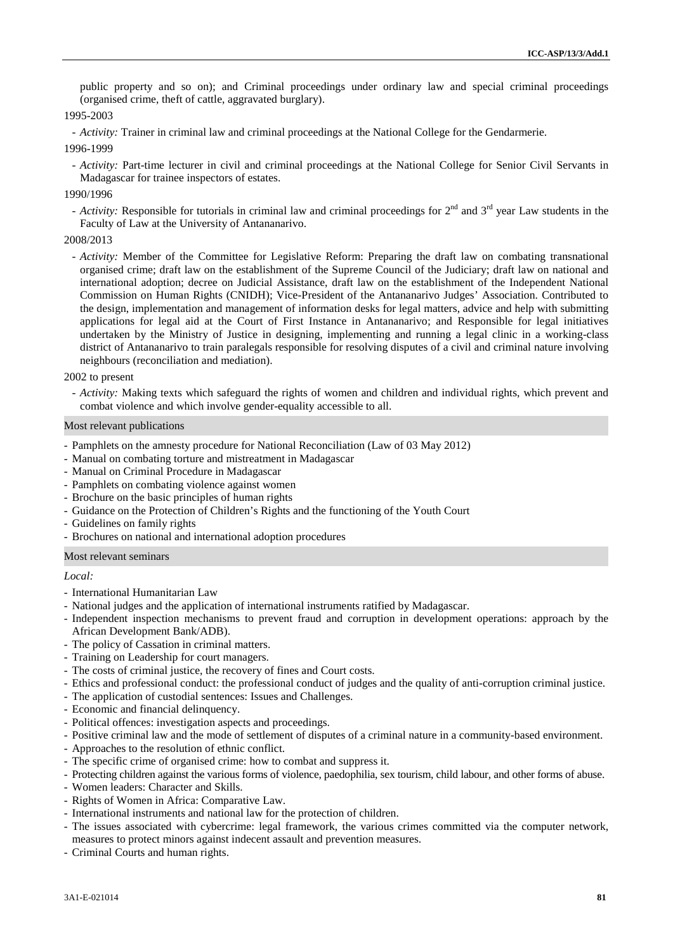public property and so on); and Criminal proceedings under ordinary law and special criminal proceedings (organised crime, theft of cattle, aggravated burglary).

## 1995-2003

- *Activity:* Trainer in criminal law and criminal proceedings at the National College for the Gendarmerie.

1996-1999

- *Activity:* Part-time lecturer in civil and criminal proceedings at the National College for Senior Civil Servants in Madagascar for trainee inspectors of estates.

## 1990/1996

- *Activity:* Responsible for tutorials in criminal law and criminal proceedings for  $2^{nd}$  and  $3^{rd}$  year Law students in the Faculty of Law at the University of Antananarivo.

## 2008/2013

- *Activity:* Member of the Committee for Legislative Reform: Preparing the draft law on combating transnational organised crime; draft law on the establishment of the Supreme Council of the Judiciary; draft law on national and international adoption; decree on Judicial Assistance, draft law on the establishment of the Independent National Commission on Human Rights (CNIDH); Vice-President of the Antananarivo Judges' Association. Contributed to the design, implementation and management of information desks for legal matters, advice and help with submitting applications for legal aid at the Court of First Instance in Antananarivo; and Responsible for legal initiatives undertaken by the Ministry of Justice in designing, implementing and running a legal clinic in a working-class district of Antananarivo to train paralegals responsible for resolving disputes of a civil and criminal nature involving neighbours (reconciliation and mediation).

### 2002 to present

- *Activity:* Making texts which safeguard the rights of women and children and individual rights, which prevent and combat violence and which involve gender-equality accessible to all.

## Most relevant publications

- Pamphlets on the amnesty procedure for National Reconciliation (Law of 03 May 2012)
- Manual on combating torture and mistreatment in Madagascar
- Manual on Criminal Procedure in Madagascar
- Pamphlets on combating violence against women
- Brochure on the basic principles of human rights
- Guidance on the Protection of Children's Rights and the functioning of the Youth Court
- Guidelines on family rights
- Brochures on national and international adoption procedures

## Most relevant seminars

## *Local:*

- International Humanitarian Law
- National judges and the application of international instruments ratified by Madagascar.
- Independent inspection mechanisms to prevent fraud and corruption in development operations: approach by the African Development Bank/ADB).
- The policy of Cassation in criminal matters.
- Training on Leadership for court managers.
- The costs of criminal justice, the recovery of fines and Court costs.
- Ethics and professional conduct: the professional conduct of judges and the quality of anti-corruption criminal justice.
- The application of custodial sentences: Issues and Challenges.
- Economic and financial delinquency.
- Political offences: investigation aspects and proceedings.
- Positive criminal law and the mode of settlement of disputes of a criminal nature in a community-based environment.
- Approaches to the resolution of ethnic conflict.
- The specific crime of organised crime: how to combat and suppress it.
- Protecting children against the various forms of violence, paedophilia, sex tourism, child labour, and other forms of abuse.
- Women leaders: Character and Skills.
- Rights of Women in Africa: Comparative Law.
- International instruments and national law for the protection of children.
- The issues associated with cybercrime: legal framework, the various crimes committed via the computer network, measures to protect minors against indecent assault and prevention measures.
- Criminal Courts and human rights.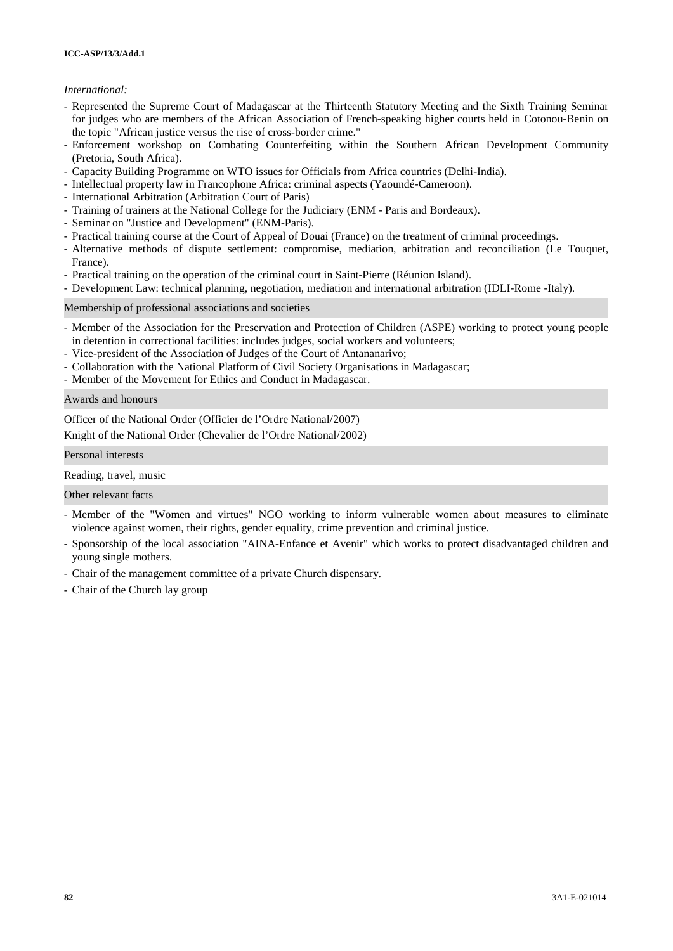## *International:*

- Represented the Supreme Court of Madagascar at the Thirteenth Statutory Meeting and the Sixth Training Seminar for judges who are members of the African Association of French-speaking higher courts held in Cotonou-Benin on the topic "African justice versus the rise of cross-border crime."
- Enforcement workshop on Combating Counterfeiting within the Southern African Development Community (Pretoria, South Africa).
- Capacity Building Programme on WTO issues for Officials from Africa countries (Delhi-India).
- Intellectual property law in Francophone Africa: criminal aspects (Yaoundé-Cameroon).
- International Arbitration (Arbitration Court of Paris)
- Training of trainers at the National College for the Judiciary (ENM Paris and Bordeaux).
- Seminar on "Justice and Development" (ENM-Paris).
- Practical training course at the Court of Appeal of Douai (France) on the treatment of criminal proceedings.
- Alternative methods of dispute settlement: compromise, mediation, arbitration and reconciliation (Le Touquet, France).
- Practical training on the operation of the criminal court in Saint-Pierre (Réunion Island).
- Development Law: technical planning, negotiation, mediation and international arbitration (IDLI-Rome -Italy).

Membership of professional associations and societies

- Member of the Association for the Preservation and Protection of Children (ASPE) working to protect young people in detention in correctional facilities: includes judges, social workers and volunteers;
- Vice-president of the Association of Judges of the Court of Antananarivo;
- Collaboration with the National Platform of Civil Society Organisations in Madagascar;
- Member of the Movement for Ethics and Conduct in Madagascar.

### Awards and honours

Officer of the National Order (Officier de l'Ordre National/2007)

Knight of the National Order (Chevalier de l'Ordre National/2002)

Personal interests

Reading, travel, music

Other relevant facts

- Member of the "Women and virtues" NGO working to inform vulnerable women about measures to eliminate violence against women, their rights, gender equality, crime prevention and criminal justice.
- Sponsorship of the local association "AINA-Enfance et Avenir" which works to protect disadvantaged children and young single mothers.
- Chair of the management committee of a private Church dispensary.
- Chair of the Church lay group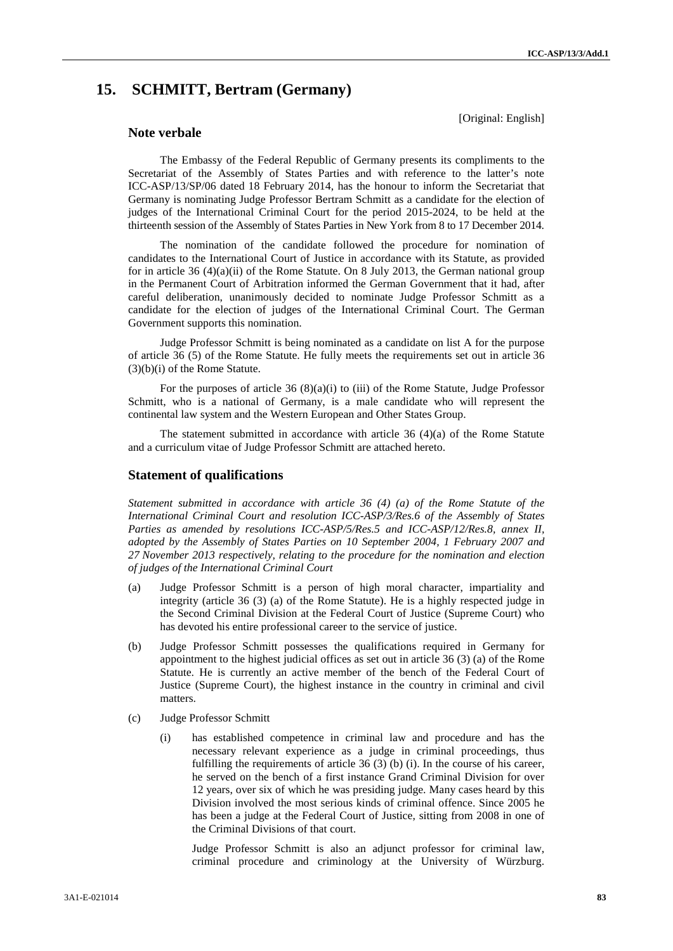[Original: English]

# **15. SCHMITT, Bertram (Germany)**

**Note verbale**

The Embassy of the Federal Republic of Germany presents its compliments to the Secretariat of the Assembly of States Parties and with reference to the latter's note ICC-ASP/13/SP/06 dated 18 February 2014, has the honour to inform the Secretariat that Germany is nominating Judge Professor Bertram Schmitt as a candidate for the election of judges of the International Criminal Court for the period 2015-2024, to be held at the thirteenth session of the Assembly of States Parties in New York from 8 to 17 December 2014.

The nomination of the candidate followed the procedure for nomination of candidates to the International Court of Justice in accordance with its Statute, as provided for in article 36 (4)(a)(ii) of the Rome Statute. On 8 July 2013, the German national group in the Permanent Court of Arbitration informed the German Government that it had, after careful deliberation, unanimously decided to nominate Judge Professor Schmitt as a candidate for the election of judges of the International Criminal Court. The German Government supports this nomination.

Judge Professor Schmitt is being nominated as a candidate on list A for the purpose of article 36 (5) of the Rome Statute. He fully meets the requirements set out in article 36 (3)(b)(i) of the Rome Statute.

For the purposes of article 36 (8)(a)(i) to (iii) of the Rome Statute, Judge Professor Schmitt, who is a national of Germany, is a male candidate who will represent the continental law system and the Western European and Other States Group.

The statement submitted in accordance with article 36 (4)(a) of the Rome Statute and a curriculum vitae of Judge Professor Schmitt are attached hereto.

## **Statement of qualifications**

*Statement submitted in accordance with article 36 (4) (a) of the Rome Statute of the International Criminal Court and resolution ICC-ASP/3/Res.6 of the Assembly of States Parties as amended by resolutions ICC-ASP/5/Res.5 and ICC-ASP/12/Res.8, annex II, adopted by the Assembly of States Parties on 10 September 2004, 1 February 2007 and 27 November 2013 respectively, relating to the procedure for the nomination and election of judges of the International Criminal Court*

- (a) Judge Professor Schmitt is a person of high moral character, impartiality and integrity (article 36 (3) (a) of the Rome Statute). He is a highly respected judge in the Second Criminal Division at the Federal Court of Justice (Supreme Court) who has devoted his entire professional career to the service of justice.
- (b) Judge Professor Schmitt possesses the qualifications required in Germany for appointment to the highest judicial offices as set out in article 36 (3) (a) of the Rome Statute. He is currently an active member of the bench of the Federal Court of Justice (Supreme Court), the highest instance in the country in criminal and civil matters.
- (c) Judge Professor Schmitt
	- (i) has established competence in criminal law and procedure and has the necessary relevant experience as a judge in criminal proceedings, thus fulfilling the requirements of article 36 (3) (b) (i). In the course of his career, he served on the bench of a first instance Grand Criminal Division for over 12 years, over six of which he was presiding judge. Many cases heard by this Division involved the most serious kinds of criminal offence. Since 2005 he has been a judge at the Federal Court of Justice, sitting from 2008 in one of the Criminal Divisions of that court.

Judge Professor Schmitt is also an adjunct professor for criminal law, criminal procedure and criminology at the University of Würzburg.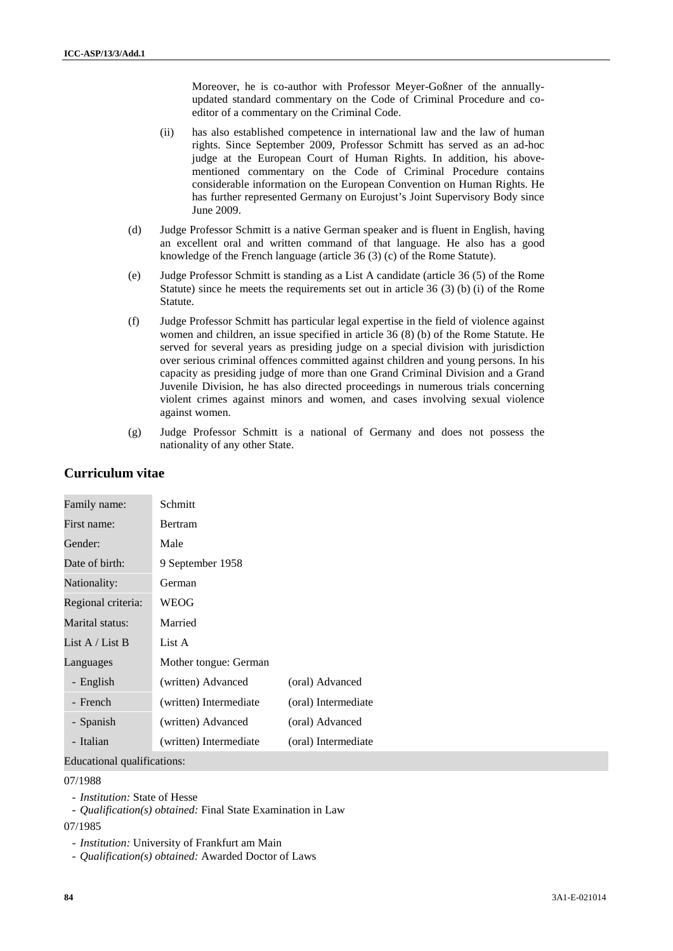Moreover, he is co-author with Professor Meyer-Goßner of the annually updated standard commentary on the Code of Criminal Procedure and co editor of a commentary on the Criminal Code.

- (ii) has also established competence in international law and the law of human rights. Since September 2009, Professor Schmitt has served as an ad-hoc judge at the European Court of Human Rights. In addition, his abovementioned commentary on the Code of Criminal Procedure contains considerable information on the European Convention on Human Rights. He has further represented Germany on Eurojust's Joint Supervisory Body since June 2009.
- (d) Judge Professor Schmitt is a native German speaker and is fluent in English, having an excellent oral and written command of that language. He also has a good knowledge of the French language (article 36 (3) (c) of the Rome Statute).
- (e) Judge Professor Schmitt is standing as a List A candidate (article 36 (5) of the Rome Statute) since he meets the requirements set out in article  $36(3)$  (b) (i) of the Rome Statute.
- (f) Judge Professor Schmitt has particular legal expertise in the field of violence against women and children, an issue specified in article 36 (8) (b) of the Rome Statute. He served for several years as presiding judge on a special division with jurisdiction over serious criminal offences committed against children and young persons. In his capacity as presiding judge of more than one Grand Criminal Division and a Grand Juvenile Division, he has also directed proceedings in numerous trials concerning violent crimes against minors and women, and cases involving sexual violence against women.
- (g) Judge Professor Schmitt is a national of Germany and does not possess the nationality of any other State.

| Family name:       | Schmitt                |                     |
|--------------------|------------------------|---------------------|
| First name:        | <b>Bertram</b>         |                     |
| Gender:            | Male                   |                     |
| Date of birth:     | 9 September 1958       |                     |
| Nationality:       | German                 |                     |
| Regional criteria: | WEOG                   |                     |
| Marital status:    | Married                |                     |
| List $A /$ List B  | List A                 |                     |
| Languages          | Mother tongue: German  |                     |
| - English          | (written) Advanced     | (oral) Advanced     |
| - French           | (written) Intermediate | (oral) Intermediate |
| - Spanish          | (written) Advanced     | (oral) Advanced     |
| - Italian          | (written) Intermediate | (oral) Intermediate |

## **Curriculum vitae**

## Educational qualifications:

### 07/1988

- *Institution:* State of Hesse
- *Qualification(s) obtained:* Final State Examination in Law

07/1985

- *Institution:* University of Frankfurt am Main
- *Qualification(s) obtained:* Awarded Doctor of Laws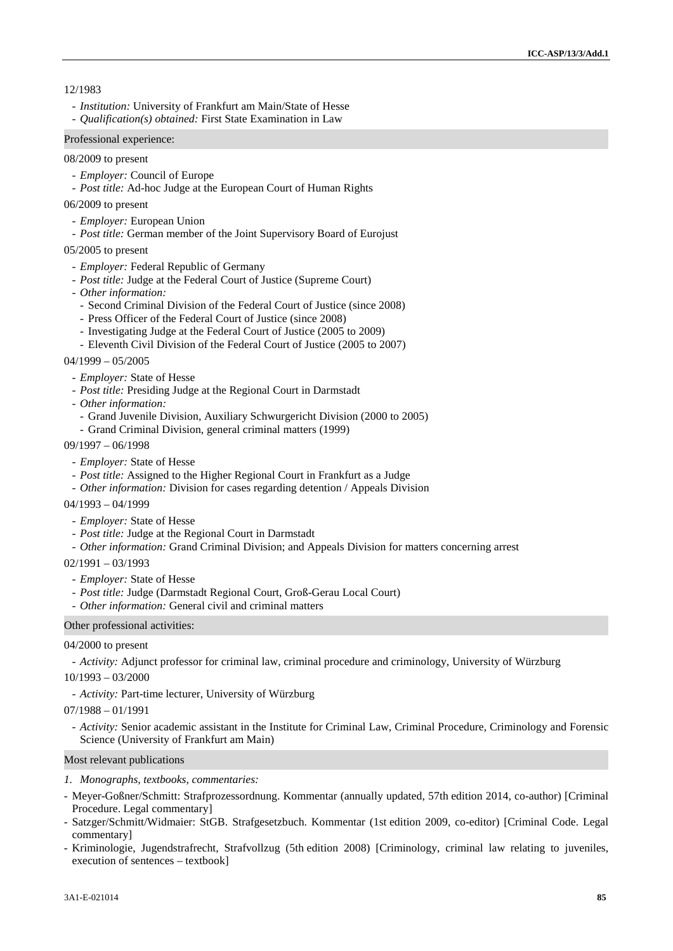## 12/1983

- *Institution:* University of Frankfurt am Main/State of Hesse
- *Qualification(s) obtained:* First State Examination in Law

### Professional experience:

### 08/2009 to present

- *Employer:* Council of Europe
- *Post title:* Ad-hoc Judge at the European Court of Human Rights
- 06/2009 to present
	- *Employer:* European Union
	- *Post title:* German member of the Joint Supervisory Board of Eurojust

#### 05/2005 to present

- *Employer:* Federal Republic of Germany
- *Post title:* Judge at the Federal Court of Justice (Supreme Court)
- *Other information:*
	- Second Criminal Division of the Federal Court of Justice (since 2008)
	- Press Officer of the Federal Court of Justice (since 2008)
	- Investigating Judge at the Federal Court of Justice (2005 to 2009)
	- Eleventh Civil Division of the Federal Court of Justice (2005 to 2007)

#### $04/1999 - 05/2005$

- *Employer:* State of Hesse
- *Post title:* Presiding Judge at the Regional Court in Darmstadt
- *Other information:*
	- Grand Juvenile Division, Auxiliary Schwurgericht Division (2000 to 2005)
- Grand Criminal Division, general criminal matters (1999)

#### 09/1997 – 06/1998

- *Employer:* State of Hesse
- *Post title:* Assigned to the Higher Regional Court in Frankfurt as a Judge
- *Other information:* Division for cases regarding detention / Appeals Division
- $04/1993 04/1999$ 
	- *Employer:* State of Hesse
	- *Post title:* Judge at the Regional Court in Darmstadt
	- *Other information:* Grand Criminal Division; and Appeals Division for matters concerning arrest
- 02/1991 03/1993
	- *Employer:* State of Hesse
	- *Post title:* Judge (Darmstadt Regional Court, Groß-Gerau Local Court)
	- *Other information:* General civil and criminal matters

#### Other professional activities:

#### 04/2000 to present

- *Activity:* Adjunct professor for criminal law, criminal procedure and criminology, University of Würzburg

#### 10/1993 – 03/2000

- *Activity:* Part-time lecturer, University of Würzburg

07/1988 – 01/1991

- *Activity:* Senior academic assistant in the Institute for Criminal Law, Criminal Procedure, Criminology and Forensic Science (University of Frankfurt am Main)

#### Most relevant publications

- *1. Monographs, textbooks, commentaries:*
- Meyer-Goßner/Schmitt: Strafprozessordnung. Kommentar (annually updated, 57th edition 2014, co-author) [Criminal Procedure. Legal commentary]
- Satzger/Schmitt/Widmaier: StGB. Strafgesetzbuch. Kommentar (1st edition 2009, co-editor) [Criminal Code. Legal commentary]
- Kriminologie, Jugendstrafrecht, Strafvollzug (5th edition 2008) [Criminology, criminal law relating to juveniles, execution of sentences – textbook]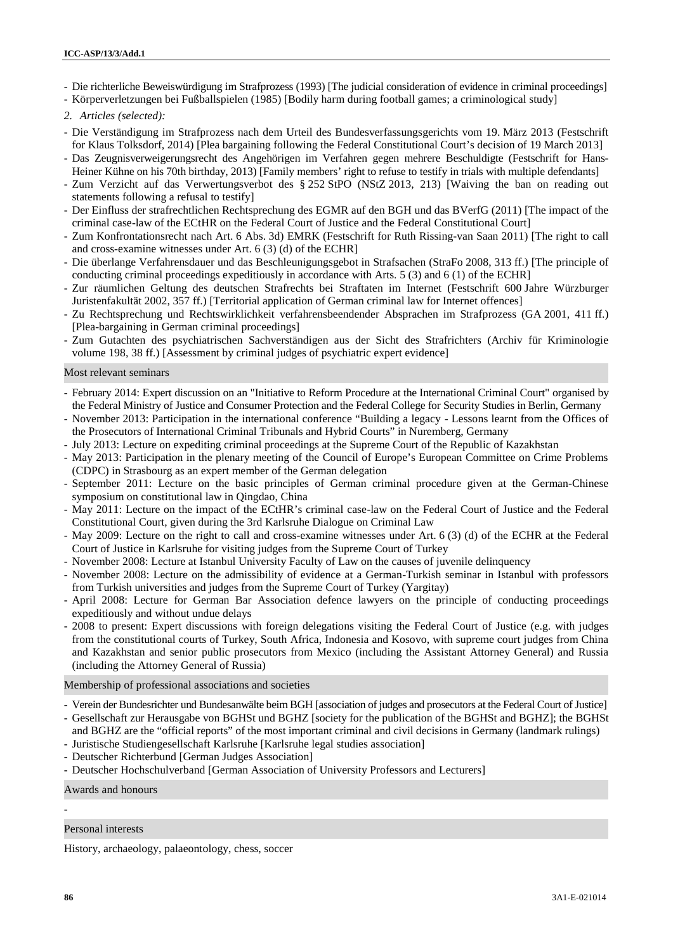- Die richterliche Beweiswürdigung im Strafprozess (1993) [The judicial consideration of evidence in criminal proceedings]

- Körperverletzungen bei Fußballspielen (1985) [Bodily harm during football games; a criminological study]
- *2. Articles (selected):*
- Die Verständigung im Strafprozess nach dem Urteil des Bundesverfassungsgerichts vom 19. März 2013 (Festschrift for Klaus Tolksdorf, 2014) [Plea bargaining following the Federal Constitutional Court's decision of 19 March 2013]
- Das Zeugnisverweigerungsrecht des Angehörigen im Verfahren gegen mehrere Beschuldigte (Festschrift for Hans- Heiner Kühne on his 70th birthday, 2013) [Family members' right to refuse to testify in trials with multiple defendants]
- Zum Verzicht auf das Verwertungsverbot des § 252 StPO (NStZ 2013, 213) [Waiving the ban on reading out statements following a refusal to testify]
- Der Einfluss der strafrechtlichen Rechtsprechung des EGMR auf den BGH und das BVerfG (2011) [The impact of the criminal case-law of the ECtHR on the Federal Court of Justice and the Federal Constitutional Court]
- Zum Konfrontationsrecht nach Art. 6 Abs. 3d) EMRK (Festschrift for Ruth Rissing-van Saan 2011) [The right to call and cross-examine witnesses under Art. 6 (3) (d) of the ECHR]
- Die überlange Verfahrensdauer und das Beschleunigungsgebot in Strafsachen (StraFo 2008, 313 ff.) [The principle of conducting criminal proceedings expeditiously in accordance with Arts. 5 (3) and 6 (1) of the ECHR]
- Zur räumlichen Geltung des deutschen Strafrechts bei Straftaten im Internet (Festschrift 600 Jahre Würzburger Juristenfakultät 2002, 357 ff.) [Territorial application of German criminal law for Internet offences]
- Zu Rechtsprechung und Rechtswirklichkeit verfahrensbeendender Absprachen im Strafprozess (GA 2001, 411 ff.) [Plea-bargaining in German criminal proceedings]
- Zum Gutachten des psychiatrischen Sachverständigen aus der Sicht des Strafrichters (Archiv für Kriminologie volume 198, 38 ff.) [Assessment by criminal judges of psychiatric expert evidence]

#### Most relevant seminars

- February 2014: Expert discussion on an "Initiative to Reform Procedure at the International Criminal Court" organised by the Federal Ministry of Justice and Consumer Protection and the Federal College for Security Studies in Berlin, Germany
- November 2013: Participation in the international conference "Building a legacy Lessons learnt from the Offices of the Prosecutors of International Criminal Tribunals and Hybrid Courts" in Nuremberg, Germany
- July 2013: Lecture on expediting criminal proceedings at the Supreme Court of the Republic of Kazakhstan
- May 2013: Participation in the plenary meeting of the Council of Europe's European Committee on Crime Problems (CDPC) in Strasbourg as an expert member of the German delegation
- September 2011: Lecture on the basic principles of German criminal procedure given at the German-Chinese symposium on constitutional law in Qingdao, China
- May 2011: Lecture on the impact of the ECtHR's criminal case-law on the Federal Court of Justice and the Federal Constitutional Court, given during the 3rd Karlsruhe Dialogue on Criminal Law
- May 2009: Lecture on the right to call and cross-examine witnesses under Art. 6 (3) (d) of the ECHR at the Federal Court of Justice in Karlsruhe for visiting judges from the Supreme Court of Turkey
- November 2008: Lecture at Istanbul University Faculty of Law on the causes of juvenile delinquency
- November 2008: Lecture on the admissibility of evidence at a German-Turkish seminar in Istanbul with professors from Turkish universities and judges from the Supreme Court of Turkey (Yargitay)
- April 2008: Lecture for German Bar Association defence lawyers on the principle of conducting proceedings expeditiously and without undue delays
- 2008 to present: Expert discussions with foreign delegations visiting the Federal Court of Justice (e.g. with judges from the constitutional courts of Turkey, South Africa, Indonesia and Kosovo, with supreme court judges from China and Kazakhstan and senior public prosecutors from Mexico (including the Assistant Attorney General) and Russia (including the Attorney General of Russia)

Membership of professional associations and societies

- Verein der Bundesrichter und Bundesanwälte beim BGH [association of judges and prosecutors at the Federal Court of Justice]
- Gesellschaft zur Herausgabe von BGHSt und BGHZ [society for the publication of the BGHSt and BGHZ]; the BGHSt and BGHZ are the "official reports" of the most important criminal and civil decisions in Germany (landmark rulings)
- Juristische Studiengesellschaft Karlsruhe [Karlsruhe legal studies association]
- Deutscher Richterbund [German Judges Association]
- Deutscher Hochschulverband [German Association of University Professors and Lecturers]

Awards and honours

#### Personal interests

History, archaeology, palaeontology, chess, soccer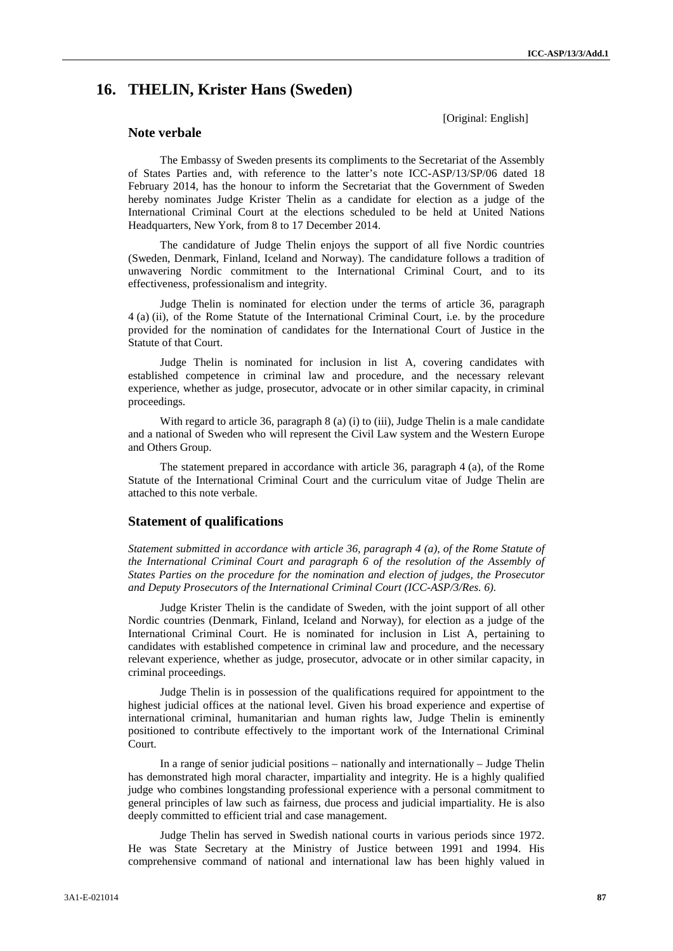[Original: English]

# **16. THELIN, Krister Hans (Sweden)**

**Note verbale**

The Embassy of Sweden presents its compliments to the Secretariat of the Assembly of States Parties and, with reference to the latter's note ICC-ASP/13/SP/06 dated 18 February 2014, has the honour to inform the Secretariat that the Government of Sweden hereby nominates Judge Krister Thelin as a candidate for election as a judge of the International Criminal Court at the elections scheduled to be held at United Nations Headquarters, New York, from 8 to 17 December 2014.

The candidature of Judge Thelin enjoys the support of all five Nordic countries (Sweden, Denmark, Finland, Iceland and Norway). The candidature follows a tradition of unwavering Nordic commitment to the International Criminal Court, and to its effectiveness, professionalism and integrity.

Judge Thelin is nominated for election under the terms of article 36, paragraph 4 (a) (ii), of the Rome Statute of the International Criminal Court, i.e. by the procedure provided for the nomination of candidates for the International Court of Justice in the Statute of that Court.

Judge Thelin is nominated for inclusion in list A, covering candidates with established competence in criminal law and procedure, and the necessary relevant experience, whether as judge, prosecutor, advocate or in other similar capacity, in criminal proceedings.

With regard to article 36, paragraph 8 (a) (i) to (iii), Judge Thelin is a male candidate and a national of Sweden who will represent the Civil Law system and the Western Europe and Others Group.

The statement prepared in accordance with article 36, paragraph 4 (a), of the Rome Statute of the International Criminal Court and the curriculum vitae of Judge Thelin are attached to this note verbale.

## **Statement of qualifications**

*Statement submitted in accordance with article 36, paragraph 4 (a), of the Rome Statute of the International Criminal Court and paragraph 6 of the resolution of the Assembly of States Parties on the procedure for the nomination and election of judges, the Prosecutor and Deputy Prosecutors of the International Criminal Court (ICC-ASP/3/Res. 6).*

Judge Krister Thelin is the candidate of Sweden, with the joint support of all other Nordic countries (Denmark, Finland, Iceland and Norway), for election as a judge of the International Criminal Court. He is nominated for inclusion in List A, pertaining to candidates with established competence in criminal law and procedure, and the necessary relevant experience, whether as judge, prosecutor, advocate or in other similar capacity, in criminal proceedings.

Judge Thelin is in possession of the qualifications required for appointment to the highest judicial offices at the national level. Given his broad experience and expertise of international criminal, humanitarian and human rights law, Judge Thelin is eminently positioned to contribute effectively to the important work of the International Criminal Court.

In a range of senior judicial positions – nationally and internationally – Judge Thelin has demonstrated high moral character, impartiality and integrity. He is a highly qualified judge who combines longstanding professional experience with a personal commitment to general principles of law such as fairness, due process and judicial impartiality. He is also deeply committed to efficient trial and case management.

Judge Thelin has served in Swedish national courts in various periods since 1972. He was State Secretary at the Ministry of Justice between 1991 and 1994. His comprehensive command of national and international law has been highly valued in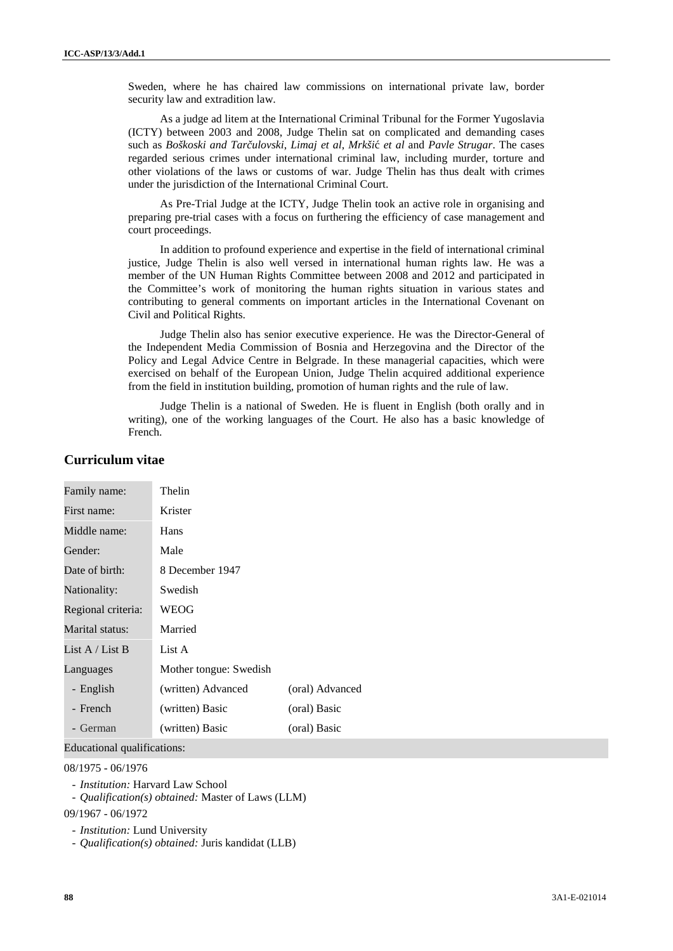Sweden, where he has chaired law commissions on international private law, border security law and extradition law.

As a judge ad litem at the International Criminal Tribunal for the Former Yugoslavia (ICTY) between 2003 and 2008, Judge Thelin sat on complicated and demanding cases such as *Boškoski and Tarčulovski*, *Limaj et al*, *Mrkši et al* and *Pavle Strugar*. The cases regarded serious crimes under international criminal law, including murder, torture and other violations of the laws or customs of war. Judge Thelin has thus dealt with crimes under the jurisdiction of the International Criminal Court.

As Pre-Trial Judge at the ICTY, Judge Thelin took an active role in organising and preparing pre-trial cases with a focus on furthering the efficiency of case management and court proceedings.

In addition to profound experience and expertise in the field of international criminal justice, Judge Thelin is also well versed in international human rights law. He was a member of the UN Human Rights Committee between 2008 and 2012 and participated in the Committee's work of monitoring the human rights situation in various states and contributing to general comments on important articles in the International Covenant on Civil and Political Rights.

Judge Thelin also has senior executive experience. He was the Director-General of the Independent Media Commission of Bosnia and Herzegovina and the Director of the Policy and Legal Advice Centre in Belgrade. In these managerial capacities, which were exercised on behalf of the European Union, Judge Thelin acquired additional experience from the field in institution building, promotion of human rights and the rule of law.

Judge Thelin is a national of Sweden. He is fluent in English (both orally and in writing), one of the working languages of the Court. He also has a basic knowledge of French.

| Family name:       | Thelin                 |                 |
|--------------------|------------------------|-----------------|
| First name:        | Krister                |                 |
| Middle name:       | Hans                   |                 |
| Gender:            | Male                   |                 |
| Date of birth:     | 8 December 1947        |                 |
| Nationality:       | Swedish                |                 |
| Regional criteria: | WEOG                   |                 |
| Marital status:    | Married                |                 |
| List $A /$ List B  | List A                 |                 |
| Languages          | Mother tongue: Swedish |                 |
| - English          | (written) Advanced     | (oral) Advanced |
| - French           | (written) Basic        | (oral) Basic    |
| - German           | (written) Basic        | (oral) Basic    |

# **Curriculum vitae**

Educational qualifications:

#### 08/1975 - 06/1976

- *Institution:* Harvard Law School
- *Qualification(s) obtained:* Master of Laws (LLM)

09/1967 - 06/1972

- *Institution:* Lund University
- *Qualification(s) obtained:* Juris kandidat (LLB)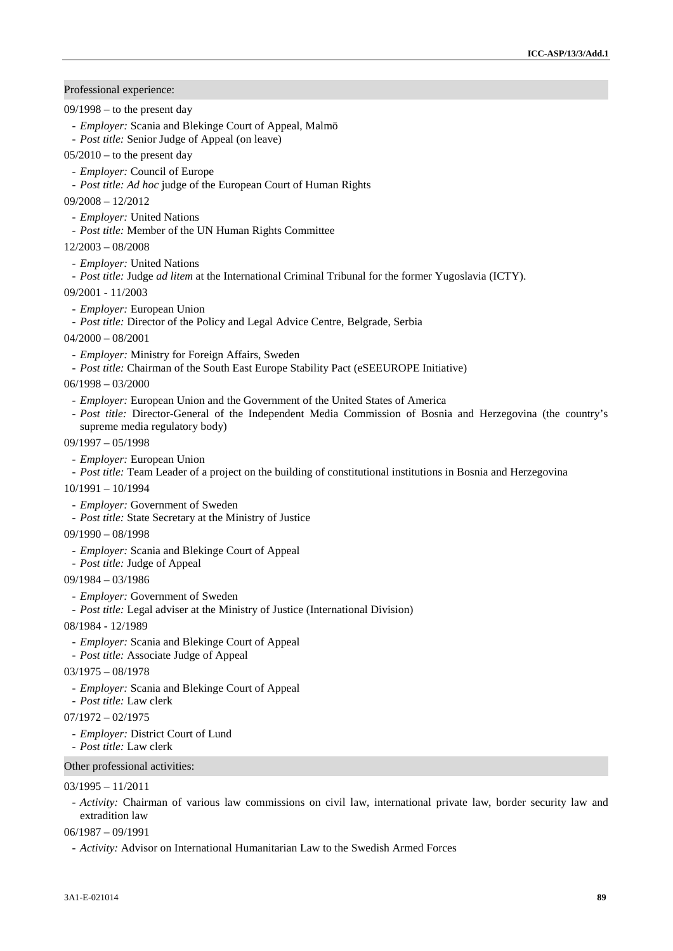Professional experience:

- $09/1998 -$  to the present day
	- *Employer:* Scania and Blekinge Court of Appeal, Malmö
	- *Post title:* Senior Judge of Appeal (on leave)
- $05/2010$  to the present day
	- *Employer:* Council of Europe
	- *Post title: Ad hoc* judge of the European Court of Human Rights
- 09/2008 12/2012
	- *Employer:* United Nations
	- *Post title:* Member of the UN Human Rights Committee
- 12/2003 08/2008
	- *Employer:* United Nations
- *Post title:* Judge *ad litem* at the International Criminal Tribunal for the former Yugoslavia (ICTY).
- 09/2001 11/2003
	- *Employer:* European Union
	- *Post title:* Director of the Policy and Legal Advice Centre, Belgrade, Serbia
- 04/2000 08/2001
	- *Employer:* Ministry for Foreign Affairs, Sweden
	- *Post title:* Chairman of the South East Europe Stability Pact (eSEEUROPE Initiative)
- $06/1998 03/2000$ 
	- *Employer:* European Union and the Government of the United States of America
	- *Post title:* Director-General of the Independent Media Commission of Bosnia and Herzegovina (the country's supreme media regulatory body)
- 09/1997 05/1998
	- *Employer:* European Union
	- *Post title:* Team Leader of a project on the building of constitutional institutions in Bosnia and Herzegovina
- 10/1991 10/1994
	- *Employer:* Government of Sweden
- *Post title:* State Secretary at the Ministry of Justice
- 09/1990 08/1998
	- *Employer:* Scania and Blekinge Court of Appeal
	- *Post title:* Judge of Appeal
- 09/1984 03/1986
	- *Employer:* Government of Sweden
- *Post title:* Legal adviser at the Ministry of Justice (International Division)

08/1984 - 12/1989

- *Employer:* Scania and Blekinge Court of Appeal
- *Post title:* Associate Judge of Appeal
- 03/1975 08/1978
	- *Employer:* Scania and Blekinge Court of Appeal
	- *Post title:* Law clerk
- $07/1972 02/1975$ 
	- *Employer:* District Court of Lund
	- *Post title:* Law clerk

## Other professional activities:

#### $03/1995 - 11/2011$

- *Activity:* Chairman of various law commissions on civil law, international private law, border security law and extradition law
- 06/1987 09/1991
	- *Activity:* Advisor on International Humanitarian Law to the Swedish Armed Forces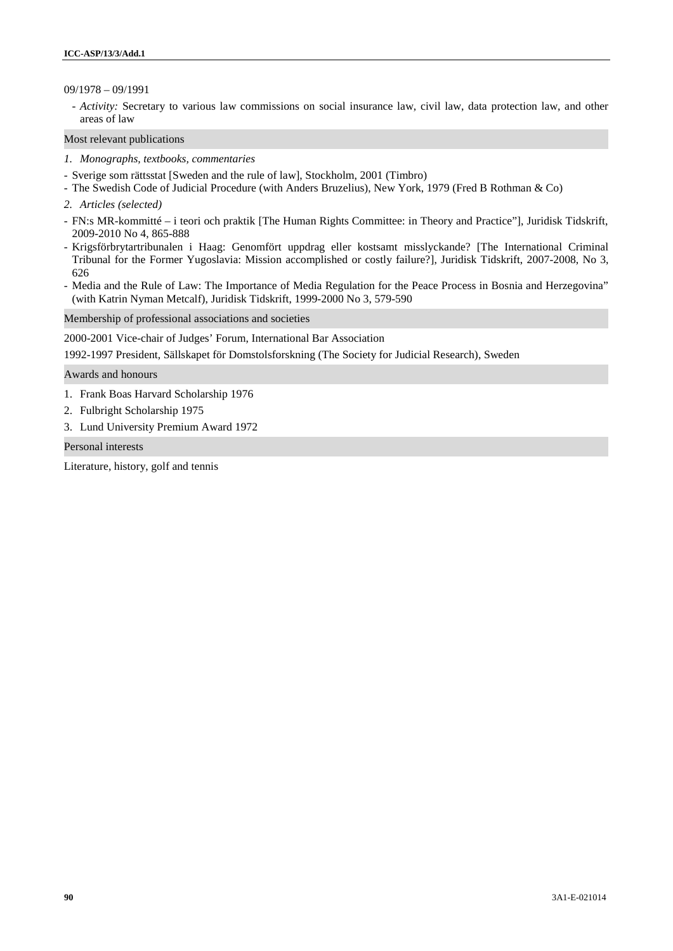## 09/1978 – 09/1991

- *Activity:* Secretary to various law commissions on social insurance law, civil law, data protection law, and other areas of law

Most relevant publications

- *1. Monographs, textbooks, commentaries*
- Sverige som rättsstat [Sweden and the rule of law], Stockholm, 2001 (Timbro)
- The Swedish Code of Judicial Procedure (with Anders Bruzelius), New York, 1979 (Fred B Rothman & Co)
- *2. Articles (selected)*
- FN:s MR-kommitté i teori och praktik [The Human Rights Committee: in Theory and Practice"], Juridisk Tidskrift, 2009-2010 No 4, 865-888
- Krigsförbrytartribunalen i Haag: Genomfört uppdrag eller kostsamt misslyckande? [The International Criminal Tribunal for the Former Yugoslavia: Mission accomplished or costly failure?], Juridisk Tidskrift, 2007-2008, No 3, 626
- Media and the Rule of Law: The Importance of Media Regulation for the Peace Process in Bosnia and Herzegovina" (with Katrin Nyman Metcalf), Juridisk Tidskrift, 1999-2000 No 3, 579-590

Membership of professional associations and societies

2000-2001 Vice-chair of Judges' Forum, International Bar Association

1992-1997 President, Sällskapet för Domstolsforskning (The Society for Judicial Research), Sweden

Awards and honours

- 1. Frank Boas Harvard Scholarship 1976
- 2. Fulbright Scholarship 1975
- 3. Lund University Premium Award 1972

Personal interests

Literature, history, golf and tennis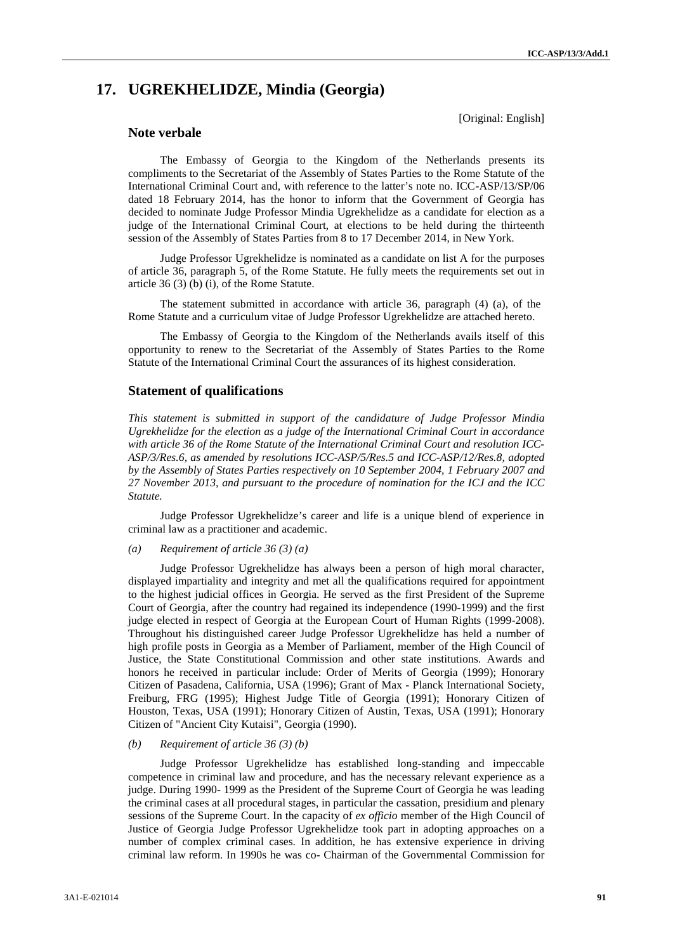# **17. UGREKHELIDZE, Mindia (Georgia)**

## **Note verbale**

[Original: English]

The Embassy of Georgia to the Kingdom of the Netherlands presents its compliments to the Secretariat of the Assembly of States Parties to the Rome Statute of the International Criminal Court and, with reference to the latter's note no. ICC-ASP/13/SP/06 dated 18 February 2014, has the honor to inform that the Government of Georgia has decided to nominate Judge Professor Mindia Ugrekhelidze as a candidate for election as a judge of the International Criminal Court, at elections to be held during the thirteenth session of the Assembly of States Parties from 8 to 17 December 2014, in New York.

Judge Professor Ugrekhelidze is nominated as a candidate on list A for the purposes of article 36, paragraph 5, of the Rome Statute. He fully meets the requirements set out in article 36 (3) (b) (i), of the Rome Statute.

The statement submitted in accordance with article 36, paragraph (4) (a), of the Rome Statute and a curriculum vitae of Judge Professor Ugrekhelidze are attached hereto.

The Embassy of Georgia to the Kingdom of the Netherlands avails itself of this opportunity to renew to the Secretariat of the Assembly of States Parties to the Rome Statute of the International Criminal Court the assurances of its highest consideration.

## **Statement of qualifications**

*This statement is submitted in support of the candidature of Judge Professor Mindia Ugrekhelidze for the election as a judge of the International Criminal Court in accordance with article 36 of the Rome Statute of the International Criminal Court and resolution ICC- ASP/3/Res.6, as amended by resolutions ICC-ASP/5/Res.5 and ICC-ASP/12/Res.8, adopted by the Assembly of States Parties respectively on 10 September 2004, 1 February 2007 and 27 November 2013, and pursuant to the procedure of nomination for the ICJ and the ICC Statute.*

Judge Professor Ugrekhelidze's career and life is a unique blend of experience in criminal law as a practitioner and academic.

## *(a) Requirement of article 36 (3) (a)*

Judge Professor Ugrekhelidze has always been a person of high moral character, displayed impartiality and integrity and met all the qualifications required for appointment to the highest judicial offices in Georgia. He served as the first President of the Supreme Court of Georgia, after the country had regained its independence (1990-1999) and the first judge elected in respect of Georgia at the European Court of Human Rights (1999-2008). Throughout his distinguished career Judge Professor Ugrekhelidze has held a number of high profile posts in Georgia as a Member of Parliament, member of the High Council of Justice, the State Constitutional Commission and other state institutions. Awards and honors he received in particular include: Order of Merits of Georgia (1999); Honorary Citizen of Pasadena, California, USA (1996); Grant of Max - Planck International Society, Freiburg, FRG (1995); Highest Judge Title of Georgia (1991); Honorary Citizen of Houston, Texas, USA (1991); Honorary Citizen of Austin, Texas, USA (1991); Honorary Citizen of "Ancient City Kutaisi", Georgia (1990).

#### *(b) Requirement of article 36 (3) (b)*

Judge Professor Ugrekhelidze has established long-standing and impeccable competence in criminal law and procedure, and has the necessary relevant experience as a judge. During 1990- 1999 as the President of the Supreme Court of Georgia he was leading the criminal cases at all procedural stages, in particular the cassation, presidium and plenary sessions of the Supreme Court. In the capacity of *ex officio* member of the High Council of Justice of Georgia Judge Professor Ugrekhelidze took part in adopting approaches on a number of complex criminal cases. In addition, he has extensive experience in driving criminal law reform. In 1990s he was co- Chairman of the Governmental Commission for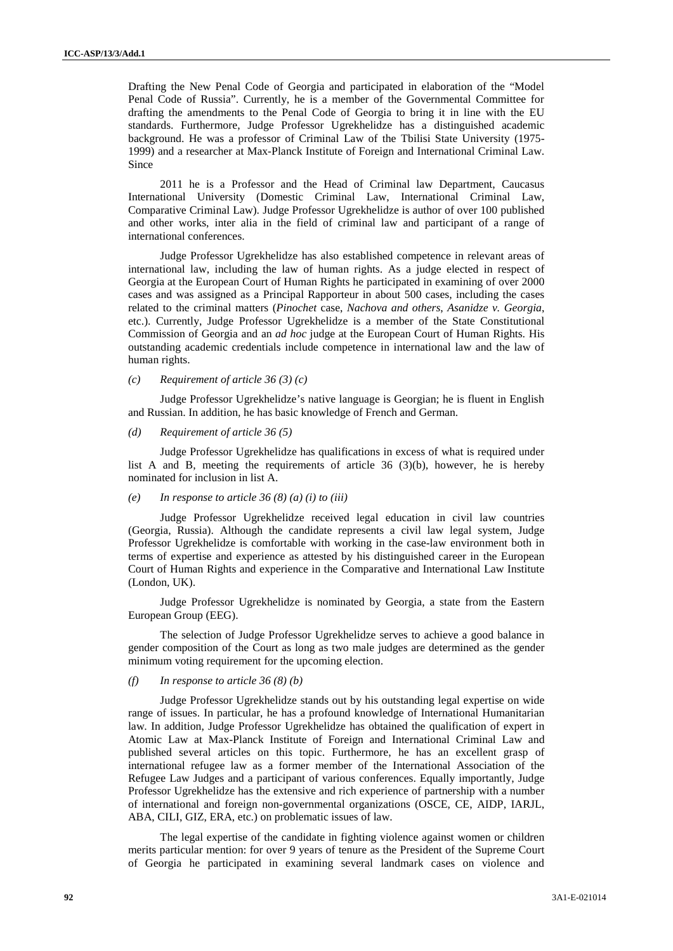Drafting the New Penal Code of Georgia and participated in elaboration of the "Model Penal Code of Russia". Currently, he is a member of the Governmental Committee for drafting the amendments to the Penal Code of Georgia to bring it in line with the EU standards. Furthermore, Judge Professor Ugrekhelidze has a distinguished academic background. He was a professor of Criminal Law of the Tbilisi State University (1975- 1999) and a researcher at Max-Planck Institute of Foreign and International Criminal Law. Since

2011 he is a Professor and the Head of Criminal law Department, Caucasus International University (Domestic Criminal Law, International Criminal Law, Comparative Criminal Law). Judge Professor Ugrekhelidze is author of over 100 published and other works, inter alia in the field of criminal law and participant of a range of international conferences.

Judge Professor Ugrekhelidze has also established competence in relevant areas of international law, including the law of human rights. As a judge elected in respect of Georgia at the European Court of Human Rights he participated in examining of over 2000 cases and was assigned as a Principal Rapporteur in about 500 cases, including the cases related to the criminal matters (*Pinochet* case, *Nachova and others*, *Asanidze v. Georgia*, etc.). Currently, Judge Professor Ugrekhelidze is a member of the State Constitutional Commission of Georgia and an *ad hoc* judge at the European Court of Human Rights. His outstanding academic credentials include competence in international law and the law of human rights.

### *(c) Requirement of article 36 (3) (c)*

Judge Professor Ugrekhelidze's native language is Georgian; he is fluent in English and Russian. In addition, he has basic knowledge of French and German.

#### *(d) Requirement of article 36 (5)*

Judge Professor Ugrekhelidze has qualifications in excess of what is required under list A and B, meeting the requirements of article 36 (3)(b), however, he is hereby nominated for inclusion in list A.

#### *(e) In response to article 36 (8) (a) (i) to (iii)*

Judge Professor Ugrekhelidze received legal education in civil law countries (Georgia, Russia). Although the candidate represents a civil law legal system, Judge Professor Ugrekhelidze is comfortable with working in the case-law environment both in terms of expertise and experience as attested by his distinguished career in the European Court of Human Rights and experience in the Comparative and International Law Institute (London, UK).

Judge Professor Ugrekhelidze is nominated by Georgia, a state from the Eastern European Group (EEG).

The selection of Judge Professor Ugrekhelidze serves to achieve a good balance in gender composition of the Court as long as two male judges are determined as the gender minimum voting requirement for the upcoming election.

### *(f) In response to article 36 (8) (b)*

Judge Professor Ugrekhelidze stands out by his outstanding legal expertise on wide range of issues. In particular, he has a profound knowledge of International Humanitarian law. In addition, Judge Professor Ugrekhelidze has obtained the qualification of expert in Atomic Law at Max-Planck Institute of Foreign and International Criminal Law and published several articles on this topic. Furthermore, he has an excellent grasp of international refugee law as a former member of the International Association of the Refugee Law Judges and a participant of various conferences. Equally importantly, Judge Professor Ugrekhelidze has the extensive and rich experience of partnership with a number of international and foreign non-governmental organizations (OSCE, CE, AIDP, IARJL, ABA, CILI, GIZ, ERA, etc.) on problematic issues of law.

The legal expertise of the candidate in fighting violence against women or children merits particular mention: for over 9 years of tenure as the President of the Supreme Court of Georgia he participated in examining several landmark cases on violence and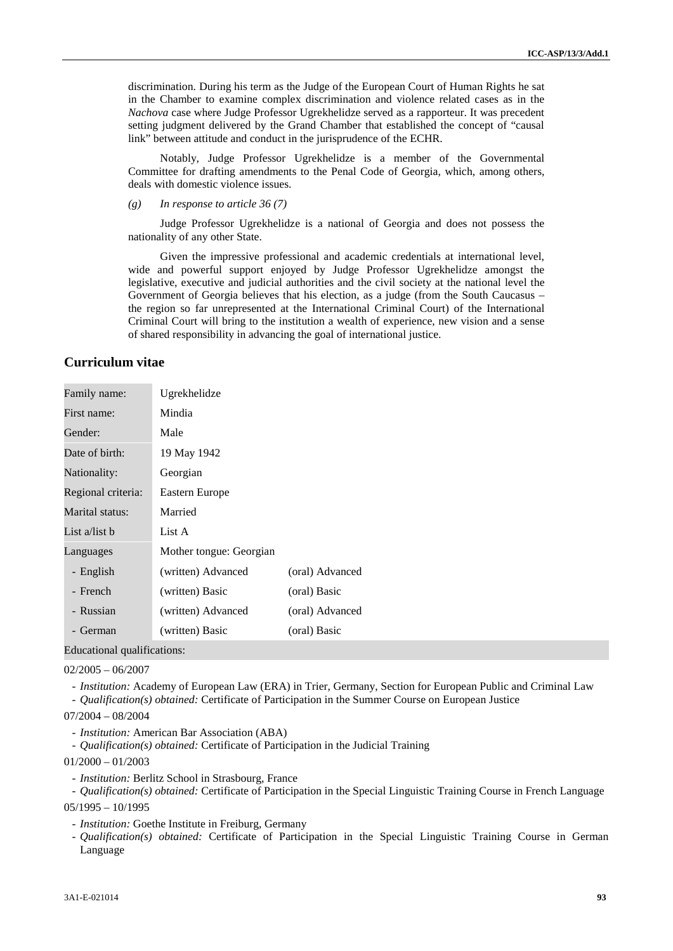discrimination. During his term as the Judge of the European Court of Human Rights he sat in the Chamber to examine complex discrimination and violence related cases as in the *Nachova* case where Judge Professor Ugrekhelidze served as a rapporteur. It was precedent setting judgment delivered by the Grand Chamber that established the concept of "causal link" between attitude and conduct in the jurisprudence of the ECHR.

Notably, Judge Professor Ugrekhelidze is a member of the Governmental Committee for drafting amendments to the Penal Code of Georgia, which, among others, deals with domestic violence issues.

*(g) In response to article 36 (7)*

Judge Professor Ugrekhelidze is a national of Georgia and does not possess the nationality of any other State.

Given the impressive professional and academic credentials at international level, wide and powerful support enjoyed by Judge Professor Ugrekhelidze amongst the legislative, executive and judicial authorities and the civil society at the national level the Government of Georgia believes that his election, as a judge (from the South Caucasus – the region so far unrepresented at the International Criminal Court) of the International Criminal Court will bring to the institution a wealth of experience, new vision and a sense of shared responsibility in advancing the goal of international justice.

## **Curriculum vitae**

| Family name:       | Ugrekhelidze            |                 |
|--------------------|-------------------------|-----------------|
| First name:        | Mindia                  |                 |
| Gender:            | Male                    |                 |
| Date of birth:     | 19 May 1942             |                 |
| Nationality:       | Georgian                |                 |
| Regional criteria: | Eastern Europe          |                 |
| Marital status:    | Married                 |                 |
| List a/list b      | List A                  |                 |
| Languages          | Mother tongue: Georgian |                 |
| - English          | (written) Advanced      | (oral) Advanced |
| - French           | (written) Basic         | (oral) Basic    |
| - Russian          | (written) Advanced      | (oral) Advanced |
| German             | (written) Basic         | (oral) Basic    |

Educational qualifications:

02/2005 – 06/2007

- *Institution:* Academy of European Law (ERA) in Trier, Germany, Section for European Public and Criminal Law

- *Qualification(s) obtained:* Certificate of Participation in the Summer Course on European Justice

07/2004 – 08/2004

- *Institution:* American Bar Association (ABA)
- *Qualification(s) obtained:* Certificate of Participation in the Judicial Training

 $01/2000 - 01/2003$ 

- *Institution:* Berlitz School in Strasbourg, France

- *Qualification(s) obtained:* Certificate of Participation in the Special Linguistic Training Course in French Language

 $05/1995 - 10/1995$ 

- *Institution:* Goethe Institute in Freiburg, Germany
- *Qualification(s) obtained:* Certificate of Participation in the Special Linguistic Training Course in German Language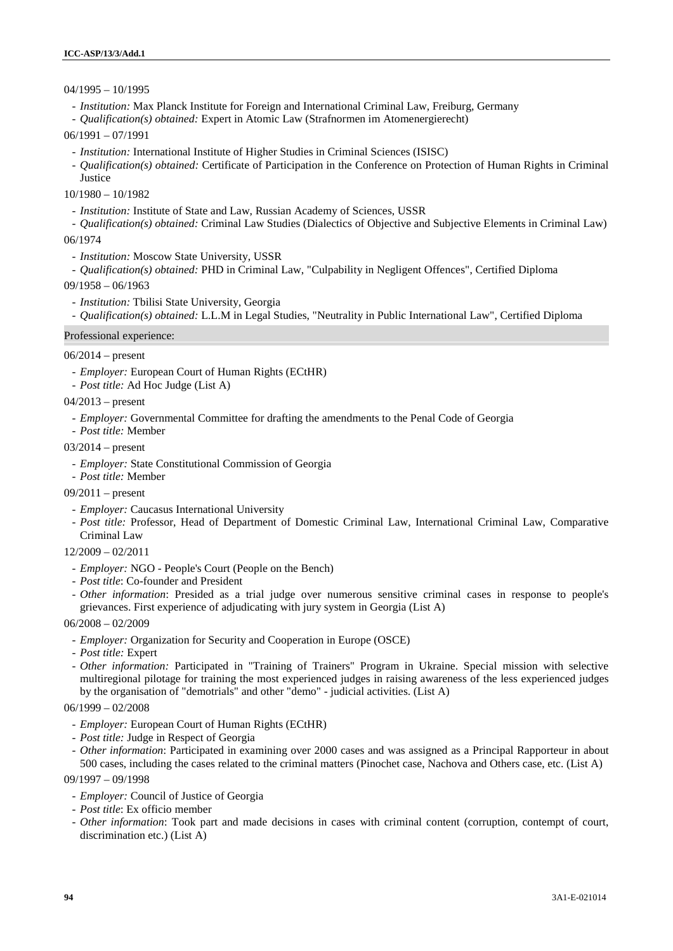## 04/1995 – 10/1995

- *Institution:* Max Planck Institute for Foreign and International Criminal Law, Freiburg, Germany
- *Qualification(s) obtained:* Expert in Atomic Law (Strafnormen im Atomenergierecht)
- 06/1991 07/1991
	- *Institution:* International Institute of Higher Studies in Criminal Sciences (ISISC)
	- *Qualification(s) obtained:* Certificate of Participation in the Conference on Protection of Human Rights in Criminal
	- **Justice**

10/1980 – 10/1982

- *Institution:* Institute of State and Law, Russian Academy of Sciences, USSR
- *Qualification(s) obtained:* Criminal Law Studies (Dialectics of Objective and Subjective Elements in Criminal Law) 06/1974
	- *Institution:* Moscow State University, USSR
- *Qualification(s) obtained:* PHD in Criminal Law, "Culpability in Negligent Offences", Certified Diploma
- 09/1958 06/1963
	- *Institution:* Tbilisi State University, Georgia
	- *Qualification(s) obtained:* L.L.M in Legal Studies, "Neutrality in Public International Law", Certified Diploma

### Professional experience:

- 06/2014 present
	- *Employer:* European Court of Human Rights (ECtHR)
	- *Post title:* Ad Hoc Judge (List A)
- 04/2013 present
	- *Employer:* Governmental Committee for drafting the amendments to the Penal Code of Georgia
	- *Post title:* Member
- 03/2014 present
	- *Employer:* State Constitutional Commission of Georgia
- *Post title:* Member
- 09/2011 present
	- *Employer:* Caucasus International University
	- *Post title:* Professor, Head of Department of Domestic Criminal Law, International Criminal Law, Comparative Criminal Law
- 12/2009 02/2011
	- *Employer:* NGO People's Court (People on the Bench)
	- *Post title*: Co-founder and President
- *Other information*: Presided as a trial judge over numerous sensitive criminal cases in response to people's grievances. First experience of adjudicating with jury system in Georgia (List A)
- 06/2008 02/2009
	- *Employer:* Organization for Security and Cooperation in Europe (OSCE)
	- *Post title:* Expert
	- *Other information:* Participated in "Training of Trainers" Program in Ukraine. Special mission with selective multiregional pilotage for training the most experienced judges in raising awareness of the less experienced judges by the organisation of "demotrials" and other "demo" - judicial activities. (List A)
- 06/1999 02/2008
	- *Employer:* European Court of Human Rights (ECtHR)
	- *Post title:* Judge in Respect of Georgia
	- *Other information*: Participated in examining over 2000 cases and was assigned as a Principal Rapporteur in about 500 cases, including the cases related to the criminal matters (Pinochet case, Nachova and Others case, etc. (List A)
- 09/1997 09/1998
	- *Employer:* Council of Justice of Georgia
	- *Post title*: Ex officio member
	- *Other information*: Took part and made decisions in cases with criminal content (corruption, contempt of court, discrimination etc.) (List A)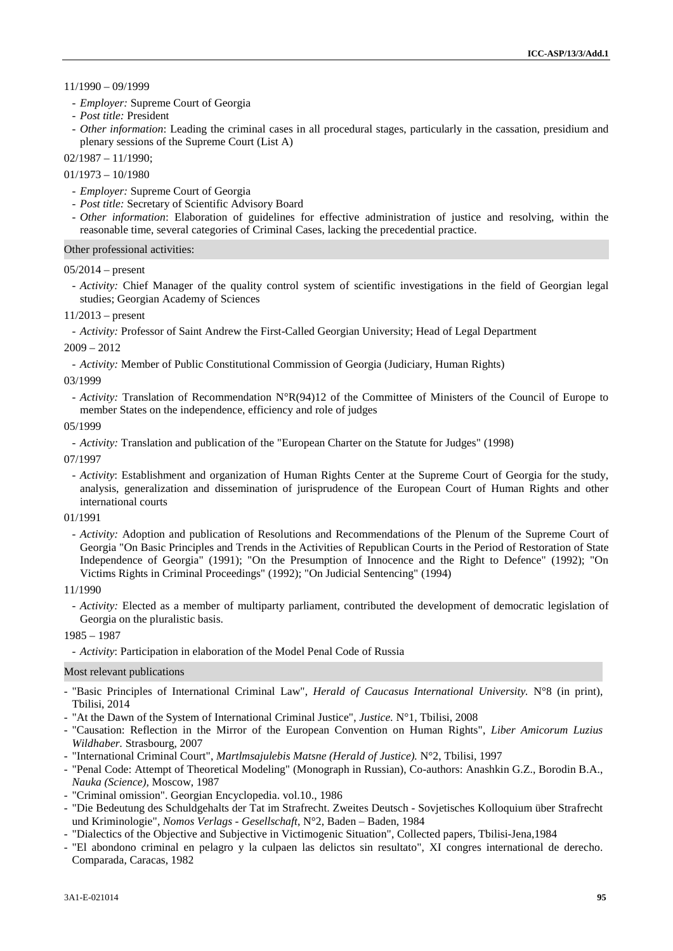11/1990 – 09/1999

- *Employer:* Supreme Court of Georgia
- *Post title:* President
- *Other information*: Leading the criminal cases in all procedural stages, particularly in the cassation, presidium and plenary sessions of the Supreme Court (List A)

 $02/1987 - 11/1990$ :

01/1973 – 10/1980

- *Employer:* Supreme Court of Georgia
- *Post title:* Secretary of Scientific Advisory Board
- *Other information*: Elaboration of guidelines for effective administration of justice and resolving, within the reasonable time, several categories of Criminal Cases, lacking the precedential practice.

### Other professional activities:

### $05/2014$  – present

- *Activity:* Chief Manager of the quality control system of scientific investigations in the field of Georgian legal studies; Georgian Academy of Sciences

11/2013 – present

- *Activity:* Professor of Saint Andrew the First-Called Georgian University; Head of Legal Department

2009 – 2012

- *Activity:* Member of Public Constitutional Commission of Georgia (Judiciary, Human Rights)

03/1999

- *Activity:* Translation of Recommendation N°R(94)12 of the Committee of Ministers of the Council of Europe to member States on the independence, efficiency and role of judges

## 05/1999

- *Activity:* Translation and publication of the "European Charter on the Statute for Judges" (1998)

07/1997

- *Activity*: Establishment and organization of Human Rights Center at the Supreme Court of Georgia for the study, analysis, generalization and dissemination of jurisprudence of the European Court of Human Rights and other international courts

## 01/1991

- *Activity:* Adoption and publication of Resolutions and Recommendations of the Plenum of the Supreme Court of Georgia "On Basic Principles and Trends in the Activities of Republican Courts in the Period of Restoration of State Independence of Georgia" (1991); "On the Presumption of Innocence and the Right to Defence" (1992); "On Victims Rights in Criminal Proceedings" (1992); "On Judicial Sentencing" (1994)

### 11/1990

- *Activity:* Elected as a member of multiparty parliament, contributed the development of democratic legislation of Georgia on the pluralistic basis.

1985 – 1987

- *Activity*: Participation in elaboration of the Model Penal Code of Russia

#### Most relevant publications

- "Basic Principles of International Criminal Law", *Herald of Caucasus International University.* N°8 (in print), Tbilisi, 2014
- "At the Dawn of the System of International Criminal Justice", *Justice.* N°1, Tbilisi, 2008
- "Causation: Reflection in the Mirror of the European Convention on Human Rights", *Liber Amicorum Luzius Wildhaber.* Strasbourg, 2007
- "International Criminal Court", *Martlmsajulebis Matsne (Herald of Justice).* N°2, Tbilisi, 1997
- "Penal Code: Attempt of Theoretical Modeling" (Monograph in Russian), Co-authors: Anashkin G.Z., Borodin B.A., *Nauka (Science),* Moscow, 1987
- "Criminal omission". Georgian Encyclopedia. vol.10., 1986
- "Die Bedeutung des Schuldgehalts der Tat im Strafrecht. Zweites Deutsch Sovjetisches Kolloquium über Strafrecht und Kriminologie", *Nomos Verlags - Gesellschaft*, N°2, Baden – Baden, 1984
- "Dialectics of the Objective and Subjective in Victimogenic Situation", Collected papers, Tbilisi-Jena,1984
- "El abondono criminal en pelagro y la culpaen las delictos sin resultato", XI congres international de derecho. Comparada, Caracas, 1982